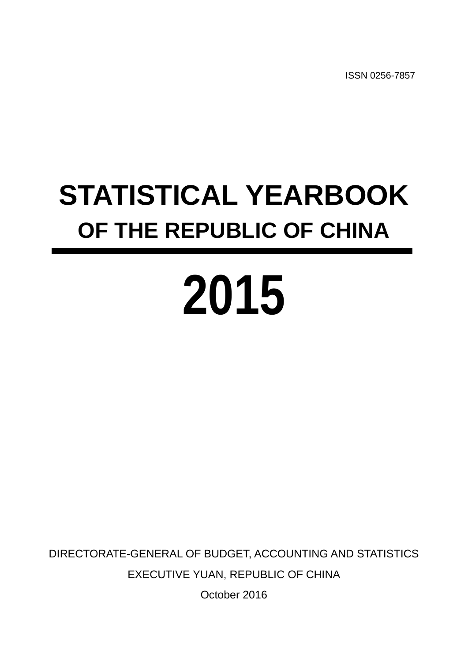ISSN 0256-7857

## **STATISTICAL YEARBOOK OF THE REPUBLIC OF CHINA**

# **2015**

DIRECTORATE-GENERAL OF BUDGET, ACCOUNTING AND STATISTICS EXECUTIVE YUAN, REPUBLIC OF CHINA

October 2016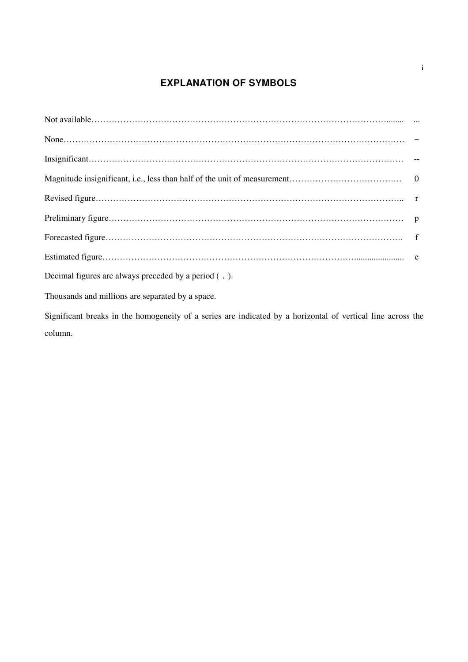#### **EXPLANATION OF SYMBOLS**

| Decimal figures are always preceded by a period $($ .). |  |
|---------------------------------------------------------|--|
| Thousands and millions are separated by a space.        |  |

Significant breaks in the homogeneity of a series are indicated by a horizontal of vertical line across the column.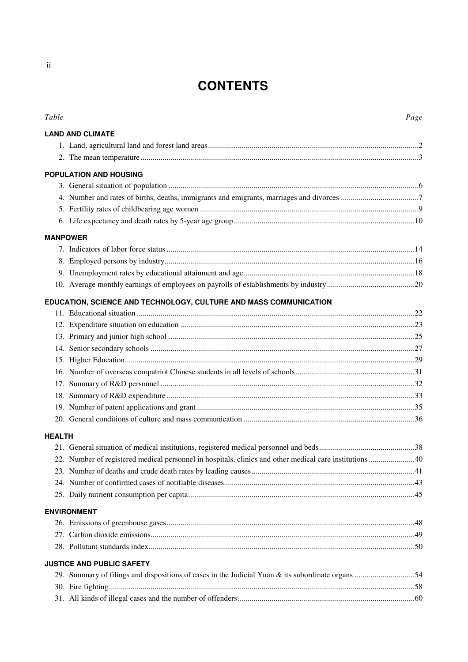### **CONTENTS**

| Table                                                             | Page |
|-------------------------------------------------------------------|------|
| <b>LAND AND CLIMATE</b>                                           |      |
|                                                                   |      |
|                                                                   |      |
| <b>POPULATION AND HOUSING</b>                                     |      |
|                                                                   |      |
|                                                                   |      |
|                                                                   |      |
|                                                                   |      |
| <b>MANPOWER</b>                                                   |      |
|                                                                   |      |
|                                                                   |      |
|                                                                   |      |
|                                                                   |      |
| EDUCATION, SCIENCE AND TECHNOLOGY, CULTURE AND MASS COMMUNICATION |      |
|                                                                   |      |
|                                                                   |      |
|                                                                   |      |
|                                                                   |      |
|                                                                   |      |
|                                                                   |      |
|                                                                   |      |
|                                                                   |      |
|                                                                   |      |
|                                                                   |      |
| <b>HEALTH</b>                                                     |      |
|                                                                   |      |
|                                                                   |      |
|                                                                   |      |
|                                                                   |      |
|                                                                   |      |
| <b>ENVIRONMENT</b>                                                |      |
|                                                                   |      |
|                                                                   |      |
|                                                                   |      |
| <b>JUSTICE AND PUBLIC SAFETY</b>                                  |      |
|                                                                   |      |
|                                                                   |      |
|                                                                   |      |
|                                                                   |      |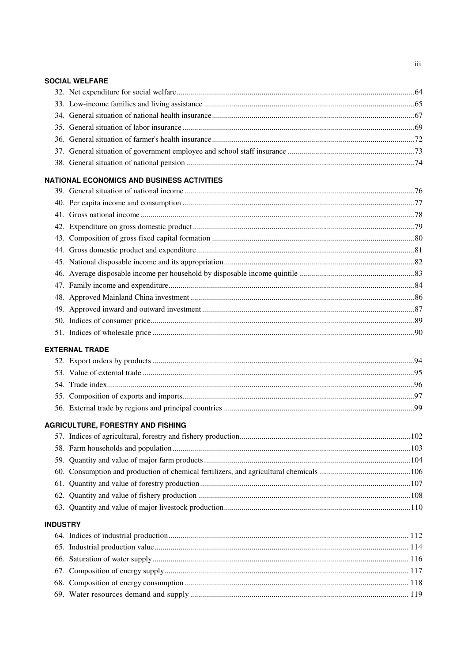#### **SOCIAL WELFARE**

|                 | <b>NATIONAL ECONOMICS AND BUSINESS ACTIVITIES</b> |  |
|-----------------|---------------------------------------------------|--|
|                 |                                                   |  |
|                 |                                                   |  |
|                 |                                                   |  |
|                 |                                                   |  |
|                 |                                                   |  |
|                 |                                                   |  |
|                 |                                                   |  |
|                 |                                                   |  |
|                 |                                                   |  |
|                 |                                                   |  |
|                 |                                                   |  |
|                 |                                                   |  |
|                 |                                                   |  |
|                 | <b>EXTERNAL TRADE</b>                             |  |
|                 |                                                   |  |
|                 |                                                   |  |
|                 |                                                   |  |
|                 |                                                   |  |
|                 |                                                   |  |
|                 | <b>AGRICULTURE, FORESTRY AND FISHING</b>          |  |
|                 |                                                   |  |
|                 |                                                   |  |
|                 |                                                   |  |
|                 |                                                   |  |
|                 |                                                   |  |
|                 |                                                   |  |
|                 |                                                   |  |
| <b>INDUSTRY</b> |                                                   |  |
|                 |                                                   |  |
|                 |                                                   |  |
|                 |                                                   |  |
|                 |                                                   |  |
|                 |                                                   |  |
|                 |                                                   |  |
|                 |                                                   |  |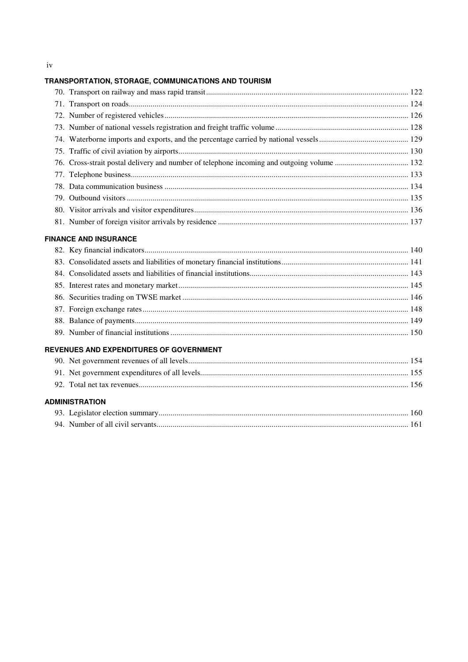#### TRANSPORTATION, STORAGE, COMMUNICATIONS AND TOURISM

#### **FINANCE AND INSURANCE**

#### REVENUES AND EXPENDITURES OF GOVERNMENT

| <b>ADMINISTRATION</b> |  |
|-----------------------|--|
|                       |  |
|                       |  |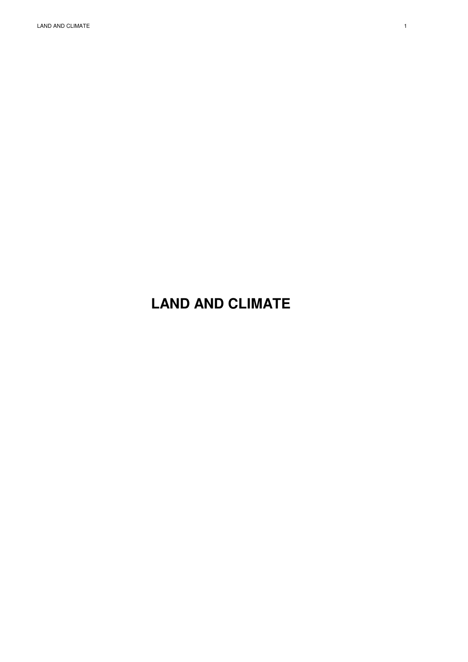## **LAND AND CLIMATE**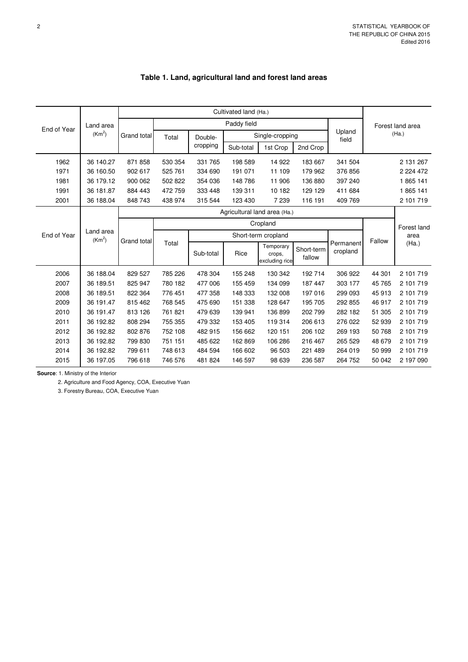#### **Table 1. Land, agricultural land and forest land areas**

|             |                                 |             | Cultivated land (Ha.) |                     |                     |                                       |                      |                       |                  |             |  |
|-------------|---------------------------------|-------------|-----------------------|---------------------|---------------------|---------------------------------------|----------------------|-----------------------|------------------|-------------|--|
| End of Year | Land area                       |             |                       |                     | Paddy field         |                                       |                      |                       | Forest land area |             |  |
|             | (Km <sup>2</sup> )              | Grand total | Total                 | Double-<br>cropping | Single-cropping     |                                       |                      | Upland<br>field       |                  | (Ha.)       |  |
|             |                                 |             |                       |                     | Sub-total           | 1st Crop                              | 2nd Crop             |                       |                  |             |  |
| 1962        | 36 140.27                       | 871 858     | 530 354               | 331 765             | 198 589             | 14 9 22                               | 183 667              | 341 504               |                  | 2 131 267   |  |
| 1971        | 36 160.50                       | 902 617     | 525 761               | 334 690             | 191 071             | 11 109                                | 179 962              | 376 856               |                  | 2 2 2 4 7 2 |  |
| 1981        | 36 179.12                       | 900 062     | 502 822               | 354 036             | 148 786             | 11 906                                | 136 880              | 397 240               |                  | 1865 141    |  |
| 1991        | 36 181.87                       | 884 443     | 472 759               | 333 448             | 139 311             | 10 182                                | 129 129              | 411 684               |                  | 1865 141    |  |
| 2001        | 36 188.04                       | 848 743     | 438 974               | 315 544             | 123 430             | 7 2 3 9                               | 116 191              | 409 769               |                  | 2 101 719   |  |
|             | Land area<br>(Km <sup>2</sup> ) |             |                       |                     |                     | Agricultural land area (Ha.)          |                      |                       |                  |             |  |
|             |                                 |             |                       | Cropland            |                     |                                       |                      |                       |                  | Forest land |  |
| End of Year |                                 |             |                       |                     | Short-term cropland |                                       |                      | area                  |                  |             |  |
|             |                                 | Grand total | Total                 | Sub-total           | Rice                | Temporary<br>crops,<br>excluding rice | Short-term<br>fallow | Permanent<br>cropland | Fallow           | (Ha.)       |  |
| 2006        | 36 188.04                       | 829 527     | 785 226               | 478 304             | 155 248             | 130 342                               | 192 714              | 306 922               | 44 301           | 2 101 719   |  |
| 2007        | 36 189.51                       | 825 947     | 780 182               | 477 006             | 155 459             | 134 099                               | 187 447              | 303 177               | 45 765           | 2 101 719   |  |
| 2008        | 36 189.51                       | 822 364     | 776 451               | 477 358             | 148 333             | 132 008                               | 197 016              | 299 093               | 45 913           | 2 101 719   |  |
| 2009        | 36 191.47                       | 815 462     | 768 545               | 475 690             | 151 338             | 128 647                               | 195 705              | 292 855               | 46 917           | 2 101 719   |  |
| 2010        | 36 191.47                       | 813 126     | 761 821               | 479 639             | 139 941             | 136 899                               | 202 799              | 282 182               | 51 305           | 2 101 719   |  |
| 2011        | 36 192.82                       | 808 294     | 755 355               | 479 332             | 153 405             | 119 314                               | 206 613              | 276 022               | 52 939           | 2 101 719   |  |
| 2012        | 36 192.82                       | 802 876     | 752 108               | 482 915             | 156 662             | 120 151                               | 206 102              | 269 193               | 50 768           | 2 101 719   |  |
| 2013        | 36 192.82                       | 799 830     | 751 151               | 485 622             | 162 869             | 106 286                               | 216 467              | 265 529               | 48 679           | 2 101 719   |  |
| 2014        | 36 192.82                       | 799 611     | 748 613               | 484 594             | 166 602             | 96 503                                | 221 489              | 264 019               | 50 999           | 2 101 719   |  |
| 2015        | 36 197.05                       | 796 618     | 746 576               | 481 824             | 146 597             | 98 639                                | 236 587              | 264 752               | 50 042           | 2 197 090   |  |

**Source**: 1. Ministry of the Interior

2. Agriculture and Food Agency, COA, Executive Yuan

3. Forestry Bureau, COA, Executive Yuan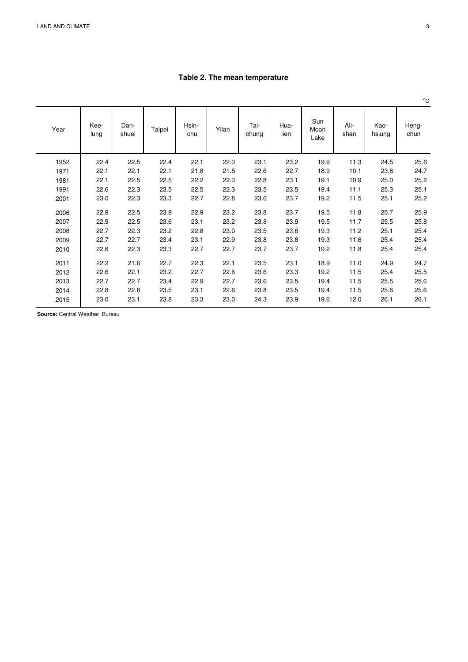|      |              |               |        |              |       |               |              |                     |              |                | $^{\circ}$ C  |
|------|--------------|---------------|--------|--------------|-------|---------------|--------------|---------------------|--------------|----------------|---------------|
| Year | Kee-<br>lung | Dan-<br>shuei | Taipei | Hsin-<br>chu | Yilan | Tai-<br>chung | Hua-<br>lien | Sun<br>Moon<br>Lake | Ali-<br>shan | Kao-<br>hsiung | Heng-<br>chun |
| 1952 | 22.4         | 22.5          | 22.4   | 22.1         | 22.3  | 23.1          | 23.2         | 19.9                | 11.3         | 24.5           | 25.6          |
| 1971 | 22.1         | 22.1          | 22.1   | 21.8         | 21.6  | 22.6          | 22.7         | 18.9                | 10.1         | 23.8           | 24.7          |
| 1981 | 22.1         | 22.5          | 22.5   | 22.2         | 22.3  | 22.8          | 23.1         | 19.1                | 10.9         | 25.0           | 25.2          |
| 1991 | 22.6         | 22.3          | 23.5   | 22.5         | 22.3  | 23.5          | 23.5         | 19.4                | 11.1         | 25.3           | 25.1          |
| 2001 | 23.0         | 22.3          | 23.3   | 22.7         | 22.8  | 23.6          | 23.7         | 19.2                | 11.5         | 25.1           | 25.2          |
| 2006 | 22.9         | 22.5          | 23.8   | 22.9         | 23.2  | 23.8          | 23.7         | 19.5                | 11.8         | 25.7           | 25.9          |
| 2007 | 22.9         | 22.5          | 23.6   | 23.1         | 23.2  | 23.8          | 23.9         | 19.5                | 11.7         | 25.5           | 25.8          |
| 2008 | 22.7         | 22.3          | 23.2   | 22.8         | 23.0  | 23.5          | 23.6         | 19.3                | 11.2         | 25.1           | 25.4          |
| 2009 | 22.7         | 22.7          | 23.4   | 23.1         | 22.9  | 23.8          | 23.8         | 19.3                | 11.6         | 25.4           | 25.4          |
| 2010 | 22.6         | 22.3          | 23.3   | 22.7         | 22.7  | 23.7          | 23.7         | 19.2                | 11.8         | 25.4           | 25.4          |
| 2011 | 22.2         | 21.6          | 22.7   | 22.3         | 22.1  | 23.5          | 23.1         | 18.9                | 11.0         | 24.9           | 24.7          |
| 2012 | 22.6         | 22.1          | 23.2   | 22.7         | 22.6  | 23.6          | 23.3         | 19.2                | 11.5         | 25.4           | 25.5          |
| 2013 | 22.7         | 22.7          | 23.4   | 22.9         | 22.7  | 23.6          | 23.5         | 19.4                | 11.5         | 25.5           | 25.6          |
| 2014 | 22.8         | 22.8          | 23.5   | 23.1         | 22.6  | 23.8          | 23.5         | 19.4                | 11.5         | 25.6           | 25.6          |
| 2015 | 23.0         | 23.1          | 23.8   | 23.3         | 23.0  | 24.3          | 23.9         | 19.6                | 12.0         | 26.1           | 26.1          |

#### **Table 2. The mean temperature**

**Source:** Central Weather Bureau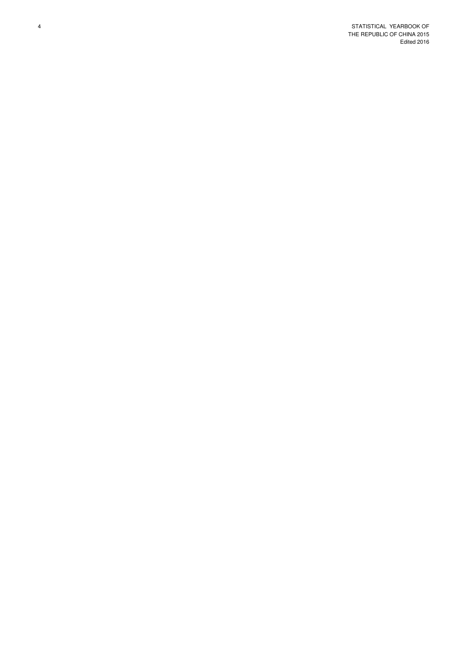4 STATISTICAL YEARBOOK OF THE REPUBLIC OF CHINA 2015 Edited 2016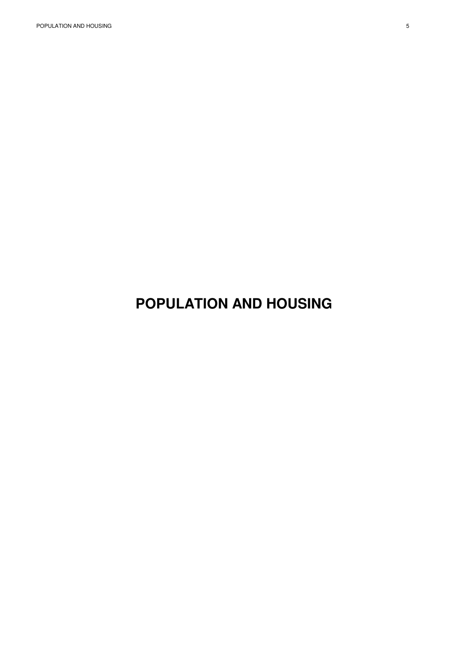## **POPULATION AND HOUSING**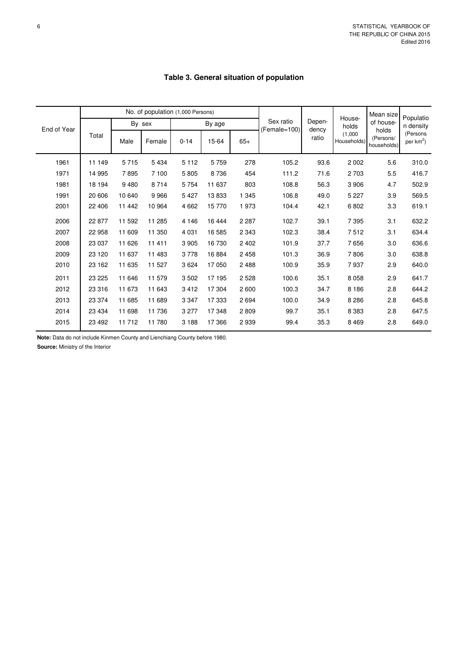|             |          |        | No. of population (1,000 Persons) |          |        |         |              | House-          | Mean size              | Populatio                |                          |
|-------------|----------|--------|-----------------------------------|----------|--------|---------|--------------|-----------------|------------------------|--------------------------|--------------------------|
| End of Year |          | By sex |                                   |          | By age |         |              | Depen-<br>dency | holds                  | of house-<br>holds       | n density                |
|             | Total    | Male   | Female                            | $0 - 14$ | 15-64  | $65+$   | (Female=100) | ratio           | (1,000)<br>Households) | (Persons/<br>households) | (Persons<br>per $km^2$ ) |
| 1961        | 11 149   | 5715   | 5 4 3 4                           | 5 1 1 2  | 5759   | 278     | 105.2        | 93.6            | 2 0 0 2                | 5.6                      | 310.0                    |
| 1971        | 14 995   | 7895   | 7 100                             | 5805     | 8736   | 454     | 111.2        | 71.6            | 2 703                  | 5.5                      | 416.7                    |
| 1981        | 18 194   | 9480   | 8714                              | 5 7 5 4  | 11 637 | 803     | 108.8        | 56.3            | 3 9 0 6                | 4.7                      | 502.9                    |
| 1991        | 20 60 6  | 10 640 | 9966                              | 5 4 2 7  | 13833  | 1 3 4 5 | 106.8        | 49.0            | 5 2 2 7                | 3.9                      | 569.5                    |
| 2001        | 22 406   | 11 442 | 10 964                            | 4 6 6 2  | 15770  | 1973    | 104.4        | 42.1            | 6802                   | 3.3                      | 619.1                    |
| 2006        | 22 877   | 11 592 | 11 285                            | 4 1 4 6  | 16 444 | 2 2 8 7 | 102.7        | 39.1            | 7 3 9 5                | 3.1                      | 632.2                    |
| 2007        | 22 958   | 11 609 | 11 350                            | 4 0 3 1  | 16 585 | 2 3 4 3 | 102.3        | 38.4            | 7512                   | 3.1                      | 634.4                    |
| 2008        | 23 037   | 11 626 | 11 411                            | 3 9 0 5  | 16 730 | 2 4 0 2 | 101.9        | 37.7            | 7656                   | 3.0                      | 636.6                    |
| 2009        | 23 120   | 11 637 | 11 483                            | 3778     | 16884  | 2 4 5 8 | 101.3        | 36.9            | 7806                   | 3.0                      | 638.8                    |
| 2010        | 23 162   | 11 635 | 11 527                            | 3624     | 17 050 | 2 4 8 8 | 100.9        | 35.9            | 7937                   | 2.9                      | 640.0                    |
| 2011        | 23 225   | 11 646 | 11 579                            | 3 5 0 2  | 17 195 | 2 5 2 8 | 100.6        | 35.1            | 8 0 5 8                | 2.9                      | 641.7                    |
| 2012        | 23 316   | 11 673 | 11 643                            | 3412     | 17 304 | 2 600   | 100.3        | 34.7            | 8 1 8 6                | 2.8                      | 644.2                    |
| 2013        | 23 374   | 11 685 | 11 689                            | 3 3 4 7  | 17 333 | 2694    | 100.0        | 34.9            | 8 2 8 6                | 2.8                      | 645.8                    |
| 2014        | 23 4 34  | 11 698 | 11 736                            | 3 2 7 7  | 17 348 | 2809    | 99.7         | 35.1            | 8 3 8 3                | 2.8                      | 647.5                    |
| 2015        | 23 4 9 2 | 11 712 | 11780                             | 3 1 8 8  | 17 366 | 2939    | 99.4         | 35.3            | 8 4 6 9                | 2.8                      | 649.0                    |

#### **Table 3. General situation of population**

**Source:** Ministry of the Interior **Note:** Data do not include Kinmen County and Lienchiang County before 1980.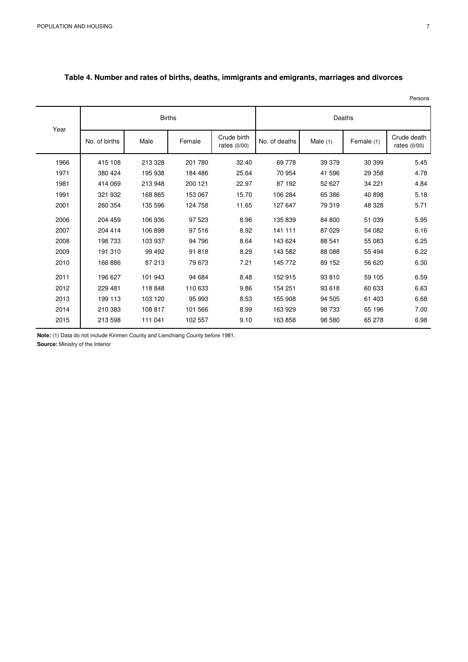#### **Table 4. Number and rates of births, deaths, immigrants and emigrants, marriages and divorces**

Persons

| Year |               |         | <b>Births</b> |                             | Deaths        |            |            |                             |  |
|------|---------------|---------|---------------|-----------------------------|---------------|------------|------------|-----------------------------|--|
|      | No. of births | Male    | Female        | Crude birth<br>rates (0/00) | No. of deaths | Male $(1)$ | Female (1) | Crude death<br>rates (0/00) |  |
| 1966 | 415 108       | 213 328 | 201 780       | 32.40                       | 69 778        | 39 379     | 30 399     | 5.45                        |  |
| 1971 | 380 424       | 195 938 | 184 486       | 25.64                       | 70 954        | 41 596     | 29 358     | 4.78                        |  |
| 1981 | 414 069       | 213 948 | 200 121       | 22.97                       | 87 192        | 52 627     | 34 221     | 4.84                        |  |
| 1991 | 321 932       | 168 865 | 153 067       | 15.70                       | 106 284       | 65 386     | 40 898     | 5.18                        |  |
| 2001 | 260 354       | 135 596 | 124 758       | 11.65                       | 127 647       | 79 319     | 48 328     | 5.71                        |  |
| 2006 | 204 459       | 106 936 | 97 523        | 8.96                        | 135 839       | 84 800     | 51 039     | 5.95                        |  |
| 2007 | 204 414       | 106 898 | 97 516        | 8.92                        | 141 111       | 87 0 29    | 54 082     | 6.16                        |  |
| 2008 | 198 733       | 103 937 | 94 796        | 8.64                        | 143 624       | 88 541     | 55 083     | 6.25                        |  |
| 2009 | 191 310       | 99 492  | 91818         | 8.29                        | 143 582       | 88 088     | 55 4 94    | 6.22                        |  |
| 2010 | 166 886       | 87 213  | 79 673        | 7.21                        | 145 772       | 89 152     | 56 620     | 6.30                        |  |
| 2011 | 196 627       | 101 943 | 94 684        | 8.48                        | 152 915       | 93 810     | 59 105     | 6.59                        |  |
| 2012 | 229 481       | 118 848 | 110 633       | 9.86                        | 154 251       | 93 618     | 60 633     | 6.63                        |  |
| 2013 | 199 113       | 103 120 | 95 993        | 8.53                        | 155 908       | 94 505     | 61 403     | 6.68                        |  |
| 2014 | 210 383       | 108 817 | 101 566       | 8.99                        | 163 929       | 98 733     | 65 196     | 7.00                        |  |
| 2015 | 213 598       | 111 041 | 102 557       | 9.10                        | 163 858       | 98 580     | 65 278     | 6.98                        |  |

**Note:** (1) Data do not include Kinmen County and Lienchiang County before 1981.

**Source:** Ministry of the Interior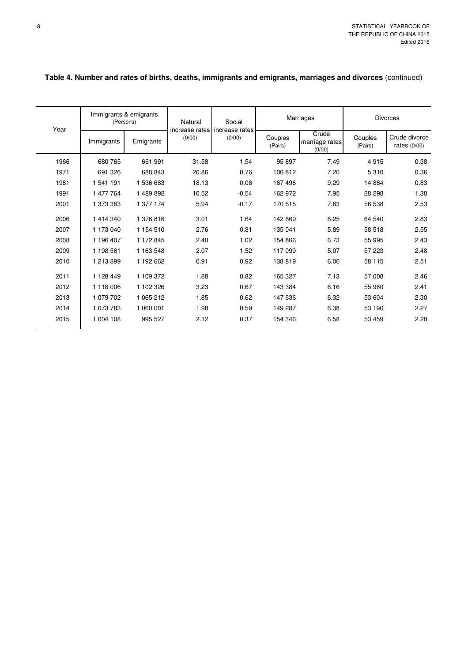| Year | Immigrants & emigrants<br>(Persons) |           | Natural | Social                                  |                    | Marriages                         | <b>Divorces</b>    |                               |  |
|------|-------------------------------------|-----------|---------|-----------------------------------------|--------------------|-----------------------------------|--------------------|-------------------------------|--|
|      | Immigrants                          | Emigrants | (0/00)  | increase rates increase rates<br>(0/00) | Couples<br>(Pairs) | Crude<br>marriage rates<br>(0/00) | Couples<br>(Pairs) | Crude divorce<br>rates (0/00) |  |
| 1966 | 680 765                             | 661 991   | 31.58   | 1.54                                    | 95 897             | 7.49                              | 4915               | 0.38                          |  |
| 1971 | 691 326                             | 688 843   | 20.86   | 0.76                                    | 106 812            | 7.20                              | 5310               | 0.36                          |  |
| 1981 | 1 541 191                           | 1 536 683 | 18.13   | 0.06                                    | 167 496            | 9.29                              | 14 8 84            | 0.83                          |  |
| 1991 | 1 477 764                           | 1489892   | 10.52   | $-0.54$                                 | 162 972            | 7.95                              | 28 298             | 1.38                          |  |
| 2001 | 1 373 363                           | 1 377 174 | 5.94    | $-0.17$                                 | 170 515            | 7.63                              | 56 538             | 2.53                          |  |
| 2006 | 1 414 340                           | 1 376 816 | 3.01    | 1.64                                    | 142 669            | 6.25                              | 64 540             | 2.83                          |  |
| 2007 | 1 173 040                           | 1 154 510 | 2.76    | 0.81                                    | 135 041            | 5.89                              | 58 518             | 2.55                          |  |
| 2008 | 1 196 407                           | 1 172 845 | 2.40    | 1.02                                    | 154 866            | 6.73                              | 55 995             | 2.43                          |  |
| 2009 | 1 198 561                           | 1 163 548 | 2.07    | 1.52                                    | 117 099            | 5.07                              | 57 223             | 2.48                          |  |
| 2010 | 1 213 899                           | 1 192 662 | 0.91    | 0.92                                    | 138 819            | 6.00                              | 58 115             | 2.51                          |  |
| 2011 | 1 128 449                           | 1 109 372 | 1.88    | 0.82                                    | 165 327            | 7.13                              | 57 008             | 2.46                          |  |
| 2012 | 1 118 006                           | 1 102 326 | 3.23    | 0.67                                    | 143 384            | 6.16                              | 55 980             | 2.41                          |  |
| 2013 | 1 079 702                           | 1 065 212 | 1.85    | 0.62                                    | 147 636            | 6.32                              | 53 604             | 2.30                          |  |
| 2014 | 1 073 783                           | 1 060 001 | 1.98    | 0.59                                    | 149 287            | 6.38                              | 53 190             | 2.27                          |  |
| 2015 | 1 004 108                           | 995 527   | 2.12    | 0.37                                    | 154 346            | 6.58                              | 53 459             | 2.28                          |  |

#### **Table 4. Number and rates of births, deaths, immigrants and emigrants, marriages and divorces** (continued)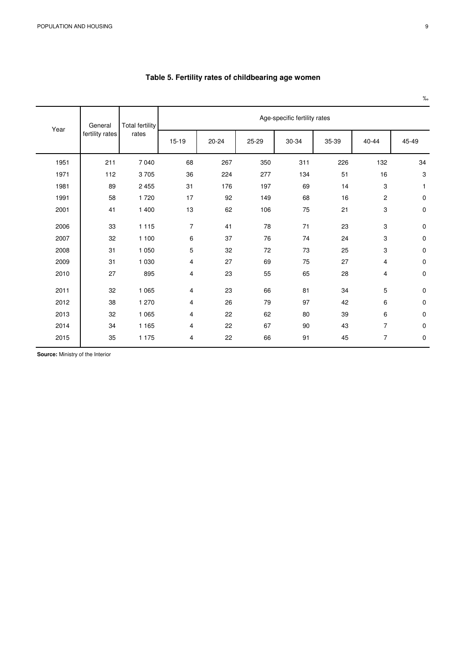|      |                 |                        |                |           |       |                              |       |                         | /oo   |
|------|-----------------|------------------------|----------------|-----------|-------|------------------------------|-------|-------------------------|-------|
| Year | General         | <b>Total fertility</b> |                |           |       | Age-specific fertility rates |       |                         |       |
|      | fertility rates | rates                  | $15 - 19$      | $20 - 24$ | 25-29 | 30-34                        | 35-39 | 40-44                   | 45-49 |
| 1951 | 211             | 7 0 4 0                | 68             | 267       | 350   | 311                          | 226   | 132                     | 34    |
| 1971 | 112             | 3705                   | 36             | 224       | 277   | 134                          | 51    | 16                      | 3     |
| 1981 | 89              | 2 4 5 5                | 31             | 176       | 197   | 69                           | 14    | 3                       | 1     |
| 1991 | 58              | 1720                   | 17             | 92        | 149   | 68                           | 16    | $\overline{\mathbf{c}}$ | 0     |
| 2001 | 41              | 1 400                  | 13             | 62        | 106   | 75                           | 21    | 3                       | 0     |
| 2006 | 33              | 1 1 1 5                | $\overline{7}$ | 41        | 78    | 71                           | 23    | 3                       | 0     |
| 2007 | 32              | 1 100                  | 6              | 37        | 76    | 74                           | 24    | 3                       | 0     |
| 2008 | 31              | 1 0 5 0                | 5              | 32        | 72    | 73                           | 25    | 3                       | 0     |
| 2009 | 31              | 1 0 3 0                | 4              | 27        | 69    | 75                           | 27    | 4                       | 0     |
| 2010 | 27              | 895                    | 4              | 23        | 55    | 65                           | 28    | 4                       | 0     |
| 2011 | 32              | 1 0 6 5                | 4              | 23        | 66    | 81                           | 34    | 5                       | 0     |
| 2012 | 38              | 1 270                  | 4              | 26        | 79    | 97                           | 42    | 6                       | 0     |
| 2013 | 32              | 1 0 6 5                | 4              | 22        | 62    | 80                           | 39    | 6                       | 0     |
| 2014 | 34              | 1 1 6 5                | 4              | 22        | 67    | 90                           | 43    | $\overline{7}$          | 0     |
| 2015 | 35              | 1 1 7 5                | 4              | 22        | 66    | 91                           | 45    | 7                       | 0     |

#### **Table 5. Fertility rates of childbearing age women**

 $\frac{1}{2}$ 

**Source:** Ministry of the Interior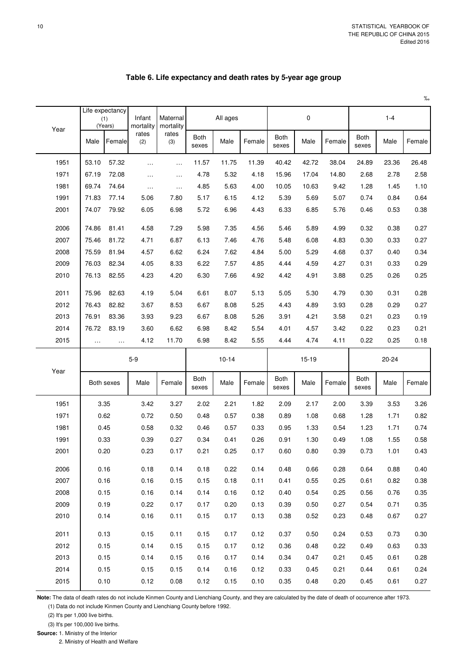#### **Table 6. Life expectancy and death rates by 5-year age group**

|      |          |                                   |                     |                       |               |           |        |               |           |        |               |         | $\%$   |
|------|----------|-----------------------------------|---------------------|-----------------------|---------------|-----------|--------|---------------|-----------|--------|---------------|---------|--------|
| Year |          | Life expectancy<br>(1)<br>(Years) | Infant<br>mortality | Maternal<br>mortality |               | All ages  |        |               | $\pmb{0}$ |        |               | $1 - 4$ |        |
|      | Male     | Female                            | rates<br>(2)        | rates<br>(3)          | Both<br>sexes | Male      | Female | Both<br>sexes | Male      | Female | Both<br>sexes | Male    | Female |
| 1951 | 53.10    | 57.32                             | $\cdots$            | $\cdots$              | 11.57         | 11.75     | 11.39  | 40.42         | 42.72     | 38.04  | 24.89         | 23.36   | 26.48  |
| 1971 | 67.19    | 72.08                             | $\ddotsc$           |                       | 4.78          | 5.32      | 4.18   | 15.96         | 17.04     | 14.80  | 2.68          | 2.78    | 2.58   |
| 1981 | 69.74    | 74.64                             | $\ldots$            | .                     | 4.85          | 5.63      | 4.00   | 10.05         | 10.63     | 9.42   | 1.28          | 1.45    | 1.10   |
| 1991 | 71.83    | 77.14                             | 5.06                | 7.80                  | 5.17          | 6.15      | 4.12   | 5.39          | 5.69      | 5.07   | 0.74          | 0.84    | 0.64   |
| 2001 | 74.07    | 79.92                             | 6.05                | 6.98                  | 5.72          | 6.96      | 4.43   | 6.33          | 6.85      | 5.76   | 0.46          | 0.53    | 0.38   |
| 2006 | 74.86    | 81.41                             | 4.58                | 7.29                  | 5.98          | 7.35      | 4.56   | 5.46          | 5.89      | 4.99   | 0.32          | 0.38    | 0.27   |
| 2007 | 75.46    | 81.72                             | 4.71                | 6.87                  | 6.13          | 7.46      | 4.76   | 5.48          | 6.08      | 4.83   | 0.30          | 0.33    | 0.27   |
| 2008 | 75.59    | 81.94                             | 4.57                | 6.62                  | 6.24          | 7.62      | 4.84   | 5.00          | 5.29      | 4.68   | 0.37          | 0.40    | 0.34   |
| 2009 | 76.03    | 82.34                             | 4.05                | 8.33                  | 6.22          | 7.57      | 4.85   | 4.44          | 4.59      | 4.27   | 0.31          | 0.33    | 0.29   |
| 2010 | 76.13    | 82.55                             | 4.23                | 4.20                  | 6.30          | 7.66      | 4.92   | 4.42          | 4.91      | 3.88   | 0.25          | 0.26    | 0.25   |
| 2011 | 75.96    | 82.63                             | 4.19                | 5.04                  | 6.61          | 8.07      | 5.13   | 5.05          | 5.30      | 4.79   | 0.30          | 0.31    | 0.28   |
| 2012 | 76.43    | 82.82                             | 3.67                | 8.53                  | 6.67          | 8.08      | 5.25   | 4.43          | 4.89      | 3.93   | 0.28          | 0.29    | 0.27   |
| 2013 | 76.91    | 83.36                             | 3.93                | 9.23                  | 6.67          | 8.08      | 5.26   | 3.91          | 4.21      | 3.58   | 0.21          | 0.23    | 0.19   |
| 2014 | 76.72    | 83.19                             | 3.60                | 6.62                  | 6.98          | 8.42      | 5.54   | 4.01          | 4.57      | 3.42   | 0.22          | 0.23    | 0.21   |
| 2015 | $\cdots$ | $\cdots$                          | 4.12                | 11.70                 | 6.98          | 8.42      | 5.55   | 4.44          | 4.74      | 4.11   | 0.22          | 0.25    | 0.18   |
| Year |          |                                   | $5-9$               |                       |               | $10 - 14$ |        |               | $15 - 19$ |        |               | 20-24   |        |
|      |          | Both sexes                        | Male                | Female                | Both<br>sexes | Male      | Female | Both<br>sexes | Male      | Female | Both<br>sexes | Male    | Female |
| 1951 |          | 3.35                              | 3.42                | 3.27                  | 2.02          | 2.21      | 1.82   | 2.09          | 2.17      | 2.00   | 3.39          | 3.53    | 3.26   |
| 1971 |          | 0.62                              | 0.72                | 0.50                  | 0.48          | 0.57      | 0.38   | 0.89          | 1.08      | 0.68   | 1.28          | 1.71    | 0.82   |
| 1981 |          | 0.45                              | 0.58                | 0.32                  | 0.46          | 0.57      | 0.33   | 0.95          | 1.33      | 0.54   | 1.23          | 1.71    | 0.74   |
| 1991 |          | 0.33                              | 0.39                | 0.27                  | 0.34          | 0.41      | 0.26   | 0.91          | 1.30      | 0.49   | 1.08          | 1.55    | 0.58   |
| 2001 |          | 0.20                              | 0.23                | 0.17                  | 0.21          | 0.25      | 0.17   | 0.60          | 0.80      | 0.39   | 0.73          | 1.01    | 0.43   |
| 2006 |          | 0.16                              | 0.18                | 0.14                  | 0.18          | 0.22      | 0.14   | 0.48          | 0.66      | 0.28   | 0.64          | 0.88    | 0.40   |
| 2007 |          | 0.16                              | 0.16                | 0.15                  | 0.15          | 0.18      | 0.11   | 0.41          | 0.55      | 0.25   | 0.61          | 0.82    | 0.38   |
| 2008 |          | 0.15                              | 0.16                | 0.14                  | 0.14          | 0.16      | 0.12   | 0.40          | 0.54      | 0.25   | 0.56          | 0.76    | 0.35   |
| 2009 |          | 0.19                              | 0.22                | 0.17                  | 0.17          | 0.20      | 0.13   | 0.39          | 0.50      | 0.27   | 0.54          | 0.71    | 0.35   |
| 2010 |          | 0.14                              | 0.16                | 0.11                  | 0.15          | 0.17      | 0.13   | 0.38          | 0.52      | 0.23   | 0.48          | 0.67    | 0.27   |
| 2011 |          | 0.13                              | 0.15                | 0.11                  | 0.15          | 0.17      | 0.12   | 0.37          | 0.50      | 0.24   | 0.53          | 0.73    | 0.30   |
| 2012 |          | 0.15                              | 0.14                | 0.15                  | 0.15          | 0.17      | 0.12   | 0.36          | 0.48      | 0.22   | 0.49          | 0.63    | 0.33   |
| 2013 |          | 0.15                              | 0.14                | 0.15                  | 0.16          | 0.17      | 0.14   | 0.34          | 0.47      | 0.21   | 0.45          | 0.61    | 0.28   |
| 2014 |          | 0.15                              |                     |                       |               |           |        |               |           |        |               |         |        |
|      |          |                                   | 0.15                | 0.15                  | 0.14          | 0.16      | 0.12   | 0.33          | 0.45      | 0.21   | 0.44          | 0.61    | 0.24   |

**Note:** The data of death rates do not include Kinmen County and Lienchiang County, and they are calculated by the date of death of occurrence after 1973. (1) Data do not include Kinmen County and Lienchiang County before 1992.

(2) It's per 1,000 live births.

(3) It's per 100,000 live births.

**Source:** 1. Ministry of the Interior

2. Ministry of Health and Welfare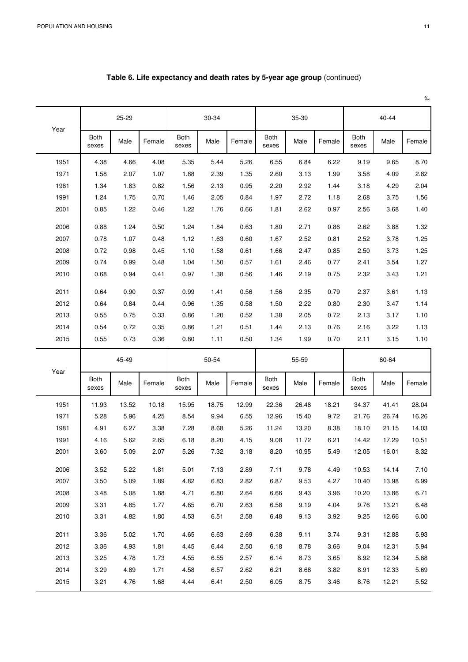#### **Table 6. Life expectancy and death rates by 5-year age group** (continued)

‰

|      |                      | 25-29 |        |               | 30-34 |        |               | 35-39 |        |               | 40-44 |        |
|------|----------------------|-------|--------|---------------|-------|--------|---------------|-------|--------|---------------|-------|--------|
| Year | <b>Both</b><br>sexes | Male  | Female | Both<br>sexes | Male  | Female | Both<br>sexes | Male  | Female | Both<br>sexes | Male  | Female |
| 1951 | 4.38                 | 4.66  | 4.08   | 5.35          | 5.44  | 5.26   | 6.55          | 6.84  | 6.22   | 9.19          | 9.65  | 8.70   |
| 1971 | 1.58                 | 2.07  | 1.07   | 1.88          | 2.39  | 1.35   | 2.60          | 3.13  | 1.99   | 3.58          | 4.09  | 2.82   |
| 1981 | 1.34                 | 1.83  | 0.82   | 1.56          | 2.13  | 0.95   | 2.20          | 2.92  | 1.44   | 3.18          | 4.29  | 2.04   |
| 1991 | 1.24                 | 1.75  | 0.70   | 1.46          | 2.05  | 0.84   | 1.97          | 2.72  | 1.18   | 2.68          | 3.75  | 1.56   |
| 2001 | 0.85                 | 1.22  | 0.46   | 1.22          | 1.76  | 0.66   | 1.81          | 2.62  | 0.97   | 2.56          | 3.68  | 1.40   |
| 2006 | 0.88                 | 1.24  | 0.50   | 1.24          | 1.84  | 0.63   | 1.80          | 2.71  | 0.86   | 2.62          | 3.88  | 1.32   |
| 2007 | 0.78                 | 1.07  | 0.48   | 1.12          | 1.63  | 0.60   | 1.67          | 2.52  | 0.81   | 2.52          | 3.78  | 1.25   |
| 2008 | 0.72                 | 0.98  | 0.45   | 1.10          | 1.58  | 0.61   | 1.66          | 2.47  | 0.85   | 2.50          | 3.73  | 1.25   |
| 2009 | 0.74                 | 0.99  | 0.48   | 1.04          | 1.50  | 0.57   | 1.61          | 2.46  | 0.77   | 2.41          | 3.54  | 1.27   |
| 2010 | 0.68                 | 0.94  | 0.41   | 0.97          | 1.38  | 0.56   | 1.46          | 2.19  | 0.75   | 2.32          | 3.43  | 1.21   |
| 2011 | 0.64                 | 0.90  | 0.37   | 0.99          | 1.41  | 0.56   | 1.56          | 2.35  | 0.79   | 2.37          | 3.61  | 1.13   |
| 2012 | 0.64                 | 0.84  | 0.44   | 0.96          | 1.35  | 0.58   | 1.50          | 2.22  | 0.80   | 2.30          | 3.47  | 1.14   |
| 2013 | 0.55                 | 0.75  | 0.33   | 0.86          | 1.20  | 0.52   | 1.38          | 2.05  | 0.72   | 2.13          | 3.17  | 1.10   |
| 2014 | 0.54                 | 0.72  | 0.35   | 0.86          | 1.21  | 0.51   | 1.44          | 2.13  | 0.76   | 2.16          | 3.22  | 1.13   |
| 2015 | 0.55                 | 0.73  | 0.36   | 0.80          | 1.11  | 0.50   | 1.34          | 1.99  | 0.70   | 2.11          | 3.15  | 1.10   |
|      |                      | 45-49 |        |               | 50-54 |        |               | 55-59 |        |               | 60-64 |        |
| Year | Both<br>sexes        | Male  | Female | Both<br>sexes | Male  | Female | Both<br>sexes | Male  | Female | Both<br>sexes | Male  | Female |
| 1951 | 11.93                | 13.52 | 10.18  | 15.95         | 18.75 | 12.99  | 22.36         | 26.48 | 18.21  | 34.37         | 41.41 | 28.04  |
| 1971 | 5.28                 | 5.96  | 4.25   | 8.54          | 9.94  | 6.55   | 12.96         | 15.40 | 9.72   | 21.76         | 26.74 | 16.26  |
| 1981 | 4.91                 | 6.27  | 3.38   | 7.28          | 8.68  | 5.26   | 11.24         | 13.20 | 8.38   | 18.10         | 21.15 | 14.03  |
| 1991 | 4.16                 | 5.62  | 2.65   | 6.18          | 8.20  | 4.15   | 9.08          | 11.72 | 6.21   | 14.42         | 17.29 | 10.51  |
| 2001 | 3.60                 | 5.09  | 2.07   | 5.26          | 7.32  | 3.18   | 8.20          | 10.95 | 5.49   | 12.05         | 16.01 | 8.32   |
| 2006 | 3.52                 | 5.22  | 1.81   | 5.01          | 7.13  | 2.89   | 7.11          | 9.78  | 4.49   | 10.53         | 14.14 | 7.10   |
| 2007 | 3.50                 | 5.09  | 1.89   | 4.82          | 6.83  | 2.82   | 6.87          | 9.53  | 4.27   | 10.40         | 13.98 | 6.99   |
| 2008 | 3.48                 | 5.08  | 1.88   | 4.71          | 6.80  | 2.64   | 6.66          | 9.43  | 3.96   | 10.20         | 13.86 | 6.71   |
| 2009 | 3.31                 | 4.85  | 1.77   | 4.65          | 6.70  | 2.63   | 6.58          | 9.19  | 4.04   | 9.76          | 13.21 | 6.48   |
| 2010 | 3.31                 | 4.82  | 1.80   | 4.53          | 6.51  | 2.58   | 6.48          | 9.13  | 3.92   | 9.25          | 12.66 | 6.00   |
| 2011 | 3.36                 | 5.02  | 1.70   | 4.65          | 6.63  | 2.69   | 6.38          | 9.11  | 3.74   | 9.31          | 12.88 | 5.93   |
| 2012 | 3.36                 | 4.93  | 1.81   | 4.45          | 6.44  | 2.50   | 6.18          | 8.78  | 3.66   | 9.04          | 12.31 | 5.94   |
| 2013 | 3.25                 | 4.78  | 1.73   | 4.55          | 6.55  | 2.57   | 6.14          | 8.73  | 3.65   | 8.92          | 12.34 | 5.68   |
| 2014 | 3.29                 | 4.89  | 1.71   | 4.58          | 6.57  | 2.62   | 6.21          | 8.68  | 3.82   | 8.91          | 12.33 | 5.69   |
| 2015 | 3.21                 | 4.76  | 1.68   | 4.44          | 6.41  | 2.50   | 6.05          | 8.75  | 3.46   | 8.76          | 12.21 | 5.52   |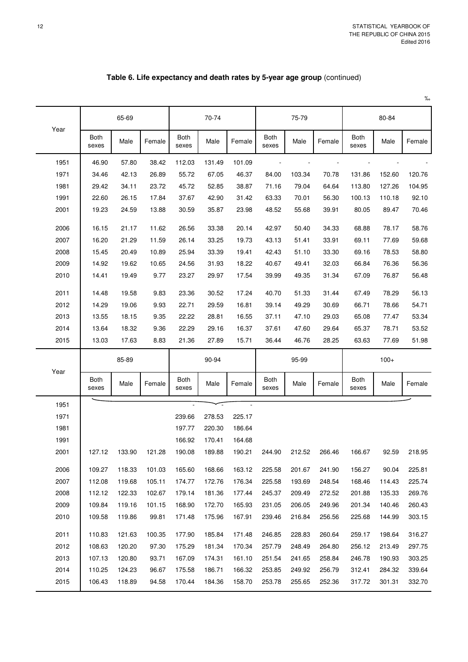#### ‰ 1951 46.90 57.80 38.42 112.03 131.49 101.09 - - - - - - 1971 34.46 42.13 26.89 55.72 67.05 46.37 84.00 103.34 70.78 131.86 152.60 120.76 1981 29.42 34.11 23.72 45.72 52.85 38.87 71.16 79.04 64.64 113.80 127.26 104.95 1991 22.60 26.15 17.84 37.67 42.90 31.42 63.33 70.01 56.30 100.13 110.18 92.10 2001 19.23 24.59 13.88 30.59 35.87 23.98 48.52 55.68 39.91 80.05 89.47 70.46 2006 16.15 21.17 11.62 26.56 33.38 20.14 42.97 50.40 34.33 68.88 78.17 58.76 2007 16.20 21.29 11.59 26.14 33.25 19.73 43.13 51.41 33.91 69.11 77.69 59.68 2008 15.45 20.49 10.89 25.94 33.39 19.41 42.43 51.10 33.30 69.16 78.53 58.80 2009 14.92 19.62 10.65 24.56 31.93 18.22 40.67 49.41 32.03 66.84 76.36 56.36 2010 14.41 19.49 9.77 23.27 29.97 17.54 39.99 49.35 31.34 67.09 76.87 56.48 2011 14.48 19.58 9.83 23.36 30.52 17.24 40.70 51.33 31.44 67.49 78.29 56.13 2012 14.29 19.06 9.93 22.71 29.59 16.81 39.14 49.29 30.69 66.71 78.66 54.71 2013 13.55 18.15 9.35 22.22 28.81 16.55 37.11 47.10 29.03 65.08 77.47 53.34 2014 13.64 18.32 9.36 22.29 29.16 16.37 37.61 47.60 29.64 65.37 78.71 53.52 2015 13.03 17.63 8.83 21.36 27.89 15.71 36.44 46.76 28.25 63.63 77.69 51.98 1951 - - - 1971 278.53 239.66 225.17 1981 | 1981 | 197.77 220.30 186.64 1991 | 166.92 170.41 164.68 2001 127.12 133.90 121.28 190.08 189.88 190.21 244.90 212.52 266.46 166.67 92.59 218.95 2006 109.27 118.33 101.03 165.60 168.66 163.12 225.58 201.67 241.90 156.27 90.04 225.81 2007 112.08 119.68 105.11 174.77 172.76 176.34 225.58 193.69 248.54 168.46 114.43 225.74 2008 112.12 122.33 102.67 179.14 181.36 177.44 245.37 209.49 272.52 201.88 135.33 269.76 2009 109.84 119.16 101.15 168.90 172.70 165.93 231.05 206.05 249.96 201.34 140.46 260.43 2010 109.58 119.86 99.81 171.48 175.96 167.91 239.46 216.84 256.56 225.68 144.99 303.15 2011 110.83 121.63 100.35 177.90 185.84 171.48 246.85 228.83 260.64 259.17 198.64 316.27 2012 108.63 120.20 97.30 175.29 181.34 170.34 257.79 248.49 264.80 256.12 213.49 297.75 2013 107.13 120.80 93.71 167.09 174.31 161.10 251.54 241.65 258.84 246.78 190.93 303.25 2014 110.25 124.23 96.67 175.58 186.71 166.32 253.85 249.92 256.79 312.41 284.32 339.64 2015 106.43 118.89 94.58 170.44 184.36 158.70 253.78 255.65 252.36 317.72 301.31 332.70 Year Year Male 70-74 Female 65-69 Female Both sexes Female 95-99 Both sexes Male Female 100+ Both sexes 75-79 Both sexes Male Female Both Male sexes 80-84 Both sexes Male Female Both sexes Male Female 85-89 Male Female 90-94 Both sexes Male

#### **Table 6. Life expectancy and death rates by 5-year age group** (continued)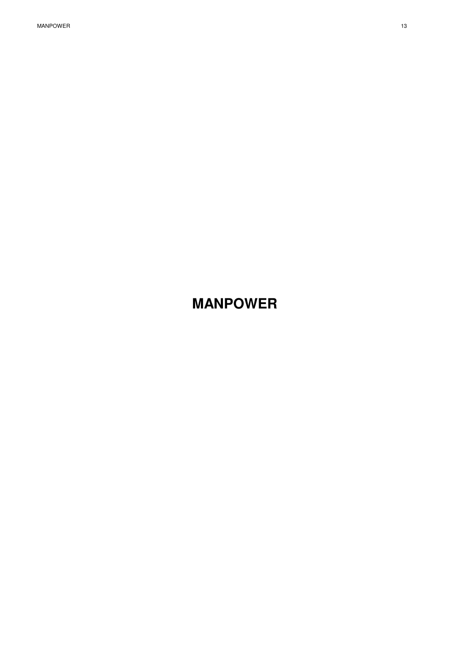**MANPOWER**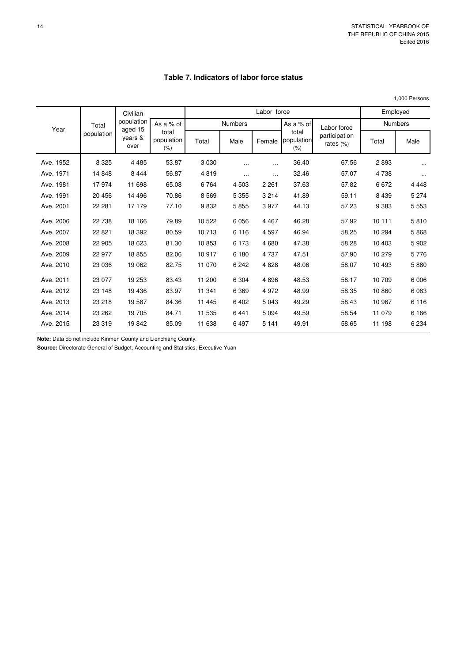#### **Table 7. Indicators of labor force status**

|           |            |                            |                             |         |                |             |                             |                               |          | 1,000 Persons  |
|-----------|------------|----------------------------|-----------------------------|---------|----------------|-------------|-----------------------------|-------------------------------|----------|----------------|
|           |            | Civilian                   |                             |         |                | Labor force |                             |                               | Employed |                |
|           | Total      | population                 | As a % of                   |         | <b>Numbers</b> |             | As a % of                   | Labor force                   |          | <b>Numbers</b> |
| Year      | population | aged 15<br>years &<br>over | total<br>population<br>(% ) | Total   | Male           | Female      | total<br>population<br>(% ) | participation<br>rates $(\%)$ | Total    | Male           |
| Ave. 1952 | 8 3 2 5    | 4 4 8 5                    | 53.87                       | 3 0 3 0 | $\cdots$       | $\cdots$    | 36.40                       | 67.56                         | 2893     |                |
| Ave. 1971 | 14 848     | 8 4 4 4                    | 56.87                       | 4819    | $\cdots$       | $\cdots$    | 32.46                       | 57.07                         | 4 7 3 8  | $\cdots$       |
| Ave. 1981 | 17974      | 11 698                     | 65.08                       | 6764    | 4 5 0 3        | 2 2 6 1     | 37.63                       | 57.82                         | 6672     | 4 4 4 8        |
| Ave. 1991 | 20 45 6    | 14 4 96                    | 70.86                       | 8569    | 5 3 5 5        | 3 2 1 4     | 41.89                       | 59.11                         | 8 4 3 9  | 5 2 7 4        |
| Ave. 2001 | 22 281     | 17 179                     | 77.10                       | 9832    | 5855           | 3977        | 44.13                       | 57.23                         | 9 3 8 3  | 5 5 5 3        |
| Ave. 2006 | 22 738     | 18 166                     | 79.89                       | 10 522  | 6 0 5 6        | 4 4 6 7     | 46.28                       | 57.92                         | 10 111   | 5810           |
| Ave. 2007 | 22 821     | 18 392                     | 80.59                       | 10713   | 6 1 1 6        | 4597        | 46.94                       | 58.25                         | 10 294   | 5868           |
| Ave. 2008 | 22 905     | 18 623                     | 81.30                       | 10853   | 6 1 7 3        | 4680        | 47.38                       | 58.28                         | 10 403   | 5902           |
| Ave. 2009 | 22 977     | 18 855                     | 82.06                       | 10917   | 6 180          | 4 7 3 7     | 47.51                       | 57.90                         | 10 279   | 5776           |
| Ave. 2010 | 23 036     | 19 062                     | 82.75                       | 11 070  | 6 2 4 2        | 4828        | 48.06                       | 58.07                         | 10 493   | 5880           |
| Ave. 2011 | 23 077     | 19 253                     | 83.43                       | 11 200  | 6 3 0 4        | 4896        | 48.53                       | 58.17                         | 10 709   | 6 0 0 6        |
| Ave. 2012 | 23 148     | 19 4 36                    | 83.97                       | 11 341  | 6 3 6 9        | 4 9 7 2     | 48.99                       | 58.35                         | 10 860   | 6 0 8 3        |
| Ave. 2013 | 23 218     | 19 587                     | 84.36                       | 11 445  | 6 4 0 2        | 5 0 4 3     | 49.29                       | 58.43                         | 10 967   | 6 1 1 6        |
| Ave. 2014 | 23 26 2    | 19 705                     | 84.71                       | 11 535  | 6441           | 5 0 9 4     | 49.59                       | 58.54                         | 11 079   | 6 1 6 6        |
| Ave. 2015 | 23 319     | 19842                      | 85.09                       | 11 638  | 6 4 9 7        | 5 1 4 1     | 49.91                       | 58.65                         | 11 198   | 6 2 3 4        |

**Note:** Data do not include Kinmen County and Lienchiang County.

**Source:** Directorate-General of Budget, Accounting and Statistics, Executive Yuan

 $\overline{\phantom{0}}$ 

 $\overline{\phantom{0}}$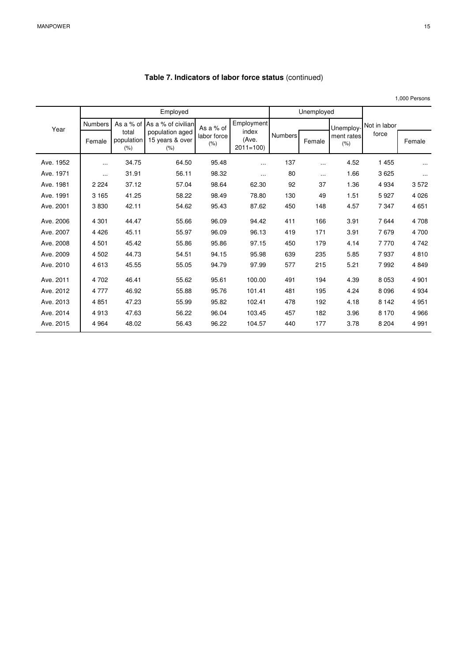| ٦<br>۰. |
|---------|

#### **Table 7. Indicators of labor force status** (continued)

1,000 Persons

|           |                |                             | Employed                                   |                     |                                |                | Unemployed |                       |              |          |
|-----------|----------------|-----------------------------|--------------------------------------------|---------------------|--------------------------------|----------------|------------|-----------------------|--------------|----------|
| Year      | <b>Numbers</b> | As a % of                   | As a % of civilian                         | As a $%$ of         | Employment                     |                |            | Unemploy-             | Not in labor |          |
|           | Female         | total<br>population<br>(% ) | population aged<br>15 years & over<br>(% ) | labor force<br>(% ) | index<br>(Ave.<br>$2011 = 100$ | <b>Numbers</b> | Female     | ment rates<br>$(\% )$ | force        | Female   |
| Ave. 1952 | $\cdots$       | 34.75                       | 64.50                                      | 95.48               |                                | 137            | $\cdots$   | 4.52                  | 1 4 5 5      | $\cdots$ |
| Ave. 1971 | $\cdots$       | 31.91                       | 56.11                                      | 98.32               | $\cdots$                       | 80             | $\cdots$   | 1.66                  | 3 6 2 5      |          |
| Ave. 1981 | 2 2 2 4        | 37.12                       | 57.04                                      | 98.64               | 62.30                          | 92             | 37         | 1.36                  | 4 9 3 4      | 3572     |
| Ave. 1991 | 3 1 6 5        | 41.25                       | 58.22                                      | 98.49               | 78.80                          | 130            | 49         | 1.51                  | 5927         | 4 0 26   |
| Ave. 2001 | 3830           | 42.11                       | 54.62                                      | 95.43               | 87.62                          | 450            | 148        | 4.57                  | 7 3 4 7      | 4651     |
| Ave. 2006 | 4 3 0 1        | 44.47                       | 55.66                                      | 96.09               | 94.42                          | 411            | 166        | 3.91                  | 7644         | 4708     |
| Ave. 2007 | 4426           | 45.11                       | 55.97                                      | 96.09               | 96.13                          | 419            | 171        | 3.91                  | 7679         | 4700     |
| Ave. 2008 | 4501           | 45.42                       | 55.86                                      | 95.86               | 97.15                          | 450            | 179        | 4.14                  | 7770         | 4742     |
| Ave. 2009 | 4 5 0 2        | 44.73                       | 54.51                                      | 94.15               | 95.98                          | 639            | 235        | 5.85                  | 7937         | 4810     |
| Ave. 2010 | 4613           | 45.55                       | 55.05                                      | 94.79               | 97.99                          | 577            | 215        | 5.21                  | 7992         | 4849     |
| Ave. 2011 | 4702           | 46.41                       | 55.62                                      | 95.61               | 100.00                         | 491            | 194        | 4.39                  | 8 0 5 3      | 4 9 0 1  |
| Ave. 2012 | 4 7 7 7        | 46.92                       | 55.88                                      | 95.76               | 101.41                         | 481            | 195        | 4.24                  | 8 0 9 6      | 4934     |
| Ave. 2013 | 4851           | 47.23                       | 55.99                                      | 95.82               | 102.41                         | 478            | 192        | 4.18                  | 8 1 4 2      | 4951     |
| Ave. 2014 | 4913           | 47.63                       | 56.22                                      | 96.04               | 103.45                         | 457            | 182        | 3.96                  | 8 1 7 0      | 4966     |
| Ave. 2015 | 4 9 64         | 48.02                       | 56.43                                      | 96.22               | 104.57                         | 440            | 177        | 3.78                  | 8 2 0 4      | 4991     |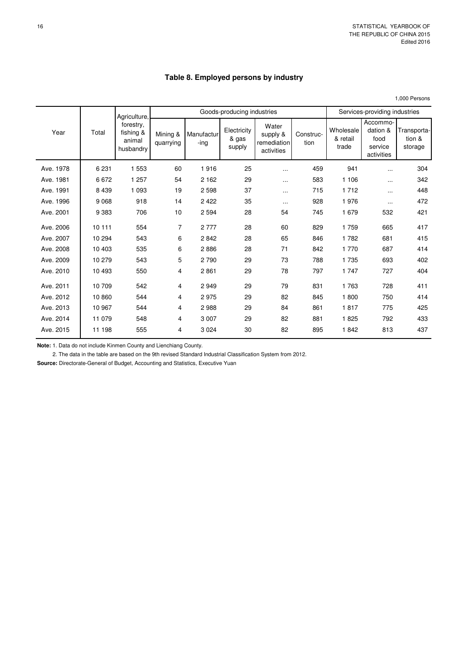#### **Table 8. Employed persons by industry**

|           |         | Agriculture.                                  |                       |                    | Goods-producing industries     |                                                |                   |                                | Services-providing industries                         |                                  |
|-----------|---------|-----------------------------------------------|-----------------------|--------------------|--------------------------------|------------------------------------------------|-------------------|--------------------------------|-------------------------------------------------------|----------------------------------|
| Year      | Total   | forestry,<br>fishing &<br>animal<br>husbandry | Mining &<br>quarrying | Manufactur<br>-ing | Electricity<br>& gas<br>supply | Water<br>supply &<br>remediation<br>activities | Construc-<br>tion | Wholesale<br>& retail<br>trade | Accommo-<br>dation &<br>food<br>service<br>activities | Transporta-<br>tion &<br>storage |
| Ave. 1978 | 6 2 3 1 | 1 5 5 3                                       | 60                    | 1916               | 25                             |                                                | 459               | 941                            |                                                       | 304                              |
| Ave. 1981 | 6672    | 1 2 5 7                                       | 54                    | 2 1 6 2            | 29                             | $\cdots$                                       | 583               | 1 1 0 6                        |                                                       | 342                              |
| Ave. 1991 | 8 4 3 9 | 1 0 9 3                                       | 19                    | 2 5 9 8            | 37                             | $\cdots$                                       | 715               | 1 7 1 2                        |                                                       | 448                              |
| Ave. 1996 | 9 0 68  | 918                                           | 14                    | 2 4 2 2            | 35                             | $\cdots$                                       | 928               | 1976                           |                                                       | 472                              |
| Ave. 2001 | 9 3 8 3 | 706                                           | 10                    | 2 5 9 4            | 28                             | 54                                             | 745               | 1 679                          | 532                                                   | 421                              |
| Ave. 2006 | 10 111  | 554                                           | 7                     | 2 7 7 7            | 28                             | 60                                             | 829               | 1759                           | 665                                                   | 417                              |
| Ave. 2007 | 10 294  | 543                                           | 6                     | 2842               | 28                             | 65                                             | 846               | 1782                           | 681                                                   | 415                              |
| Ave. 2008 | 10 403  | 535                                           | 6                     | 2886               | 28                             | 71                                             | 842               | 1 770                          | 687                                                   | 414                              |
| Ave. 2009 | 10 279  | 543                                           | 5                     | 2790               | 29                             | 73                                             | 788               | 1 7 3 5                        | 693                                                   | 402                              |
| Ave. 2010 | 10 493  | 550                                           | 4                     | 2861               | 29                             | 78                                             | 797               | 1 7 4 7                        | 727                                                   | 404                              |
| Ave. 2011 | 10 709  | 542                                           | 4                     | 2949               | 29                             | 79                                             | 831               | 1763                           | 728                                                   | 411                              |
| Ave. 2012 | 10860   | 544                                           | 4                     | 2975               | 29                             | 82                                             | 845               | 1800                           | 750                                                   | 414                              |
| Ave. 2013 | 10 967  | 544                                           | 4                     | 2988               | 29                             | 84                                             | 861               | 1817                           | 775                                                   | 425                              |
| Ave. 2014 | 11 079  | 548                                           | 4                     | 3 0 0 7            | 29                             | 82                                             | 881               | 1825                           | 792                                                   | 433                              |
| Ave. 2015 | 11 198  | 555                                           | 4                     | 3 0 2 4            | 30                             | 82                                             | 895               | 1842                           | 813                                                   | 437                              |

1,000 Persons

**Note:** 1. Data do not include Kinmen County and Lienchiang County.

2. The data in the table are based on the 9th revised Standard Industrial Classification System from 2012.

**Source:** Directorate-General of Budget, Accounting and Statistics, Executive Yuan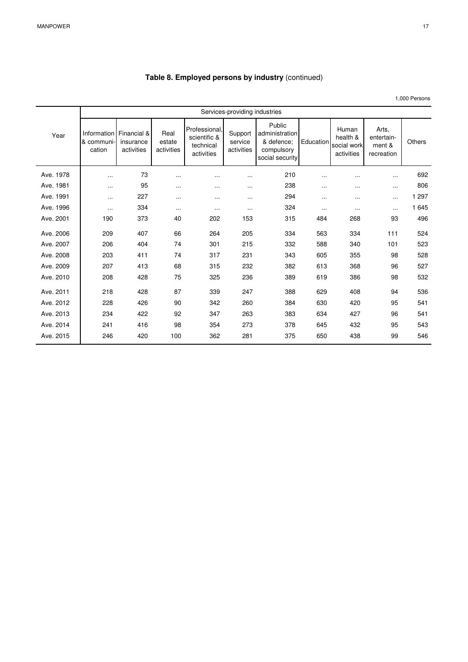#### **Table 8. Employed persons by industry** (continued)

1,000 Persons

|           | Services-providing industries              |                                        |                              |                                                          |                                  |                                                                         |           |                                                |                                             |           |  |
|-----------|--------------------------------------------|----------------------------------------|------------------------------|----------------------------------------------------------|----------------------------------|-------------------------------------------------------------------------|-----------|------------------------------------------------|---------------------------------------------|-----------|--|
| Year      | <b>Information</b><br>& communi-<br>cation | Financial &<br>insurance<br>activities | Real<br>estate<br>activities | Professional,<br>scientific &<br>technical<br>activities | Support<br>service<br>activities | Public<br>administration<br>& defence;<br>compulsory<br>social security | Education | Human<br>health &<br>social work<br>activities | Arts,<br>entertain-<br>ment &<br>recreation | Others    |  |
| Ave. 1978 |                                            | 73                                     | $\ddotsc$                    |                                                          |                                  | 210                                                                     |           | $\cdots$                                       | $\cdots$                                    | 692       |  |
| Ave. 1981 |                                            | 95                                     | $\cdots$                     |                                                          | $\cdots$                         | 238                                                                     |           | $\cdots$                                       | $\cdots$                                    | 806       |  |
| Ave. 1991 | $\cdots$                                   | 227                                    | $\cdots$                     | $\cdots$                                                 | $\cdots$                         | 294                                                                     | $\cdots$  | $\cdots$                                       | $\cdots$                                    | 297<br>1. |  |
| Ave. 1996 | $\cdots$                                   | 334                                    | $\cdots$                     | $\cdots$                                                 | $\ddotsc$                        | 324                                                                     | $\cdots$  | $\cdots$                                       | $\cdots$                                    | 1645      |  |
| Ave. 2001 | 190                                        | 373                                    | 40                           | 202                                                      | 153                              | 315                                                                     | 484       | 268                                            | 93                                          | 496       |  |
| Ave. 2006 | 209                                        | 407                                    | 66                           | 264                                                      | 205                              | 334                                                                     | 563       | 334                                            | 111                                         | 524       |  |
| Ave. 2007 | 206                                        | 404                                    | 74                           | 301                                                      | 215                              | 332                                                                     | 588       | 340                                            | 101                                         | 523       |  |
| Ave. 2008 | 203                                        | 411                                    | 74                           | 317                                                      | 231                              | 343                                                                     | 605       | 355                                            | 98                                          | 528       |  |
| Ave. 2009 | 207                                        | 413                                    | 68                           | 315                                                      | 232                              | 382                                                                     | 613       | 368                                            | 96                                          | 527       |  |
| Ave. 2010 | 208                                        | 428                                    | 75                           | 325                                                      | 236                              | 389                                                                     | 619       | 386                                            | 98                                          | 532       |  |
| Ave. 2011 | 218                                        | 428                                    | 87                           | 339                                                      | 247                              | 388                                                                     | 629       | 408                                            | 94                                          | 536       |  |
| Ave. 2012 | 228                                        | 426                                    | 90                           | 342                                                      | 260                              | 384                                                                     | 630       | 420                                            | 95                                          | 541       |  |
| Ave. 2013 | 234                                        | 422                                    | 92                           | 347                                                      | 263                              | 383                                                                     | 634       | 427                                            | 96                                          | 541       |  |
| Ave. 2014 | 241                                        | 416                                    | 98                           | 354                                                      | 273                              | 378                                                                     | 645       | 432                                            | 95                                          | 543       |  |
| Ave. 2015 | 246                                        | 420                                    | 100                          | 362                                                      | 281                              | 375                                                                     | 650       | 438                                            | 99                                          | 546       |  |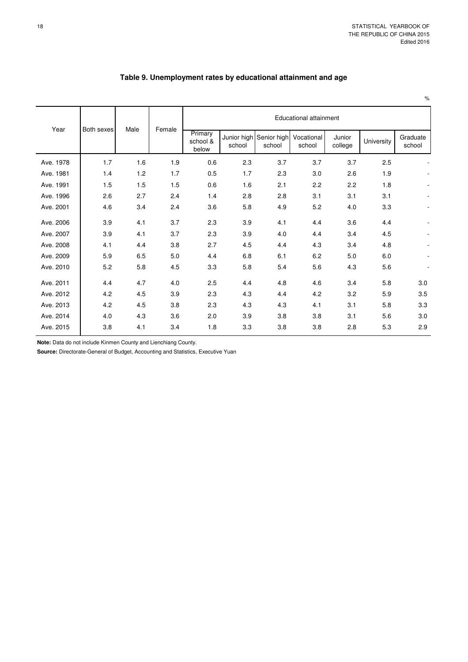|           |            |      |        |                              |        |                                   |                        |                   |            | $\frac{9}{6}$      |
|-----------|------------|------|--------|------------------------------|--------|-----------------------------------|------------------------|-------------------|------------|--------------------|
| Year      | Both sexes | Male | Female |                              |        |                                   | Educational attainment |                   |            |                    |
|           |            |      |        | Primary<br>school &<br>below | school | Junior high Senior high<br>school | Vocational<br>school   | Junior<br>college | University | Graduate<br>school |
| Ave. 1978 | 1.7        | 1.6  | 1.9    | 0.6                          | 2.3    | 3.7                               | 3.7                    | 3.7               | 2.5        |                    |
| Ave. 1981 | 1.4        | 1.2  | 1.7    | 0.5                          | 1.7    | 2.3                               | 3.0                    | 2.6               | 1.9        |                    |
| Ave. 1991 | 1.5        | 1.5  | 1.5    | 0.6                          | 1.6    | 2.1                               | 2.2                    | 2.2               | 1.8        |                    |
| Ave. 1996 | 2.6        | 2.7  | 2.4    | 1.4                          | 2.8    | 2.8                               | 3.1                    | 3.1               | 3.1        |                    |
| Ave. 2001 | 4.6        | 3.4  | 2.4    | 3.6                          | 5.8    | 4.9                               | 5.2                    | 4.0               | 3.3        |                    |
| Ave. 2006 | 3.9        | 4.1  | 3.7    | 2.3                          | 3.9    | 4.1                               | 4.4                    | 3.6               | 4.4        |                    |
| Ave. 2007 | 3.9        | 4.1  | 3.7    | 2.3                          | 3.9    | 4.0                               | 4.4                    | 3.4               | 4.5        |                    |
| Ave. 2008 | 4.1        | 4.4  | 3.8    | 2.7                          | 4.5    | 4.4                               | 4.3                    | 3.4               | 4.8        |                    |
| Ave. 2009 | 5.9        | 6.5  | 5.0    | 4.4                          | 6.8    | 6.1                               | 6.2                    | 5.0               | 6.0        |                    |
| Ave. 2010 | 5.2        | 5.8  | 4.5    | 3.3                          | 5.8    | 5.4                               | 5.6                    | 4.3               | 5.6        |                    |
| Ave. 2011 | 4.4        | 4.7  | 4.0    | 2.5                          | 4.4    | 4.8                               | 4.6                    | 3.4               | 5.8        | 3.0                |
| Ave. 2012 | 4.2        | 4.5  | 3.9    | 2.3                          | 4.3    | 4.4                               | 4.2                    | 3.2               | 5.9        | $3.5\,$            |
| Ave. 2013 | 4.2        | 4.5  | 3.8    | 2.3                          | 4.3    | 4.3                               | 4.1                    | 3.1               | 5.8        | 3.3                |
| Ave. 2014 | 4.0        | 4.3  | 3.6    | 2.0                          | 3.9    | 3.8                               | 3.8                    | 3.1               | 5.6        | 3.0                |
| Ave. 2015 | 3.8        | 4.1  | 3.4    | 1.8                          | 3.3    | 3.8                               | 3.8                    | 2.8               | 5.3        | 2.9                |

#### **Table 9. Unemployment rates by educational attainment and age**

**Note:** Data do not include Kinmen County and Lienchiang County.

**Source:** Directorate-General of Budget, Accounting and Statistics, Executive Yuan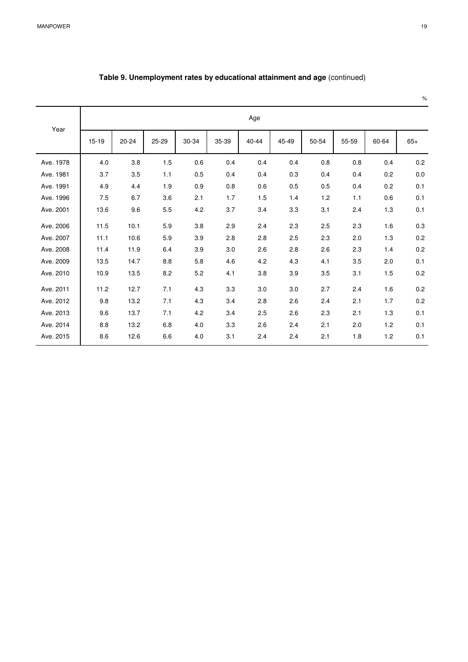|           |           |           |       |       |         |       |       |           |       |       | $\%$    |
|-----------|-----------|-----------|-------|-------|---------|-------|-------|-----------|-------|-------|---------|
| Year      |           |           |       |       |         | Age   |       |           |       |       |         |
|           | $15 - 19$ | $20 - 24$ | 25-29 | 30-34 | 35-39   | 40-44 | 45-49 | $50 - 54$ | 55-59 | 60-64 | $65+$   |
| Ave. 1978 | 4.0       | 3.8       | 1.5   | 0.6   | 0.4     | 0.4   | 0.4   | 0.8       | 0.8   | 0.4   | 0.2     |
| Ave. 1981 | 3.7       | 3.5       | 1.1   | 0.5   | 0.4     | 0.4   | 0.3   | 0.4       | 0.4   | 0.2   | $0.0\,$ |
| Ave. 1991 | 4.9       | 4.4       | 1.9   | 0.9   | 0.8     | 0.6   | 0.5   | 0.5       | 0.4   | 0.2   | 0.1     |
| Ave. 1996 | 7.5       | 6.7       | 3.6   | 2.1   | 1.7     | 1.5   | 1.4   | 1.2       | 1.1   | 0.6   | 0.1     |
| Ave. 2001 | 13.6      | 9.6       | 5.5   | 4.2   | 3.7     | 3.4   | 3.3   | 3.1       | 2.4   | 1.3   | 0.1     |
| Ave. 2006 | 11.5      | 10.1      | 5.9   | 3.8   | 2.9     | 2.4   | 2.3   | 2.5       | 2.3   | 1.6   | 0.3     |
| Ave. 2007 | 11.1      | 10.6      | 5.9   | 3.9   | 2.8     | 2.8   | 2.5   | 2.3       | 2.0   | $1.3$ | 0.2     |
| Ave. 2008 | 11.4      | 11.9      | 6.4   | 3.9   | 3.0     | 2.6   | 2.8   | 2.6       | 2.3   | 1.4   | 0.2     |
| Ave. 2009 | 13.5      | 14.7      | 8.8   | 5.8   | 4.6     | 4.2   | 4.3   | 4.1       | 3.5   | 2.0   | 0.1     |
| Ave. 2010 | 10.9      | 13.5      | 8.2   | 5.2   | 4.1     | 3.8   | 3.9   | $3.5\,$   | 3.1   | 1.5   | 0.2     |
| Ave. 2011 | 11.2      | 12.7      | 7.1   | 4.3   | $3.3\,$ | 3.0   | 3.0   | 2.7       | 2.4   | 1.6   | 0.2     |
| Ave. 2012 | 9.8       | 13.2      | 7.1   | 4.3   | 3.4     | 2.8   | 2.6   | 2.4       | 2.1   | 1.7   | 0.2     |
| Ave. 2013 | 9.6       | 13.7      | 7.1   | 4.2   | 3.4     | 2.5   | 2.6   | 2.3       | 2.1   | 1.3   | 0.1     |
| Ave. 2014 | 8.8       | 13.2      | 6.8   | 4.0   | 3.3     | 2.6   | 2.4   | 2.1       | 2.0   | 1.2   | 0.1     |
| Ave. 2015 | 8.6       | 12.6      | 6.6   | 4.0   | 3.1     | 2.4   | 2.4   | 2.1       | 1.8   | 1.2   | 0.1     |

#### **Table 9. Unemployment rates by educational attainment and age** (continued)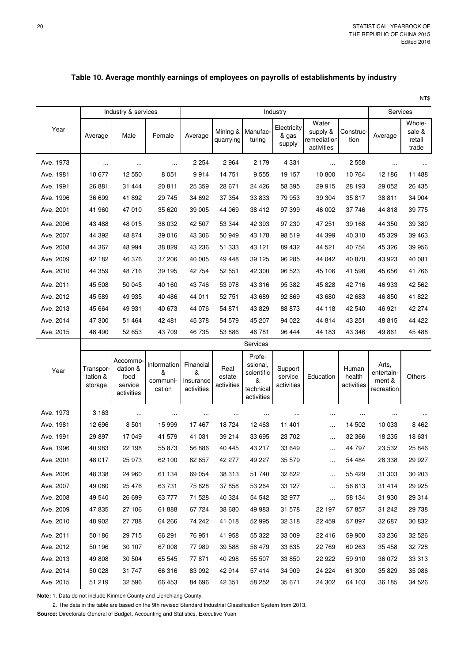NT\$

#### **Table 10. Average monthly earnings of employees on payrolls of establishments by industry**

|           |                                  | Industry & services                                  |                                        |                                           |                              | Services                                                         |                                  |                                                |                               |                                             |                                     |
|-----------|----------------------------------|------------------------------------------------------|----------------------------------------|-------------------------------------------|------------------------------|------------------------------------------------------------------|----------------------------------|------------------------------------------------|-------------------------------|---------------------------------------------|-------------------------------------|
| Year      | Average                          | Male                                                 | Female                                 | Average                                   | Mining &<br>quarrying        | Manufac-<br>turing                                               | Electricity<br>& gas<br>supply   | Water<br>supply &<br>remediation<br>activities | Construc-<br>tion             | Average                                     | Whole-<br>sale &<br>retail<br>trade |
| Ave. 1973 | $\sim$                           | $\ddotsc$                                            | $\ddotsc$                              | 2 2 5 4                                   | 2 9 6 4                      | 2 1 7 9                                                          | 4 3 3 1                          | $\ddots$                                       | 2 5 5 8                       | $\ddotsc$                                   |                                     |
| Ave. 1981 | 10 677                           | 12 550                                               | 8 0 5 1                                | 9914                                      | 14 751                       | 9555                                                             | 19 157                           | 10 800                                         | 10 764                        | 12 186                                      | 11 488                              |
| Ave. 1991 | 26 881                           | 31 444                                               | 20 811                                 | 25 35 9                                   | 28 671                       | 24 4 26                                                          | 58 395                           | 29 915                                         | 28 193                        | 29 0 52                                     | 26 435                              |
| Ave. 1996 | 36 699                           | 41 892                                               | 29 745                                 | 34 692                                    | 37 354                       | 33 833                                                           | 79 953                           | 39 304                                         | 35 817                        | 38 811                                      | 34 904                              |
| Ave. 2001 | 41 960                           | 47 010                                               | 35 620                                 | 39 005                                    | 44 069                       | 38 412                                                           | 97 399                           | 46 002                                         | 37 746                        | 44 818                                      | 39 775                              |
| Ave. 2006 | 43 488                           | 48 015                                               | 38 032                                 | 42 507                                    | 53 344                       | 42 393                                                           | 97 230                           | 47 251                                         | 39 168                        | 44 350                                      | 39 380                              |
| Ave. 2007 | 44 392                           | 48 874                                               | 39 016                                 | 43 306                                    | 50 949                       | 43 178                                                           | 98 519                           | 44 399                                         | 40 310                        | 45 329                                      | 39 4 63                             |
| Ave. 2008 | 44 367                           | 48 994                                               | 38 829                                 | 43 236                                    | 51 333                       | 43 121                                                           | 89 432                           | 44 521                                         | 40 754                        | 45 326                                      | 39 956                              |
| Ave. 2009 | 42 182                           | 46 376                                               | 37 206                                 | 40 005                                    | 49 448                       | 39 1 25                                                          | 96 285                           | 44 042                                         | 40 870                        | 43 923                                      | 40 081                              |
| Ave. 2010 | 44 359                           | 48 716                                               | 39 195                                 | 42 754                                    | 52 551                       | 42 300                                                           | 96 523                           | 45 106                                         | 41 598                        | 45 656                                      | 41766                               |
| Ave. 2011 | 45 508                           | 50 045                                               | 40 160                                 | 43 746                                    | 53 978                       | 43 316                                                           | 95 382                           | 45 828                                         | 42 716                        | 46 933                                      | 42 562                              |
| Ave. 2012 | 45 589                           | 49 935                                               | 40 486                                 | 44 011                                    | 52 751                       | 43 689                                                           | 92 869                           | 43 680                                         | 42 683                        | 46 850                                      | 41 822                              |
| Ave. 2013 | 45 664                           | 49 931                                               | 40 673                                 | 44 076                                    | 54 871                       | 43 829                                                           | 88 873                           | 44 118                                         | 42 540                        | 46 921                                      | 42 274                              |
| Ave. 2014 | 47 300                           | 51 4 64                                              | 42 481                                 | 45 378                                    | 54 579                       | 45 207                                                           | 94 022                           | 44 814                                         | 43 251                        | 48 815                                      | 44 422                              |
| Ave. 2015 | 48 490                           | 52 653                                               | 43 709                                 | 46 735                                    | 53 886                       | 46 781                                                           | 96 444                           | 44 183                                         | 43 346                        | 49 861                                      | 45 488                              |
|           |                                  |                                                      |                                        |                                           |                              | Services                                                         |                                  |                                                |                               |                                             |                                     |
| Year      | Transpor-<br>tation &<br>storage | Accommo<br>dation &<br>food<br>service<br>activities | Information<br>&<br>communi-<br>cation | Financial<br>&<br>insurance<br>activities | Real<br>estate<br>activities | Profe-<br>ssional,<br>scientific<br>&<br>technical<br>activities | Support<br>service<br>activities | Education                                      | Human<br>health<br>activities | Arts,<br>entertain-<br>ment &<br>recreation | Others                              |
| Ave. 1973 | 3 1 6 3                          | $\ldots$                                             | $\cdots$                               | $\cdots$                                  |                              | $\cdots$                                                         | $\ddotsc$                        |                                                | $\ddotsc$                     | $\cdots$                                    | $\cdots$                            |
| Ave. 1981 | 12 696                           | 8 5 0 1                                              | 15 999                                 | 17 467                                    | 18724                        | 12 463                                                           | 11 401                           | $\ddotsc$                                      | 14 502                        | 10 033                                      | 8462                                |
| Ave. 1991 | 29 897                           | 17 049                                               | 41 579                                 | 41 031                                    | 39 214                       | 33 695                                                           | 23 702                           | .                                              | 32 366                        | 18 235                                      | 18 631                              |
| Ave. 1996 | 40 983                           | 22 198                                               | 55 873                                 | 56 886                                    | 40 445                       | 43 217                                                           | 33 649                           | .                                              | 44 797                        | 23 532                                      | 25 846                              |
| Ave. 2001 | 48 017                           | 25 973                                               | 62 100                                 | 62 657                                    | 42 277                       | 49 227                                                           | 35 579                           |                                                | 54 484                        | 28 338                                      | 29 927                              |
| Ave. 2006 | 48 338                           | 24 960                                               | 61 134                                 | 69 054                                    | 38 313                       | 51 740                                                           | 32 622                           |                                                | 55 4 29                       | 31 303                                      | 30 203                              |
| Ave. 2007 | 49 080                           | 25 4 7 6                                             | 63 731                                 | 75 828                                    | 37 858                       | 53 264                                                           | 33 127                           |                                                | 56 613                        | 31 4 14                                     | 29 9 25                             |
| Ave. 2008 | 49 540                           | 26 699                                               | 63 777                                 | 71 528                                    | 40 324                       | 54 542                                                           | 32 977                           |                                                | 58 134                        | 31 930                                      | 29 314                              |
| Ave. 2009 | 47 835                           | 27 106                                               | 61 888                                 | 67 724                                    | 38 680                       | 49 983                                                           | 31 578                           | 22 197                                         | 57 857                        | 31 242                                      | 29 738                              |
| Ave. 2010 | 48 902                           | 27 788                                               | 64 266                                 | 74 242                                    | 41 018                       | 52 995                                                           | 32 318                           | 22 459                                         | 57 897                        | 32 687                                      | 30 832                              |
| Ave. 2011 | 50 186                           | 29 715                                               | 66 291                                 | 76 951                                    | 41 958                       | 55 322                                                           | 33 009                           | 22 416                                         | 59 900                        | 33 236                                      | 32 5 26                             |
| Ave. 2012 | 50 196                           | 30 107                                               | 67 008                                 | 77989                                     | 39 588                       | 56 479                                                           | 33 635                           | 22 769                                         | 60 263                        | 35 458                                      | 32 728                              |
| Ave. 2013 | 49 808                           | 30 504                                               | 65 545                                 | 77871                                     | 40 298                       | 55 507                                                           | 33 850                           | 22 9 22                                        | 59 910                        | 36 072                                      | 33 313                              |
| Ave. 2014 | 50 028                           | 31 747                                               | 66 316                                 | 83 092                                    | 42 914                       | 57414                                                            | 34 909                           | 24 224                                         | 61 300                        | 35 829                                      | 35 086                              |
| Ave. 2015 | 51 219                           | 32 596                                               | 66 453                                 | 84 696                                    | 42 351                       | 58 252                                                           | 35 671                           | 24 302                                         | 64 103                        | 36 185                                      | 34 5 26                             |

**Note:** 1. Data do not include Kinmen County and Lienchiang County.

2. The data in the table are based on the 9th revised Standard Industrial Classification System from 2013.

**Source:** Directorate-General of Budget, Accounting and Statistics, Executive Yuan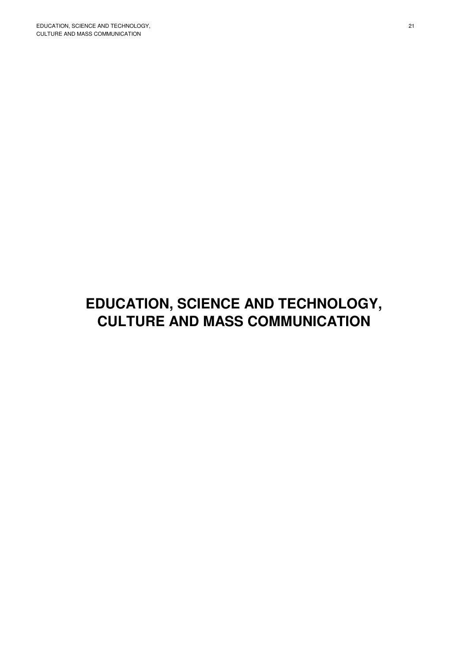## **EDUCATION, SCIENCE AND TECHNOLOGY, CULTURE AND MASS COMMUNICATION**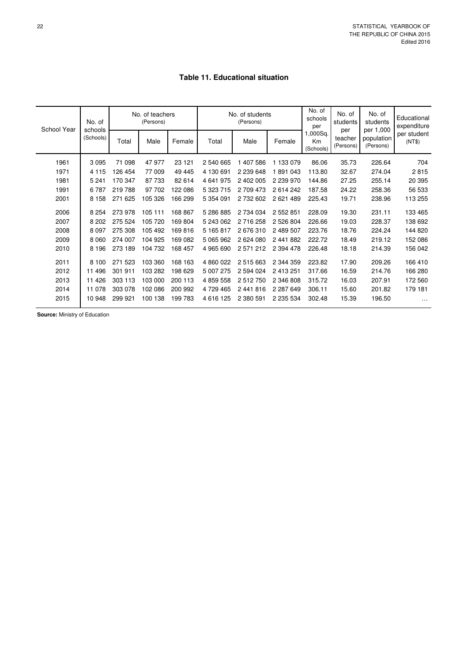| School Year | No. of<br>schools |         | No. of teachers<br>(Persons) |         |           | No. of students<br>(Persons) |               | No. of<br>schools<br>per    | No. of<br>students<br>per | No. of<br>students<br>per 1,000 | Educational<br>expenditure |
|-------------|-------------------|---------|------------------------------|---------|-----------|------------------------------|---------------|-----------------------------|---------------------------|---------------------------------|----------------------------|
|             | (Schools)         | Total   | Male                         | Female  | Total     | Male                         | Female        | 1,000Sq.<br>Km<br>(Schools) | teacher<br>(Persons)      | population<br>(Persons)         | per student<br>(NT\$)      |
| 1961        | 3 0 9 5           | 71 098  | 47 977                       | 23 1 21 | 2 540 665 | 1 407 586                    | 1 133 079     | 86.06                       | 35.73                     | 226.64                          | 704                        |
| 1971        | 4 1 1 5           | 126 454 | 77 009                       | 49 445  | 4 130 691 | 2 239 648                    | 1891043       | 113.80                      | 32.67                     | 274.04                          | 2815                       |
| 1981        | 5 2 4 1           | 170 347 | 87 733                       | 82 614  | 4 641 975 | 2 402 005                    | 2 239 970     | 144.86                      | 27.25                     | 255.14                          | 20 395                     |
| 1991        | 6787              | 219 788 | 97 702                       | 122 086 | 5 323 715 | 2 709 473                    | 2614242       | 187.58                      | 24.22                     | 258.36                          | 56 533                     |
| 2001        | 8 1 5 8           | 271 625 | 105 326                      | 166 299 | 5 354 091 | 2 732 602                    | 2 621 489     | 225.43                      | 19.71                     | 238.96                          | 113 255                    |
| 2006        | 8 2 5 4           | 273 978 | 105 111                      | 168 867 | 5 286 885 | 2 734 034                    | 2 552 851     | 228.09                      | 19.30                     | 231.11                          | 133 465                    |
| 2007        | 8 2 0 2           | 275 524 | 105 720                      | 169 804 | 5 243 062 | 2 716 258                    | 2 526 804     | 226.66                      | 19.03                     | 228.37                          | 138 692                    |
| 2008        | 8 0 9 7           | 275 308 | 105 492                      | 169816  | 5 165 817 | 2676310                      | 2 489 507     | 223.76                      | 18.76                     | 224.24                          | 144 820                    |
| 2009        | 8 0 6 0           | 274 007 | 104 925                      | 169 082 | 5 065 962 | 2 624 080                    | 2 441 882     | 222.72                      | 18.49                     | 219.12                          | 152 086                    |
| 2010        | 8 1 9 6           | 273 189 | 104 732                      | 168 457 | 4 965 690 | 2 571 212                    | 2 394 478     | 226.48                      | 18.18                     | 214.39                          | 156 042                    |
| 2011        | 8 1 0 0           | 271 523 | 103 360                      | 168 163 | 4 860 022 | 2 515 663                    | 2 344 359     | 223.82                      | 17.90                     | 209.26                          | 166 410                    |
| 2012        | 11 496            | 301 911 | 103 282                      | 198 629 | 5 007 275 | 2 594 024                    | 2 413 251     | 317.66                      | 16.59                     | 214.76                          | 166 280                    |
| 2013        | 11 4 26           | 303 113 | 103 000                      | 200 113 | 4 859 558 | 2 512 750                    | 2 346 808     | 315.72                      | 16.03                     | 207.91                          | 172 560                    |
| 2014        | 11 078            | 303 078 | 102 086                      | 200 992 | 4 729 465 | 2 441 816                    | 2 2 8 7 6 4 9 | 306.11                      | 15.60                     | 201.82                          | 179 181                    |
| 2015        | 10 948            | 299 921 | 100 138                      | 199 783 | 4 616 125 | 2 380 591                    | 2 2 3 5 5 3 4 | 302.48                      | 15.39                     | 196.50                          | $\cdots$                   |
|             |                   |         |                              |         |           |                              |               |                             |                           |                                 |                            |

#### **Table 11. Educational situation**

**Source:** Ministry of Education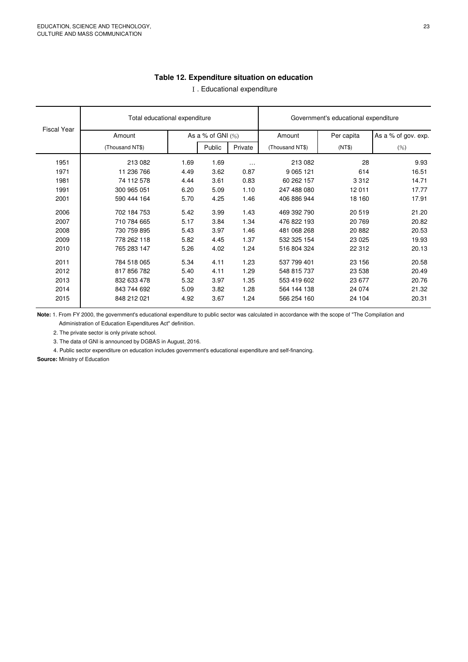#### **Table 12. Expenditure situation on education**

| <b>Fiscal Year</b> | Total educational expenditure |      |                     |          | Government's educational expenditure |            |                     |  |  |
|--------------------|-------------------------------|------|---------------------|----------|--------------------------------------|------------|---------------------|--|--|
|                    | Amount                        |      | As a % of GNI $(%)$ |          | Amount                               | Per capita | As a % of gov. exp. |  |  |
|                    | (Thousand NT\$)               |      | Public              | Private  | (Thousand NT\$)                      | (NT\$)     | (%)                 |  |  |
| 1951               | 213 082                       | 1.69 | 1.69                | $\cdots$ | 213 082                              | 28         | 9.93                |  |  |
| 1971               | 11 236 766                    | 4.49 | 3.62                | 0.87     | 9 0 65 1 21                          | 614        | 16.51               |  |  |
| 1981               | 74 112 578                    | 4.44 | 3.61                | 0.83     | 60 262 157                           | 3312       | 14.71               |  |  |
| 1991               | 300 965 051                   | 6.20 | 5.09                | 1.10     | 247 488 080                          | 12011      | 17.77               |  |  |
| 2001               | 590 444 164                   | 5.70 | 4.25                | 1.46     | 406 886 944                          | 18 160     | 17.91               |  |  |
| 2006               | 702 184 753                   | 5.42 | 3.99                | 1.43     | 469 392 790                          | 20 519     | 21.20               |  |  |
| 2007               | 710 784 665                   | 5.17 | 3.84                | 1.34     | 476 822 193                          | 20 769     | 20.82               |  |  |
| 2008               | 730 759 895                   | 5.43 | 3.97                | 1.46     | 481 068 268                          | 20 882     | 20.53               |  |  |
| 2009               | 778 262 118                   | 5.82 | 4.45                | 1.37     | 532 325 154                          | 23 0 25    | 19.93               |  |  |
| 2010               | 765 283 147                   | 5.26 | 4.02                | 1.24     | 516 804 324                          | 22 312     | 20.13               |  |  |
| 2011               | 784 518 065                   | 5.34 | 4.11                | 1.23     | 537 799 401                          | 23 156     | 20.58               |  |  |
| 2012               | 817 856 782                   | 5.40 | 4.11                | 1.29     | 548 815 737                          | 23 538     | 20.49               |  |  |
| 2013               | 832 633 478                   | 5.32 | 3.97                | 1.35     | 553 419 602                          | 23 677     | 20.76               |  |  |
| 2014               | 843 744 692                   | 5.09 | 3.82                | 1.28     | 564 144 138                          | 24 074     | 21.32               |  |  |
| 2015               | 848 212 021                   | 4.92 | 3.67                | 1.24     | 566 254 160                          | 24 104     | 20.31               |  |  |

#### Ⅰ. Educational expenditure

 Administration of Education Expenditures Act" definition. **Note:** 1. From FY 2000, the government's educational expenditure to public sector was calculated in accordance with the scope of "The Compilation and

2. The private sector is only private school.

3. The data of GNI is announced by DGBAS in August, 2016.

4. Public sector expenditure on education includes government's educational expenditure and self-financing.

**Source:** Ministry of Education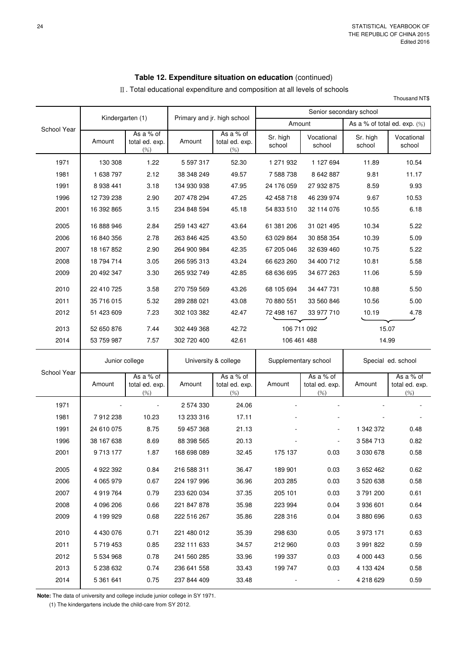#### **Table 12. Expenditure situation on education** (continued)

Ⅱ. Total educational expenditure and composition at all levels of schools

Thousand NT\$

|             | Kindergarten (1) |                                    | Primary and jr. high school |                                    | Senior secondary school |                                    |                                 |                                    |  |
|-------------|------------------|------------------------------------|-----------------------------|------------------------------------|-------------------------|------------------------------------|---------------------------------|------------------------------------|--|
| School Year |                  |                                    |                             |                                    | Amount                  |                                    | As a % of total ed. exp. $(\%)$ |                                    |  |
|             | Amount           | As a % of<br>total ed. exp.<br>(%) | Amount                      | As a % of<br>total ed. exp.<br>(%) | Sr. high<br>school      | Vocational<br>school               | Sr. high<br>school              | Vocational<br>school               |  |
| 1971        | 130 308          | 1.22                               | 5 5 9 7 3 1 7               | 52.30                              | 1 271 932               | 1 127 694                          | 11.89                           | 10.54                              |  |
| 1981        | 1 638 797        | 2.12                               | 38 348 249                  | 49.57                              | 7 588 738               | 8 642 887                          | 9.81                            | 11.17                              |  |
| 1991        | 8 938 441        | 3.18                               | 134 930 938                 | 47.95                              | 24 176 059              | 27 932 875                         | 8.59                            | 9.93                               |  |
| 1996        | 12 739 238       | 2.90                               | 207 478 294                 | 47.25                              | 42 458 718              | 46 239 974                         | 9.67                            | 10.53                              |  |
| 2001        | 16 392 865       | 3.15                               | 234 848 594                 | 45.18                              | 54 833 510              | 32 114 076                         | 10.55                           | 6.18                               |  |
| 2005        | 16 888 946       | 2.84                               | 259 143 427                 | 43.64                              | 61 381 206              | 31 021 495                         | 10.34                           | 5.22                               |  |
| 2006        | 16 840 356       | 2.78                               | 263 846 425                 | 43.50                              | 63 029 864              | 30 858 354                         | 10.39                           | 5.09                               |  |
| 2007        | 18 167 852       | 2.90                               | 264 900 984                 | 42.35                              | 67 205 046              | 32 639 460                         | 10.75                           | 5.22                               |  |
| 2008        | 18 794 714       | 3.05                               | 266 595 313                 | 43.24                              | 66 623 260              | 34 400 712                         | 10.81                           | 5.58                               |  |
| 2009        | 20 492 347       | 3.30                               | 265 932 749                 | 42.85                              | 68 636 695              | 34 677 263                         | 11.06                           | 5.59                               |  |
| 2010        | 22 410 725       | 3.58                               | 270 759 569                 | 43.26                              | 68 105 694              | 34 447 731                         | 10.88                           | 5.50                               |  |
| 2011        | 35 716 015       | 5.32                               | 289 288 021                 | 43.08                              | 70 880 551              | 33 560 846                         | 10.56                           | 5.00                               |  |
| 2012        | 51 423 609       | 7.23                               | 302 103 382                 | 42.47                              | 72 498 167              | 33 977 710                         | 10.19                           | 4.78                               |  |
| 2013        | 52 650 876       | 7.44                               | 302 449 368                 | 42.72                              | 106 711 092             |                                    |                                 | 15.07                              |  |
| 2014        | 53 759 987       | 7.57                               | 302 720 400                 | 42.61                              | 106 461 488             |                                    |                                 | 14.99                              |  |
|             | Junior college   |                                    | University & college        |                                    | Supplementary school    |                                    | Special ed. school              |                                    |  |
| School Year | Amount           | As a % of<br>total ed. exp.<br>(%) | Amount                      | As a % of<br>total ed. exp.<br>(%) | Amount                  | As a % of<br>total ed. exp.<br>(%) | Amount                          | As a % of<br>total ed. exp.<br>(%) |  |
| 1971        |                  | $\blacksquare$                     | 2 574 330                   | 24.06                              |                         |                                    |                                 |                                    |  |
| 1981        | 7912238          | 10.23                              | 13 233 316                  | 17.11                              |                         |                                    |                                 |                                    |  |
| 1991        | 24 610 075       | 8.75                               | 59 457 368                  | 21.13                              |                         |                                    | 1 342 372                       | 0.48                               |  |
| 1996        | 38 167 638       | 8.69                               | 88 398 565                  | 20.13                              |                         | $\overline{\phantom{a}}$           | 3 5 8 4 7 1 3                   | 0.82                               |  |
| 2001        | 9713177          | 1.87                               | 168 698 089                 | 32.45                              | 175 137                 | 0.03                               | 3 030 678                       | 0.58                               |  |
| 2005        | 4 922 392        | 0.84                               | 216 588 311                 | 36.47                              | 189 901                 | 0.03                               | 3 652 462                       | 0.62                               |  |
| 2006        | 4 065 979        | 0.67                               | 224 197 996                 | 36.96                              | 203 285                 | 0.03                               | 3 520 638                       | 0.58                               |  |
| 2007        | 4 919 764        | 0.79                               | 233 620 034                 | 37.35                              | 205 101                 | 0.03                               | 3 791 200                       | 0.61                               |  |
| 2008        | 4 096 206        | 0.66                               | 221 847 878                 | 35.98                              | 223 994                 | 0.04                               | 3 936 601                       | 0.64                               |  |
| 2009        | 4 199 929        | 0.68                               | 222 516 267                 | 35.86                              | 228 316                 | 0.04                               | 3880696                         | 0.63                               |  |
| 2010        | 4 430 076        | 0.71                               | 221 480 012                 | 35.39                              | 298 630                 | 0.05                               | 3 973 171                       | 0.63                               |  |
| 2011        | 5 719 453        | 0.85                               | 232 111 633                 | 34.57                              | 212 960                 | 0.03                               | 3 991 822                       | 0.59                               |  |
| 2012        | 5 534 968        | 0.78                               | 241 560 285                 | 33.96                              | 199 337                 | 0.03                               | 4 000 443                       | 0.56                               |  |
| 2013        | 5 238 632        | 0.74                               | 236 641 558                 | 33.43                              | 199 747                 | 0.03                               | 4 133 424                       | 0.58                               |  |
| 2014        | 5 361 641        | 0.75                               | 237 844 409                 | 33.48                              |                         | $\blacksquare$                     | 4 218 629                       | 0.59                               |  |

**Note:** The data of university and college include junior college in SY 1971.

(1) The kindergartens include the child-care from SY 2012.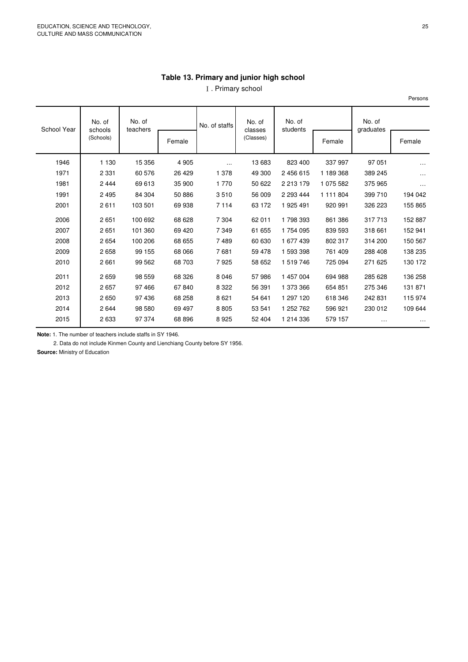#### **Table 13. Primary and junior high school**

1946 1 130 15 356 4 905 ... 13 683 823 400 337 997 97 051 … 1971 2 331 60 576 26 429 1 378 49 300 2 456 615 1 189 368 389 245 … 1981 2 444 69 613 35 900 1 770 50 622 2 213 179 1 075 582 375 965 … 1991 2 495 84 304 50 886 3 510 56 009 2 293 444 1 111 804 399 710 194 042 2001 2 611 103 501 69 938 7 114 63 172 1 925 491 920 991 326 223 155 865 2006 2 651 100 692 68 628 7 304 62 011 1 798 393 861 386 317 713 152 887 2007 2 651 101 360 69 420 7 349 61 655 1 754 095 839 593 318 661 152 941 2008 2 654 100 206 68 655 7 489 60 630 1 677 439 802 317 314 200 150 567 2009 2 658 99 155 68 066 7 681 59 478 1 593 398 761 409 288 408 138 235 2010 2 661 99 562 68 703 7 925 58 652 1 519 746 725 094 271 625 130 172 2011 2 659 98 559 68 326 8 046 57 986 1 457 004 694 988 285 628 136 258 2012 2 657 97 466 67 840 8 322 56 391 1 373 366 654 851 275 346 131 871 2013 2 650 97 436 68 258 8 621 54 641 1 297 120 618 346 242 831 115 974 2014 2 644 98 580 69 497 8 805 53 541 1 252 762 596 921 230 012 109 644 2015 2 633 97 374 68 896 8 925 52 404 1 214 336 579 157 … … No. of  $t$ eachers  $\sim$  No. of staffs Female Female No. of graduates Female No. of  $School Year$  schools teachers  $P^{\text{max}}$  and  $P^{\text{max}}$  classes students No. of schools (Schools) No. of classes (Classes)

Ⅰ. Primary school

**Note:** 1. The number of teachers include staffs in SY 1946.

2. Data do not include Kinmen County and Lienchiang County before SY 1956.

**Source:** Ministry of Education

Persons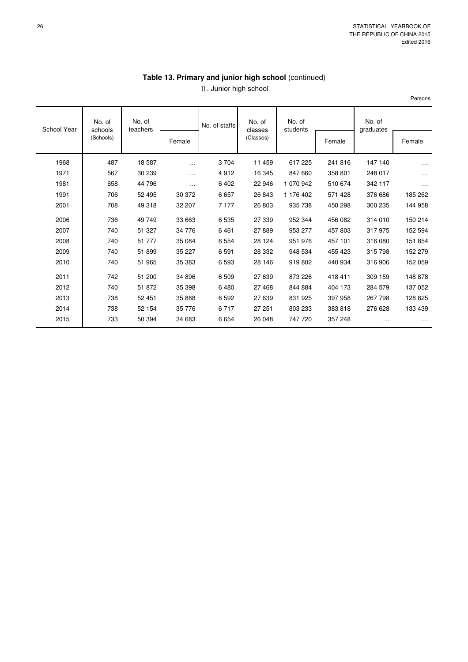#### **Table 13. Primary and junior high school** (continued)

Ⅱ. Junior high school

1968 487 18 587 … 3 704 11 459 617 225 241 816 147 140 … 1971 567 30 239 … 4 912 16 345 847 660 358 801 248 017 … 1981 658 44 796 … 6 402 22 946 1 070 942 510 674 342 117 … 1991 706 52 495 30 372 6 657 26 843 1 176 402 571 428 376 686 185 262 2001 708 49 318 32 207 7 177 26 803 935 738 450 298 300 235 144 958 2006 736 49 749 33 663 6 535 27 339 952 344 456 082 314 010 150 214 2007 740 51 327 34 776 6 461 27 889 953 277 457 803 317 975 152 594 2008 740 51 777 35 084 6 554 28 124 951 976 457 101 316 080 151 854 2009 740 51 899 35 227 6 591 28 332 948 534 455 423 315 798 152 279 2010 740 51 965 35 383 6 593 28 146 919 802 440 934 316 906 152 059 2011 742 51 200 34 896 6 509 27 639 873 226 418 411 309 159 148 878 2012 740 51 872 35 398 6 480 27 468 844 884 404 173 284 579 137 052 2013 738 52 451 35 888 6 592 27 639 831 925 397 958 267 798 128 825 2014 738 52 154 35 776 6 717 27 251 803 233 383 818 276 628 133 439 2015 733 50 394 34 683 6 654 26 048 747 720 357 248 … … No. of No. of teachers **No.** of staffs No. of staffs No. of classes (Classes) No. of students Female School Year No. of schools (Schools) **Female** Female (Classes) (Classes) Female No. of graduates

#### Persons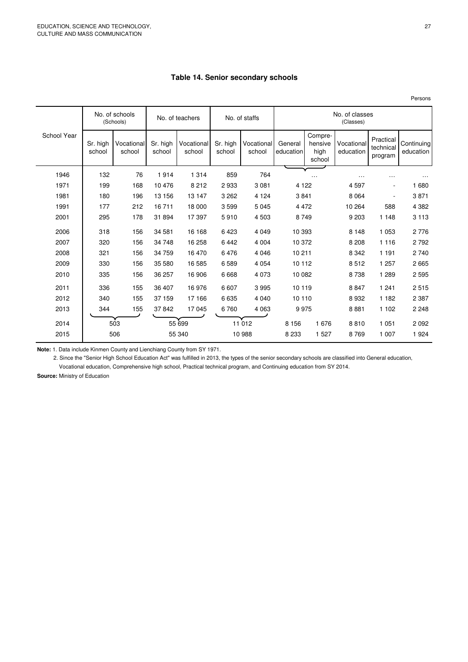|             |                    | No. of schools<br>(Schools) |                    | No. of teachers      |                    | No. of staffs        |                      |                                      | No. of classes<br>(Classes) |                                   |                         |
|-------------|--------------------|-----------------------------|--------------------|----------------------|--------------------|----------------------|----------------------|--------------------------------------|-----------------------------|-----------------------------------|-------------------------|
| School Year | Sr. high<br>school | Vocational<br>school        | Sr. high<br>school | Vocational<br>school | Sr. high<br>school | Vocational<br>school | General<br>education | Compre-<br>hensive<br>high<br>school | Vocational<br>education     | Practical<br>technical<br>program | Continuing<br>education |
| 1946        | 132                | 76                          | 1914               | 1 3 1 4              | 859                | 764                  |                      | $\cdots$                             | .                           | .                                 |                         |
| 1971        | 199                | 168                         | 10 476             | 8 2 1 2              | 2933               | 3 0 8 1              | 4 1 2 2              |                                      | 4597                        |                                   | 1680                    |
| 1981        | 180                | 196                         | 13 156             | 13 147               | 3 2 6 2            | 4 1 2 4              | 3841                 |                                      | 8 0 6 4                     |                                   | 3871                    |
| 1991        | 177                | 212                         | 16 711             | 18 000               | 3599               | 5 0 4 5              | 4 4 7 2              |                                      | 10 264                      | 588                               | 4 3 8 2                 |
| 2001        | 295                | 178                         | 31 894             | 17 397               | 5910               | 4 5 0 3              | 8749                 |                                      | 9 2 0 3                     | 1 1 4 8                           | 3 1 1 3                 |
| 2006        | 318                | 156                         | 34 581             | 16 168               | 6423               | 4 0 4 9              | 10 393               |                                      | 8 1 4 8                     | 1 0 5 3                           | 2 7 7 6                 |
| 2007        | 320                | 156                         | 34 748             | 16 258               | 6442               | 4 0 0 4              | 10 372               |                                      | 8 2 0 8                     | 1 1 1 6                           | 2792                    |
| 2008        | 321                | 156                         | 34 759             | 16 470               | 6476               | 4 0 4 6              | 10 211               |                                      | 8 3 4 2                     | 1 1 9 1                           | 2 740                   |
| 2009        | 330                | 156                         | 35 580             | 16 585               | 6589               | 4 0 5 4              | 10 112               |                                      | 8512                        | 1 2 5 7                           | 2665                    |
| 2010        | 335                | 156                         | 36 257             | 16 906               | 6668               | 4 0 7 3              | 10 082               |                                      | 8738                        | 1 2 8 9                           | 2 5 9 5                 |
| 2011        | 336                | 155                         | 36 407             | 16 976               | 6 607              | 3995                 | 10 119               |                                      | 8847                        | 1 2 4 1                           | 2515                    |
| 2012        | 340                | 155                         | 37 159             | 17 166               | 6 6 3 5            | 4 0 4 0              | 10 110               |                                      | 8932                        | 1 1 8 2                           | 2 3 8 7                 |
| 2013        | 344                | 155                         | 37 842             | 17 045               | 6760               | 4 0 6 3              | 9975                 |                                      | 8881                        | 1 1 0 2                           | 2 2 4 8                 |
| 2014        |                    | 503                         |                    | 55 699               |                    | 11 012               | 8 1 5 6              | 1676                                 | 8810                        | 1 0 5 1                           | 2 0 9 2                 |
| 2015        |                    | 506                         |                    | 55 340               |                    | 10 988               | 8 2 3 3              | 1 5 2 7                              | 8769                        | 1 0 0 7                           | 1924                    |

Persons

**Note:** 1. Data include Kinmen County and Lienchiang County from SY 1971.

2. Since the "Senior High School Education Act" was fulfilled in 2013, the types of the senior secondary schools are classified into General education,

Vocational education, Comprehensive high school, Practical technical program, and Continuing education from SY 2014.

**Source:** Ministry of Education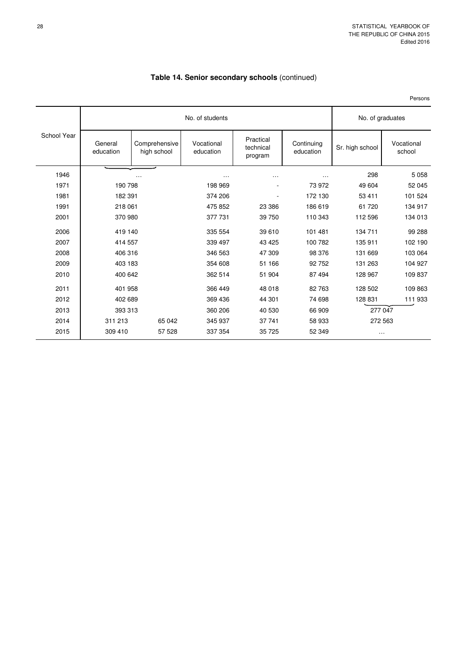#### **Table 14. Senior secondary schools** (continued)

Persons

|             |                      | No. of graduates             |                         |                                   |                         |                 |                      |
|-------------|----------------------|------------------------------|-------------------------|-----------------------------------|-------------------------|-----------------|----------------------|
| School Year | General<br>education | Comprehensive<br>high school | Vocational<br>education | Practical<br>technical<br>program | Continuing<br>education | Sr. high school | Vocational<br>school |
| 1946        | $\cdots$             |                              | .                       | $\cdots$                          | $\cdots$                | 298             | 5 0 5 8              |
| 1971        | 190 798              |                              | 198 969                 |                                   | 73 972                  | 49 604          | 52 045               |
| 1981        | 182 391              |                              | 374 206                 |                                   | 172 130                 | 53 411          | 101 524              |
| 1991        | 218 061              |                              | 475 852                 | 23 386                            | 186 619                 | 61 720          | 134 917              |
| 2001        | 370 980              |                              | 377 731                 | 39 750                            | 110 343                 | 112 596         | 134 013              |
| 2006        | 419 140              |                              | 335 554                 | 39 610                            | 101 481                 | 134 711         | 99 288               |
| 2007        | 414 557              |                              | 339 497                 | 43 4 25                           | 100 782                 | 135 911         | 102 190              |
| 2008        | 406 316              |                              | 346 563                 | 47 309                            | 98 376                  | 131 669         | 103 064              |
| 2009        | 403 183              |                              | 354 608                 | 51 166                            | 92752                   | 131 263         | 104 927              |
| 2010        | 400 642              |                              | 362 514                 | 51 904                            | 87 494                  | 128 967         | 109837               |
| 2011        | 401 958              |                              | 366 449                 | 48 018                            | 82 763                  | 128 502         | 109 863              |
| 2012        | 402 689              |                              | 369 436                 | 44 301                            | 74 698                  | 128 831         | 111 933              |
| 2013        | 393 313              |                              | 360 206                 | 40 530                            | 66 909                  |                 | 277 047              |
| 2014        | 311 213              | 65 042                       | 345 937                 | 37 741                            | 58 933                  |                 | 272 563              |
| 2015        | 309 410              | 57 528                       | 337 354                 | 35 7 25                           | 52 349                  |                 | $\cdots$             |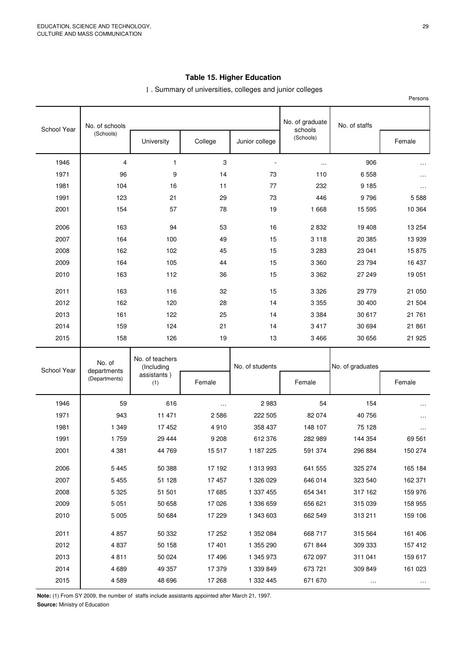Persons

#### **Table 15. Higher Education**

Ⅰ. Summary of universities, colleges and junior colleges

| School Year | No. of schools               |                               |          |                          | No. of graduate<br>schools | No. of staffs    |          |
|-------------|------------------------------|-------------------------------|----------|--------------------------|----------------------------|------------------|----------|
|             | (Schools)                    | University                    | College  | Junior college           | (Schools)                  |                  | Female   |
| 1946        | 4                            | $\mathbf{1}$                  | $\,3$    | $\overline{\phantom{a}}$ | $\cdots$                   | 906              | $\cdots$ |
| 1971        | 96                           | 9                             | 14       | 73                       | 110                        | 6 5 5 8          | $\cdots$ |
| 1981        | 104                          | 16                            | 11       | 77                       | 232                        | 9 1 8 5          | $\cdots$ |
| 1991        | 123                          | 21                            | 29       | 73                       | 446                        | 9796             | 5 5 8 8  |
| 2001        | 154                          | 57                            | 78       | 19                       | 1668                       | 15 5 95          | 10 364   |
| 2006        | 163                          | 94                            | 53       | 16                       | 2832                       | 19 408           | 13 254   |
| 2007        | 164                          | 100                           | 49       | 15                       | 3 1 1 8                    | 20 385           | 13 939   |
| 2008        | 162                          | 102                           | 45       | 15                       | 3 2 8 3                    | 23 041           | 15875    |
| 2009        | 164                          | 105                           | 44       | 15                       | 3 3 6 0                    | 23 794           | 16 437   |
| 2010        | 163                          | 112                           | 36       | 15                       | 3 3 6 2                    | 27 249           | 19 051   |
| 2011        | 163                          | 116                           | 32       | 15                       | 3 3 2 6                    | 29 7 7 9         | 21 050   |
| 2012        | 162                          | 120                           | 28       | 14                       | 3 3 5 5                    | 30 400           | 21 504   |
| 2013        | 161                          | 122                           | 25       | 14                       | 3 3 8 4                    | 30 617           | 21 761   |
| 2014        | 159                          | 124                           | 21       | 14                       | 3417                       | 30 694           | 21 861   |
| 2015        | 158                          | 126                           | 19       | 13                       | 3 4 6 6                    | 30 656           | 21 925   |
|             |                              |                               |          |                          |                            |                  |          |
|             | No. of                       | No. of teachers<br>(Including |          | No. of students          |                            | No. of graduates |          |
| School Year | departments<br>(Departments) | assistants)<br>(1)            | Female   |                          | Female                     |                  | Female   |
| 1946        | 59                           | 616                           | $\cdots$ | 2983                     | 54                         | 154              | $\cdots$ |
| 1971        | 943                          | 11 471                        | 2586     | 222 505                  | 82 074                     | 40 756           | $\cdots$ |
| 1981        | 1 3 4 9                      | 17452                         | 4910     | 358 437                  | 148 107                    | 75 128           | $\cdots$ |
| 1991        | 1759                         | 29 4 44                       | 9 2 0 8  | 612 376                  | 282 989                    | 144 354          | 69 561   |
| 2001        | 4 3 8 1                      | 44 769                        | 15517    | 1 187 225                | 591 374                    | 296 884          | 150 274  |
| 2006        | 5 4 4 5                      | 50 388                        | 17 192   | 1 313 993                | 641 555                    | 325 274          | 165 184  |
| 2007        | 5 4 5 5                      | 51 128                        | 17457    | 1 326 029                | 646 014                    | 323 540          | 162 371  |
| 2008        | 5 3 2 5                      | 51 501                        | 17685    | 1 337 455                | 654 341                    | 317 162          | 159 976  |
| 2009        | 5 0 5 1                      | 50 658                        | 17026    | 1 336 659                | 656 621                    | 315 039          | 158 955  |
| 2010        | 5 0 0 5                      | 50 684                        | 17 229   | 1 343 603                | 662 549                    | 313 211          | 159 106  |
| 2011        | 4857                         | 50 332                        | 17 252   | 1 352 084                | 668 717                    | 315 564          | 161 406  |
| 2012        | 4837                         | 50 158                        | 17401    | 1 355 290                | 671 844                    | 309 333          | 157 412  |
| 2013        | 4811                         | 50 0 24                       | 17496    | 1 345 973                | 672 097                    | 311 041          | 159 617  |
| 2014        | 4689                         | 49 357                        | 17 379   | 1 339 849                | 673 721                    | 309 849          | 161 023  |

**Note:** (1) From SY 2009, the number of staffs include assistants appointed after March 21, 1997.

**Source:** Ministry of Education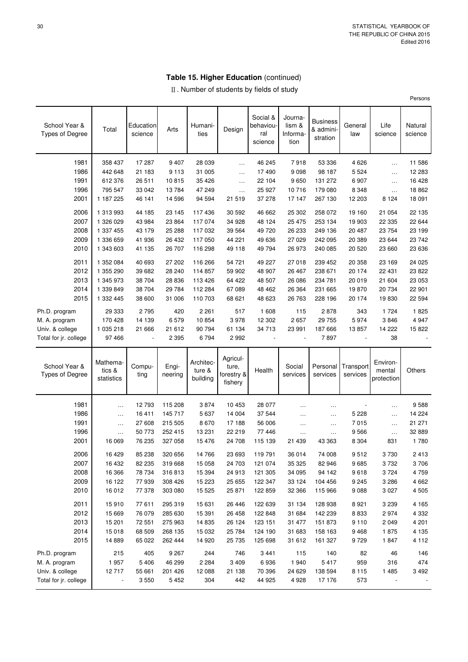Persons

#### **Table 15. Higher Education** (continued)

Ⅱ. Number of students by fields of study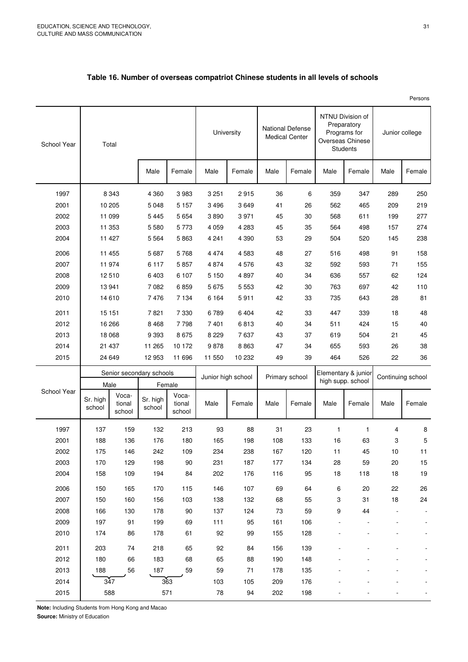### **Table 16. Number of overseas compatriot Chinese students in all levels of schools**

Persons

| School Year | Total              |                           |                          |                           |         | University         |      | <b>National Defense</b><br><b>Medical Center</b> |                                          | NTNU Division of<br>Preparatory<br>Programs for<br>Overseas Chinese<br><b>Students</b> |        | Junior college |
|-------------|--------------------|---------------------------|--------------------------|---------------------------|---------|--------------------|------|--------------------------------------------------|------------------------------------------|----------------------------------------------------------------------------------------|--------|----------------|
|             |                    |                           | Male                     | Female                    | Male    | Female             | Male | Female                                           | Male                                     | Female                                                                                 | Male   | Female         |
| 1997        |                    | 8 3 4 3                   | 4 3 6 0                  | 3983                      | 3 2 5 1 | 2915               | 36   | 6                                                | 359                                      | 347                                                                                    | 289    | 250            |
| 2001        | 10 205             |                           | 5 0 4 8                  | 5 1 5 7                   | 3496    | 3649               | 41   | 26                                               | 562                                      | 465                                                                                    | 209    | 219            |
| 2002        | 11 099             |                           | 5 4 4 5                  | 5 6 5 4                   | 3890    | 3 9 7 1            | 45   | 30                                               | 568                                      | 611                                                                                    | 199    | 277            |
| 2003        | 11 353             |                           | 5 5 8 0                  | 5773                      | 4 0 5 9 | 4 2 8 3            | 45   | 35                                               | 564                                      | 498                                                                                    | 157    | 274            |
| 2004        | 11 427             |                           | 5 5 6 4                  | 5863                      | 4 2 4 1 | 4 3 9 0            | 53   | 29                                               | 504                                      | 520                                                                                    | 145    | 238            |
| 2006        | 11 455             |                           | 5687                     | 5768                      | 4 4 7 4 | 4583               | 48   | 27                                               | 516                                      | 498                                                                                    | 91     | 158            |
| 2007        | 11 974             |                           | 6 1 1 7                  | 5857                      | 4 8 7 4 | 4576               | 43   | 32                                               | 592                                      | 593                                                                                    | 71     | 155            |
| 2008        | 12510              |                           | 6 4 0 3                  | 6 107                     | 5 1 5 0 | 4897               | 40   | 34                                               | 636                                      | 557                                                                                    | 62     | 124            |
| 2009        | 13 941             |                           | 7 0 8 2                  | 6859                      | 5 6 7 5 | 5 5 5 3            | 42   | 30                                               | 763                                      | 697                                                                                    | 42     | 110            |
| 2010        | 14 610             |                           | 7476                     | 7 1 3 4                   | 6 1 6 4 | 5911               | 42   | 33                                               | 735                                      | 643                                                                                    | 28     | 81             |
| 2011        | 15 15 1            |                           | 7821                     | 7 3 3 0                   | 6789    | 6 4 0 4            | 42   | 33                                               | 447                                      | 339                                                                                    | 18     | 48             |
| 2012        | 16 266             |                           | 8 4 6 8                  | 7798                      | 7 4 0 1 | 6813               | 40   | 34                                               | 511                                      | 424                                                                                    | 15     | 40             |
| 2013        |                    | 18 068                    | 9 3 9 3                  | 8675                      | 8 2 2 9 | 7637               | 43   | 37                                               | 619                                      | 504                                                                                    | 21     | 45             |
| 2014        | 21 437             |                           | 11 265                   | 10 172                    | 9878    | 8863               | 47   | 34                                               | 655                                      | 593                                                                                    | 26     | 38             |
| 2015        | 24 649             |                           | 12 953                   | 11 696                    | 11 550  | 10 232             | 49   | 39                                               | 464                                      | 526                                                                                    | 22     | 36             |
|             |                    |                           | Senior secondary schools |                           |         | Junior high school |      | Primary school                                   | Elementary & junior<br>Continuing school |                                                                                        |        |                |
|             | Male               |                           |                          | Female                    |         |                    |      |                                                  |                                          | high supp. school                                                                      |        |                |
| School Year | Sr. high<br>school | Voca-<br>tional<br>school | Sr. high<br>school       | Voca-<br>tional<br>school | Male    | Female             | Male | Female                                           | Male                                     | Female                                                                                 | Male   | Female         |
| 1997        | 137                | 159                       | 132                      | 213                       | 93      | 88                 | 31   | 23                                               | 1                                        | 1                                                                                      | 4      | 8              |
| 2001        | 188                | 136                       | 176                      | 180                       | 165     | 198                | 108  | 133                                              | 16                                       | 63                                                                                     | 3      | $\sqrt{5}$     |
| 2002        | 175                | 146                       | 242                      | 109                       | 234     | 238                | 167  | 120                                              | 11                                       | 45                                                                                     | 10     | 11             |
| 2003        | 170                | 129                       | 198                      | 90                        | 231     | 187                | 177  | 134                                              | 28                                       | 59                                                                                     | $20\,$ | 15             |
| 2004        | 158                | 109                       | 194                      | 84                        | 202     | 176                | 116  | 95                                               | 18                                       | 118                                                                                    | 18     | $19$           |
| 2006        | 150                | 165                       | 170                      | 115                       | 146     | 107                | 69   | 64                                               | 6                                        | 20                                                                                     | 22     | 26             |
| 2007        | 150                | 160                       | 156                      | 103                       | 138     | 132                | 68   | 55                                               | 3                                        | 31                                                                                     | 18     | 24             |
| 2008        | 166                | 130                       | 178                      | 90                        | 137     | 124                | 73   | 59                                               | 9                                        | 44                                                                                     |        |                |
| 2009        | 197                | 91                        | 199                      | 69                        | 111     | 95                 | 161  | 106                                              |                                          |                                                                                        |        |                |
| 2010        | 174                | 86                        | 178                      | 61                        | 92      | 99                 | 155  | 128                                              |                                          |                                                                                        |        |                |
| 2011        | 203                | 74                        | 218                      | 65                        | 92      | 84                 | 156  | 139                                              |                                          |                                                                                        |        |                |
| 2012        | 180                | 66                        | 183                      | 68                        | 65      | 88                 | 190  | 148                                              |                                          |                                                                                        |        |                |
| 2013        | 188                | 56                        | 187                      | 59                        | 59      | 71                 | 178  | 135                                              |                                          |                                                                                        |        |                |
| 2014        | 347                |                           |                          | 363                       | 103     | 105                | 209  | 176                                              |                                          |                                                                                        |        |                |
| 2015        |                    | 588                       |                          | 571                       | 78      | 94                 | 202  | 198                                              |                                          |                                                                                        |        |                |

**Note:** Including Students from Hong Kong and Macao

**Source:** Ministry of Education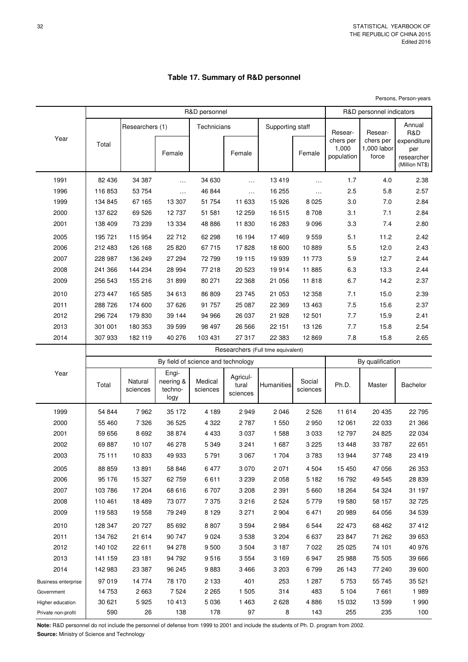#### **Table 17. Summary of R&D personnel**

|                                    |               |                     | R&D personnel                         |                                    | R&D personnel indicators      |                  |                    |                                  |                                   |                                                    |
|------------------------------------|---------------|---------------------|---------------------------------------|------------------------------------|-------------------------------|------------------|--------------------|----------------------------------|-----------------------------------|----------------------------------------------------|
|                                    |               | Researchers (1)     |                                       | Technicians                        |                               | Supporting staff |                    | Resear-                          | Resear-                           | Annual<br>R&D                                      |
| Year                               | Total         |                     | Female                                |                                    | Female                        |                  | Female             | chers per<br>1,000<br>population | chers per<br>1,000 labor<br>force | expenditure<br>per<br>researcher<br>(Million NT\$) |
| 1991                               | 82 436        | 34 387              | $\ddotsc$                             | 34 630                             | $\ldots$                      | 13 4 19          | .                  | 1.7                              | 4.0                               | 2.38                                               |
| 1996                               | 116 853       | 53 754              | $\ddots$                              | 46 844                             | $\cdots$                      | 16 255           | $\ldots$           | 2.5                              | 5.8                               | 2.57                                               |
| 1999                               | 134 845       | 67 165              | 13 307                                | 51 754                             | 11 633                        | 15 9 26          | 8 0 25             | 3.0                              | 7.0                               | 2.84                                               |
| 2000                               | 137 622       | 69 526              | 12737                                 | 51 581                             | 12 259                        | 16515            | 8708               | 3.1                              | 7.1                               | 2.84                                               |
| 2001                               | 138 409       | 73 239              | 13 3 34                               | 48 886                             | 11830                         | 16 283           | 9 0 9 6            | 3.3                              | 7.4                               | 2.80                                               |
| 2005                               | 195 721       | 115 954             | 22 712                                | 62 298                             | 16 194                        | 17469            | 9559               | 5.1                              | 11.2                              | 2.42                                               |
| 2006                               | 212 483       | 126 168             | 25 8 20                               | 67 715                             | 17828                         | 18 600           | 10889              | 5.5                              | 12.0                              | 2.43                                               |
| 2007                               | 228 987       | 136 249             | 27 294                                | 72 799                             | 19 115                        | 19 939           | 11 773             | 5.9                              | 12.7                              | 2.44                                               |
| 2008                               | 241 366       | 144 234             | 28 994                                | 77 218                             | 20 5 23                       | 19914            | 11 885             | 6.3                              | 13.3                              | 2.44                                               |
| 2009                               | 256 543       | 155 216             | 31 899                                | 80 271                             | 22 3 68                       | 21 056           | 11818              | 6.7                              | 14.2                              | 2.37                                               |
| 2010                               | 273 447       | 165 585             | 34 613                                | 86 809                             | 23 745                        | 21 053           | 12 358             | 7.1                              | 15.0                              | 2.39                                               |
| 2011                               | 288726        | 174 600             | 37 626                                | 91 757                             | 25 087                        | 22 369           | 13 4 63            | 7.5                              | 15.6                              | 2.37                                               |
| 2012                               | 296 724       | 179 830             | 39 144                                | 94 966                             | 26 037                        | 21 928           | 12 501             | 7.7                              | 15.9                              | 2.41                                               |
| 2013                               | 301 001       | 180 353             | 39 599                                | 98 497                             | 26 5 66                       | 22 151           | 13 1 26            | 7.7                              | 15.8                              | 2.54                                               |
| 2014                               | 307933        | 182 119             | 40 276                                | 103 431                            | 27 317                        | 22 383           | 12 8 69            | 7.8                              | 15.8                              | 2.65                                               |
| Researchers (Full time equivalent) |               |                     |                                       |                                    |                               |                  |                    |                                  |                                   |                                                    |
|                                    |               |                     |                                       | By field of science and technology |                               |                  |                    |                                  | By qualification                  |                                                    |
| Year                               | Total         | Natural<br>sciences | Engi-<br>neering &<br>techno-<br>logy | Medical<br>sciences                | Agricul-<br>tural<br>sciences | Humanities       | Social<br>sciences | Ph.D.                            | Master                            | Bachelor                                           |
| 1999                               | 54 844        | 7962                | 35 172                                | 4 189                              | 2949                          | 2 0 4 6          | 2 5 2 6            | 11 614                           | 20 435                            | 22 795                                             |
| 2000                               | 55 460        | 7 3 2 6             | 36 525                                | 4 3 2 2                            | 2787                          | 1 550            | 2 9 5 0            | 12 061                           | 22 033                            | 21 366                                             |
| 2001                               | 59 656        | 8692                | 38 874                                | 4 4 3 3                            | 3 0 3 7                       | 1588             | 3 0 3 3            | 12797                            | 24 8 25                           | 22 034                                             |
| 2002                               | 69887         | 10 107              | 46 278                                | 5 3 4 9                            | 3 2 4 1                       | 1687             | 3 2 2 5            | 13 4 48                          | 33 787                            | 22 651                                             |
| 2003                               | 75 111        | 10833               | 49 933                                | 5791                               | 3 0 6 7                       | 1 704            | 3783               | 13 944                           | 37 748                            | 23 4 19                                            |
| 2005                               | 88 859        | 13891               | 58 846                                | 6477                               | 3 0 7 0                       | 2 0 7 1          | 4 5 0 4            | 15 450                           | 47 056                            | 26 353                                             |
| 2006                               | 95 176        | 15 327              | 62759                                 | 6611                               | 3 2 3 9                       | 2 0 5 8          | 5 1 8 2            | 16 792                           | 49 545                            | 28 839                                             |
| 2007                               | 103 786       | 17 204              | 68 616                                | 6707                               | 3 2 0 8                       | 2 3 9 1          | 5 6 6 0            | 18 264                           | 54 324                            | 31 197                                             |
| 2008                               | 110 461       | 18 4 8 9            | 73 077                                | 7 3 7 5                            | 3 2 1 6                       | 2 5 24           | 5 7 7 9            | 19 580                           | 58 157                            | 32725                                              |
| 2009                               | 119 583       | 19 558              | 79 249                                | 8 1 2 9                            | 3 2 7 1                       | 2 9 0 4          | 6471               | 20 989                           | 64 056                            | 34 539                                             |
| 2010                               | 128 347       | 20 727              | 85 692                                | 8807                               | 3594                          | 2 9 8 4          | 6 5 4 4            | 22 473                           | 68 462                            | 37412                                              |
| 2011                               | 134 762       | 21 614              | 90 747                                | 9 0 24                             | 3 5 3 8                       | 3 2 0 4          | 6637               | 23 847                           | 71 262                            | 39 653                                             |
| 2012                               | 140 102       | 22 611              | 94 278                                | 9 500                              | 3 5 0 4                       | 3 1 8 7          | 7 0 2 2            | 25 0 25                          | 74 101                            | 40 976                                             |
| 2013                               | 141 159       | 23 181              | 94 792                                | 9516                               | 3 5 5 4                       | 3 1 6 9          | 6947               | 25 988                           | 75 505                            | 39 666                                             |
| 2014                               | 142 983       | 23 387              | 96 245                                | 9883                               | 3 4 6 6                       | 3 2 0 3          | 6799               | 26 143                           | 77 240                            | 39 600                                             |
| <b>Business enterprise</b>         |               |                     |                                       |                                    |                               |                  | 1 2 8 7            | 5 7 5 3                          | 55 745                            | 35 5 21                                            |
|                                    | 97 019        | 14 774              | 78 170                                | 2 1 3 3                            | 401                           | 253              |                    |                                  |                                   |                                                    |
| Government                         | 14 753        | 2 6 6 3             | 7524                                  | 2 2 6 5                            | 1 505                         | 314              | 483                | 5 1 0 4                          | 7661                              | 1989                                               |
| Higher education                   | 30 621<br>590 | 5925<br>26          | 10413<br>138                          | 5 0 36<br>178                      | 1 4 6 3<br>97                 | 2628             | 4886<br>143        | 15 0 32<br>255                   | 13 599<br>235                     | 1990<br>100                                        |

**Note:** R&D personnel do not include the personnel of defense from 1999 to 2001 and include the students of Ph. D. program from 2002. **Source:** Ministry of Science and Technology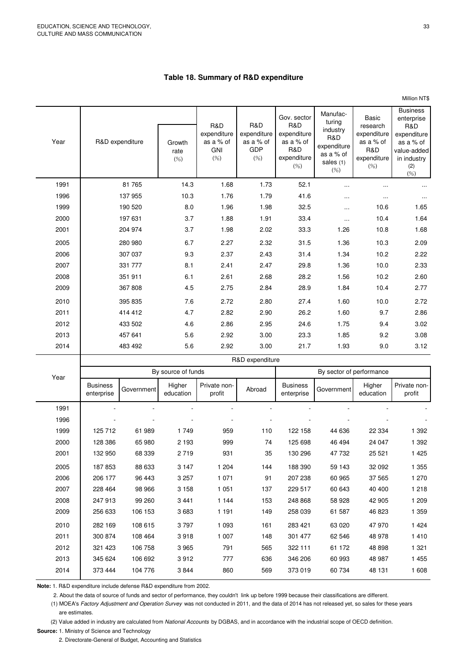Year

1991 | 81 765 14.3 1.68 1.73 52.1 ... .. 1996 10.3 1.76 1.79 41.6 ... ... ... 1999 8.0 1.96 1.98 32.5 ... 10.6 1.65 2000 3.7 1.88 1.91 33.4 ... 10.4 1.64 2001 3.7 1.98 2.02 33.3 1.26 10.8 1.68 2005 6.7 2.27 2.32 31.5 1.36 10.3 2.09 2006 9.3 2.37 2.43 31.4 1.34 10.2 2.22 2007 8.1 2.41 2.47 29.8 1.36 10.0 2.33 2008 6.1 2.61 2.68 28.2 1.56 10.2 2.60 81 765 190 520 197 631 137 955 204 974 **Business** enterprise R&D expenditure as a % of value-added in industry (2) (%) R&D expenditure Growth rate (%) R&D expenditure as a % of GNI (%) R&D expenditure as a % of GDP (%) Gov. sector R&D expenditure as a % of R&D expenditure (%) Manufacturing industry R&D expenditure as a % of sales (1)  $(96)$ Basic research expenditure as a % of R&D expenditure (%) 351 911 307 037 331 777 280 980

| 2014 |                               | 483 492    | 5.6                 | 2.92                   | 3.00            | 21.7                          | 1.93                     | 9.0                 | 3.12                  |
|------|-------------------------------|------------|---------------------|------------------------|-----------------|-------------------------------|--------------------------|---------------------|-----------------------|
|      |                               |            |                     |                        | R&D expenditure |                               |                          |                     |                       |
| ear  |                               |            | By source of funds  |                        |                 |                               | By sector of performance |                     |                       |
|      | <b>Business</b><br>enterprise | Government | Higher<br>education | Private non-<br>profit | Abroad          | <b>Business</b><br>enterprise | Government               | Higher<br>education | Private non<br>profit |
| 1991 |                               |            |                     |                        |                 |                               |                          |                     |                       |
| 1996 |                               |            |                     |                        |                 |                               |                          |                     | ۰                     |
| 1999 | 125 712                       | 61 989     | 1749                | 959                    | 110             | 122 158                       | 44 636                   | 22 334              | 392                   |
| 2000 | 128 386                       | 65 980     | 2 1 9 3             | 999                    | 74              | 125 698                       | 46 494                   | 24 047              | 392                   |
| 2001 | 132 950                       | 68 339     | 2 7 1 9             | 931                    | 35              | 130 296                       | 47 732                   | 25 5 21             | 425                   |

 4.5 2.75 2.84 28.9 1.84 10.4 2.77 7.6 2.72 2.80 27.4 1.60 10.0 2.72 4.7 2.82 2.90 26.2 1.60 9.7 2.86 4.6 2.86 2.95 24.6 1.75 9.4 3.02 5.6 2.92 3.00 23.3 1.85 9.2 3.08

1991 - - - - - - - - - 1996 | Paris III - Paris II - Paris II - Paris II - Paris II - Paris II - Paris II - Paris II - Paris II - Par 1999 125 712 61 989 1 749 959 110 122 158 44 636 22 334 1 392 2000 128 386 65 980 2 193 999 74 125 698 46 494 24 047 1 392 2001 132 950 68 339 2 719 931 35 130 296 47 732 25 521 1 425 2005 187 853 88 633 3 147 1 204 144 188 390 59 143 32 092 1 355 2006 206 177 96 443 3 257 1 071 91 207 238 60 965 37 565 1 270 2007 228 464 98 966 3 158 1 051 137 229 517 60 643 40 400 1 218 2008 247 913 99 260 3 441 1 144 153 248 868 58 928 42 905 1 209 2009 256 633 106 153 3 683 1 191 149 258 039 61 587 46 823 1 359 2010 282 169 108 615 3 797 1 093 161 283 421 63 020 47 970 1 424 enterprise Government Private non-Year Bus ente

**Note:** 1. R&D expenditure include defense R&D expenditure from 2002.

457 641

433 502

2. About the data of source of funds and sector of performance, they couldn't link up before 1999 because their classifications are different.

are estimates (1) MOEA's Factory Adjustment and Operation Survey was not conducted in 2011, and the data of 2014 has not released yet, so sales for these years

2011 300 874 108 464 3 918 1 007 148 301 477 62 546 48 978 1 410 2012 321 423 106 758 3 965 791 565 322 111 61 172 48 898 1 321 2013 345 624 106 692 3 912 777 636 346 206 60 993 48 987 1 455 2014 373 444 104 776 3 844 860 569 373 019 60 734 48 131 1 608

(2) Value added in industry are calculated from National Accounts by DGBAS, and in accordance with the industrial scope of OECD definition.

**Source:** 1. Ministry of Science and Technology

2. Directorate-General of Budget, Accounting and Statistics

Million NT\$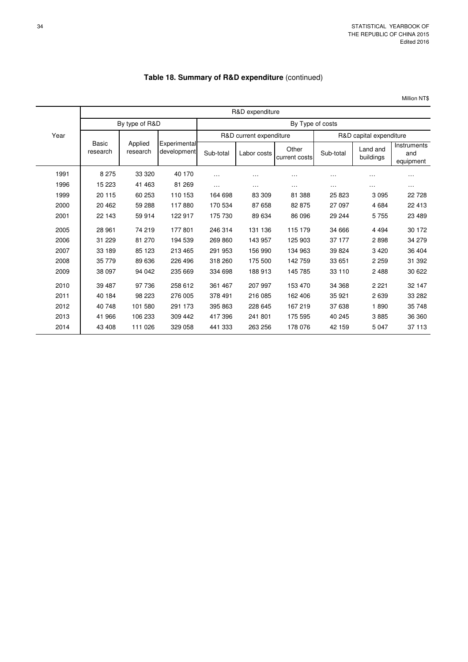#### **Table 18. Summary of R&D expenditure** (continued)

Million NT\$

|      | R&D expenditure          |                     |                             |           |                         |                        |           |                         |                                 |  |  |  |  |
|------|--------------------------|---------------------|-----------------------------|-----------|-------------------------|------------------------|-----------|-------------------------|---------------------------------|--|--|--|--|
|      |                          | By type of R&D      |                             |           | By Type of costs        |                        |           |                         |                                 |  |  |  |  |
| Year |                          |                     |                             |           | R&D current expenditure |                        |           | R&D capital expenditure |                                 |  |  |  |  |
|      | <b>Basic</b><br>research | Applied<br>research | Experimental<br>development | Sub-total | Labor costs             | Other<br>current costs | Sub-total | Land and<br>buildings   | Instruments<br>and<br>equipment |  |  |  |  |
| 1991 | 8 2 7 5                  | 33 320              | 40 170                      | $\cdots$  | .                       | $\cdots$               | $\cdots$  | $\cdots$                | $\cdots$                        |  |  |  |  |
| 1996 | 15 2 23                  | 41 463              | 81 269                      | $\cdots$  | .                       | $\cdots$               | $\cdots$  | $\cdots$                | $\cdots$                        |  |  |  |  |
| 1999 | 20 115                   | 60 253              | 110 153                     | 164 698   | 83 309                  | 81 388                 | 25 823    | 3 0 9 5                 | 22 7 28                         |  |  |  |  |
| 2000 | 20 4 6 2                 | 59 288              | 117880                      | 170 534   | 87 658                  | 82 875                 | 27 097    | 4684                    | 22 413                          |  |  |  |  |
| 2001 | 22 143                   | 59 914              | 122 917                     | 175 730   | 89 634                  | 86 096                 | 29 244    | 5755                    | 23 489                          |  |  |  |  |
| 2005 | 28 961                   | 74 219              | 177801                      | 246 314   | 131 136                 | 115 179                | 34 666    | 4 4 9 4                 | 30 172                          |  |  |  |  |
| 2006 | 31 2 2 9                 | 81 270              | 194 539                     | 269 860   | 143 957                 | 125 903                | 37 177    | 2898                    | 34 279                          |  |  |  |  |
| 2007 | 33 189                   | 85 123              | 213 465                     | 291 953   | 156 990                 | 134 963                | 39 824    | 3 4 2 0                 | 36 404                          |  |  |  |  |
| 2008 | 35 779                   | 89 636              | 226 496                     | 318 260   | 175 500                 | 142 759                | 33 651    | 2 2 5 9                 | 31 392                          |  |  |  |  |
| 2009 | 38 097                   | 94 042              | 235 669                     | 334 698   | 188 913                 | 145 785                | 33 110    | 2488                    | 30 622                          |  |  |  |  |
| 2010 | 39 487                   | 97 736              | 258 612                     | 361 467   | 207 997                 | 153 470                | 34 368    | 2 2 2 1                 | 32 147                          |  |  |  |  |
| 2011 | 40 184                   | 98 223              | 276 005                     | 378 491   | 216 085                 | 162 406                | 35 921    | 2639                    | 33 282                          |  |  |  |  |
| 2012 | 40 748                   | 101 580             | 291 173                     | 395 863   | 228 645                 | 167 219                | 37 638    | 1890                    | 35 748                          |  |  |  |  |
| 2013 | 41 966                   | 106 233             | 309 442                     | 417 396   | 241 801                 | 175 595                | 40 245    | 3885                    | 36 360                          |  |  |  |  |
| 2014 | 43 408                   | 111 026             | 329 058                     | 441 333   | 263 256                 | 178 076                | 42 159    | 5047                    | 37 113                          |  |  |  |  |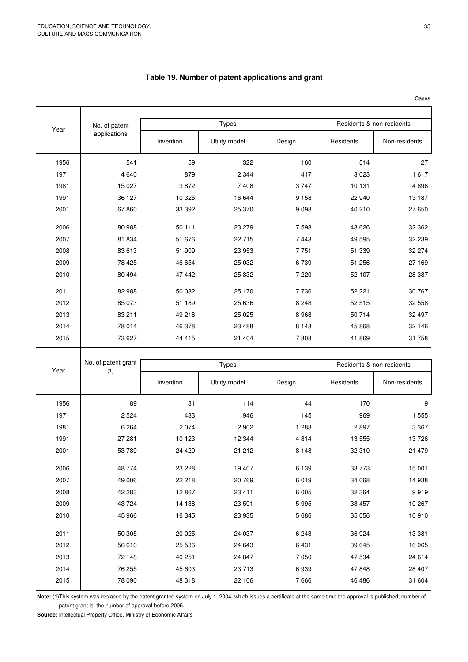Cases

| Year | No. of patent              |           | <b>Types</b>  |         | Residents & non-residents |               |
|------|----------------------------|-----------|---------------|---------|---------------------------|---------------|
|      | applications               | Invention | Utility model | Design  | Residents                 | Non-residents |
| 1956 | 541                        | 59        | 322           | 160     | 514                       | 27            |
| 1971 | 4 6 4 0                    | 1879      | 2 3 4 4       | 417     | 3 0 2 3                   | 1617          |
| 1981 | 15 0 27                    | 3872      | 7 4 0 8       | 3747    | 10 131                    | 4896          |
| 1991 | 36 127                     | 10 325    | 16 644        | 9 1 5 8 | 22 940                    | 13 187        |
| 2001 | 67860                      | 33 392    | 25 370        | 9 0 9 8 | 40 210                    | 27 650        |
| 2006 | 80 988                     | 50 111    | 23 279        | 7598    | 48 626                    | 32 362        |
| 2007 | 81 834                     | 51 676    | 22 715        | 7443    | 49 595                    | 32 239        |
| 2008 | 83 613                     | 51 909    | 23 953        | 7751    | 51 339                    | 32 274        |
| 2009 | 78 4 25                    | 46 654    | 25 032        | 6739    | 51 256                    | 27 169        |
| 2010 | 80 494                     | 47 442    | 25 832        | 7 2 2 0 | 52 107                    | 28 387        |
| 2011 | 82 988                     | 50 082    | 25 170        | 7736    | 52 221                    | 30 767        |
| 2012 | 85 073                     | 51 189    | 25 636        | 8 2 4 8 | 52 515                    | 32 558        |
| 2013 | 83 211                     | 49 218    | 25 0 25       | 8 9 6 8 | 50 714                    | 32 497        |
| 2014 | 78 014                     | 46 378    | 23 4 8 8      | 8 1 4 8 | 45 868                    | 32 146        |
| 2015 | 73 627                     | 44 415    | 21 404        | 7808    | 41 869                    | 31 758        |
|      |                            |           |               |         |                           |               |
| Year | No. of patent grant<br>(1) |           | <b>Types</b>  |         | Residents & non-residents |               |
|      |                            | Invention | Utility model | Design  | Residents                 | Non-residents |
| 1956 | 189                        | 31        | 114           | 44      | 170                       | 19            |
| 1971 | 2 5 2 4                    | 1 4 3 3   | 946           | 145     | 969                       | 1 5 5 5       |
| 1981 | 6 2 6 4                    | 2 0 7 4   | 2 9 0 2       | 1 2 8 8 | 2897                      | 3 3 6 7       |
| 1991 | 27 281                     | 10 123    | 12 344        | 4814    | 13 555                    | 13726         |

| 190 I | +ס∠ ס  | 2 U 74  | 2 YUZ   | 500 ا   | 2091   | ა ახ7  |
|-------|--------|---------|---------|---------|--------|--------|
| 1991  | 27 281 | 10 123  | 12 344  | 4814    | 13 555 | 13726  |
| 2001  | 53 789 | 24 4 29 | 21 21 2 | 8 1 4 8 | 32 310 | 21 479 |
|       |        |         |         |         |        |        |
| 2006  | 48 774 | 23 228  | 19 407  | 6 1 3 9 | 33 773 | 15 001 |
| 2007  | 49 006 | 22 218  | 20 769  | 6019    | 34 068 | 14 938 |
| 2008  | 42 283 | 12867   | 23 411  | 6 0 0 5 | 32 364 | 9919   |
| 2009  | 43 724 | 14 138  | 23 591  | 5995    | 33 457 | 10 267 |
| 2010  | 45 966 | 16 345  | 23 935  | 5686    | 35 056 | 10910  |
|       |        |         |         |         |        |        |
| 2011  | 50 305 | 20 025  | 24 037  | 6 2 4 3 | 36 924 | 13 381 |
| 2012  | 56 610 | 25 536  | 24 643  | 6431    | 39 645 | 16 965 |
| 2013  | 72 148 | 40 251  | 24 847  | 7 0 5 0 | 47 534 | 24 614 |
| 2014  | 76 255 | 45 603  | 23 713  | 6939    | 47848  | 28 407 |
| 2015  | 78 090 | 48 318  | 22 106  | 7666    | 46 486 | 31 604 |
|       |        |         |         |         |        |        |

**Note:** (1)This system was replaced by the patent granted system on July 1, 2004, which issues a certificate at the same time the approval is published; number of patent grant is the number of approval before 2005.

**Source:** Intellectual Property Office, Ministry of Economic Affairs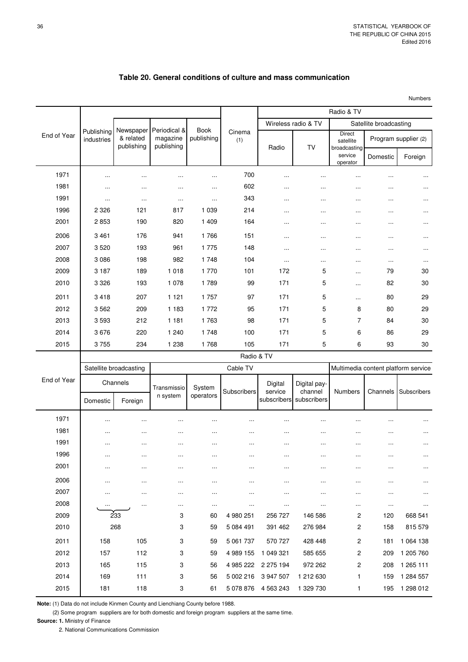#### **Table 20. General conditions of culture and mass communication**

Numbers

|             |                          |                         |                                                  |                           |               | Radio & TV |                     |                                            |                        |                      |  |
|-------------|--------------------------|-------------------------|--------------------------------------------------|---------------------------|---------------|------------|---------------------|--------------------------------------------|------------------------|----------------------|--|
|             |                          |                         |                                                  |                           |               |            | Wireless radio & TV |                                            | Satellite broadcasting |                      |  |
| End of Year | Publishing<br>industries | & related<br>publishing | Newspaper Periodical &<br>magazine<br>publishing | <b>Book</b><br>publishing | Cinema<br>(1) | Radio      | <b>TV</b>           | <b>Direct</b><br>satellite<br>broadcasting |                        | Program supplier (2) |  |
|             |                          |                         |                                                  |                           |               |            |                     | service<br>operator                        | Domestic               | Foreign              |  |
| 1971        | $\cdots$                 |                         | $\cdots$                                         | $\cdots$                  | 700           | $\cdots$   | $\cdots$            |                                            |                        |                      |  |
| 1981        | $\ddotsc$                |                         | $\cdots$                                         | $\cdots$                  | 602           | $\cdots$   | $\cdots$            |                                            |                        |                      |  |
| 1991        | $\ddotsc$                | $\cdots$                | $\cdots$                                         | $\ddotsc$                 | 343           |            | $\cdots$            | $\cdots$                                   | $\cdots$               | $\cdots$             |  |
| 1996        | 2 3 2 6                  | 121                     | 817                                              | 1 0 3 9                   | 214           | $\cdots$   | $\cdots$            | $\cdots$                                   | $\cdots$               | $\cdots$             |  |
| 2001        | 2853                     | 190                     | 820                                              | 1 4 0 9                   | 164           |            | $\cdots$            |                                            | $\cdots$               | $\cdots$             |  |
| 2006        | 3 4 6 1                  | 176                     | 941                                              | 1766                      | 151           |            | $\cdots$            | $\cdots$                                   | $\cdots$               | $\cdots$             |  |
| 2007        | 3520                     | 193                     | 961                                              | 1 7 7 5                   | 148           |            | $\cdots$            | $\cdots$                                   | $\cdots$               | $\cdots$             |  |
| 2008        | 3 0 8 6                  | 198                     | 982                                              | 1748                      | 104           |            | $\cdots$            |                                            |                        | $\cdots$             |  |
| 2009        | 3 1 8 7                  | 189                     | 1 0 1 8                                          | 1 770                     | 101           | 172        | 5                   |                                            | 79                     | 30                   |  |
| 2010        | 3 3 2 6                  | 193                     | 1 0 7 8                                          | 1789                      | 99            | 171        | 5                   | $\cdots$                                   | 82                     | 30                   |  |
| 2011        | 3418                     | 207                     | 1 1 2 1                                          | 1757                      | 97            | 171        | 5                   | $\cdots$                                   | 80                     | 29                   |  |
| 2012        | 3562                     | 209                     | 1 1 8 3                                          | 1 7 7 2                   | 95            | 171        | 5                   | 8                                          | 80                     | 29                   |  |
| 2013        | 3593                     | 212                     | 1 1 8 1                                          | 1763                      | 98            | 171        | 5                   | 7                                          | 84                     | 30                   |  |
| 2014        | 3676                     | 220                     | 1 2 4 0                                          | 1748                      | 100           | 171        | 5                   | 6                                          | 86                     | 29                   |  |
| 2015        | 3755                     | 234                     | 1 2 3 8                                          | 1768                      | 105           | 171        | 5                   | 6                                          | 93                     | 30                   |  |
|             |                          |                         |                                                  |                           | Radio & TV    |            |                     |                                            |                        |                      |  |

|             |           | Satellite broadcasting |             |           | Cable TV    |                    |                         |                |                 | Multimedia content platform service |
|-------------|-----------|------------------------|-------------|-----------|-------------|--------------------|-------------------------|----------------|-----------------|-------------------------------------|
| End of Year |           | Channels               | Transmissio | System    | Subscribers | Digital<br>service | Digital pay-<br>channel | <b>Numbers</b> | <b>Channels</b> | Subscribers                         |
|             | Domestic  | Foreign                | n system    | operators |             | subscribers        | subscribers             |                |                 |                                     |
| 1971        | $\cdots$  | $\ddotsc$              | $\cdots$    | $\cdots$  | .           | $\cdots$           | $\cdots$                |                | $\cdots$        | $\cdots$                            |
| 1981        | $\cdots$  | $\cdots$               | $\cdots$    | $\cdots$  | $\cdots$    | $\cdots$           | $\cdots$                | $\cdots$       | $\cdots$        | $\sim$                              |
| 1991        | $\cdots$  | $\ddotsc$              | $\cdots$    | $\cdots$  | $\cdots$    | $\cdots$           | $\cdots$                | $\cdots$       | $\cdots$        | $\cdots$                            |
| 1996        | $\cdots$  | $\cdots$               | $\cdots$    | $\cdots$  | $\cdots$    | $\cdots$           | $\cdots$                | $\cdots$       | $\cdots$        | $\cdots$                            |
| 2001        | $\cdots$  |                        | $\cdots$    | $\cdots$  | $\cdots$    | $\cdots$           | $\cdots$                |                | $\cdots$        | $\cdots$                            |
| 2006        | $\ddotsc$ |                        | $\cdots$    | $\cdots$  | $\cdots$    | $\cdots$           | $\cdots$                | $\cdots$       | $\cdots$        | $\cdots$                            |
| 2007        | $\cdots$  | $\cdots$               | $\cdots$    | $\cdots$  | $\cdots$    | $\cdots$           | $\cdots$                | $\cdots$       | $\cdots$        | $\cdots$                            |
| 2008        | $\cdots$  |                        | $\cdots$    | $\cdots$  | $\cdots$    | $\cdots$           | $\cdots$                | $\cdots$       | $\cdots$        | $\cdots$                            |
| 2009        |           | 233                    | 3           | 60        | 4 980 251   | 256 727            | 146 586                 | 2              | 120             | 668 541                             |
| 2010        |           | 268                    | 3           | 59        | 5 084 491   | 391 462            | 276 984                 | 2              | 158             | 815 579                             |
| 2011        | 158       | 105                    | 3           | 59        | 5 061 737   | 570 727            | 428 448                 | 2              | 181             | 1 064 138                           |
| 2012        | 157       | 112                    | 3           | 59        | 4 989 155   | 1 049 321          | 585 655                 | $\overline{c}$ | 209             | 1 205 760                           |
| 2013        | 165       | 115                    | 3           | 56        | 4 985 222   | 2 275 194          | 972 262                 | 2              | 208             | 1 265 111                           |
| 2014        | 169       | 111                    | 3           | 56        | 5 002 216   | 3 947 507          | 1 212 630               | 1              | 159             | 1 284 557                           |
| 2015        | 181       | 118                    | 3           | 61        | 5 078 876   | 4 5 63 243         | 1 329 730               | 1              | 195             | 1 298 012                           |
|             |           |                        |             |           |             |                    |                         |                |                 |                                     |

**Note:** (1) Data do not include Kinmen County and Lienchiang County before 1988.

(2) Some program suppliers are for both domestic and foreign program suppliers at the same time.

**Source: 1.** Ministry of Finance

2. National Communications Commission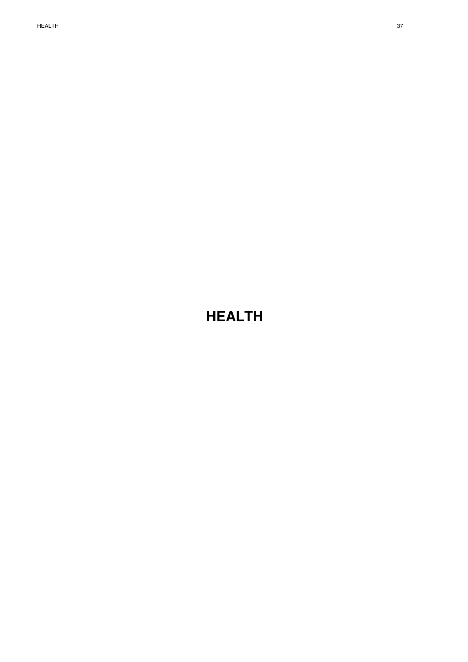# **HEALTH**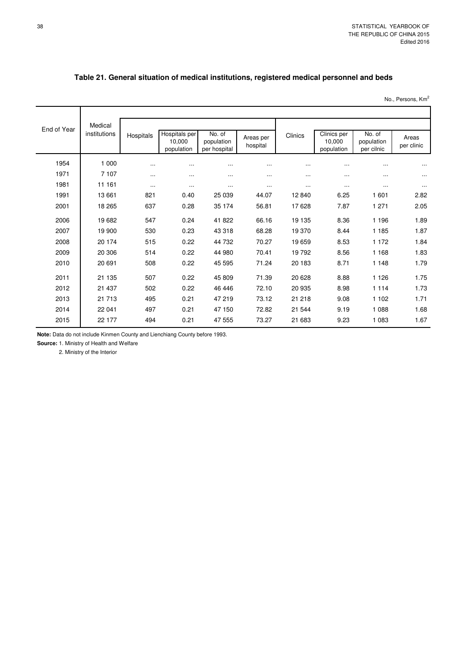#### **Table 21. General situation of medical institutions, registered medical personnel and beds**

No., Persons, Km<sup>2</sup>

| End of Year | Medical      |           |                                       |                                      |                       |          |                                     |                                    |                     |  |  |  |
|-------------|--------------|-----------|---------------------------------------|--------------------------------------|-----------------------|----------|-------------------------------------|------------------------------------|---------------------|--|--|--|
|             | institutions | Hospitals | Hospitals per<br>10.000<br>population | No. of<br>population<br>per hospital | Areas per<br>hospital | Clinics  | Clinics per<br>10,000<br>population | No. of<br>population<br>per cilnic | Areas<br>per clinic |  |  |  |
| 1954        | 1 000        |           | $\cdots$                              | $\cdots$                             |                       | $\cdots$ | $\cdots$                            | $\cdots$                           |                     |  |  |  |
| 1971        | 7 107        |           | $\cdots$                              | $\cdots$                             | $\sim$                | $\cdots$ | $\cdots$                            | $\cdots$                           |                     |  |  |  |
| 1981        | 11 161       | $\cdots$  | $\cdots$                              | $\cdots$                             | $\cdots$              | $\cdots$ | $\cdots$                            | $\cdots$                           | $\cdots$            |  |  |  |
| 1991        | 13 661       | 821       | 0.40                                  | 25 039                               | 44.07                 | 12 840   | 6.25                                | 1 601                              | 2.82                |  |  |  |
| 2001        | 18 265       | 637       | 0.28                                  | 35 174                               | 56.81                 | 17 628   | 7.87                                | 1 2 7 1                            | 2.05                |  |  |  |
| 2006        | 19682        | 547       | 0.24                                  | 41 822                               | 66.16                 | 19 135   | 8.36                                | 1 1 9 6                            | 1.89                |  |  |  |
| 2007        | 19 900       | 530       | 0.23                                  | 43 318                               | 68.28                 | 19 370   | 8.44                                | 1 1 8 5                            | 1.87                |  |  |  |
| 2008        | 20 174       | 515       | 0.22                                  | 44 732                               | 70.27                 | 19 659   | 8.53                                | 1 172                              | 1.84                |  |  |  |
| 2009        | 20 306       | 514       | 0.22                                  | 44 980                               | 70.41                 | 19792    | 8.56                                | 1 1 6 8                            | 1.83                |  |  |  |
| 2010        | 20 691       | 508       | 0.22                                  | 45 595                               | 71.24                 | 20 183   | 8.71                                | 1 1 4 8                            | 1.79                |  |  |  |
| 2011        | 21 135       | 507       | 0.22                                  | 45 809                               | 71.39                 | 20 628   | 8.88                                | 1 1 2 6                            | 1.75                |  |  |  |
| 2012        | 21 437       | 502       | 0.22                                  | 46 446                               | 72.10                 | 20 935   | 8.98                                | 1 1 1 4                            | 1.73                |  |  |  |
| 2013        | 21 713       | 495       | 0.21                                  | 47 219                               | 73.12                 | 21 218   | 9.08                                | 1 1 0 2                            | 1.71                |  |  |  |
| 2014        | 22 041       | 497       | 0.21                                  | 47 150                               | 72.82                 | 21 544   | 9.19                                | 1 0 8 8                            | 1.68                |  |  |  |
| 2015        | 22 177       | 494       | 0.21                                  | 47 555                               | 73.27                 | 21 683   | 9.23                                | 1 0 8 3                            | 1.67                |  |  |  |

**Note:** Data do not include Kinmen County and Lienchiang County before 1993.

**Source:** 1. Ministry of Health and Welfare

2. Ministry of the Interior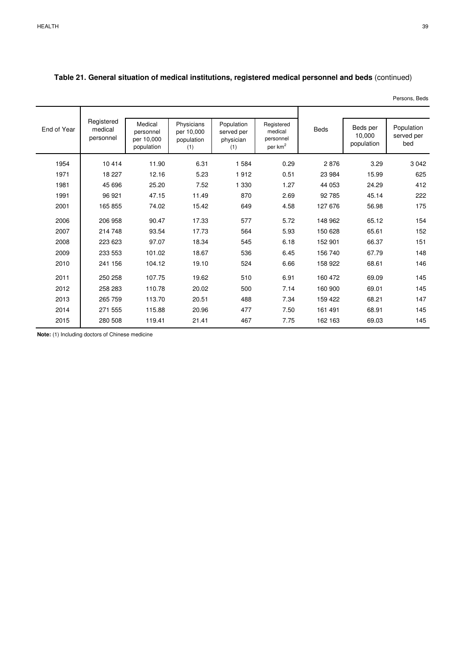#### 1954 10 414 11.90 6.31 1 584 0.29 2 876 3.29 3 042 1971 18 227 12.16 5.23 1 912 0.51 23 984 15.99 625 1981 45 696 25.20 7.52 1 330 1.27 44 053 24.29 412 1991 96 921 47.15 11.49 870 2.69 92 785 45.14 222 2001 165 855 74.02 15.42 649 4.58 127 676 56.98 175 2006 206 958 90.47 17.33 577 5.72 148 962 65.12 154 2007 214 748 93.54 17.73 564 5.93 150 628 65.61 152 2008 223 623 97.07 18.34 545 6.18 152 901 66.37 151 2009 233 553 101.02 18.67 536 6.45 156 740 67.79 148 2010 241 156 104.12 19.10 524 6.66 158 922 68.61 146 2011 250 258 107.75 19.62 510 6.91 160 472 69.09 145 2012 258 283 110.78 20.02 500 7.14 160 900 69.01 145 2013 265 759 113.70 20.51 488 7.34 159 422 68.21 147 End of Year Medical personnel per 10,000 population Population served per bed Beds per 10,000 population Physicians per 10,000 population (1) Population served per physician (1) Registered medical personnel per km<sup>2</sup> Beds Registered medical personnel

2014 271 555 115.88 20.96 477 7.50 161 491 68.91 145 2015 280 508 119.41 21.41 467 7.75 162 163 69.03 145

#### **Table 21. General situation of medical institutions, registered medical personnel and beds** (continued)

Persons, Beds

**Note:** (1) Including doctors of Chinese medicine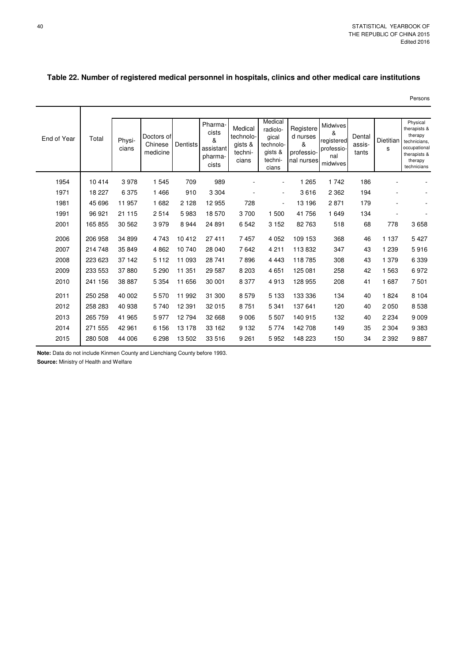#### **Table 22. Number of registered medical personnel in hospitals, clinics and other medical care institutions**

Persons

| End of Year | Total   | Physi-<br>cians | Doctors of<br>Chinese<br>medicine | Dentists | Pharma-<br>cists<br>&<br>assistant<br>pharma-<br>cists | Medical<br>technolo-<br>gists &<br>techni-<br>cians | Medical<br>radiolo-<br>gical<br>technolo-<br>gists &<br>techni-<br>cians | Registere<br>d nurses<br>&<br>professio-<br>nal nurses | Midwives<br>&<br>registered<br>professio-<br>nal<br>midwives | Dental<br>assis-<br>tants | Dietitian<br>s | Physical<br>therapists &<br>therapy<br>technicians.<br>occupational<br>therapists &<br>therapy<br>technicians |
|-------------|---------|-----------------|-----------------------------------|----------|--------------------------------------------------------|-----------------------------------------------------|--------------------------------------------------------------------------|--------------------------------------------------------|--------------------------------------------------------------|---------------------------|----------------|---------------------------------------------------------------------------------------------------------------|
| 1954        | 10414   | 3978            | 1 5 4 5                           | 709      | 989                                                    |                                                     |                                                                          | 1 2 6 5                                                | 1742                                                         | 186                       |                |                                                                                                               |
| 1971        | 18 227  | 6 3 7 5         | 1466                              | 910      | 3 3 0 4                                                |                                                     | $\overline{\phantom{a}}$                                                 | 3616                                                   | 2 3 6 2                                                      | 194                       |                |                                                                                                               |
| 1981        | 45 696  | 11 957          | 1 682                             | 2 1 2 8  | 12 955                                                 | 728                                                 | $\sim$                                                                   | 13 196                                                 | 2871                                                         | 179                       |                |                                                                                                               |
| 1991        | 96 921  | 21 1 1 5        | 2514                              | 5983     | 18 570                                                 | 3700                                                | 1 500                                                                    | 41 756                                                 | 1 649                                                        | 134                       |                |                                                                                                               |
| 2001        | 165 855 | 30 562          | 3979                              | 8944     | 24 891                                                 | 6 5 4 2                                             | 3 1 5 2                                                                  | 82 763                                                 | 518                                                          | 68                        | 778            | 3658                                                                                                          |
| 2006        | 206 958 | 34 899          | 4 743                             | 10 412   | 27 411                                                 | 7457                                                | 4 0 5 2                                                                  | 109 153                                                | 368                                                          | 46                        | 1 1 3 7        | 5 4 2 7                                                                                                       |
| 2007        | 214 748 | 35 849          | 4 8 6 2                           | 10 740   | 28 040                                                 | 7642                                                | 4 2 1 1                                                                  | 113 832                                                | 347                                                          | 43                        | 1 2 3 9        | 5916                                                                                                          |
| 2008        | 223 623 | 37 142          | 5 1 1 2                           | 11 093   | 28 741                                                 | 7896                                                | 4 4 4 3                                                                  | 118 785                                                | 308                                                          | 43                        | 1 379          | 6 3 3 9                                                                                                       |
| 2009        | 233 553 | 37880           | 5 2 9 0                           | 11 351   | 29 5 87                                                | 8 2 0 3                                             | 4651                                                                     | 125 081                                                | 258                                                          | 42                        | 1 563          | 6972                                                                                                          |
| 2010        | 241 156 | 38 887          | 5 3 5 4                           | 11 656   | 30 001                                                 | 8 3 7 7                                             | 4913                                                                     | 128 955                                                | 208                                                          | 41                        | 1687           | 7 501                                                                                                         |
| 2011        | 250 258 | 40 002          | 5570                              | 11 992   | 31 300                                                 | 8579                                                | 5 1 3 3                                                                  | 133 336                                                | 134                                                          | 40                        | 1824           | 8 1 0 4                                                                                                       |
| 2012        | 258 283 | 40 938          | 5740                              | 12 3 9 1 | 32 015                                                 | 8751                                                | 5 3 4 1                                                                  | 137 641                                                | 120                                                          | 40                        | 2 0 5 0        | 8 5 3 8                                                                                                       |
| 2013        | 265 759 | 41 965          | 5977                              | 12 794   | 32 668                                                 | 9 0 0 6                                             | 5 5 0 7                                                                  | 140 915                                                | 132                                                          | 40                        | 2 2 3 4        | 9 0 0 9                                                                                                       |
| 2014        | 271 555 | 42 961          | 6 1 5 6                           | 13 178   | 33 162                                                 | 9 1 3 2                                             | 5 7 7 4                                                                  | 142 708                                                | 149                                                          | 35                        | 2 3 0 4        | 9 3 8 3                                                                                                       |
| 2015        | 280 508 | 44 006          | 6 2 9 8                           | 13 502   | 33 516                                                 | 9 2 6 1                                             | 5952                                                                     | 148 223                                                | 150                                                          | 34                        | 2 3 9 2        | 9887                                                                                                          |

**Note:** Data do not include Kinmen County and Lienchiang County before 1993.

**Source:** Ministry of Health and Welfare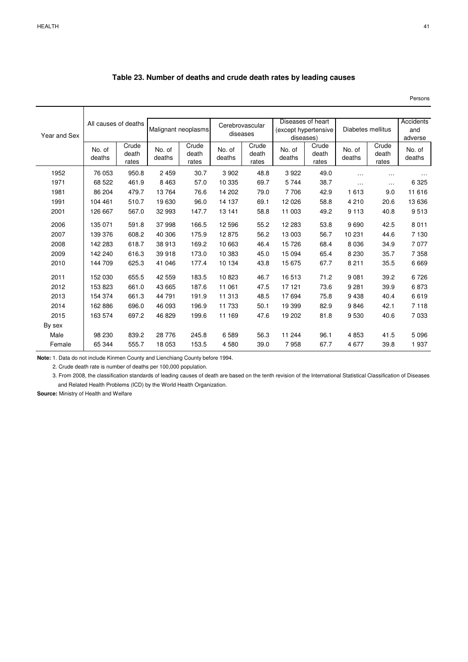T

### **Table 23. Number of deaths and crude death rates by leading causes**

Persons

| Year and Sex | All causes of deaths |                         | Malignant neoplasms |                         | Cerebrovascular<br>diseases |                         | diseases)        | Diseases of heart<br>(except hypertensive | Diabetes mellitus |                         | <b>Accidents</b><br>and<br>adverse |
|--------------|----------------------|-------------------------|---------------------|-------------------------|-----------------------------|-------------------------|------------------|-------------------------------------------|-------------------|-------------------------|------------------------------------|
|              | No. of<br>deaths     | Crude<br>death<br>rates | No. of<br>deaths    | Crude<br>death<br>rates | No. of<br>deaths            | Crude<br>death<br>rates | No. of<br>deaths | Crude<br>death<br>rates                   | No. of<br>deaths  | Crude<br>death<br>rates | No. of<br>deaths                   |
| 1952         | 76 053               | 950.8                   | 2 4 5 9             | 30.7                    | 3 9 0 2                     | 48.8                    | 3922             | 49.0                                      | $\cdots$          | $\cdots$                | $\cdots$                           |
| 1971         | 68 522               | 461.9                   | 8 4 6 3             | 57.0                    | 10 335                      | 69.7                    | 5744             | 38.7                                      | $\ddotsc$         | $\cdots$                | 6 3 2 5                            |
| 1981         | 86 204               | 479.7                   | 13764               | 76.6                    | 14 202                      | 79.0                    | 7706             | 42.9                                      | 1613              | 9.0                     | 11 616                             |
| 1991         | 104 461              | 510.7                   | 19 630              | 96.0                    | 14 137                      | 69.1                    | 12 0 26          | 58.8                                      | 4 2 1 0           | 20.6                    | 13 636                             |
| 2001         | 126 667              | 567.0                   | 32 993              | 147.7                   | 13 141                      | 58.8                    | 11 003           | 49.2                                      | 9 1 1 3           | 40.8                    | 9513                               |
| 2006         | 135 071              | 591.8                   | 37 998              | 166.5                   | 12 5 9 6                    | 55.2                    | 12 283           | 53.8                                      | 9690              | 42.5                    | 8 0 1 1                            |
| 2007         | 139 376              | 608.2                   | 40 30 6             | 175.9                   | 12875                       | 56.2                    | 13 003           | 56.7                                      | 10 231            | 44.6                    | 7 1 3 0                            |
| 2008         | 142 283              | 618.7                   | 38 913              | 169.2                   | 10 663                      | 46.4                    | 15 726           | 68.4                                      | 8 0 3 6           | 34.9                    | 7077                               |
| 2009         | 142 240              | 616.3                   | 39 918              | 173.0                   | 10 383                      | 45.0                    | 15 0 94          | 65.4                                      | 8 2 3 0           | 35.7                    | 7 3 5 8                            |
| 2010         | 144 709              | 625.3                   | 41 046              | 177.4                   | 10 134                      | 43.8                    | 15 675           | 67.7                                      | 8 2 1 1           | 35.5                    | 6669                               |
| 2011         | 152 030              | 655.5                   | 42 559              | 183.5                   | 10823                       | 46.7                    | 16513            | 71.2                                      | 9 0 8 1           | 39.2                    | 6726                               |
| 2012         | 153823               | 661.0                   | 43 665              | 187.6                   | 11 061                      | 47.5                    | 17 121           | 73.6                                      | 9 2 8 1           | 39.9                    | 6873                               |
| 2013         | 154 374              | 661.3                   | 44 791              | 191.9                   | 11 313                      | 48.5                    | 17694            | 75.8                                      | 9438              | 40.4                    | 6619                               |
| 2014         | 162886               | 696.0                   | 46 093              | 196.9                   | 11 733                      | 50.1                    | 19 399           | 82.9                                      | 9846              | 42.1                    | 7 1 1 8                            |
| 2015         | 163 574              | 697.2                   | 46 829              | 199.6                   | 11 169                      | 47.6                    | 19 202           | 81.8                                      | 9530              | 40.6                    | 7 0 3 3                            |
| By sex       |                      |                         |                     |                         |                             |                         |                  |                                           |                   |                         |                                    |
| Male         | 98 230               | 839.2                   | 28 776              | 245.8                   | 6589                        | 56.3                    | 11 244           | 96.1                                      | 4853              | 41.5                    | 5 0 9 6                            |
| Female       | 65 344               | 555.7                   | 18 053              | 153.5                   | 4580                        | 39.0                    | 7958             | 67.7                                      | 4677              | 39.8                    | 1937                               |

**Note:** 1. Data do not include Kinmen County and Lienchiang County before 1994.

2. Crude death rate is number of deaths per 100,000 population.

 3. From 2008, the classification standards of leading causes of death are based on the tenth revision of the International Statistical Classification of Diseases and Related Health Problems (ICD) by the World Health Organization.

**Source:** Ministry of Health and Welfare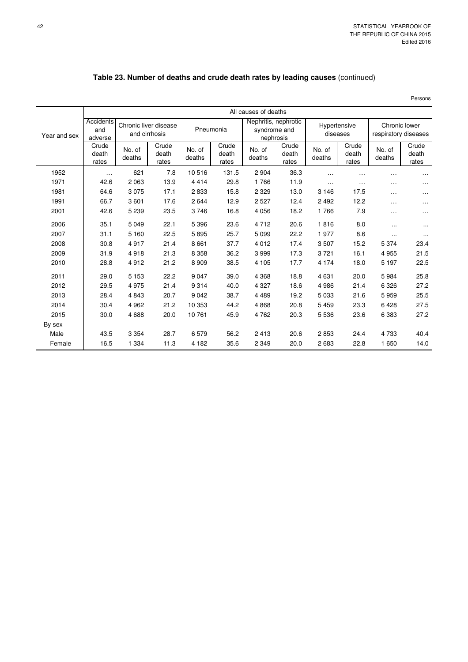#### **Table 23. Number of deaths and crude death rates by leading causes** (continued)

Persons

|              | All causes of deaths               |                  |                                        |                  |                         |                                                   |                         |                          |                         |                                       |                         |
|--------------|------------------------------------|------------------|----------------------------------------|------------------|-------------------------|---------------------------------------------------|-------------------------|--------------------------|-------------------------|---------------------------------------|-------------------------|
| Year and sex | <b>Accidents</b><br>and<br>adverse |                  | Chronic liver disease<br>and cirrhosis | Pneumonia        |                         | Nephritis, nephrotic<br>syndrome and<br>nephrosis |                         | Hypertensive<br>diseases |                         | Chronic lower<br>respiratory diseases |                         |
|              | Crude<br>death<br>rates            | No. of<br>deaths | Crude<br>death<br>rates                | No. of<br>deaths | Crude<br>death<br>rates | No. of<br>deaths                                  | Crude<br>death<br>rates | No. of<br>deaths         | Crude<br>death<br>rates | No. of<br>deaths                      | Crude<br>death<br>rates |
| 1952         | $\cdots$                           | 621              | 7.8                                    | 10516            | 131.5                   | 2 9 0 4                                           | 36.3                    | $\cdots$                 | $\cdots$                | $\cdots$                              | $\cdots$                |
| 1971         | 42.6                               | 2 0 6 3          | 13.9                                   | 4 4 1 4          | 29.8                    | 1766                                              | 11.9                    | $\cdots$                 | $\sim$ $\sim$ $\sim$    | $\cdots$                              | $\cdots$                |
| 1981         | 64.6                               | 3 0 7 5          | 17.1                                   | 2833             | 15.8                    | 2 3 2 9                                           | 13.0                    | 3 1 4 6                  | 17.5                    | $\cdots$                              | $\cdots$                |
| 1991         | 66.7                               | 3 601            | 17.6                                   | 2644             | 12.9                    | 2 5 2 7                                           | 12.4                    | 2 4 9 2                  | 12.2                    | $\cdots$                              | $\cdots$                |
| 2001         | 42.6                               | 5 2 3 9          | 23.5                                   | 3746             | 16.8                    | 4 0 5 6                                           | 18.2                    | 1766                     | 7.9                     | $\cdots$                              | $\cdots$                |
| 2006         | 35.1                               | 5 0 4 9          | 22.1                                   | 5 3 9 6          | 23.6                    | 4712                                              | 20.6                    | 1816                     | 8.0                     | $\cdots$                              |                         |
| 2007         | 31.1                               | 5 1 6 0          | 22.5                                   | 5895             | 25.7                    | 5 0 9 9                                           | 22.2                    | 1977                     | 8.6                     | $\cdots$                              | $\cdots$                |
| 2008         | 30.8                               | 4917             | 21.4                                   | 8 6 6 1          | 37.7                    | 4 0 1 2                                           | 17.4                    | 3507                     | 15.2                    | 5 3 7 4                               | 23.4                    |
| 2009         | 31.9                               | 4918             | 21.3                                   | 8 3 5 8          | 36.2                    | 3999                                              | 17.3                    | 3721                     | 16.1                    | 4 9 5 5                               | 21.5                    |
| 2010         | 28.8                               | 4912             | 21.2                                   | 8 9 0 9          | 38.5                    | 4 1 0 5                                           | 17.7                    | 4 1 7 4                  | 18.0                    | 5 1 9 7                               | 22.5                    |
| 2011         | 29.0                               | 5 1 5 3          | 22.2                                   | 9 0 4 7          | 39.0                    | 4 3 6 8                                           | 18.8                    | 4 6 31                   | 20.0                    | 5984                                  | 25.8                    |
| 2012         | 29.5                               | 4 9 7 5          | 21.4                                   | 9314             | 40.0                    | 4 3 2 7                                           | 18.6                    | 4 9 8 6                  | 21.4                    | 6 3 2 6                               | 27.2                    |
| 2013         | 28.4                               | 4 8 4 3          | 20.7                                   | 9 0 4 2          | 38.7                    | 4 4 8 9                                           | 19.2                    | 5 0 3 3                  | 21.6                    | 5959                                  | 25.5                    |
| 2014         | 30.4                               | 4 9 6 2          | 21.2                                   | 10 353           | 44.2                    | 4868                                              | 20.8                    | 5 4 5 9                  | 23.3                    | 6428                                  | 27.5                    |
| 2015         | 30.0                               | 4688             | 20.0                                   | 10761            | 45.9                    | 4762                                              | 20.3                    | 5 5 3 6                  | 23.6                    | 6 3 8 3                               | 27.2                    |
| By sex       |                                    |                  |                                        |                  |                         |                                                   |                         |                          |                         |                                       |                         |
| Male         | 43.5                               | 3 3 5 4          | 28.7                                   | 6579             | 56.2                    | 2413                                              | 20.6                    | 2853                     | 24.4                    | 4 7 3 3                               | 40.4                    |
| Female       | 16.5                               | 1 3 3 4          | 11.3                                   | 4 1 8 2          | 35.6                    | 2 3 4 9                                           | 20.0                    | 2 6 8 3                  | 22.8                    | 1 650                                 | 14.0                    |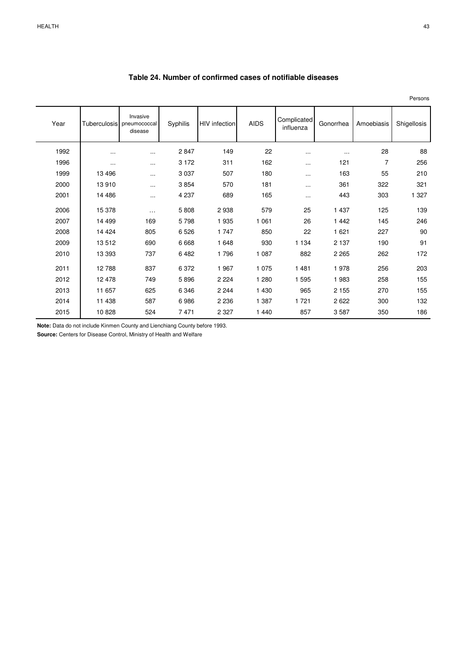#### **Table 24. Number of confirmed cases of notifiable diseases**

|      |              |                                     |          |                      |             |                          |           |                | Persons     |
|------|--------------|-------------------------------------|----------|----------------------|-------------|--------------------------|-----------|----------------|-------------|
| Year | Tuberculosis | Invasive<br>pneumococcal<br>disease | Syphilis | <b>HIV</b> infection | <b>AIDS</b> | Complicated<br>influenza | Gonorrhea | Amoebiasis     | Shigellosis |
| 1992 | $\cdots$     | $\cdots$                            | 2847     | 149                  | 22          | $\cdots$                 | $\cdots$  | 28             | 88          |
| 1996 | $\cdots$     | $\cdots$                            | 3 1 7 2  | 311                  | 162         |                          | 121       | $\overline{7}$ | 256         |
| 1999 | 13 4 96      | $\cdots$                            | 3 0 3 7  | 507                  | 180         |                          | 163       | 55             | 210         |
| 2000 | 13910        | $\cdots$                            | 3854     | 570                  | 181         |                          | 361       | 322            | 321         |
| 2001 | 14 4 8 6     | $\cdots$                            | 4 2 3 7  | 689                  | 165         | $\cdots$                 | 443       | 303            | 1 3 2 7     |
| 2006 | 15 378       | $\cdots$                            | 5808     | 2938                 | 579         | 25                       | 1 4 3 7   | 125            | 139         |
| 2007 | 14 499       | 169                                 | 5798     | 1935                 | 1 0 6 1     | 26                       | 1 4 4 2   | 145            | 246         |
| 2008 | 14 4 24      | 805                                 | 6526     | 1 747                | 850         | 22                       | 1 6 2 1   | 227            | 90          |
| 2009 | 13512        | 690                                 | 6668     | 1 648                | 930         | 1 1 3 4                  | 2 1 3 7   | 190            | 91          |
| 2010 | 13 393       | 737                                 | 6482     | 1796                 | 1 0 8 7     | 882                      | 2 2 6 5   | 262            | 172         |
| 2011 | 12 788       | 837                                 | 6 3 7 2  | 1 9 6 7              | 1 0 7 5     | 1 4 8 1                  | 1978      | 256            | 203         |
| 2012 | 12 478       | 749                                 | 5896     | 2 2 2 4              | 1 2 8 0     | 1 5 9 5                  | 1983      | 258            | 155         |
| 2013 | 11 657       | 625                                 | 6 3 4 6  | 2 2 4 4              | 1 4 3 0     | 965                      | 2 1 5 5   | 270            | 155         |
| 2014 | 11 438       | 587                                 | 6986     | 2 2 3 6              | 1 387       | 1 7 2 1                  | 2622      | 300            | 132         |
| 2015 | 10828        | 524                                 | 7471     | 2 3 2 7              | 1 4 4 0     | 857                      | 3587      | 350            | 186         |

**Note:** Data do not include Kinmen County and Lienchiang County before 1993.

**Source:** Centers for Disease Control, Ministry of Health and Welfare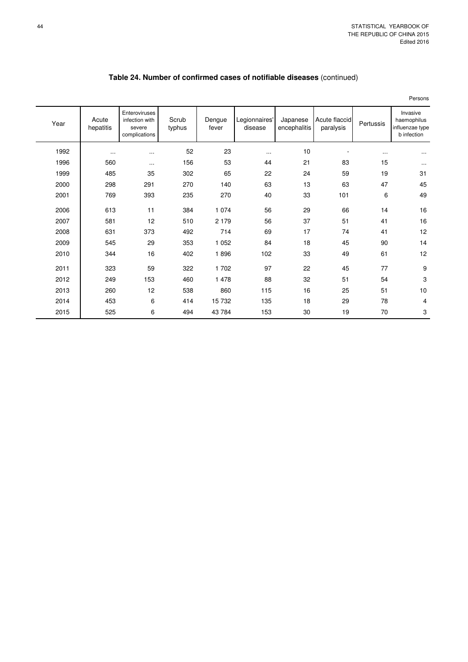#### **Table 24. Number of confirmed cases of notifiable diseases** (continued)

|      |                    |                                                            |                 |                 |                          |                          |                            |           | Persons                                                   |
|------|--------------------|------------------------------------------------------------|-----------------|-----------------|--------------------------|--------------------------|----------------------------|-----------|-----------------------------------------------------------|
| Year | Acute<br>hepatitis | Enteroviruses<br>infection with<br>severe<br>complications | Scrub<br>typhus | Dengue<br>fever | Legionnaires'<br>disease | Japanese<br>encephalitis | Acute flaccid<br>paralysis | Pertussis | Invasive<br>haemophilus<br>influenzae type<br>b infection |
| 1992 | $\cdots$           |                                                            | 52              | 23              | $\cdots$                 | 10                       |                            | $\cdots$  | $\cdots$                                                  |
| 1996 | 560                | $\cdots$                                                   | 156             | 53              | 44                       | 21                       | 83                         | 15        | $\cdots$                                                  |
| 1999 | 485                | 35                                                         | 302             | 65              | 22                       | 24                       | 59                         | 19        | 31                                                        |
| 2000 | 298                | 291                                                        | 270             | 140             | 63                       | 13                       | 63                         | 47        | 45                                                        |
| 2001 | 769                | 393                                                        | 235             | 270             | 40                       | 33                       | 101                        | 6         | 49                                                        |
| 2006 | 613                | 11                                                         | 384             | 1 0 7 4         | 56                       | 29                       | 66                         | 14        | 16                                                        |
| 2007 | 581                | 12                                                         | 510             | 2 1 7 9         | 56                       | 37                       | 51                         | 41        | 16                                                        |
| 2008 | 631                | 373                                                        | 492             | 714             | 69                       | 17                       | 74                         | 41        | 12                                                        |
| 2009 | 545                | 29                                                         | 353             | 1 0 5 2         | 84                       | 18                       | 45                         | 90        | 14                                                        |
| 2010 | 344                | 16                                                         | 402             | 1896            | 102                      | 33                       | 49                         | 61        | 12                                                        |
| 2011 | 323                | 59                                                         | 322             | 1702            | 97                       | 22                       | 45                         | 77        | 9                                                         |
| 2012 | 249                | 153                                                        | 460             | 1 478           | 88                       | 32                       | 51                         | 54        | $\ensuremath{\mathsf{3}}$                                 |
| 2013 | 260                | 12                                                         | 538             | 860             | 115                      | 16                       | 25                         | 51        | 10                                                        |
| 2014 | 453                | 6                                                          | 414             | 15732           | 135                      | 18                       | 29                         | 78        | 4                                                         |
| 2015 | 525                | 6                                                          | 494             | 43 784          | 153                      | 30                       | 19                         | 70        | 3                                                         |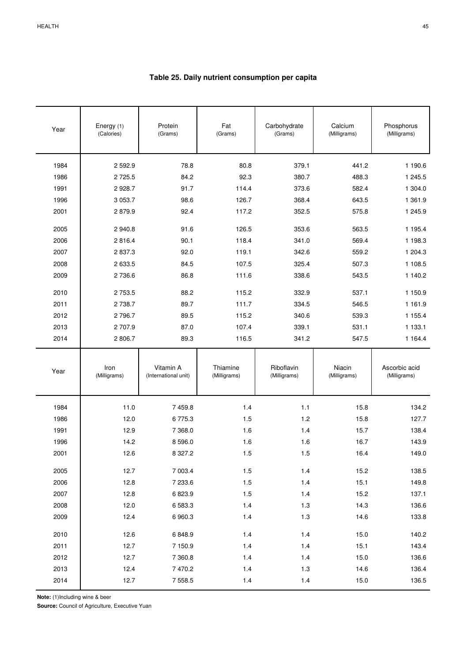| Year         | Energy (1)<br>(Calories) | Protein<br>(Grams)                | Fat<br>(Grams)           | Carbohydrate<br>(Grams)    | Calcium<br>(Milligrams) | Phosphorus<br>(Milligrams)    |
|--------------|--------------------------|-----------------------------------|--------------------------|----------------------------|-------------------------|-------------------------------|
| 1984         | 2 5 9 2.9                | 78.8                              | 80.8                     | 379.1                      | 441.2                   | 1 190.6                       |
| 1986         | 2 7 2 5 .5               | 84.2                              | 92.3                     | 380.7                      | 488.3                   | 1 245.5                       |
| 1991         | 2 9 28.7                 | 91.7                              | 114.4                    | 373.6                      | 582.4                   | 1 304.0                       |
| 1996         | 3 0 5 3.7                | 98.6                              | 126.7                    | 368.4                      | 643.5                   | 1 361.9                       |
| 2001         | 2879.9                   | 92.4                              | 117.2                    | 352.5                      | 575.8                   | 1 245.9                       |
| 2005         | 2 940.8                  | 91.6                              | 126.5                    | 353.6                      | 563.5                   | 1 195.4                       |
| 2006         | 2816.4                   | 90.1                              | 118.4                    | 341.0                      | 569.4                   | 1 198.3                       |
| 2007         | 2 837.3                  | 92.0                              | 119.1                    | 342.6                      | 559.2                   | 1 204.3                       |
| 2008         | 2 633.5                  | 84.5                              | 107.5                    | 325.4                      | 507.3                   | 1 108.5                       |
| 2009         | 2 7 3 6.6                | 86.8                              | 111.6                    | 338.6                      | 543.5                   | 1 140.2                       |
| 2010         | 2 7 5 3.5                | 88.2                              | 115.2                    | 332.9                      | 537.1                   | 1 150.9                       |
| 2011         | 2 7 3 8.7                | 89.7                              | 111.7                    | 334.5                      | 546.5                   | 1 1 6 1 .9                    |
| 2012         | 2 7 9 6.7                | 89.5                              | 115.2                    | 340.6                      | 539.3                   | 1 1 5 5.4                     |
| 2013         | 2 707.9                  | 87.0                              | 107.4                    | 339.1                      | 531.1                   | 1 1 3 3.1                     |
| 2014         | 2 806.7                  | 89.3                              |                          |                            |                         |                               |
|              |                          |                                   | 116.5                    | 341.2                      | 547.5                   | 1 1 64.4                      |
| Year         | Iron<br>(Milligrams)     | Vitamin A<br>(International unit) | Thiamine<br>(Milligrams) | Riboflavin<br>(Milligrams) | Niacin<br>(Milligrams)  | Ascorbic acid<br>(Milligrams) |
|              | 11.0                     | 7 459.8                           | 1.4                      | 1.1                        | 15.8                    | 134.2                         |
| 1984<br>1986 | 12.0                     | 6775.3                            | 1.5                      | 1.2                        | 15.8                    | 127.7                         |
| 1991         | 12.9                     | 7 368.0                           | 1.6                      | 1.4                        | 15.7                    | 138.4                         |
| 1996         | 14.2                     | 8 5 9 6.0                         | 1.6                      | 1.6                        | 16.7                    | 143.9                         |
| 2001         | 12.6                     | 8 3 27.2                          | 1.5                      | 1.5                        | 16.4                    | 149.0                         |
| 2005         | 12.7                     | 7 003.4                           | $1.5\,$                  | 1.4                        | 15.2                    | 138.5                         |
| 2006         | 12.8                     | 7 233.6                           | $1.5$                    | $1.4$                      | 15.1                    | 149.8                         |
| 2007         | 12.8                     | 6823.9                            | $1.5$                    | 1.4                        | 15.2                    | 137.1                         |
| 2008         | 12.0                     | 6 5 8 3.3                         | $1.4$                    | $1.3$                      | 14.3                    | 136.6                         |
| 2009         | 12.4                     | 6 960.3                           | 1.4                      | $1.3$                      | 14.6                    | 133.8                         |
| 2010         | 12.6                     | 6 8 4 8.9                         | $1.4$                    | $1.4$                      | 15.0                    | 140.2                         |
| 2011         | 12.7                     | 7 150.9                           | 1.4                      | 1.4                        | 15.1                    | 143.4                         |
| 2012         | 12.7                     | 7 360.8                           | $1.4$                    | $1.4$                      | 15.0                    | 136.6                         |

2014 12.7 7 558.5 1.4 1.4 15.0 136.5

#### **Table 25. Daily nutrient consumption per capita**

**Note:** (1)Including wine & beer

**Source:** Council of Agriculture, Executive Yuan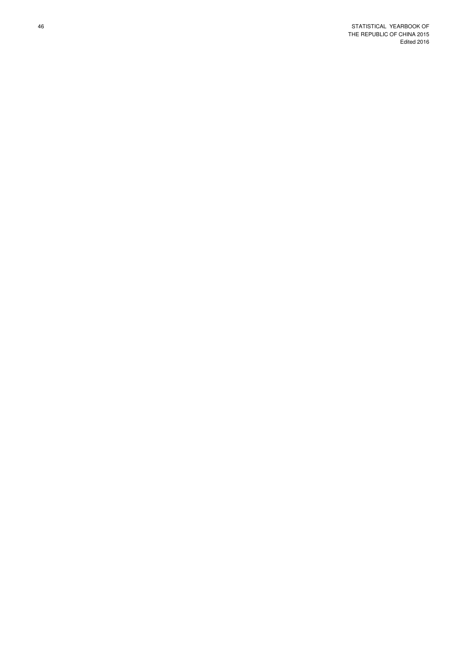46 STATISTICAL YEARBOOK OF THE REPUBLIC OF CHINA 2015 Edited 2016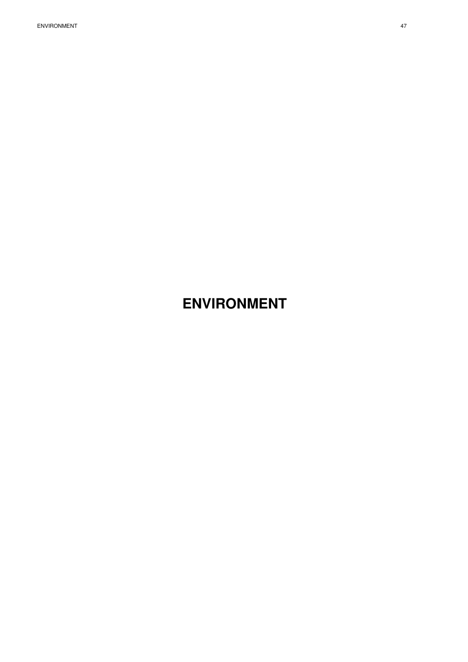ENVIRONMENT 47

## **ENVIRONMENT**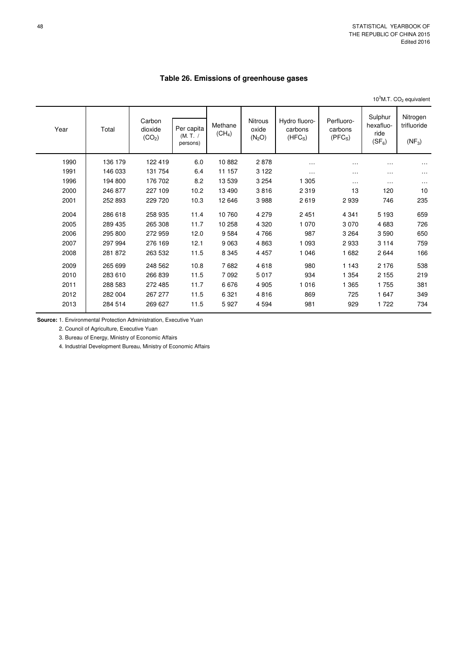#### **Table 26. Emissions of greenhouse gases**

|      |         |                                         |                                    |                               |                              |                                                 |                                              |                                          | $103M.T. CO2$ equivalent            |
|------|---------|-----------------------------------------|------------------------------------|-------------------------------|------------------------------|-------------------------------------------------|----------------------------------------------|------------------------------------------|-------------------------------------|
| Year | Total   | Carbon<br>dioxide<br>(CO <sub>2</sub> ) | Per capita<br>(M. T. /<br>persons) | Methane<br>(CH <sub>4</sub> ) | Nitrous<br>oxide<br>$(N_2O)$ | Hydro fluoro-<br>carbons<br>(HEC <sub>S</sub> ) | Perfluoro-<br>carbons<br>(PEC <sub>S</sub> ) | Sulphur<br>hexafluo-<br>ride<br>$(SF_6)$ | Nitrogen<br>trifluoride<br>$(NF_3)$ |
| 1990 | 136 179 | 122 419                                 | 6.0                                | 10882                         | 2878                         | $\cdots$                                        | .                                            | $\cdots$                                 | .                                   |
| 1991 | 146 033 | 131 754                                 | 6.4                                | 11 157                        | 3 1 2 2                      | $\cdots$                                        | $\cdots$                                     | $\cdots$                                 | .                                   |
| 1996 | 194 800 | 176 702                                 | 8.2                                | 13 539                        | 3 2 5 4                      | 1 3 0 5                                         | $\cdots$                                     | $\cdots$                                 | .                                   |
| 2000 | 246 877 | 227 109                                 | 10.2                               | 13 490                        | 3816                         | 2 3 1 9                                         | 13                                           | 120                                      | 10                                  |
| 2001 | 252 893 | 229 720                                 | 10.3                               | 12 646                        | 3988                         | 2619                                            | 2939                                         | 746                                      | 235                                 |
| 2004 | 286 618 | 258 935                                 | 11.4                               | 10 760                        | 4 2 7 9                      | 2 4 5 1                                         | 4 3 4 1                                      | 5 1 9 3                                  | 659                                 |
| 2005 | 289 435 | 265 308                                 | 11.7                               | 10 258                        | 4 3 2 0                      | 1 0 7 0                                         | 3 0 7 0                                      | 4 6 8 3                                  | 726                                 |
| 2006 | 295 800 | 272 959                                 | 12.0                               | 9584                          | 4766                         | 987                                             | 3 2 6 4                                      | 3590                                     | 650                                 |
| 2007 | 297 994 | 276 169                                 | 12.1                               | 9 0 63                        | 4 8 6 3                      | 1 0 9 3                                         | 2933                                         | 3 1 1 4                                  | 759                                 |
| 2008 | 281 872 | 263 532                                 | 11.5                               | 8 3 4 5                       | 4 4 5 7                      | 1 0 4 6                                         | 1 682                                        | 2644                                     | 166                                 |
| 2009 | 265 699 | 248 562                                 | 10.8                               | 7682                          | 4618                         | 980                                             | 1 1 4 3                                      | 2 1 7 6                                  | 538                                 |
| 2010 | 283 610 | 266 839                                 | 11.5                               | 7 0 9 2                       | 5017                         | 934                                             | 1 3 5 4                                      | 2 1 5 5                                  | 219                                 |
| 2011 | 288 583 | 272 485                                 | 11.7                               | 6676                          | 4 9 0 5                      | 1016                                            | 1 365                                        | 1755                                     | 381                                 |
| 2012 | 282 004 | 267 277                                 | 11.5                               | 6 3 21                        | 4816                         | 869                                             | 725                                          | 1 647                                    | 349                                 |
| 2013 | 284 514 | 269 627                                 | 11.5                               | 5927                          | 4 5 9 4                      | 981                                             | 929                                          | 1722                                     | 734                                 |

**Source:** 1. Environmental Protection Administration, Executive Yuan

2. Council of Agriculture, Executive Yuan

3. Bureau of Energy, Ministry of Economic Affairs

4. Industrial Development Bureau, Ministry of Economic Affairs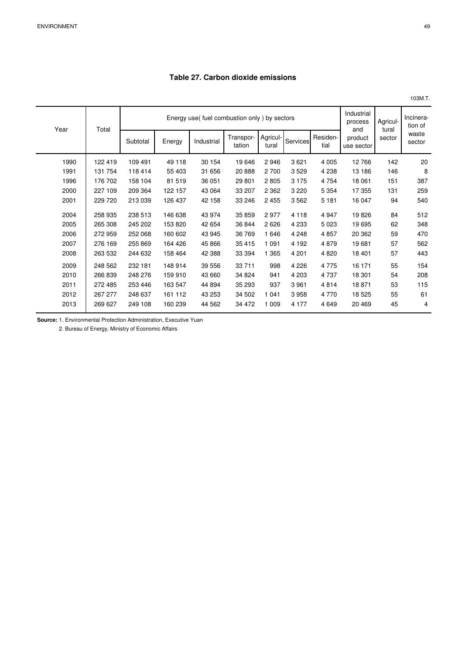#### **Table 27. Carbon dioxide emissions**

1990 1991 1996 2000 2001 2004 2005 2006 2007 2008 2009 2010 2011 2012 2013 269 627 265 308 276 169 248 562 272 485 4 649 20 469 45 4 55 18 525 61 160 239 249 108 44 562 34 472 1 009 4 177 248 637 267 277 161 112 43 253 1 041 34 502 3 958 4 770 18 871 4 814 53 115 54 18 301 208 163 547 253 446 44 894 35 293 937 3 961 248 276 266 839 159 910 43 660 941 34 824 4 203 4 737 4 775 16 171 55 154 57 18 401 443 148 914 232 181 39 556 33 711 998 4 226 263 532 244 632 158 464 42 388 33 394 1 365 4 201 4 820 19 681 4 879 57 562 59 20 362 470 164 426 255 869 45 866 35 415 1 091 4 192 252 068 272 959 160 602 43 945 1 646 36 769 4 248 4 857 19 695 5 023 62 348 84 19 826 512 153 820 245 202 42 654 36 844 2 626 4 233 238 513 258 935 146 638 43 974 2 977 35 859 4 118 4 947 213 039 229 720 126 437 42 158 2 455 33 246 3 562 5 181 94 16 047 540 17 355 5 354 131 259 151 18 061 387 209 364 227 109 122 157 43 064 33 207 2 362 3 220 158 104 176 702 81 519 36 051 2 805 29 801 3 175 4 754 13 186 4 238 146 8 12 766 142 20 118 414 131 754 55 403 31 656 20 888 2 700 3 529 109 491 122 419 49 118 30 154 2 946 19 646 3 621 4 005 Residential Energy use( fuel combustion only ) by sectors Total Subtotal Energy Year Transportation Incineration of waste sector Agricultural Industrial Transpor- Agricul-<br>Services Resident- product sector Industrial process and product use sector Agricultural Services

**Source:** 1. Environmental Protection Administration, Executive Yuan

2. Bureau of Energy, Ministry of Economic Affairs

103M.T.

49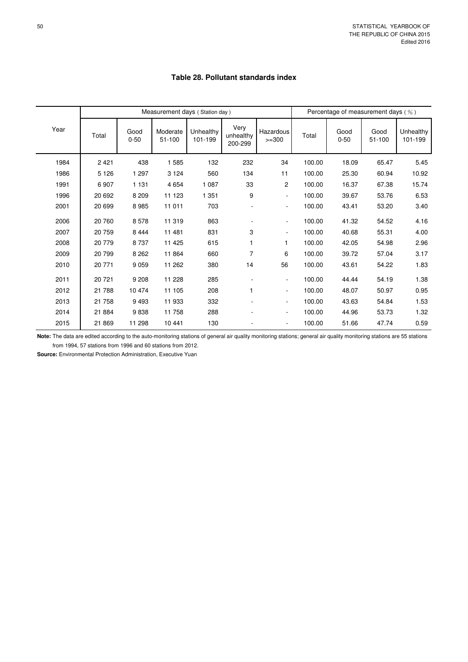#### **Table 28. Pollutant standards index**

|      |         |                  |                      | Measurement days (Station day) |                              |                          |        | Percentage of measurement days $(%)$ |                    |                      |
|------|---------|------------------|----------------------|--------------------------------|------------------------------|--------------------------|--------|--------------------------------------|--------------------|----------------------|
| Year | Total   | Good<br>$0 - 50$ | Moderate<br>$51-100$ | Unhealthy<br>101-199           | Very<br>unhealthy<br>200-299 | Hazardous<br>$>=300$     | Total  | Good<br>$0 - 50$                     | Good<br>$51 - 100$ | Unhealthy<br>101-199 |
| 1984 | 2 4 2 1 | 438              | 1 5 8 5              | 132                            | 232                          | 34                       | 100.00 | 18.09                                | 65.47              | 5.45                 |
| 1986 | 5 1 2 6 | 1 2 9 7          | 3 1 2 4              | 560                            | 134                          | 11                       | 100.00 | 25.30                                | 60.94              | 10.92                |
| 1991 | 6907    | 1 1 3 1          | 4 6 5 4              | 1 0 8 7                        | 33                           | 2                        | 100.00 | 16.37                                | 67.38              | 15.74                |
| 1996 | 20 692  | 8 2 0 9          | 11 123               | 1 351                          | 9                            | $\overline{\phantom{a}}$ | 100.00 | 39.67                                | 53.76              | 6.53                 |
| 2001 | 20 699  | 8985             | 11 011               | 703                            |                              | $\overline{\phantom{a}}$ | 100.00 | 43.41                                | 53.20              | 3.40                 |
| 2006 | 20 760  | 8578             | 11 319               | 863                            |                              | $\blacksquare$           | 100.00 | 41.32                                | 54.52              | 4.16                 |
| 2007 | 20 759  | 8444             | 11 481               | 831                            | 3                            | $\overline{\phantom{a}}$ | 100.00 | 40.68                                | 55.31              | 4.00                 |
| 2008 | 20 779  | 8737             | 11 4 25              | 615                            |                              | 1                        | 100.00 | 42.05                                | 54.98              | 2.96                 |
| 2009 | 20 799  | 8 2 6 2          | 11 864               | 660                            | 7                            | 6                        | 100.00 | 39.72                                | 57.04              | 3.17                 |
| 2010 | 20 771  | 9 0 5 9          | 11 262               | 380                            | 14                           | 56                       | 100.00 | 43.61                                | 54.22              | 1.83                 |
| 2011 | 20 721  | 9 2 0 8          | 11 228               | 285                            |                              | $\blacksquare$           | 100.00 | 44.44                                | 54.19              | 1.38                 |
| 2012 | 21 788  | 10 474           | 11 105               | 208                            | $\overline{1}$               | $\sim$                   | 100.00 | 48.07                                | 50.97              | 0.95                 |
| 2013 | 21 758  | 9493             | 11 933               | 332                            |                              | $\overline{\phantom{a}}$ | 100.00 | 43.63                                | 54.84              | 1.53                 |
| 2014 | 21 884  | 9838             | 11 758               | 288                            |                              | $\overline{\phantom{a}}$ | 100.00 | 44.96                                | 53.73              | 1.32                 |
| 2015 | 21 869  | 11 298           | 10 441               | 130                            |                              | $\overline{a}$           | 100.00 | 51.66                                | 47.74              | 0.59                 |

Note: The data are edited according to the auto-monitoring stations of general air quality monitoring station are to attions are 55 stations are 55 stations from 1994, 57 stations from 1996 and 60 stations from 2012.

**Source:** Environmental Protection Administration, Executive Yuan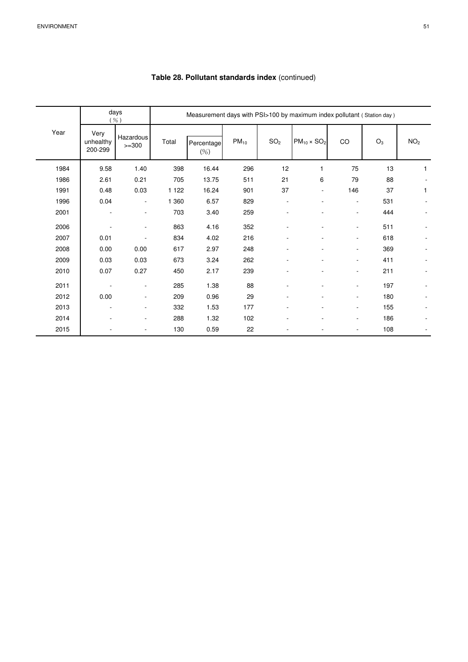|      |                              | days<br>( %)             |         | Measurement days with PSI>100 by maximum index pollutant (Station day) |           |                 |                          |                          |       |                 |
|------|------------------------------|--------------------------|---------|------------------------------------------------------------------------|-----------|-----------------|--------------------------|--------------------------|-------|-----------------|
| Year | Very<br>unhealthy<br>200-299 | Hazardous<br>$>=300$     | Total   | Percentage<br>(%)                                                      | $PM_{10}$ | SO <sub>2</sub> | $PM_{10} \times SO_2$    | CO                       | $O_3$ | NO <sub>2</sub> |
| 1984 | 9.58                         | 1.40                     | 398     | 16.44                                                                  | 296       | 12              | 1                        | 75                       | 13    | 1               |
| 1986 | 2.61                         | 0.21                     | 705     | 13.75                                                                  | 511       | 21              | 6                        | 79                       | 88    |                 |
| 1991 | 0.48                         | 0.03                     | 1 1 2 2 | 16.24                                                                  | 901       | 37              | $\overline{\phantom{a}}$ | 146                      | 37    | 1               |
| 1996 | 0.04                         | ٠                        | 1 3 6 0 | 6.57                                                                   | 829       |                 |                          | ٠                        | 531   |                 |
| 2001 |                              | $\blacksquare$           | 703     | 3.40                                                                   | 259       |                 |                          | ٠                        | 444   |                 |
| 2006 |                              | $\overline{\phantom{a}}$ | 863     | 4.16                                                                   | 352       |                 |                          | ۰                        | 511   |                 |
| 2007 | 0.01                         |                          | 834     | 4.02                                                                   | 216       |                 |                          | $\blacksquare$           | 618   |                 |
| 2008 | 0.00                         | 0.00                     | 617     | 2.97                                                                   | 248       |                 |                          |                          | 369   |                 |
| 2009 | 0.03                         | 0.03                     | 673     | 3.24                                                                   | 262       |                 |                          |                          | 411   |                 |
| 2010 | 0.07                         | 0.27                     | 450     | 2.17                                                                   | 239       |                 |                          | ۰                        | 211   |                 |
| 2011 |                              |                          | 285     | 1.38                                                                   | 88        |                 |                          | ٠                        | 197   |                 |
| 2012 | 0.00                         | ٠                        | 209     | 0.96                                                                   | 29        |                 |                          | $\blacksquare$           | 180   |                 |
| 2013 |                              |                          | 332     | 1.53                                                                   | 177       |                 |                          | $\blacksquare$           | 155   |                 |
| 2014 |                              |                          | 288     | 1.32                                                                   | 102       |                 |                          |                          | 186   |                 |
| 2015 |                              |                          | 130     | 0.59                                                                   | 22        |                 |                          | $\overline{\phantom{a}}$ | 108   |                 |

#### **Table 28. Pollutant standards index** (continued)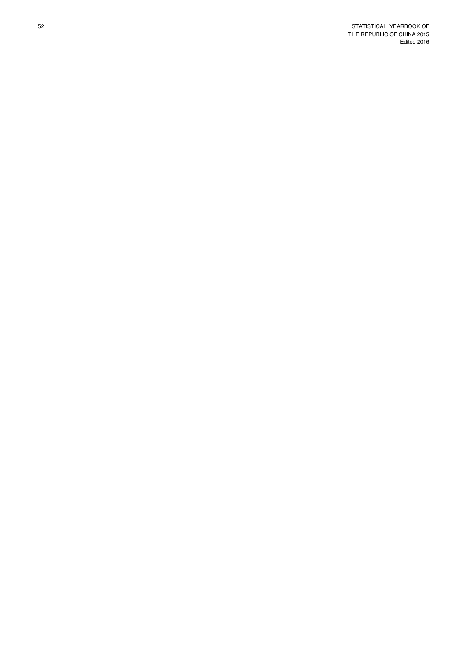52 STATISTICAL YEARBOOK OF THE REPUBLIC OF CHINA 2015 Edited 2016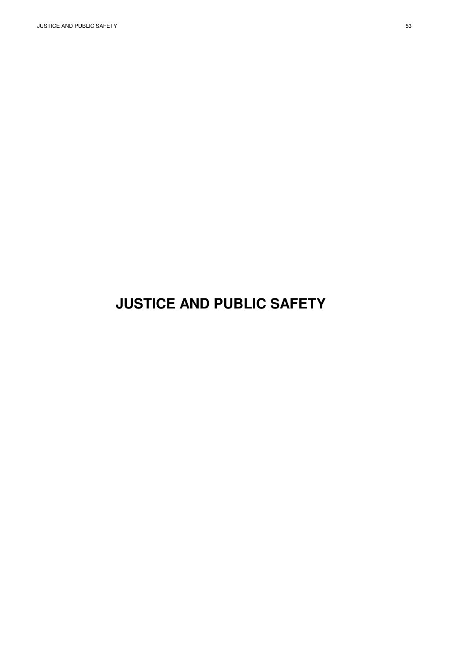# **JUSTICE AND PUBLIC SAFETY**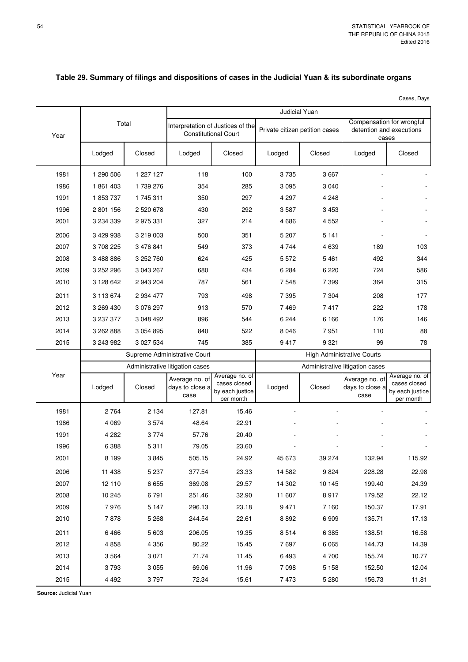Cases, Days

#### **Table 29. Summary of filings and dispositions of cases in the Judicial Yuan & its subordinate organs**

**Source:** Judicial Yuan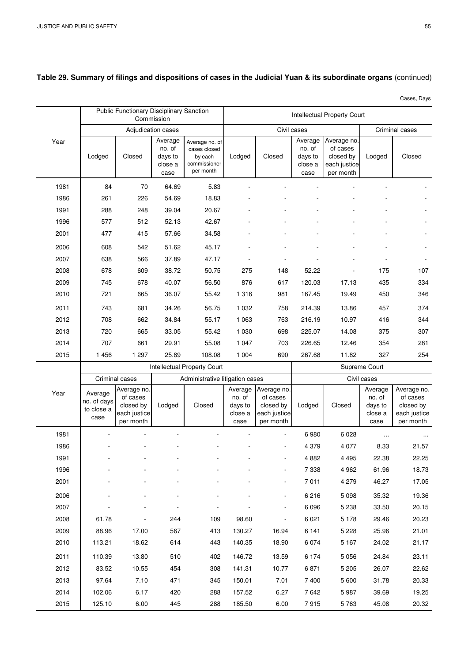### **Table 29. Summary of filings and dispositions of cases in the Judicial Yuan & its subordinate organs** (continued)

Cases, Days

|      |         | <b>Public Functionary Disciplinary Sanction</b> | Commission                                      |                                                                        | <b>Intellectual Property Court</b> |             |                                                 |                                                                   |               |                |
|------|---------|-------------------------------------------------|-------------------------------------------------|------------------------------------------------------------------------|------------------------------------|-------------|-------------------------------------------------|-------------------------------------------------------------------|---------------|----------------|
|      |         |                                                 | Adjudication cases                              |                                                                        |                                    | Civil cases |                                                 |                                                                   |               | Criminal cases |
| Year | Lodged  | Closed                                          | Average<br>no. of<br>days to<br>close a<br>case | Average no. of<br>cases closed<br>by each<br>commissioner<br>per month | Lodged                             | Closed      | Average<br>no. of<br>days to<br>close a<br>case | Average no.<br>of cases<br>closed by<br>each justice<br>per month | Lodged        | Closed         |
| 1981 | 84      | 70                                              | 64.69                                           | 5.83                                                                   |                                    |             |                                                 |                                                                   |               |                |
| 1986 | 261     | 226                                             | 54.69                                           | 18.83                                                                  |                                    |             |                                                 |                                                                   |               |                |
| 1991 | 288     | 248                                             | 39.04                                           | 20.67                                                                  |                                    |             |                                                 |                                                                   |               |                |
| 1996 | 577     | 512                                             | 52.13                                           | 42.67                                                                  |                                    |             |                                                 |                                                                   |               |                |
| 2001 | 477     | 415                                             | 57.66                                           | 34.58                                                                  |                                    |             |                                                 |                                                                   |               |                |
| 2006 | 608     | 542                                             | 51.62                                           | 45.17                                                                  |                                    |             |                                                 |                                                                   |               |                |
| 2007 | 638     | 566                                             | 37.89                                           | 47.17                                                                  |                                    |             |                                                 |                                                                   |               |                |
| 2008 | 678     | 609                                             | 38.72                                           | 50.75                                                                  | 275                                | 148         | 52.22                                           |                                                                   | 175           | 107            |
| 2009 | 745     | 678                                             | 40.07                                           | 56.50                                                                  | 876                                | 617         | 120.03                                          | 17.13                                                             | 435           | 334            |
| 2010 | 721     | 665                                             | 36.07                                           | 55.42                                                                  | 1 3 1 6                            | 981         | 167.45                                          | 19.49                                                             | 450           | 346            |
| 2011 | 743     | 681                                             | 34.26                                           | 56.75                                                                  | 1 0 3 2                            | 758         | 214.39                                          | 13.86                                                             | 457           | 374            |
| 2012 | 708     | 662                                             | 34.84                                           | 55.17                                                                  | 1 0 6 3                            | 763         | 216.19                                          | 10.97                                                             | 416           | 344            |
| 2013 | 720     | 665                                             | 33.05                                           | 55.42                                                                  | 1 0 3 0                            | 698         | 225.07                                          | 14.08                                                             | 375           | 307            |
| 2014 | 707     | 661                                             | 29.91                                           | 55.08                                                                  | 1 0 4 7                            | 703         | 226.65                                          | 12.46                                                             | 354           | 281            |
| 2015 | 1 4 5 6 | 1 2 9 7                                         | 25.89                                           | 108.08                                                                 | 1 0 0 4                            | 690         | 267.68                                          | 11.82                                                             | 327           | 254            |
|      |         |                                                 |                                                 | <b>Intellectual Property Court</b>                                     |                                    |             |                                                 |                                                                   | Supreme Court |                |

|      |                                              |                                                                   |        | <b>INCREDITION I</b> TUPCITY OUTH |                                      | <b>OUNIGHTO ODDIT</b>                                                     |             |         |                                                 |                                                                   |  |
|------|----------------------------------------------|-------------------------------------------------------------------|--------|-----------------------------------|--------------------------------------|---------------------------------------------------------------------------|-------------|---------|-------------------------------------------------|-------------------------------------------------------------------|--|
|      |                                              | Criminal cases                                                    |        | Administrative litigation cases   |                                      |                                                                           | Civil cases |         |                                                 |                                                                   |  |
| Year | Average<br>no. of days<br>to close a<br>case | Average no.<br>of cases<br>closed by<br>each justice<br>per month | Lodged | Closed                            | no. of<br>days to<br>close a<br>case | Average Average no.<br>of cases<br>closed by<br>each justice<br>per month | Lodged      | Closed  | Average<br>no. of<br>days to<br>close a<br>case | Average no.<br>of cases<br>closed by<br>each justice<br>per month |  |
| 1981 |                                              |                                                                   |        |                                   |                                      |                                                                           | 6980        | 6 0 28  | $\cdots$                                        | $\cdots$                                                          |  |
| 1986 |                                              |                                                                   |        |                                   |                                      | ۰                                                                         | 4 3 7 9     | 4 0 7 7 | 8.33                                            | 21.57                                                             |  |
| 1991 |                                              |                                                                   |        |                                   |                                      | ٠                                                                         | 4 8 8 2     | 4 4 9 5 | 22.38                                           | 22.25                                                             |  |
| 1996 |                                              |                                                                   |        |                                   |                                      | ٠                                                                         | 7 3 3 8     | 4 9 6 2 | 61.96                                           | 18.73                                                             |  |
| 2001 |                                              |                                                                   |        |                                   |                                      | $\overline{\phantom{a}}$                                                  | 7011        | 4 2 7 9 | 46.27                                           | 17.05                                                             |  |
| 2006 |                                              |                                                                   |        |                                   |                                      | $\overline{\phantom{0}}$                                                  | 6216        | 5 0 9 8 | 35.32                                           | 19.36                                                             |  |
| 2007 |                                              |                                                                   |        |                                   |                                      | $\overline{\phantom{a}}$                                                  | 6 0 9 6     | 5 2 3 8 | 33.50                                           | 20.15                                                             |  |
| 2008 | 61.78                                        |                                                                   | 244    | 109                               | 98.60                                | ٠                                                                         | 6 0 21      | 5 1 7 8 | 29.46                                           | 20.23                                                             |  |
| 2009 | 88.96                                        | 17.00                                                             | 567    | 413                               | 130.27                               | 16.94                                                                     | 6 1 4 1     | 5 2 2 8 | 25.96                                           | 21.01                                                             |  |
| 2010 | 113.21                                       | 18.62                                                             | 614    | 443                               | 140.35                               | 18.90                                                                     | 6 0 7 4     | 5 1 6 7 | 24.02                                           | 21.17                                                             |  |
| 2011 | 110.39                                       | 13.80                                                             | 510    | 402                               | 146.72                               | 13.59                                                                     | 6 1 7 4     | 5 0 5 6 | 24.84                                           | 23.11                                                             |  |
| 2012 | 83.52                                        | 10.55                                                             | 454    | 308                               | 141.31                               | 10.77                                                                     | 6871        | 5 2 0 5 | 26.07                                           | 22.62                                                             |  |
| 2013 | 97.64                                        | 7.10                                                              | 471    | 345                               | 150.01                               | 7.01                                                                      | 7 4 0 0     | 5 600   | 31.78                                           | 20.33                                                             |  |
| 2014 | 102.06                                       | 6.17                                                              | 420    | 288                               | 157.52                               | 6.27                                                                      | 7642        | 5987    | 39.69                                           | 19.25                                                             |  |
| 2015 | 125.10                                       | 6.00                                                              | 445    | 288                               | 185.50                               | 6.00                                                                      | 7915        | 5763    | 45.08                                           | 20.32                                                             |  |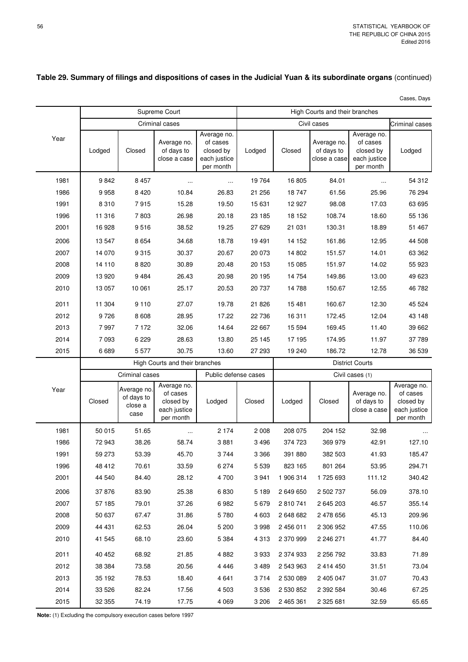#### **Table 29. Summary of filings and dispositions of cases in the Judicial Yuan & its subordinate organs** (continued)

Cases, Days

|      |         |                                              | Supreme Court                                                     |                                                                   | High Courts and their branches |           |                                           |                                                                   |                                                                   |  |
|------|---------|----------------------------------------------|-------------------------------------------------------------------|-------------------------------------------------------------------|--------------------------------|-----------|-------------------------------------------|-------------------------------------------------------------------|-------------------------------------------------------------------|--|
|      |         |                                              | Criminal cases                                                    |                                                                   |                                |           | Civil cases                               |                                                                   | Criminal cases                                                    |  |
| Year | Lodged  | Closed                                       | Average no.<br>of days to<br>close a case                         | Average no.<br>of cases<br>closed by<br>each justice<br>per month | Lodged                         | Closed    | Average no.<br>of days to<br>close a case | Average no.<br>of cases<br>closed by<br>each justice<br>per month | Lodged                                                            |  |
| 1981 | 9842    | 8 4 5 7                                      | $\ddotsc$                                                         | $\cdots$                                                          | 19764                          | 16 805    | 84.01                                     | $\ddots$                                                          | 54 312                                                            |  |
| 1986 | 9958    | 8420                                         | 10.84                                                             | 26.83                                                             | 21 25 6                        | 18747     | 61.56                                     | 25.96                                                             | 76 294                                                            |  |
| 1991 | 8 3 1 0 | 7915                                         | 15.28                                                             | 19.50                                                             | 15 631                         | 12 927    | 98.08                                     | 17.03                                                             | 63 695                                                            |  |
| 1996 | 11 316  | 7803                                         | 26.98                                                             | 20.18                                                             | 23 185                         | 18 152    | 108.74                                    | 18.60                                                             | 55 136                                                            |  |
| 2001 | 16 928  | 9516                                         | 38.52                                                             | 19.25                                                             | 27 629                         | 21 031    | 130.31                                    | 18.89                                                             | 51 467                                                            |  |
| 2006 | 13 547  | 8654                                         | 34.68                                                             | 18.78                                                             | 19 4 91                        | 14 152    | 161.86                                    | 12.95                                                             | 44 508                                                            |  |
| 2007 | 14 070  | 9315                                         | 30.37                                                             | 20.67                                                             | 20 073                         | 14 802    | 151.57                                    | 14.01                                                             | 63 362                                                            |  |
| 2008 | 14 110  | 8820                                         | 30.89                                                             | 20.48                                                             | 20 153                         | 15 085    | 151.97                                    | 14.02                                                             | 55 923                                                            |  |
| 2009 | 13 9 20 | 9484                                         | 26.43                                                             | 20.98                                                             | 20 195                         | 14 754    | 149.86                                    | 13.00                                                             | 49 623                                                            |  |
| 2010 | 13 057  | 10 061                                       | 25.17                                                             | 20.53                                                             | 20 737                         | 14 788    | 150.67                                    | 12.55                                                             | 46 782                                                            |  |
| 2011 | 11 304  | 9 1 1 0                                      | 27.07                                                             | 19.78                                                             | 21 8 26                        | 15 4 81   | 160.67                                    | 12.30                                                             | 45 5 24                                                           |  |
| 2012 | 9726    | 8 6 0 8                                      | 28.95                                                             | 17.22                                                             | 22 736                         | 16 311    | 172.45                                    | 12.04                                                             | 43 148                                                            |  |
| 2013 | 7997    | 7 1 7 2                                      | 32.06                                                             | 14.64                                                             | 22 667                         | 15 5 94   | 169.45                                    | 11.40                                                             | 39 662                                                            |  |
| 2014 | 7 0 9 3 | 6 2 2 9                                      | 28.63                                                             | 13.80                                                             | 25 145                         | 17 195    | 174.95                                    | 11.97                                                             | 37 789                                                            |  |
| 2015 | 6689    | 5577                                         | 30.75                                                             | 13.60                                                             | 27 293                         | 19 240    | 186.72                                    | 12.78                                                             | 36 539                                                            |  |
|      |         |                                              | High Courts and their branches                                    |                                                                   |                                |           |                                           | <b>District Courts</b>                                            |                                                                   |  |
|      |         | Criminal cases                               |                                                                   | Public defense cases                                              |                                |           |                                           | Civil cases (1)                                                   |                                                                   |  |
| Year | Closed  | Average no.<br>of days to<br>close a<br>case | Average no.<br>of cases<br>closed by<br>each justice<br>per month | Lodged                                                            | Closed                         | Lodged    | Closed                                    | Average no.<br>of days to<br>close a case                         | Average no.<br>of cases<br>closed by<br>each justice<br>per month |  |
| 1981 | 50 015  | 51.65                                        | $\cdots$                                                          | 2 1 7 4                                                           | 2 0 0 8                        | 208 075   | 204 152                                   | 32.98                                                             | $\cdots$                                                          |  |
| 1986 | 72 943  | 38.26                                        | 58.74                                                             | 3881                                                              | 3496                           | 374 723   | 369 979                                   | 42.91                                                             | 127.10                                                            |  |
| 1991 | 59 273  | 53.39                                        | 45.70                                                             | 3744                                                              | 3 3 6 6                        | 391 880   | 382 503                                   | 41.93                                                             | 185.47                                                            |  |
| 1996 | 48 412  | 70.61                                        | 33.59                                                             | 6 2 7 4                                                           | 5 5 3 9                        | 823 165   | 801 264                                   | 53.95                                                             | 294.71                                                            |  |
| 2001 | 44 540  | 84.40                                        | 28.12                                                             | 4700                                                              | 3941                           | 1 906 314 | 1725 693                                  | 111.12                                                            | 340.42                                                            |  |
| 2006 | 37876   | 83.90                                        | 25.38                                                             | 6830                                                              | 5 1 8 9                        | 2 649 650 | 2 502 737                                 | 56.09                                                             | 378.10                                                            |  |
| 2007 | 57 185  |                                              |                                                                   |                                                                   |                                |           |                                           |                                                                   |                                                                   |  |
| 2008 |         | 79.01                                        | 37.26                                                             | 6982                                                              | 5679                           | 2810741   | 2 645 203                                 | 46.57                                                             | 355.14                                                            |  |
|      | 50 637  | 67.47                                        | 31.86                                                             | 5780                                                              | 4 603                          | 2 648 682 | 2 478 656                                 | 45.13                                                             | 209.96                                                            |  |
| 2009 | 44 431  | 62.53                                        | 26.04                                                             | 5 200                                                             | 3998                           | 2 456 011 | 2 306 952                                 | 47.55                                                             | 110.06                                                            |  |
| 2010 | 41 545  | 68.10                                        | 23.60                                                             | 5 3 8 4                                                           | 4 3 1 3                        | 2 370 999 | 2 246 271                                 | 41.77                                                             | 84.40                                                             |  |
| 2011 | 40 452  | 68.92                                        | 21.85                                                             | 4882                                                              | 3933                           | 2 374 933 | 2 256 792                                 | 33.83                                                             | 71.89                                                             |  |
| 2012 | 38 384  | 73.58                                        | 20.56                                                             | 4 4 4 6                                                           | 3 4 8 9                        | 2 543 963 | 2 414 450                                 | 31.51                                                             | 73.04                                                             |  |
| 2013 | 35 192  | 78.53                                        | 18.40                                                             | 4641                                                              | 3714                           | 2 530 089 | 2 405 047                                 | 31.07                                                             | 70.43                                                             |  |
| 2014 | 33 526  | 82.24                                        | 17.56                                                             | 4 5 0 3                                                           | 3536                           | 2 530 852 | 2 392 584                                 | 30.46                                                             | 67.25                                                             |  |

**Note:** (1) Excluding the compulsory execution cases before 1997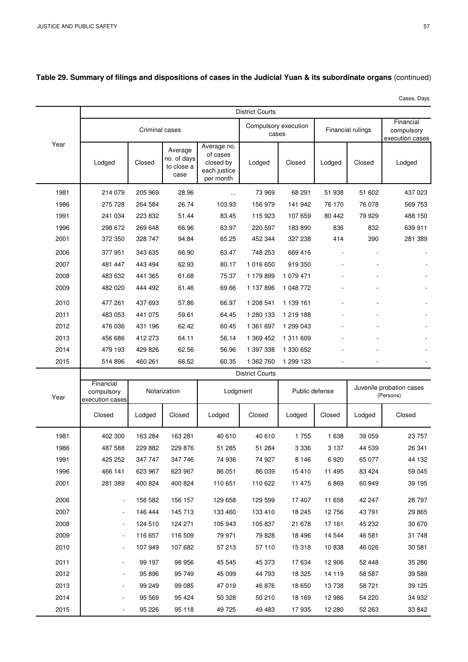### **Table 29. Summary of filings and dispositions of cases in the Judicial Yuan & its subordinate organs** (continued)

Cases, Days

|      |                                            |                |                                              |                                                                   | <b>District Courts</b>        |                |                   |         |                                            |
|------|--------------------------------------------|----------------|----------------------------------------------|-------------------------------------------------------------------|-------------------------------|----------------|-------------------|---------|--------------------------------------------|
|      |                                            | Criminal cases |                                              |                                                                   | Compulsory execution<br>cases |                | Financial rulings |         | Financial<br>compulsory<br>execution cases |
| Year | Lodged                                     | Closed         | Average<br>no. of days<br>to close a<br>case | Average no.<br>of cases<br>closed by<br>each justice<br>per month | Lodged                        | Closed         | Lodged            | Closed  | Lodged                                     |
| 1981 | 214 079                                    | 205 969        | 28.96                                        | $\cdots$                                                          | 73 969                        | 68 291         | 51 938            | 51 602  | 437 023                                    |
| 1986 | 275 728                                    | 264 584        | 26.74                                        | 103.93                                                            | 156 979                       | 141 942        | 76 170            | 76 078  | 569 753                                    |
| 1991 | 241 034                                    | 223 832        | 51.44                                        | 83.45                                                             | 115 923                       | 107 659        | 80 442            | 79 929  | 488 150                                    |
| 1996 | 298 672                                    | 269 648        | 66.96                                        | 63.97                                                             | 220 597                       | 183890         | 836               | 832     | 639 911                                    |
| 2001 | 372 350                                    | 328 747        | 94.84                                        | 65.25                                                             | 452 344                       | 327 238        | 414               | 390     | 281 389                                    |
| 2006 | 377951                                     | 343 635        | 66.90                                        | 63.47                                                             | 748 253                       | 669 416        |                   |         |                                            |
| 2007 | 481 447                                    | 443 494        | 62.93                                        | 80.17                                                             | 1 016 650                     | 919 350        |                   |         |                                            |
| 2008 | 483 632                                    | 441 365        | 61.68                                        | 75.37                                                             | 1 179 899                     | 1 079 471      |                   |         |                                            |
| 2009 | 482 020                                    | 444 492        | 61.46                                        | 69.66                                                             | 1 137 896                     | 1 048 772      |                   |         |                                            |
| 2010 | 477 261                                    | 437 693        | 57.86                                        | 66.97                                                             | 1 208 541                     | 1 139 161      |                   |         |                                            |
| 2011 | 483 053                                    | 441 075        | 59.61                                        | 64.45                                                             | 1 280 133                     | 1 219 188      |                   |         |                                            |
| 2012 | 476 036                                    | 431 196        | 62.42                                        | 60.45                                                             | 1 361 697                     | 1 299 043      |                   |         |                                            |
| 2013 | 456 686                                    | 412 273        | 64.11                                        | 56.14                                                             | 1 369 452                     | 1 311 609      |                   |         |                                            |
| 2014 | 479 193                                    | 429 826        | 62.56                                        | 56.96                                                             | 1 397 338                     | 1 330 652      |                   |         |                                            |
| 2015 | 514 896                                    | 460 261        | 66.52                                        | 60.35                                                             | 1 362 760                     | 1 299 1 23     |                   |         |                                            |
|      |                                            |                |                                              |                                                                   | <b>District Courts</b>        |                |                   |         |                                            |
| Year | Financial<br>compulsory<br>execution cases |                | Notarization                                 | Lodgment                                                          |                               | Public defense |                   |         | Juvenile probation cases<br>(Persons)      |
|      | Closed                                     | Lodged         | Closed                                       | Lodged                                                            | Closed                        | Lodged         | Closed            | Lodged  | Closed                                     |
| 1981 | 402 300                                    | 163 284        | 163 281                                      | 40 610                                                            | 40 610                        | 1 755          | 1 638             | 39 059  | 23 757                                     |
| 1986 | 487 588                                    | 229 882        | 229 876                                      | 51 285                                                            | 51 284                        | 3 3 3 6        | 3 1 3 7           | 44 539  | 26 341                                     |
| 1991 | 425 252                                    | 347 747        | 347 746                                      | 74 936                                                            | 74 927                        | 8 1 4 6        | 6920              | 65 077  | 44 132                                     |
| 1996 | 466 141                                    | 623 967        | 623 967                                      | 86 051                                                            | 86 039                        | 15410          | 11 495            | 83 4 24 | 59 045                                     |
| 2001 | 281 389                                    | 400 824        | 400 824                                      | 110 651                                                           | 110 622                       | 11 475         | 6869              | 60 949  | 39 195                                     |
| 2006 | $\overline{\phantom{a}}$                   | 156 582        | 156 157                                      | 129 658                                                           | 129 599                       | 17 407         | 11 658            | 42 247  | 28 797                                     |
| 2007 |                                            | 146 444        | 145 713                                      | 133 460                                                           | 133 410                       | 18 245         | 12 756            | 43 791  | 29 865                                     |
| 2008 | $\overline{\phantom{a}}$                   | 124 510        | 124 271                                      | 105 943                                                           | 105 837                       | 21 678         | 17 161            | 45 232  | 30 670                                     |
| 2009 |                                            | 116 657        | 116 509                                      | 79 971                                                            | 79 828                        | 18 4 96        | 14 544            | 46 581  | 31 748                                     |
| 2010 | $\overline{\phantom{a}}$                   | 107 949        | 107 682                                      | 57 213                                                            | 57 110                        | 15 318         | 10838             | 46 0 26 | 30 581                                     |
| 2011 | ۰                                          | 99 197         | 98 956                                       | 45 545                                                            | 45 373                        | 17634          | 12 906            | 52 448  | 35 286                                     |
| 2012 | ۰                                          | 95 896         | 95 749                                       | 45 099                                                            | 44 793                        | 18 3 25        | 14 119            | 58 587  | 39 589                                     |
| 2013 | $\frac{1}{2}$                              | 99 249         | 99 085                                       | 47019                                                             | 46 876                        | 18 650         | 13 738            | 58721   | 39 1 25                                    |
| 2014 | ۰                                          | 95 569         | 95 4 24                                      | 50 328                                                            | 50 210                        | 18 169         | 12 986            | 54 220  | 34 932                                     |
| 2015 | ٠                                          | 95 226         | 95 118                                       | 49 725                                                            | 49 483                        | 17935          | 12 280            | 52 263  | 33 842                                     |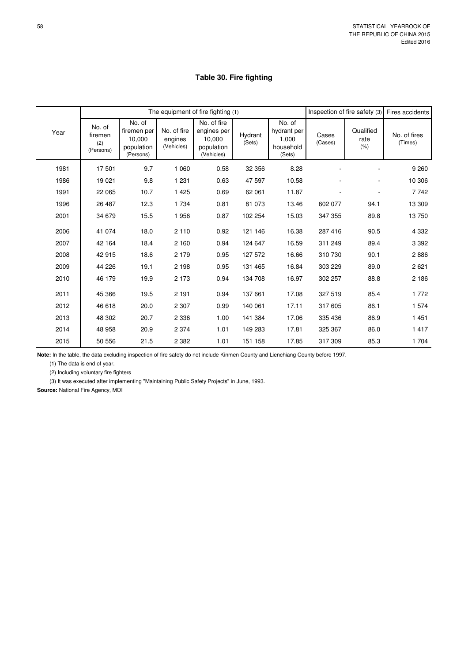#### **Table 30. Fire fighting**

|      |                                       |                                                            |                                      | The equipment of fire fighting (1)                               |                   | Inspection of fire safety (3)                         |                  | Fires accidents           |                         |
|------|---------------------------------------|------------------------------------------------------------|--------------------------------------|------------------------------------------------------------------|-------------------|-------------------------------------------------------|------------------|---------------------------|-------------------------|
| Year | No. of<br>firemen<br>(2)<br>(Persons) | No. of<br>firemen per<br>10.000<br>population<br>(Persons) | No. of fire<br>engines<br>(Vehicles) | No. of fire<br>engines per<br>10,000<br>population<br>(Vehicles) | Hydrant<br>(Sets) | No. of<br>hydrant per<br>1,000<br>household<br>(Sets) | Cases<br>(Cases) | Qualified<br>rate<br>(% ) | No. of fires<br>(Times) |
| 1981 | 17 501                                | 9.7                                                        | 1 0 6 0                              | 0.58                                                             | 32 356            | 8.28                                                  |                  |                           | 9 2 6 0                 |
| 1986 | 19 0 21                               | 9.8                                                        | 1 2 3 1                              | 0.63                                                             | 47 597            | 10.58                                                 |                  |                           | 10 306                  |
| 1991 | 22 065                                | 10.7                                                       | 1 4 2 5                              | 0.69                                                             | 62 061            | 11.87                                                 |                  |                           | 7742                    |
| 1996 | 26 487                                | 12.3                                                       | 1 7 3 4                              | 0.81                                                             | 81 073            | 13.46                                                 | 602 077          | 94.1                      | 13 309                  |
| 2001 | 34 679                                | 15.5                                                       | 1956                                 | 0.87                                                             | 102 254           | 15.03                                                 | 347 355          | 89.8                      | 13750                   |
| 2006 | 41 0 74                               | 18.0                                                       | 2 1 1 0                              | 0.92                                                             | 121 146           | 16.38                                                 | 287 416          | 90.5                      | 4 3 3 2                 |
| 2007 | 42 164                                | 18.4                                                       | 2 1 6 0                              | 0.94                                                             | 124 647           | 16.59                                                 | 311 249          | 89.4                      | 3 3 9 2                 |
| 2008 | 42 915                                | 18.6                                                       | 2 1 7 9                              | 0.95                                                             | 127 572           | 16.66                                                 | 310 730          | 90.1                      | 2886                    |
| 2009 | 44 226                                | 19.1                                                       | 2 1 9 8                              | 0.95                                                             | 131 465           | 16.84                                                 | 303 229          | 89.0                      | 2621                    |
| 2010 | 46 179                                | 19.9                                                       | 2 1 7 3                              | 0.94                                                             | 134 708           | 16.97                                                 | 302 257          | 88.8                      | 2 1 8 6                 |
| 2011 | 45 366                                | 19.5                                                       | 2 1 9 1                              | 0.94                                                             | 137 661           | 17.08                                                 | 327 519          | 85.4                      | 1772                    |
| 2012 | 46 618                                | 20.0                                                       | 2 3 0 7                              | 0.99                                                             | 140 061           | 17.11                                                 | 317 605          | 86.1                      | 1574                    |
| 2013 | 48 302                                | 20.7                                                       | 2 3 3 6                              | 1.00                                                             | 141 384           | 17.06                                                 | 335 436          | 86.9                      | 1 4 5 1                 |
| 2014 | 48 958                                | 20.9                                                       | 2 3 7 4                              | 1.01                                                             | 149 283           | 17.81                                                 | 325 367          | 86.0                      | 1417                    |
| 2015 | 50 556                                | 21.5                                                       | 2 3 8 2                              | 1.01                                                             | 151 158           | 17.85                                                 | 317 309          | 85.3                      | 1704                    |

**Note:** In the table, the data excluding inspection of fire safety do not include Kinmen County and Lienchiang County before 1997.

(1) The data is end of year.

(2) Including voluntary fire fighters

(3) It was executed after implementing "Maintaining Public Safety Projects" in June, 1993.

**Source:** National Fire Agency, MOI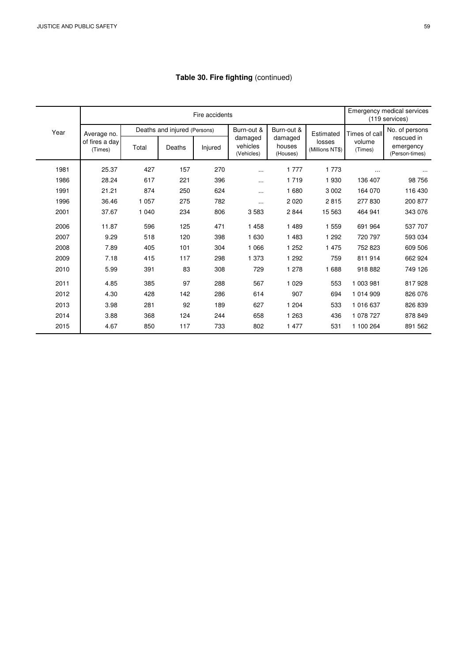|      |                           |         | Emergency medical services<br>(119 services) |         |                                   |                               |                           |                   |                                           |
|------|---------------------------|---------|----------------------------------------------|---------|-----------------------------------|-------------------------------|---------------------------|-------------------|-------------------------------------------|
| Year | Average no.               |         | Deaths and injured (Persons)                 |         | Burn-out &                        | Burn-out &                    | Estimated                 | Times of call     | No. of persons                            |
|      | of fires a day<br>(Times) | Total   | Deaths                                       | Injured | damaged<br>vehicles<br>(Vehicles) | damaged<br>houses<br>(Houses) | losses<br>(Millions NT\$) | volume<br>(Times) | rescued in<br>emergency<br>(Person-times) |
| 1981 | 25.37                     | 427     | 157                                          | 270     | $\cdots$                          | 1 7 7 7                       | 1 7 7 3                   | $\cdots$          | $\cdots$                                  |
| 1986 | 28.24                     | 617     | 221                                          | 396     | $\cdots$                          | 1719                          | 1930                      | 136 407           | 98 756                                    |
| 1991 | 21.21                     | 874     | 250                                          | 624     | $\cdots$                          | 1680                          | 3 0 0 2                   | 164 070           | 116 430                                   |
| 1996 | 36.46                     | 1 0 5 7 | 275                                          | 782     | $\cdots$                          | 2020                          | 2815                      | 277830            | 200 877                                   |
| 2001 | 37.67                     | 1 0 4 0 | 234                                          | 806     | 3583                              | 2844                          | 15 5 63                   | 464 941           | 343 076                                   |
| 2006 | 11.87                     | 596     | 125                                          | 471     | 1 4 5 8                           | 1 4 8 9                       | 1 5 5 9                   | 691 964           | 537 707                                   |
| 2007 | 9.29                      | 518     | 120                                          | 398     | 1 630                             | 1 4 8 3                       | 1 2 9 2                   | 720 797           | 593 034                                   |
| 2008 | 7.89                      | 405     | 101                                          | 304     | 1 0 6 6                           | 1 252                         | 1 4 7 5                   | 752 823           | 609 506                                   |
| 2009 | 7.18                      | 415     | 117                                          | 298     | 1 373                             | 1 2 9 2                       | 759                       | 811 914           | 662 924                                   |
| 2010 | 5.99                      | 391     | 83                                           | 308     | 729                               | 1 278                         | 1688                      | 918 882           | 749 126                                   |
| 2011 | 4.85                      | 385     | 97                                           | 288     | 567                               | 1 0 2 9                       | 553                       | 1 003 981         | 817928                                    |
| 2012 | 4.30                      | 428     | 142                                          | 286     | 614                               | 907                           | 694                       | 1 014 909         | 826 076                                   |
| 2013 | 3.98                      | 281     | 92                                           | 189     | 627                               | 1 204                         | 533                       | 1 016 637         | 826 839                                   |
| 2014 | 3.88                      | 368     | 124                                          | 244     | 658                               | 1 2 6 3                       | 436                       | 1 078 727         | 878 849                                   |
| 2015 | 4.67                      | 850     | 117                                          | 733     | 802                               | 1 477                         | 531                       | 1 100 264         | 891 562                                   |
|      |                           |         |                                              |         |                                   |                               |                           |                   |                                           |

#### **Table 30. Fire fighting** (continued)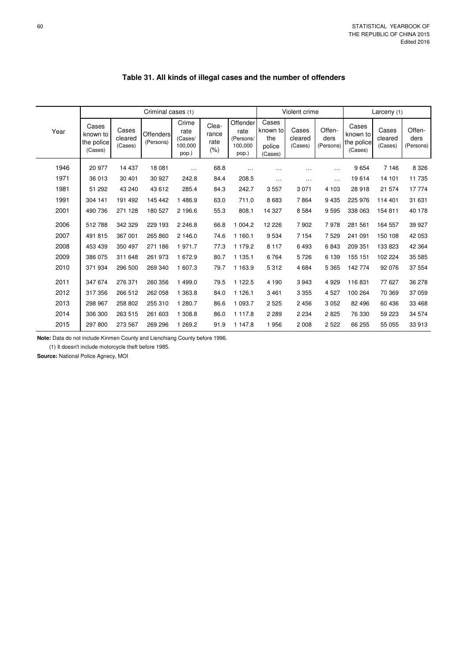|      |                                            |                             | Criminal cases (1)            |                                              |                                |                                                   |                                               | Violent crime               |                             | Larceny (1)                                |                             |                             |
|------|--------------------------------------------|-----------------------------|-------------------------------|----------------------------------------------|--------------------------------|---------------------------------------------------|-----------------------------------------------|-----------------------------|-----------------------------|--------------------------------------------|-----------------------------|-----------------------------|
| Year | Cases<br>known to<br>the police<br>(Cases) | Cases<br>cleared<br>(Cases) | <b>Offenders</b><br>(Persons) | Crime<br>rate<br>(Cases/<br>100,000<br>pop.) | Clea-<br>rance<br>rate<br>(% ) | Offender<br>rate<br>(Persons/<br>100,000<br>pop.) | Cases<br>known to<br>the<br>police<br>(Cases) | Cases<br>cleared<br>(Cases) | Offen-<br>ders<br>(Persons) | Cases<br>known to<br>the police<br>(Cases) | Cases<br>cleared<br>(Cases) | Offen-<br>ders<br>(Persons) |
| 1946 | 20 977                                     | 14 4 37                     | 18 081                        | .                                            | 68.8                           | $\cdots$                                          | $\cdots$                                      | $\cdots$                    | $\cdots$                    | 9654                                       | 7 1 4 6                     | 8 3 2 6                     |
| 1971 | 36 013                                     | 30 401                      | 30 927                        | 242.8                                        | 84.4                           | 208.5                                             | $\cdots$                                      | $\cdots$                    | $\cdots$                    | 19614                                      | 14 101                      | 11 735                      |
| 1981 | 51 292                                     | 43 240                      | 43 612                        | 285.4                                        | 84.3                           | 242.7                                             | 3557                                          | 3 0 7 1                     | 4 1 0 3                     | 28 918                                     | 21 574                      | 17774                       |
| 1991 | 304 141                                    | 191 492                     | 145 442                       | 1 486.9                                      | 63.0                           | 711.0                                             | 8 6 8 3                                       | 7864                        | 9 4 3 5                     | 225 976                                    | 114 401                     | 31 631                      |
| 2001 | 490 736                                    | 271 128                     | 180 527                       | 2 196.6                                      | 55.3                           | 808.1                                             | 14 327                                        | 8584                        | 9595                        | 338 063                                    | 154 811                     | 40 178                      |
| 2006 | 512788                                     | 342 329                     | 229 193                       | 2 2 4 6 . 8                                  | 66.8                           | 1 004.2                                           | 12 2 2 6                                      | 7902                        | 7978                        | 281 561                                    | 164 557                     | 39 927                      |
| 2007 | 491 815                                    | 367 001                     | 265 860                       | 2 146.0                                      | 74.6                           | 1 160.1                                           | 9534                                          | 7 1 5 4                     | 7529                        | 241 091                                    | 150 108                     | 42 053                      |
| 2008 | 453 439                                    | 350 497                     | 271 186                       | 1971.7                                       | 77.3                           | 1 179.2                                           | 8 1 1 7                                       | 6493                        | 6843                        | 209 351                                    | 133 823                     | 42 3 64                     |
| 2009 | 386 075                                    | 311 648                     | 261 973                       | 1 672.9                                      | 80.7                           | 1 1 3 5 . 1                                       | 6764                                          | 5726                        | 6 1 3 9                     | 155 151                                    | 102 224                     | 35 585                      |
| 2010 | 371 934                                    | 296 500                     | 269 340                       | 1 607.3                                      | 79.7                           | 1 163.9                                           | 5 3 1 2                                       | 4 6 8 4                     | 5 3 6 5                     | 142 774                                    | 92 076                      | 37 554                      |
| 2011 | 347 674                                    | 276 371                     | 260 356                       | 1499.0                                       | 79.5                           | 1 1 2 2.5                                         | 4 1 9 0                                       | 3943                        | 4 9 2 9                     | 116831                                     | 77 627                      | 36 278                      |
| 2012 | 317 356                                    | 266 512                     | 262 058                       | 1 363.8                                      | 84.0                           | 1 1 2 6 . 1                                       | 3 4 6 1                                       | 3 3 5 5                     | 4 5 27                      | 100 264                                    | 70 369                      | 37 059                      |
| 2013 | 298 967                                    | 258 802                     | 255 310                       | 1 280.7                                      | 86.6                           | 1 093.7                                           | 2 5 2 5                                       | 2 4 5 6                     | 3 0 5 2                     | 82 496                                     | 60 436                      | 33 4 68                     |
| 2014 | 306 300                                    | 263 515                     | 261 603                       | 1 308.8                                      | 86.0                           | 1 117.8                                           | 2 2 8 9                                       | 2 2 3 4                     | 2825                        | 76 330                                     | 59 223                      | 34 574                      |
| 2015 | 297 800                                    | 273 567                     | 269 296                       | 1 269.2                                      | 91.9                           | 1 147.8                                           | 1956                                          | 2 0 0 8                     | 2 5 2 2                     | 66 255                                     | 55 055                      | 33 913                      |

#### **Table 31. All kinds of illegal cases and the number of offenders**

**Note:** Data do not include Kinmen County and Lienchiang County before 1996.

(1) It doesn't include motorcycle theft before 1985.

**Source:** National Police Agnecy, MOI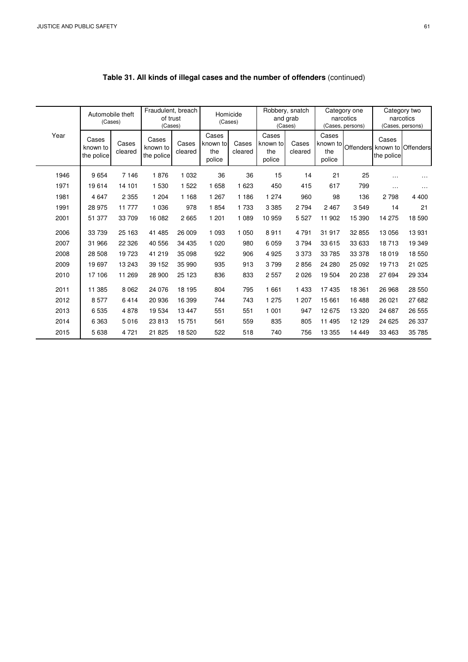|      | Automobile theft<br>(Cases)     |                  | Fraudulent, breach<br>of trust<br>(Cases) |                  | Homicide<br>(Cases)                |                  | Robbery, snatch<br>and grab<br>(Cases) |                  | Category one<br>narcotics<br>(Cases, persons) |          | Category two<br>narcotics<br>(Cases, persons) |                              |
|------|---------------------------------|------------------|-------------------------------------------|------------------|------------------------------------|------------------|----------------------------------------|------------------|-----------------------------------------------|----------|-----------------------------------------------|------------------------------|
| Year | Cases<br>known to<br>the police | Cases<br>cleared | Cases<br>known to<br>the police           | Cases<br>cleared | Cases<br>known to<br>the<br>police | Cases<br>cleared | Cases<br>known to<br>the<br>police     | Cases<br>cleared | Cases<br>known to<br>the<br>police            |          | Cases<br>the police                           | Offenders known to Offenders |
| 1946 | 9654                            | 7 1 4 6          | 1876                                      | 1 0 3 2          | 36                                 | 36               | 15                                     | 14               | 21                                            | 25       | .                                             | $\cdots$                     |
| 1971 | 19614                           | 14 101           | 1 5 3 0                                   | 1 5 2 2          | 1658                               | 1 6 2 3          | 450                                    | 415              | 617                                           | 799      | $\cdots$                                      | $\cdots$                     |
| 1981 | 4 6 4 7                         | 2 3 5 5          | 1 204                                     | 1 1 6 8          | 1 2 6 7                            | 1 1 8 6          | 1 274                                  | 960              | 98                                            | 136      | 2798                                          | 4 4 0 0                      |
| 1991 | 28 975                          | 11 777           | 1 0 3 6                                   | 978              | 1854                               | 1 7 3 3          | 3 3 8 5                                | 2 7 9 4          | 2 4 6 7                                       | 3549     | 14                                            | 21                           |
| 2001 | 51 377                          | 33 709           | 16 082                                    | 2665             | 1 201                              | 1 0 8 9          | 10 959                                 | 5 5 2 7          | 11 902                                        | 15 390   | 14 275                                        | 18590                        |
| 2006 | 33 739                          | 25 163           | 41 485                                    | 26 009           | 1 0 9 3                            | 1 0 5 0          | 8911                                   | 4 7 9 1          | 31 917                                        | 32 855   | 13 056                                        | 13931                        |
| 2007 | 31 966                          | 22 3 26          | 40 556                                    | 34 4 35          | 1 0 2 0                            | 980              | 6 0 5 9                                | 3794             | 33 615                                        | 33 633   | 18713                                         | 19 349                       |
| 2008 | 28 508                          | 19723            | 41 219                                    | 35 098           | 922                                | 906              | 4 9 2 5                                | 3 3 7 3          | 33 785                                        | 33 378   | 18 019                                        | 18 550                       |
| 2009 | 19697                           | 13 243           | 39 152                                    | 35 990           | 935                                | 913              | 3799                                   | 2856             | 24 280                                        | 25 0 9 2 | 19713                                         | 21 0 25                      |
| 2010 | 17 106                          | 11 269           | 28 900                                    | 25 1 23          | 836                                | 833              | 2 5 5 7                                | 2 0 2 6          | 19 504                                        | 20 238   | 27 694                                        | 29 334                       |
| 2011 | 11 385                          | 8 0 6 2          | 24 0 76                                   | 18 195           | 804                                | 795              | 1661                                   | 1 4 3 3          | 17 435                                        | 18 361   | 26 968                                        | 28 550                       |
| 2012 | 8577                            | 6414             | 20 936                                    | 16 399           | 744                                | 743              | 1 275                                  | 1 207            | 15 661                                        | 16 488   | 26 021                                        | 27 682                       |
| 2013 | 6535                            | 4878             | 19 534                                    | 13 447           | 551                                | 551              | 1 0 0 1                                | 947              | 12 675                                        | 13 3 20  | 24 687                                        | 26 555                       |
| 2014 | 6 3 6 3                         | 5016             | 23 813                                    | 15751            | 561                                | 559              | 835                                    | 805              | 11 495                                        | 12 129   | 24 625                                        | 26 337                       |
| 2015 | 5 6 38                          | 4 7 2 1          | 21 825                                    | 18 5 20          | 522                                | 518              | 740                                    | 756              | 13 355                                        | 14 4 4 9 | 33 463                                        | 35 785                       |

#### **Table 31. All kinds of illegal cases and the number of offenders** (continued)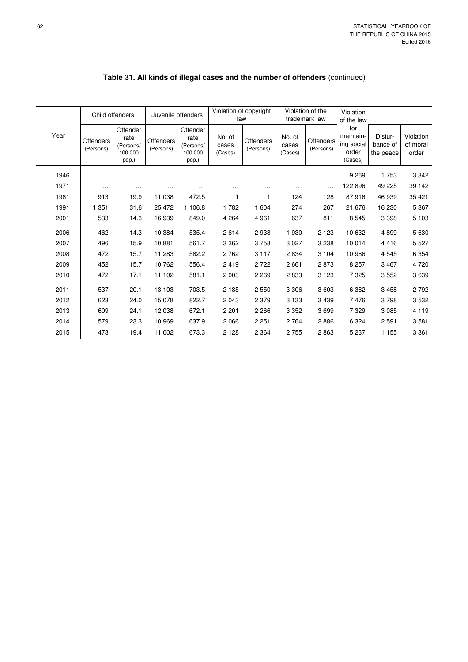|      | Child offenders               |                                                   | Juvenile offenders     |                                                   | law                        | Violation of copyright |                            | Violation of the<br>trademark law | Violation<br>of the law                            |                                  |                                |
|------|-------------------------------|---------------------------------------------------|------------------------|---------------------------------------------------|----------------------------|------------------------|----------------------------|-----------------------------------|----------------------------------------------------|----------------------------------|--------------------------------|
| Year | <b>Offenders</b><br>(Persons) | Offender<br>rate<br>(Persons/<br>100,000<br>pop.) | Offenders<br>(Persons) | Offender<br>rate<br>(Persons/<br>100,000<br>pop.) | No. of<br>cases<br>(Cases) | Offenders<br>(Persons) | No. of<br>cases<br>(Cases) | Offenders<br>(Persons)            | for<br>maintain-<br>ing social<br>order<br>(Cases) | Distur-<br>bance of<br>the peace | Violation<br>of moral<br>order |
| 1946 | $\cdots$                      | $\cdots$                                          | $\cdots$               | $\cdots$                                          | $\cdots$                   | .                      | $\cdots$                   | $\cdots$                          | 9 2 6 9                                            | 1 7 5 3                          | 3 3 4 2                        |
| 1971 | $\cdots$                      | $\cdots$                                          | .                      | $\cdots$                                          | $\cdots$                   | .                      | $\cdots$                   | $\ddotsc$                         | 122 896                                            | 49 225                           | 39 142                         |
| 1981 | 913                           | 19.9                                              | 11 038                 | 472.5                                             | 1                          | 1                      | 124                        | 128                               | 87916                                              | 46 939                           | 35 4 21                        |
| 1991 | 1 3 5 1                       | 31.6                                              | 25 472                 | 1 106.8                                           | 1782                       | 1 604                  | 274                        | 267                               | 21 676                                             | 16 230                           | 5 3 6 7                        |
| 2001 | 533                           | 14.3                                              | 16 939                 | 849.0                                             | 4 2 6 4                    | 4 9 6 1                | 637                        | 811                               | 8545                                               | 3 3 9 8                          | 5 1 0 3                        |
| 2006 | 462                           | 14.3                                              | 10 384                 | 535.4                                             | 2614                       | 2938                   | 1930                       | 2 1 2 3                           | 10 632                                             | 4899                             | 5 6 3 0                        |
| 2007 | 496                           | 15.9                                              | 10881                  | 561.7                                             | 3 3 6 2                    | 3758                   | 3 0 2 7                    | 3 2 3 8                           | 10 014                                             | 4416                             | 5 5 27                         |
| 2008 | 472                           | 15.7                                              | 11 283                 | 582.2                                             | 2 7 6 2                    | 3 1 1 7                | 2834                       | 3 1 0 4                           | 10 966                                             | 4545                             | 6 3 5 4                        |
| 2009 | 452                           | 15.7                                              | 10 762                 | 556.4                                             | 2419                       | 2722                   | 2 6 6 1                    | 2873                              | 8 2 5 7                                            | 3 4 6 7                          | 4 7 2 0                        |
| 2010 | 472                           | 17.1                                              | 11 102                 | 581.1                                             | 2 0 0 3                    | 2 2 6 9                | 2833                       | 3 1 2 3                           | 7 3 2 5                                            | 3552                             | 3639                           |
| 2011 | 537                           | 20.1                                              | 13 103                 | 703.5                                             | 2 1 8 5                    | 2 5 5 0                | 3 3 0 6                    | 3 603                             | 6 3 8 2                                            | 3 4 5 8                          | 2 7 9 2                        |
| 2012 | 623                           | 24.0                                              | 15 0 78                | 822.7                                             | 2 0 4 3                    | 2 3 7 9                | 3 1 3 3                    | 3 4 3 9                           | 7476                                               | 3798                             | 3 5 3 2                        |
| 2013 | 609                           | 24.1                                              | 12 0 38                | 672.1                                             | 2 2 0 1                    | 2 2 6 6                | 3 3 5 2                    | 3699                              | 7 3 2 9                                            | 3 0 8 5                          | 4 1 1 9                        |
| 2014 | 579                           | 23.3                                              | 10 969                 | 637.9                                             | 2 0 6 6                    | 2 2 5 1                | 2 7 6 4                    | 2886                              | 6 3 2 4                                            | 2 5 9 1                          | 3581                           |
| 2015 | 478                           | 19.4                                              | 11 002                 | 673.3                                             | 2 1 2 8                    | 2 3 6 4                | 2 7 5 5                    | 2863                              | 5 2 3 7                                            | 1 1 5 5                          | 3861                           |

### **Table 31. All kinds of illegal cases and the number of offenders** (continued)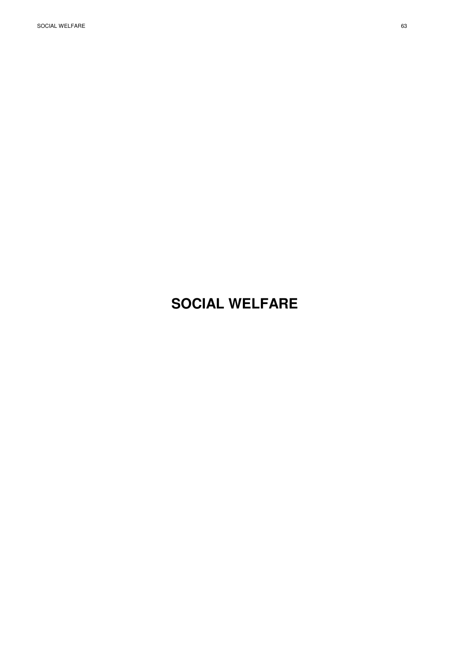# **SOCIAL WELFARE**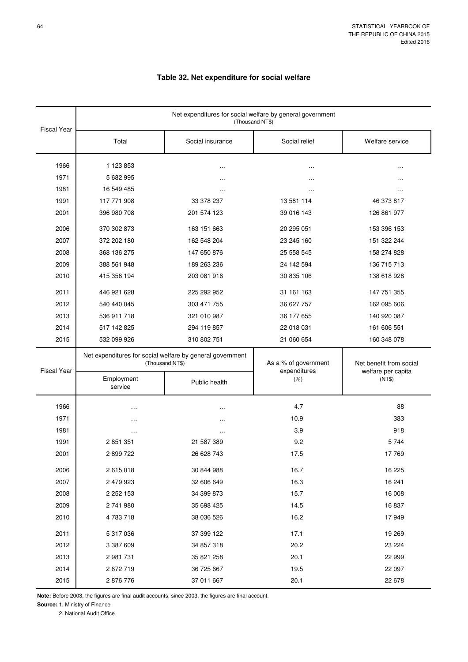#### **Table 32. Net expenditure for social welfare**

| <b>Fiscal Year</b> | Net expenditures for social welfare by general government<br>(Thousand NT\$) |                                                                              |                      |                              |  |  |  |  |  |  |
|--------------------|------------------------------------------------------------------------------|------------------------------------------------------------------------------|----------------------|------------------------------|--|--|--|--|--|--|
|                    | Total                                                                        | Social insurance                                                             | Social relief        | Welfare service              |  |  |  |  |  |  |
| 1966               | 1 123 853                                                                    | $\ddotsc$                                                                    | .                    | $\cdots$                     |  |  |  |  |  |  |
| 1971               | 5 682 995                                                                    | $\cdots$                                                                     | .                    | .                            |  |  |  |  |  |  |
| 1981               | 16 549 485                                                                   | $\ddotsc$                                                                    | .                    | .                            |  |  |  |  |  |  |
| 1991               | 117 771 908                                                                  | 33 378 237                                                                   | 13 581 114           | 46 373 817                   |  |  |  |  |  |  |
| 2001               | 396 980 708                                                                  | 201 574 123                                                                  | 39 016 143           | 126 861 977                  |  |  |  |  |  |  |
| 2006               | 370 302 873                                                                  | 163 151 663                                                                  | 20 295 051           | 153 396 153                  |  |  |  |  |  |  |
| 2007               | 372 202 180                                                                  | 162 548 204                                                                  | 23 245 160           | 151 322 244                  |  |  |  |  |  |  |
| 2008               | 368 136 275                                                                  | 147 650 876                                                                  | 25 558 545           | 158 274 828                  |  |  |  |  |  |  |
| 2009               | 388 561 948                                                                  | 189 263 236                                                                  | 24 142 594           | 136 715 713                  |  |  |  |  |  |  |
| 2010               | 415 356 194                                                                  | 203 081 916                                                                  | 30 835 106           | 138 618 928                  |  |  |  |  |  |  |
| 2011               | 446 921 628                                                                  | 225 292 952                                                                  | 31 161 163           | 147 751 355                  |  |  |  |  |  |  |
| 2012               | 540 440 045                                                                  | 303 471 755                                                                  | 36 627 757           | 162 095 606                  |  |  |  |  |  |  |
| 2013               | 536 911 718                                                                  | 321 010 987                                                                  | 36 177 655           | 140 920 087                  |  |  |  |  |  |  |
| 2014               | 517 142 825                                                                  | 294 119 857                                                                  | 22 018 031           | 161 606 551                  |  |  |  |  |  |  |
| 2015               | 532 099 926                                                                  | 310 802 751                                                                  | 21 060 654           | 160 348 078                  |  |  |  |  |  |  |
|                    |                                                                              |                                                                              |                      |                              |  |  |  |  |  |  |
|                    |                                                                              | Net expenditures for social welfare by general government<br>(Thousand NT\$) | As a % of government | Net benefit from social      |  |  |  |  |  |  |
| <b>Fiscal Year</b> | Employment<br>service                                                        | Public health                                                                | expenditures<br>(%)  | welfare per capita<br>(NT\$) |  |  |  |  |  |  |
| 1966               | .                                                                            | $\ddotsc$                                                                    | 4.7                  | 88                           |  |  |  |  |  |  |
| 1971               | $\ddotsc$                                                                    | $\ddotsc$                                                                    | 10.9                 | 383                          |  |  |  |  |  |  |
| 1981               | $\cdots$                                                                     | $\cdots$                                                                     | 3.9                  | 918                          |  |  |  |  |  |  |
| 1991               | 2 851 351                                                                    | 21 587 389                                                                   | 9.2                  | 5 7 4 4                      |  |  |  |  |  |  |
| 2001               | 2899722                                                                      | 26 628 743                                                                   | 17.5                 | 17769                        |  |  |  |  |  |  |
| 2006               | 2615018                                                                      | 30 844 988                                                                   | 16.7                 | 16 225                       |  |  |  |  |  |  |
| 2007               | 2 479 923                                                                    | 32 606 649                                                                   | 16.3                 | 16 241                       |  |  |  |  |  |  |
| 2008               | 2 2 5 2 1 5 3                                                                | 34 399 873                                                                   | 15.7                 | 16 008                       |  |  |  |  |  |  |
| 2009               | 2 741 980                                                                    | 35 698 425                                                                   | 14.5                 | 16837                        |  |  |  |  |  |  |
| 2010               | 4783718                                                                      | 38 036 526                                                                   | 16.2                 | 17949                        |  |  |  |  |  |  |
| 2011               | 5 317 036                                                                    | 37 399 122                                                                   | 17.1                 | 19 269                       |  |  |  |  |  |  |
| 2012               | 3 387 609                                                                    | 34 857 318                                                                   | 20.2                 | 23 224                       |  |  |  |  |  |  |
| 2013               | 2981731                                                                      | 35 821 258                                                                   | 20.1                 | 22 999                       |  |  |  |  |  |  |
| 2014               | 2672719                                                                      | 36 725 667                                                                   | 19.5                 | 22 097                       |  |  |  |  |  |  |

Note: Before 2003, the figures are final audit accounts; since 2003, the figures are final account.

**Source:** 1. Ministry of Finance

2. National Audit Office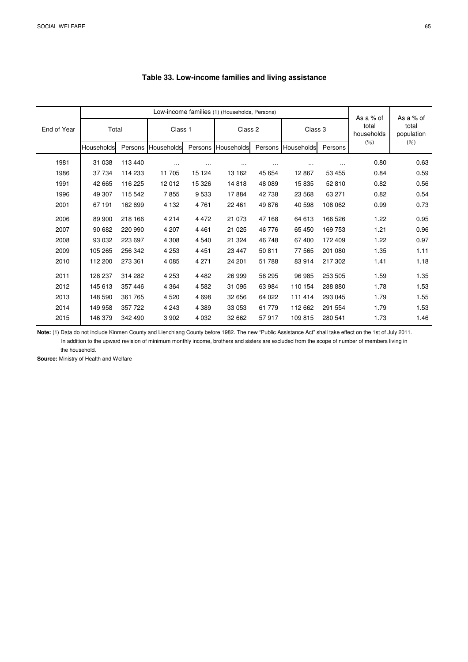|             |            | As a % of | As a $%$ of |          |            |          |                    |          |                     |                     |
|-------------|------------|-----------|-------------|----------|------------|----------|--------------------|----------|---------------------|---------------------|
| End of Year | Total      |           | Class 1     |          | Class 2    |          | Class 3            |          | total<br>households | total<br>population |
|             | Households | Persons   | Households  | Persons  | Households |          | Persons Households | Persons  | (%)                 | (% )                |
| 1981        | 31 038     | 113 440   |             | $\cdots$ | $\cdots$   | $\cdots$ | $\cdots$           | $\cdots$ | 0.80                | 0.63                |
| 1986        | 37 734     | 114 233   | 11 705      | 15 124   | 13 162     | 45 654   | 12 867             | 53 455   | 0.84                | 0.59                |
| 1991        | 42 665     | 116 225   | 12012       | 15 3 26  | 14818      | 48 089   | 15 835             | 52 810   | 0.82                | 0.56                |
| 1996        | 49 307     | 115 542   | 7855        | 9533     | 17884      | 42 738   | 23 5 68            | 63 271   | 0.82                | 0.54                |
| 2001        | 67 191     | 162 699   | 4 1 3 2     | 4 7 6 1  | 22 4 61    | 49 876   | 40 598             | 108 062  | 0.99                | 0.73                |
| 2006        | 89 900     | 218 166   | 4 2 1 4     | 4 4 7 2  | 21 073     | 47 168   | 64 613             | 166 526  | 1.22                | 0.95                |
| 2007        | 90 682     | 220 990   | 4 207       | 4 4 6 1  | 21 0 25    | 46 776   | 65 450             | 169 753  | 1.21                | 0.96                |
| 2008        | 93 032     | 223 697   | 4 3 0 8     | 4 5 4 0  | 21 324     | 46 748   | 67400              | 172 409  | 1.22                | 0.97                |
| 2009        | 105 265    | 256 342   | 4 2 5 3     | 4 4 5 1  | 23 447     | 50 811   | 77 565             | 201 080  | 1.35                | 1.11                |
| 2010        | 112 200    | 273 361   | 4 0 8 5     | 4 2 7 1  | 24 201     | 51 788   | 83 914             | 217 302  | 1.41                | 1.18                |
| 2011        | 128 237    | 314 282   | 4 2 5 3     | 4 4 8 2  | 26 999     | 56 295   | 96 985             | 253 505  | 1.59                | 1.35                |
| 2012        | 145 613    | 357 446   | 4 3 6 4     | 4 5 8 2  | 31 095     | 63 984   | 110 154            | 288 880  | 1.78                | 1.53                |
| 2013        | 148 590    | 361 765   | 4 5 20      | 4698     | 32 656     | 64 022   | 111 414            | 293 045  | 1.79                | 1.55                |
| 2014        | 149 958    | 357 722   | 4 2 4 3     | 4 3 8 9  | 33 053     | 61 779   | 112 662            | 291 554  | 1.79                | 1.53                |
| 2015        | 146 379    | 342 490   | 3 9 0 2     | 4 0 3 2  | 32 662     | 57917    | 109815             | 280 541  | 1.73                | 1.46                |

#### **Table 33. Low-income families and living assistance**

**Note:** (1) Data do not include Kinmen County and Lienchiang County before 1982. The new "Public Assistance Act" shall take effect on the 1st of July 2011. In addition to the upward revision of minimum monthly income, brothers and sisters are excluded from the scope of number of members living in the household.

**Source:** Ministry of Health and Welfare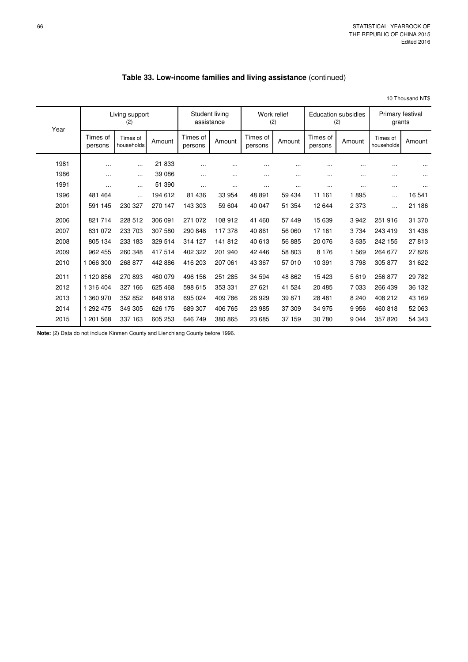#### **Table 33. Low-income families and living assistance** (continued)

10 Thousand NT\$

| Year | Living support<br>(2) |                        | Student living<br>assistance |                     | Work relief<br>(2) |                     | <b>Education subsidies</b><br>(2) |                     | Primary festival<br>grants |                        |          |
|------|-----------------------|------------------------|------------------------------|---------------------|--------------------|---------------------|-----------------------------------|---------------------|----------------------------|------------------------|----------|
|      | Times of<br>persons   | Times of<br>households | Amount                       | Times of<br>persons | Amount             | Times of<br>persons | Amount                            | Times of<br>persons | Amount                     | Times of<br>households | Amount   |
| 1981 |                       |                        | 21833                        | $\cdots$            | $\sim$             | $\cdots$            | $\cdots$                          | $\cdots$            | $\cdots$                   | $\cdots$               | .        |
| 1986 | $\cdots$              | $\cdots$               | 39 086                       | $\cdots$            | $\sim$             | $\cdots$            | $\cdots$                          | $\cdots$            | $\cdots$                   | $\cdots$               | $\cdots$ |
| 1991 | $\cdots$              |                        | 51 390                       | $\cdots$            | $\sim$             | $\cdots$            | $\cdots$                          | $\cdots$            | $\cdots$                   | $\cdots$               | $\cdots$ |
| 1996 | 481 464               | $\cdots$               | 194 612                      | 81 436              | 33 954             | 48 891              | 59 434                            | 11 161              | 1895                       |                        | 16 541   |
| 2001 | 591 145               | 230 327                | 270 147                      | 143 303             | 59 604             | 40 047              | 51 354                            | 12 644              | 2 3 7 3                    |                        | 21 186   |
| 2006 | 821 714               | 228 512                | 306 091                      | 271 072             | 108 912            | 41 460              | 57 449                            | 15 639              | 3942                       | 251 916                | 31 370   |
| 2007 | 831 072               | 233 703                | 307 580                      | 290 848             | 117 378            | 40 861              | 56 060                            | 17 161              | 3734                       | 243 419                | 31 436   |
| 2008 | 805 134               | 233 183                | 329 514                      | 314 127             | 141 812            | 40 613              | 56 885                            | 20 076              | 3635                       | 242 155                | 27813    |
| 2009 | 962 455               | 260 348                | 417514                       | 402 322             | 201 940            | 42 446              | 58 803                            | 8 1 7 6             | 1 5 6 9                    | 264 677                | 27826    |
| 2010 | 1 066 300             | 268 877                | 442 886                      | 416 203             | 207 061            | 43 367              | 57 010                            | 10 391              | 3798                       | 305 877                | 31 622   |
| 2011 | 1 120 856             | 270 893                | 460 079                      | 496 156             | 251 285            | 34 594              | 48 862                            | 15 4 23             | 5619                       | 256 877                | 29 782   |
| 2012 | 1 316 404             | 327 166                | 625 468                      | 598 615             | 353 331            | 27 621              | 41 524                            | 20 485              | 7 0 3 3                    | 266 439                | 36 132   |
| 2013 | 1 360 970             | 352 852                | 648 918                      | 695 024             | 409 786            | 26 9 29             | 39 871                            | 28 481              | 8 2 4 0                    | 408 212                | 43 169   |
| 2014 | 1 292 475             | 349 305                | 626 175                      | 689 307             | 406 765            | 23 985              | 37 309                            | 34 975              | 9956                       | 460 818                | 52 063   |
| 2015 | 1 201 568             | 337 163                | 605 253                      | 646 749             | 380 865            | 23 685              | 37 159                            | 30 780              | 9 0 4 4                    | 357820                 | 54 343   |

**Note:** (2) Data do not include Kinmen County and Lienchiang County before 1996.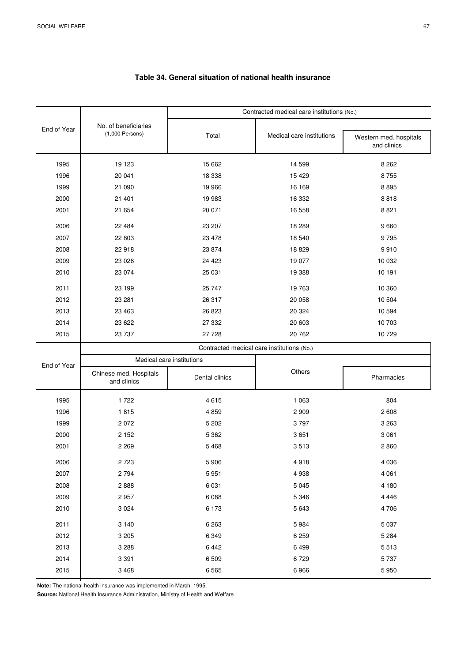#### 1995 | 19123 15 662 14 599 | 8 262 1996 | 20 041 18 338 15429 | 8 755 | 8 755 1999 21 090 19 966 16 169 8 895 2000 21 401 19 983 16 332 8 818 2001 21 654 20 071 16 558 8 821 2006 22 484 23 207 18 289 9 660 2007 22 803 23 478 18 540 9 795 2008 22 918 23 874 18 829 9 910 2009 23 026 24 423 19 077 10 032 2010 23 074 25 031 19 388 10 191 2011 23 199 25 747 19 763 10 360 2012 | 23 281 26 317 26 0058 20058 10 504 2013 23 463 26 823 20 324 10 594 2014 23 622 27 332 20 603 10 703 2015 23 737 27 728 20 762 10 729 1995 | 1722 4615 1063 1063 | 1804 1996 1 815 4 859 2 909 2 608 1999 2 072 5 202 3 797 3 263 2000 2 152 5 362 3 651 3 061 2001 2 269 5 468 3 513 2 860 2006 2 723 5 906 4 918 4 036 2007 2 794 5 951 4 938 4 061 2008 2 888 6 031 5 045 4 180 2009 2 957 6 088 5 346 4 446 2010 3 024 6 173 5 643 4 706 2011 3 140 6 263 5 984 5 037 2012 3 205 6 349 6 259 5 284 2013 3 288 6 442 6 499 5 513 Contracted medical care institutions (No.) Chinese med. Hospitals se med. Hospitals<br>
and clinics<br> **Dental clinics**  Medical care institutions End of Year **Others**  Pharmacies End of Year Western med. hospitals and clinics Total No. of beneficiaries<br>(1,000 Persons) Medical care institutions Contracted medical care institutions (No.)

2014 3 391 6 509 6 729 5 737 2015 | 3468 565 6 966 565 | 360 5960 5970

#### **Table 34. General situation of national health insurance**

**Note:** The national health insurance was implemented in March, 1995.

**Source:** National Health Insurance Administration, Ministry of Health and Welfare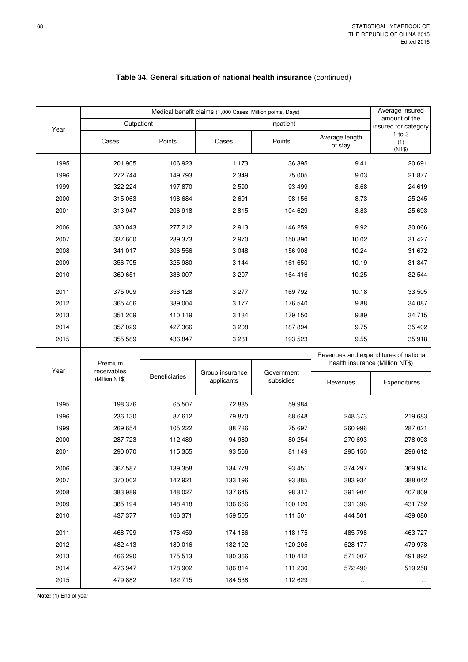|      |                               |                      | Medical benefit claims (1,000 Cases, Million points, Days) |                         |                           | Average insured                                                          |
|------|-------------------------------|----------------------|------------------------------------------------------------|-------------------------|---------------------------|--------------------------------------------------------------------------|
|      | Outpatient                    |                      |                                                            | Inpatient               |                           | amount of the<br>insured for category                                    |
| Year | Cases                         | Points               | Cases                                                      | Points                  | Average length<br>of stay | $1$ to $3$<br>(1)<br>(NT\$)                                              |
| 1995 | 201 905                       | 106 923              | 1 1 7 3                                                    | 36 395                  | 9.41                      | 20 691                                                                   |
| 1996 | 272 744                       | 149 793              | 2 3 4 9                                                    | 75 005                  | 9.03                      | 21 877                                                                   |
| 1999 | 322 224                       | 197 870              | 2 5 9 0                                                    | 93 499                  | 8.68                      | 24 619                                                                   |
| 2000 | 315 063                       | 198 684              | 2 6 9 1                                                    | 98 156                  | 8.73                      | 25 245                                                                   |
| 2001 | 313 947                       | 206 918              | 2815                                                       | 104 629                 | 8.83                      | 25 693                                                                   |
| 2006 | 330 043                       | 277 212              | 2913                                                       | 146 259                 | 9.92                      | 30 066                                                                   |
| 2007 | 337 600                       | 289 373              | 2970                                                       | 150 890                 | 10.02                     | 31 427                                                                   |
| 2008 | 341 017                       | 306 556              | 3 0 4 8                                                    | 156 908                 | 10.24                     | 31 672                                                                   |
| 2009 | 356 795                       | 325 980              | 3 1 4 4                                                    | 161 650                 | 10.19                     | 31 847                                                                   |
| 2010 | 360 651                       | 336 007              | 3 207                                                      | 164 416                 | 10.25                     | 32 544                                                                   |
| 2011 | 375 009                       | 356 128              | 3 2 7 7                                                    | 169 792                 | 10.18                     | 33 505                                                                   |
| 2012 | 365 406                       | 389 004              | 3 1 7 7                                                    | 176 540                 | 9.88                      | 34 087                                                                   |
| 2013 | 351 209                       | 410 119              | 3 1 3 4                                                    | 179 150                 | 9.89                      | 34 715                                                                   |
| 2014 | 357 029                       | 427 366              | 3 2 0 8                                                    | 187894                  | 9.75                      | 35 402                                                                   |
| 2015 | 355 589                       | 436 847              | 3 2 8 1                                                    | 193 523                 | 9.55                      | 35 918                                                                   |
|      | Premium                       |                      |                                                            |                         |                           | Revenues and expenditures of national<br>health insurance (Million NT\$) |
| Year | receivables<br>(Million NT\$) | <b>Beneficiaries</b> | Group insurance<br>applicants                              | Government<br>subsidies | Revenues                  | Expenditures                                                             |
| 1995 | 198 376                       | 65 507               | 72 885                                                     | 59 984                  |                           |                                                                          |
| 1996 | 236 130                       | 87 612               | 79 870                                                     | 68 648                  | 248 373                   | 219 683                                                                  |
| 1999 | 269 654                       |                      |                                                            |                         |                           |                                                                          |
| 2000 |                               | 105 222              | 88 736                                                     | 75 697                  | 260 996                   | 287 021                                                                  |
|      | 287723                        | 112 489              | 94 980                                                     | 80 254                  | 270 693                   | 278 093                                                                  |
| 2001 | 290 070                       | 115 355              | 93 566                                                     | 81 149                  | 295 150                   | 296 612                                                                  |
| 2006 | 367 587                       | 139 358              | 134 778                                                    | 93 451                  | 374 297                   | 369 914                                                                  |
| 2007 | 370 002                       | 142 921              | 133 196                                                    | 93 885                  | 383 934                   | 388 042                                                                  |
| 2008 | 383 989                       | 148 027              | 137 645                                                    | 98 317                  | 391 904                   | 407809                                                                   |
| 2009 | 385 194                       | 148 418              | 136 656                                                    | 100 120                 | 391 396                   | 431 752                                                                  |
| 2010 | 437 377                       | 166 371              | 159 505                                                    | 111 501                 | 444 501                   | 439 080                                                                  |
| 2011 | 468 799                       | 176 459              | 174 166                                                    | 118 175                 | 485 798                   | 463 727                                                                  |
| 2012 | 482 413                       | 180 016              | 182 192                                                    | 120 205                 | 528 177                   | 479 978                                                                  |

2014 476 947 178 902 186 814 111 230 572 490 519 258 2015 | 479 882 182 715 184 538 112 629 … … … … …

#### **Table 34. General situation of national health insurance** (continued)

**Note:** (1) End of year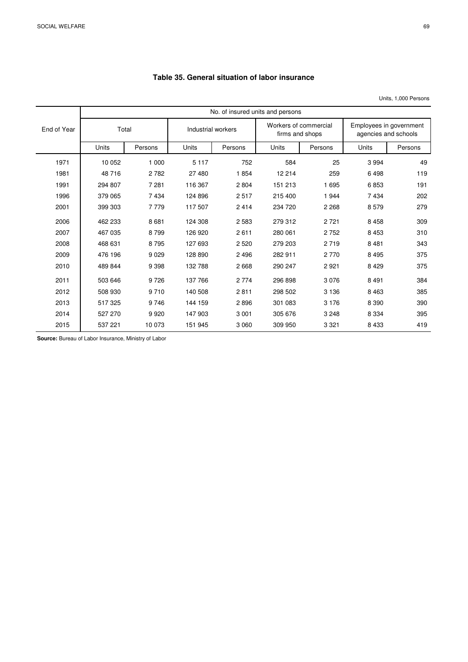#### **Table 35. General situation of labor insurance**

Units, 1,000 Persons

|             | No. of insured units and persons |         |                    |         |                                          |         |                                                 |         |  |
|-------------|----------------------------------|---------|--------------------|---------|------------------------------------------|---------|-------------------------------------------------|---------|--|
| End of Year | Total                            |         | Industrial workers |         | Workers of commercial<br>firms and shops |         | Employees in government<br>agencies and schools |         |  |
|             | <b>Units</b>                     | Persons | <b>Units</b>       | Persons | <b>Units</b>                             | Persons | <b>Units</b>                                    | Persons |  |
| 1971        | 10 052                           | 1 000   | 5 1 1 7            | 752     | 584                                      | 25      | 3994                                            | 49      |  |
| 1981        | 48716                            | 2782    | 27 480             | 1854    | 12 214                                   | 259     | 6498                                            | 119     |  |
| 1991        | 294 807                          | 7 281   | 116 367            | 2 8 0 4 | 151 213                                  | 1 6 9 5 | 6853                                            | 191     |  |
| 1996        | 379 065                          | 7434    | 124 896            | 2517    | 215 400                                  | 1944    | 7434                                            | 202     |  |
| 2001        | 399 303                          | 7779    | 117 507            | 2414    | 234 720                                  | 2 2 6 8 | 8579                                            | 279     |  |
| 2006        | 462 233                          | 8681    | 124 308            | 2 5 8 3 | 279 312                                  | 2 7 2 1 | 8 4 5 8                                         | 309     |  |
| 2007        | 467 035                          | 8799    | 126 920            | 2611    | 280 061                                  | 2 7 5 2 | 8 4 5 3                                         | 310     |  |
| 2008        | 468 631                          | 8795    | 127 693            | 2 5 2 0 | 279 203                                  | 2719    | 8 4 8 1                                         | 343     |  |
| 2009        | 476 196                          | 9029    | 128 890            | 2 4 9 6 | 282 911                                  | 2 7 7 0 | 8 4 9 5                                         | 375     |  |
| 2010        | 489 844                          | 9 3 9 8 | 132 788            | 2668    | 290 247                                  | 2921    | 8 4 2 9                                         | 375     |  |
| 2011        | 503 646                          | 9726    | 137 766            | 2 7 7 4 | 296 898                                  | 3076    | 8 4 9 1                                         | 384     |  |
| 2012        | 508 930                          | 9710    | 140 508            | 2811    | 298 502                                  | 3 1 3 6 | 8 4 6 3                                         | 385     |  |
| 2013        | 517 325                          | 9746    | 144 159            | 2896    | 301 083                                  | 3 1 7 6 | 8 3 9 0                                         | 390     |  |
| 2014        | 527 270                          | 9920    | 147 903            | 3 0 0 1 | 305 676                                  | 3 2 4 8 | 8 3 3 4                                         | 395     |  |
| 2015        | 537 221                          | 10 073  | 151 945            | 3 0 6 0 | 309 950                                  | 3 3 2 1 | 8 4 3 3                                         | 419     |  |

**Source:** Bureau of Labor Insurance, Ministry of Labor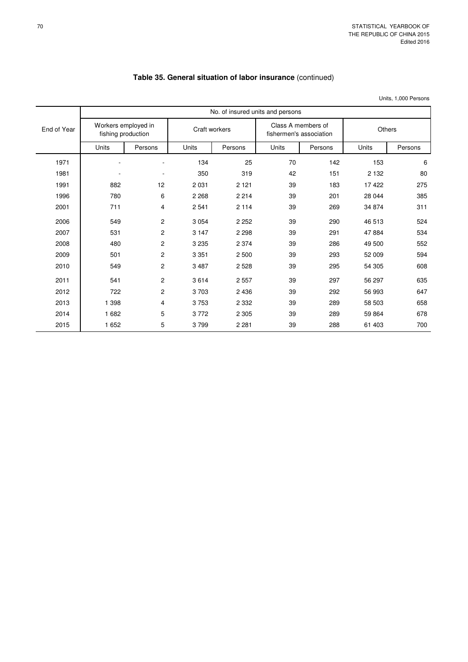#### **Table 35. General situation of labor insurance** (continued)

Units, 1,000 Persons

|             |                    |                          |               |         |                                               |         |         | No. of insured units and persons |  |  |  |  |  |  |  |  |  |  |
|-------------|--------------------|--------------------------|---------------|---------|-----------------------------------------------|---------|---------|----------------------------------|--|--|--|--|--|--|--|--|--|--|
| End of Year | fishing production | Workers employed in      | Craft workers |         | Class A members of<br>fishermen's association |         | Others  |                                  |  |  |  |  |  |  |  |  |  |  |
|             | Units              | Persons                  | <b>Units</b>  | Persons | Units                                         | Persons | Units   | Persons                          |  |  |  |  |  |  |  |  |  |  |
| 1971        |                    |                          | 134           | 25      | 70                                            | 142     | 153     | 6                                |  |  |  |  |  |  |  |  |  |  |
| 1981        |                    | $\overline{\phantom{a}}$ | 350           | 319     | 42                                            | 151     | 2 1 3 2 | 80                               |  |  |  |  |  |  |  |  |  |  |
| 1991        | 882                | 12                       | 2 0 3 1       | 2 1 2 1 | 39                                            | 183     | 17 422  | 275                              |  |  |  |  |  |  |  |  |  |  |
| 1996        | 780                | 6                        | 2 2 6 8       | 2 2 1 4 | 39                                            | 201     | 28 044  | 385                              |  |  |  |  |  |  |  |  |  |  |
| 2001        | 711                | 4                        | 2 5 4 1       | 2 1 1 4 | 39                                            | 269     | 34 874  | 311                              |  |  |  |  |  |  |  |  |  |  |
| 2006        | 549                | $\overline{c}$           | 3 0 5 4       | 2 2 5 2 | 39                                            | 290     | 46 513  | 524                              |  |  |  |  |  |  |  |  |  |  |
| 2007        | 531                | $\overline{c}$           | 3 1 4 7       | 2 2 9 8 | 39                                            | 291     | 47884   | 534                              |  |  |  |  |  |  |  |  |  |  |
| 2008        | 480                | $\overline{c}$           | 3 2 3 5       | 2 3 7 4 | 39                                            | 286     | 49 500  | 552                              |  |  |  |  |  |  |  |  |  |  |
| 2009        | 501                | $\overline{c}$           | 3 3 5 1       | 2 500   | 39                                            | 293     | 52 009  | 594                              |  |  |  |  |  |  |  |  |  |  |
| 2010        | 549                | $\overline{c}$           | 3 4 8 7       | 2 5 28  | 39                                            | 295     | 54 305  | 608                              |  |  |  |  |  |  |  |  |  |  |
| 2011        | 541                | $\sqrt{2}$               | 3614          | 2 5 5 7 | 39                                            | 297     | 56 297  | 635                              |  |  |  |  |  |  |  |  |  |  |
| 2012        | 722                | $\overline{c}$           | 3703          | 2 4 3 6 | 39                                            | 292     | 56 993  | 647                              |  |  |  |  |  |  |  |  |  |  |
| 2013        | 1 3 9 8            | 4                        | 3753          | 2 3 3 2 | 39                                            | 289     | 58 503  | 658                              |  |  |  |  |  |  |  |  |  |  |
| 2014        | 1 682              | 5                        | 3772          | 2 3 0 5 | 39                                            | 289     | 59 864  | 678                              |  |  |  |  |  |  |  |  |  |  |
| 2015        | 1 6 5 2            | 5                        | 3799          | 2 2 8 1 | 39                                            | 288     | 61 403  | 700                              |  |  |  |  |  |  |  |  |  |  |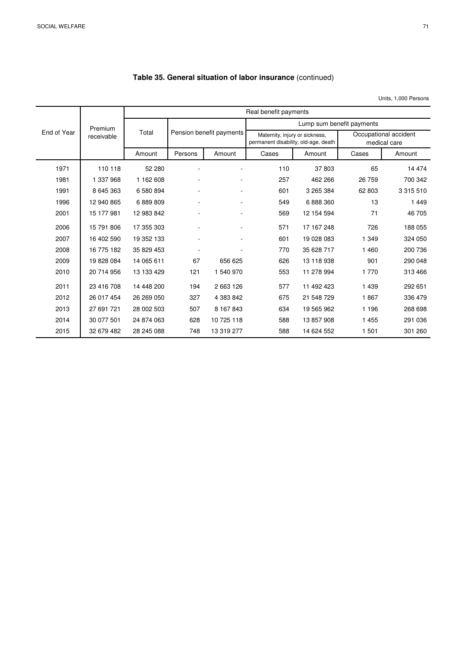#### **Table 35. General situation of labor insurance** (continued)

Units, 1,000 Persons

|             |            |            |                          |            | Real benefit payments                                                  |            |                                       |               |  |
|-------------|------------|------------|--------------------------|------------|------------------------------------------------------------------------|------------|---------------------------------------|---------------|--|
|             | Premium    |            |                          |            | Lump sum benefit payments                                              |            |                                       |               |  |
| End of Year | receivable | Total      | Pension benefit payments |            | Maternity, injury or sickness,<br>permanent disability, old-age, death |            | Occupational accident<br>medical care |               |  |
|             |            | Amount     | Persons                  | Amount     | Cases                                                                  | Amount     | Cases                                 | Amount        |  |
| 1971        | 110 118    | 52 280     |                          |            | 110                                                                    | 37803      | 65                                    | 14 474        |  |
| 1981        | 1 337 968  | 1 162 608  |                          |            | 257                                                                    | 462 266    | 26 759                                | 700 342       |  |
| 1991        | 8 645 363  | 6 580 894  |                          |            | 601                                                                    | 3 265 384  | 62 803                                | 3 3 1 5 5 1 0 |  |
| 1996        | 12 940 865 | 6889809    |                          |            | 549                                                                    | 6888360    | 13                                    | 1449          |  |
| 2001        | 15 177 981 | 12 983 842 |                          |            | 569                                                                    | 12 154 594 | 71                                    | 46 705        |  |
| 2006        | 15 791 806 | 17 355 303 |                          |            | 571                                                                    | 17 167 248 | 726                                   | 188 055       |  |
| 2007        | 16 402 590 | 19 352 133 |                          |            | 601                                                                    | 19 028 083 | 1 3 4 9                               | 324 050       |  |
| 2008        | 16 775 182 | 35 829 453 |                          |            | 770                                                                    | 35 628 717 | 1 460                                 | 200 736       |  |
| 2009        | 19 828 084 | 14 065 611 | 67                       | 656 625    | 626                                                                    | 13 118 938 | 901                                   | 290 048       |  |
| 2010        | 20 714 956 | 13 133 429 | 121                      | 1 540 970  | 553                                                                    | 11 278 994 | 1 770                                 | 313 466       |  |
| 2011        | 23 416 708 | 14 448 200 | 194                      | 2 663 126  | 577                                                                    | 11 492 423 | 1 4 3 9                               | 292 651       |  |
| 2012        | 26 017 454 | 26 269 050 | 327                      | 4 383 842  | 675                                                                    | 21 548 729 | 1867                                  | 336 479       |  |
| 2013        | 27 691 721 | 28 002 503 | 507                      | 8 167 843  | 634                                                                    | 19 565 962 | 1 1 9 6                               | 268 698       |  |
| 2014        | 30 077 501 | 24 874 063 | 628                      | 10 725 118 | 588                                                                    | 13 857 908 | 1 4 5 5                               | 291 036       |  |
| 2015        | 32 679 482 | 28 245 088 | 748                      | 13 319 277 | 588                                                                    | 14 624 552 | 1 501                                 | 301 260       |  |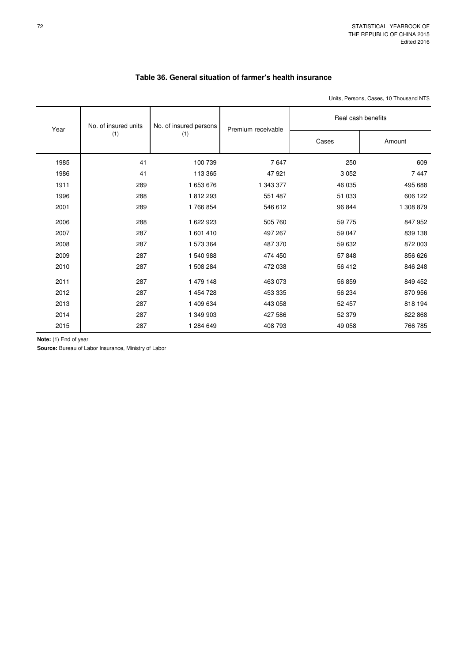#### **Table 36. General situation of farmer's health insurance**

Units, Persons, Cases, 10 Thousand NT\$

| Year | No. of insured units | No. of insured persons | Premium receivable | Real cash benefits |           |  |  |
|------|----------------------|------------------------|--------------------|--------------------|-----------|--|--|
|      | (1)                  | (1)                    |                    | Cases              | Amount    |  |  |
| 1985 | 41                   | 100 739                | 7647               | 250                | 609       |  |  |
| 1986 | 41                   | 113 365                | 47 921             | 3 0 5 2            | 7447      |  |  |
| 1911 | 289                  | 1 653 676              | 1 343 377          | 46 035             | 495 688   |  |  |
| 1996 | 288                  | 1812293                | 551 487            | 51 033             | 606 122   |  |  |
| 2001 | 289                  | 1766854                | 546 612            | 96 844             | 1 308 879 |  |  |
| 2006 | 288                  | 1 622 923              | 505 760            | 59 775             | 847 952   |  |  |
| 2007 | 287                  | 1 601 410              | 497 267            | 59 047             | 839 138   |  |  |
| 2008 | 287                  | 1 573 364              | 487 370            | 59 632             | 872 003   |  |  |
| 2009 | 287                  | 1 540 988              | 474 450            | 57848              | 856 626   |  |  |
| 2010 | 287                  | 1 508 284              | 472 038            | 56 412             | 846 248   |  |  |
| 2011 | 287                  | 1 479 148              | 463 073            | 56 859             | 849 452   |  |  |
| 2012 | 287                  | 1 454 728              | 453 335            | 56 234             | 870 956   |  |  |
| 2013 | 287                  | 1 409 634              | 443 058            | 52 457             | 818 194   |  |  |
| 2014 | 287                  | 1 349 903              | 427 586            | 52 379             | 822 868   |  |  |
| 2015 | 287                  | 1 284 649              | 408 793            | 49 0 58            | 766 785   |  |  |

**Note:** (1) End of year

**Source:** Bureau of Labor Insurance, Ministry of Labor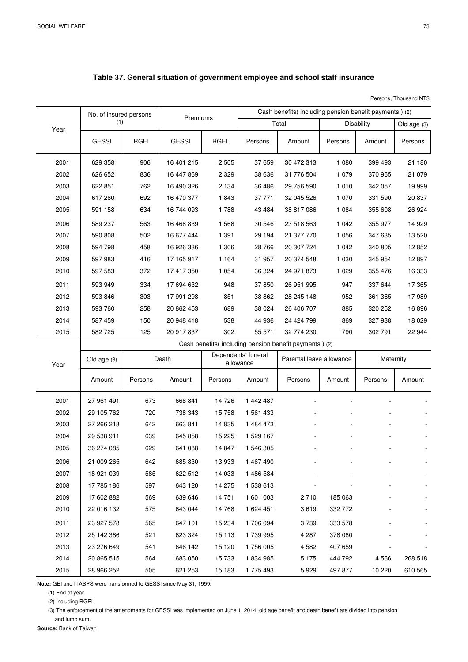#### **Table 37. General situation of government employee and school staff insurance**

Persons, Thousand NT\$

|      | No. of insured persons |         | Premiums     |             |                                  |                                                        | Cash benefits(including pension benefit payments) (2) |                   |             |  |
|------|------------------------|---------|--------------|-------------|----------------------------------|--------------------------------------------------------|-------------------------------------------------------|-------------------|-------------|--|
| Year | (1)                    |         |              |             |                                  | Total                                                  |                                                       | <b>Disability</b> | Old age (3) |  |
|      | <b>GESSI</b>           | RGEI    | <b>GESSI</b> | <b>RGEI</b> | Persons                          | Amount                                                 | Persons                                               | Amount            | Persons     |  |
| 2001 | 629 358                | 906     | 16 401 215   | 2 5 0 5     | 37 659                           | 30 472 313                                             | 1 0 8 0                                               | 399 493           | 21 180      |  |
| 2002 | 626 652                | 836     | 16 447 869   | 2 3 2 9     | 38 636                           | 31 776 504                                             | 1 0 7 9                                               | 370 965           | 21 079      |  |
| 2003 | 622 851                | 762     | 16 490 326   | 2 1 3 4     | 36 486                           | 29 756 590                                             | 1010                                                  | 342 057           | 19 999      |  |
| 2004 | 617 260                | 692     | 16 470 377   | 1843        | 37 771                           | 32 045 526                                             | 1 0 7 0                                               | 331 590           | 20 837      |  |
| 2005 | 591 158                | 634     | 16 744 093   | 1788        | 43 4 84                          | 38 817 086                                             | 1 0 8 4                                               | 355 608           | 26 9 24     |  |
| 2006 | 589 237                | 563     | 16 468 839   | 1 5 6 8     | 30 546                           | 23 518 563                                             | 1 0 4 2                                               | 355 977           | 14 9 29     |  |
| 2007 | 590 808                | 502     | 16 677 444   | 1 3 9 1     | 29 194                           | 21 377 770                                             | 1 0 5 6                                               | 347 635           | 13 5 20     |  |
| 2008 | 594 798                | 458     | 16 926 336   | 1 306       | 28 766                           | 20 307 724                                             | 1 0 4 2                                               | 340 805           | 12 852      |  |
| 2009 | 597 983                | 416     | 17 165 917   | 1 1 6 4     | 31 957                           | 20 374 548                                             | 1 0 3 0                                               | 345 954           | 12 897      |  |
| 2010 | 597 583                | 372     | 17 417 350   | 1 0 5 4     | 36 324                           | 24 971 873                                             | 1 0 2 9                                               | 355 476           | 16 333      |  |
| 2011 | 593 949                | 334     | 17 694 632   | 948         | 37 850                           | 26 951 995                                             | 947                                                   | 337 644           | 17 365      |  |
| 2012 | 593 846                | 303     | 17 991 298   | 851         | 38 862                           | 28 245 148                                             | 952                                                   | 361 365           | 17989       |  |
| 2013 | 593 760                | 258     | 20 862 453   | 689         | 38 0 24                          | 26 406 707                                             | 885                                                   | 320 252           | 16896       |  |
| 2014 | 587 459                | 150     | 20 948 418   | 538         | 44 936                           | 24 424 799                                             | 869                                                   | 327 938           | 18 0 29     |  |
| 2015 | 582 725                | 125     | 20 917 837   | 302         | 55 571                           | 32 774 230                                             | 790                                                   | 302 791           | 22 944      |  |
|      |                        |         |              |             |                                  | Cash benefits (including pension benefit payments) (2) |                                                       |                   |             |  |
| Year | Old age (3)            |         | Death        |             | Dependents' funeral<br>allowance | Parental leave allowance                               |                                                       | Maternity         |             |  |
|      | Amount                 | Persons | Amount       | Persons     | Amount                           | Persons                                                | Amount                                                | Persons           | Amount      |  |
| 2001 | 27 961 491             | 673     | 668 841      | 14 726      | 1 442 487                        |                                                        |                                                       |                   |             |  |
| 2002 | 29 105 762             | 720     | 738 343      | 15 7 58     | 1 561 433                        |                                                        |                                                       |                   |             |  |
| 2003 | 27 266 218             | 642     | 663 841      | 14 8 35     | 1 484 473                        |                                                        |                                                       |                   |             |  |
| 2004 | 29 538 911             | 639     | 645 858      | 15 2 25     | 1 529 167                        |                                                        |                                                       |                   |             |  |
| 2005 | 36 274 085             |         |              |             |                                  |                                                        |                                                       |                   |             |  |
| 2006 |                        | 629     | 641 088      | 14 847      | 1 546 305                        |                                                        |                                                       |                   |             |  |
|      | 21 009 265             | 642     | 685 830      | 13 933      | 1 467 490                        |                                                        |                                                       |                   |             |  |
| 2007 | 18 921 039             | 585     | 622 512      | 14 033      | 1 486 584                        |                                                        |                                                       |                   |             |  |
| 2008 | 17 785 186             | 597     | 643 120      | 14 275      | 1 538 613                        |                                                        |                                                       |                   |             |  |
| 2009 | 17 602 882             | 569     | 639 646      | 14 751      | 1 601 003                        | 2710                                                   | 185 063                                               |                   |             |  |
| 2010 | 22 016 132             | 575     | 643 044      | 14 768      | 1 624 451                        | 3619                                                   | 332 772                                               |                   |             |  |
| 2011 | 23 927 578             | 565     | 647 101      | 15 234      | 1706 094                         | 3739                                                   | 333 578                                               |                   |             |  |
| 2012 | 25 142 386             | 521     | 623 324      | 15 113      | 1739 995                         | 4 2 8 7                                                | 378 080                                               |                   |             |  |
| 2013 | 23 276 649             | 541     | 646 142      | 15 1 20     | 1756 005                         | 4 5 8 2                                                | 407 659                                               |                   |             |  |
| 2014 | 20 865 515             | 564     | 683 050      | 15 733      | 1834985                          | 5 1 7 5                                                | 444 792                                               | 4566              | 268 518     |  |

**Note:** GEI and ITASPS were transformed to GESSI since May 31, 1999.

(1) End of year

(2) Including RGEI

 (3) The enforcement of the amendments for GESSI was implemented on June 1, 2014, old age benefit and death benefit are divided into pension and lump sum.

**Source:** Bank of Taiwan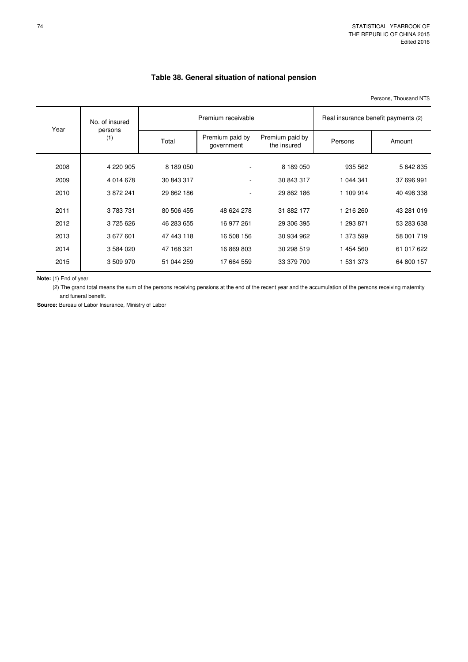#### **Table 38. General situation of national pension**

Persons, Thousand NT\$

| Year | No. of insured |            | Premium receivable            |                                | Real insurance benefit payments (2) |            |  |
|------|----------------|------------|-------------------------------|--------------------------------|-------------------------------------|------------|--|
|      | persons<br>(1) | Total      | Premium paid by<br>government | Premium paid by<br>the insured | Persons                             | Amount     |  |
| 2008 | 4 220 905      | 8 189 050  |                               | 8 189 050                      | 935 562                             | 5 642 835  |  |
| 2009 | 4 0 14 6 78    | 30 843 317 |                               | 30 843 317                     | 1 044 341                           | 37 696 991 |  |
| 2010 | 3 872 241      | 29 862 186 | $\overline{\phantom{a}}$      | 29 862 186                     | 1 109 914                           | 40 498 338 |  |
| 2011 | 3 783 731      | 80 506 455 | 48 624 278                    | 31 882 177                     | 1 216 260                           | 43 281 019 |  |
| 2012 | 3725626        | 46 283 655 | 16 977 261                    | 29 306 395                     | 1 293 871                           | 53 283 638 |  |
| 2013 | 3 677 601      | 47 443 118 | 16 508 156                    | 30 934 962                     | 1 373 599                           | 58 001 719 |  |
| 2014 | 3 584 020      | 47 168 321 | 16 869 803                    | 30 298 519                     | 1 454 560                           | 61 017 622 |  |
| 2015 | 3 509 970      | 51 044 259 | 17 664 559                    | 33 379 700                     | 1 531 373                           | 64 800 157 |  |

**Note:** (1) End of year

 (2) The grand total means the sum of the persons receiving pensions at the end of the recent year and the accumulation of the persons receiving maternity and funeral benefit.

**Source:** Bureau of Labor Insurance, Ministry of Labor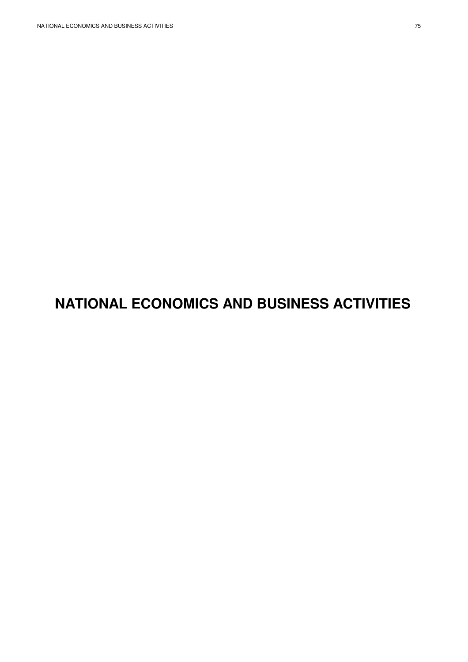# **NATIONAL ECONOMICS AND BUSINESS ACTIVITIES**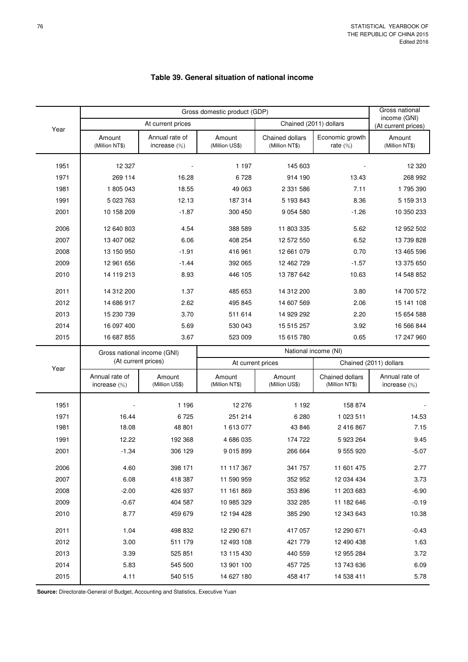|      |                                   |                                  | Gross domestic product (GDP) |                                   |                                          |                                     |  |
|------|-----------------------------------|----------------------------------|------------------------------|-----------------------------------|------------------------------------------|-------------------------------------|--|
| Year |                                   | At current prices                |                              | Chained (2011) dollars            |                                          | income (GNI)<br>(At current prices) |  |
|      | Amount<br>(Million NT\$)          | Annual rate of<br>increase $(%)$ | Amount<br>(Million US\$)     | Chained dollars<br>(Million NT\$) | Economic growth<br>rate $(%)$            | Amount<br>(Million NT\$)            |  |
| 1951 | 12 3 27                           |                                  | 1 1 9 7                      | 145 603                           |                                          | 12 3 20                             |  |
| 1971 | 269 114                           | 16.28                            | 6728                         | 914 190                           | 13.43                                    | 268 992                             |  |
| 1981 | 1805043                           | 18.55                            | 49 063                       | 2 331 586                         | 7.11                                     | 1795390                             |  |
| 1991 | 5 023 763                         | 12.13                            | 187 314                      | 5 193 843                         | 8.36                                     | 5 159 313                           |  |
| 2001 | 10 158 209                        | $-1.87$                          | 300 450                      | 9 0 54 5 80                       | $-1.26$                                  | 10 350 233                          |  |
| 2006 | 12 640 803                        | 4.54                             | 388 589                      | 11 803 335                        | 5.62                                     | 12 952 502                          |  |
| 2007 | 13 407 062                        | 6.06                             | 408 254                      | 12 572 550                        | 6.52                                     | 13 739 828                          |  |
| 2008 | 13 150 950                        | $-1.91$                          | 416 961                      | 12 661 079                        | 0.70                                     | 13 465 596                          |  |
| 2009 | 12 961 656                        | $-1.44$                          | 392 065                      | 12 462 729                        | $-1.57$                                  | 13 375 650                          |  |
| 2010 | 14 119 213                        | 8.93                             | 446 105                      | 13 787 642                        | 10.63                                    | 14 548 852                          |  |
| 2011 | 14 312 200                        | 1.37                             | 485 653                      | 14 312 200                        | 3.80                                     | 14 700 572                          |  |
| 2012 | 14 686 917                        | 2.62                             | 495 845                      | 14 607 569                        | 2.06                                     | 15 141 108                          |  |
| 2013 | 15 230 739                        | 3.70                             | 511 614                      | 14 929 292                        | 2.20                                     | 15 654 588                          |  |
| 2014 | 16 097 400                        | 5.69                             | 530 043                      | 15 515 257                        | 3.92                                     | 16 566 844                          |  |
| 2015 | 16 687 855                        | 3.67                             | 523 009                      | 15 615 780                        | 0.65                                     | 17 247 960                          |  |
|      |                                   |                                  |                              |                                   |                                          |                                     |  |
|      | Gross national income (GNI)       |                                  |                              |                                   | National income (NI)                     |                                     |  |
|      | (At current prices)               |                                  | At current prices            |                                   |                                          | Chained (2011) dollars              |  |
| Year | Annual rate of<br>increase $(\%)$ | Amount<br>(Million US\$)         | Amount<br>(Million NT\$)     | Amount<br>(Million US\$)          | <b>Chained dollars</b><br>(Million NT\$) | Annual rate of<br>increase (%)      |  |
| 1951 |                                   | 1 1 9 6                          | 12 276                       | 1 1 9 2                           | 158 874                                  |                                     |  |
| 1971 | 16.44                             | 6725                             | 251 214                      | 6 2 8 0                           | 1 023 511                                | 14.53                               |  |
| 1981 | 18.08                             | 48 801                           | 1 613 077                    | 43 846                            | 2 416 867                                | 7.15                                |  |
| 1991 | 12.22                             | 192 368                          | 4 686 035                    | 174 722                           | 5923264                                  | 9.45                                |  |
| 2001 | $-1.34$                           | 306 129                          | 9 0 1 5 8 9 9                | 266 664                           | 9 555 920                                | $-5.07$                             |  |
| 2006 | 4.60                              | 398 171                          | 11 117 367                   | 341 757                           | 11 601 475                               | 2.77                                |  |
| 2007 | 6.08                              | 418 387                          | 11 590 959                   | 352 952                           | 12 034 434                               | 3.73                                |  |
| 2008 | $-2.00$                           | 426 937                          | 11 161 869                   | 353 896                           | 11 203 683                               | $-6.90$                             |  |
| 2009 | $-0.67$                           | 404 587                          | 10 985 329                   | 332 285                           | 11 182 646                               | $-0.19$                             |  |
| 2010 | 8.77                              | 459 679                          | 12 194 428                   | 385 290                           | 12 343 643                               | 10.38                               |  |
| 2011 | 1.04                              | 498 832                          | 12 290 671                   | 417 057                           | 12 290 671                               | $-0.43$                             |  |
| 2012 | 3.00                              | 511 179                          | 12 493 108                   | 421 779                           | 12 490 438                               | 1.63                                |  |
| 2013 | 3.39                              | 525 851                          | 13 115 430                   | 440 559                           | 12 955 284                               | 3.72                                |  |
| 2014 | 5.83                              | 545 500                          | 13 901 100                   | 457 725                           | 13 743 636                               | 6.09                                |  |

#### **Table 39. General situation of national income**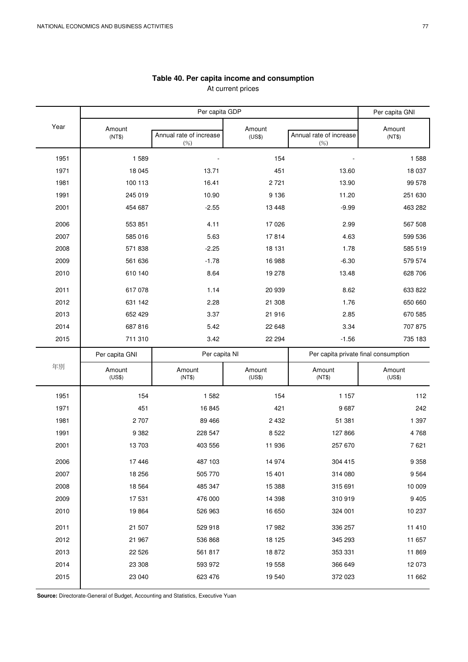|      |                  | Per capita GDP                 |                  |                                | Per capita GNI                       |
|------|------------------|--------------------------------|------------------|--------------------------------|--------------------------------------|
|      |                  |                                |                  |                                |                                      |
| Year | Amount<br>(NT\$) | Annual rate of increase<br>(%) | Amount<br>(US\$) | Annual rate of increase<br>(%) | Amount<br>(NT\$)                     |
| 1951 | 1589             |                                | 154              |                                | 1588                                 |
| 1971 | 18 045           | 13.71                          | 451              | 13.60                          | 18 037                               |
| 1981 | 100 113          | 16.41                          |                  | 13.90                          | 99 578                               |
| 1991 | 245 019          | 10.90                          | 9 1 3 6          | 11.20                          | 251 630                              |
| 2001 | 454 687          | $-2.55$                        | 13 4 48          | $-9.99$                        | 463 282                              |
| 2006 | 553 851          | 4.11                           | 17 0 26          | 2.99                           | 567 508                              |
| 2007 | 585 016          | 5.63                           | 17814            | 4.63                           | 599 536                              |
| 2008 | 571838           | $-2.25$                        | 18 131           | 1.78                           | 585 519                              |
| 2009 | 561 636          | $-1.78$                        | 16 988           | $-6.30$                        | 579 574                              |
| 2010 | 610 140          | 8.64                           | 19 278           | 13.48                          | 628 706                              |
| 2011 | 617078           | 1.14                           | 20 939           | 8.62                           | 633 822                              |
| 2012 | 631 142          | 2.28                           | 21 308           | 1.76                           | 650 660                              |
| 2013 | 652 429          | 3.37                           | 21 916           | 2.85                           | 670 585                              |
| 2014 | 687816           | 5.42                           | 22 648           | 3.34                           | 707 875                              |
| 2015 | 711 310          | 3.42                           | 22 294           | $-1.56$                        | 735 183                              |
|      | Per capita GNI   | Per capita NI                  |                  |                                | Per capita private final consumption |
| 年別   | Amount<br>(US\$) | Amount<br>(NT\$)               | Amount<br>(US\$) | Amount<br>(NT\$)               | Amount<br>(US\$)                     |
| 1951 | 154              | 1 5 8 2                        | 154              | 1 1 5 7                        | 112                                  |
| 1971 | 451              | 16845                          | 421              | 9687                           | 242                                  |
| 1981 | 2707             | 89 466                         | 2 4 3 2          | 51 381                         | 1 3 9 7                              |

1991 | 9382 228 547 8 522 127 866 4 768 2001 13 703 403 556 11 936 257 670 7 621

2006 17 446 487 103 14 974 304 415 9 358 2007 18 256 505 770 15 401 314 080 9 564 2008 18 564 485 347 15 388 315 691 10 009 2009 17 531 476 000 14 398 310 919 9 405 2010 19 864 526 963 16 650 324 001 10 237

2011 21 507 529 918 17 982 336 257 11 410 2012 21 967 536 868 18 125 345 293 11 657 2013 22 526 561 817 18 872 353 331 11 869 2014 23 308 593 972 19 558 366 649 12 073 2015 23 040 623 476 19 540 372 023 11 662

#### **Table 40. Per capita income and consumption**

At current prices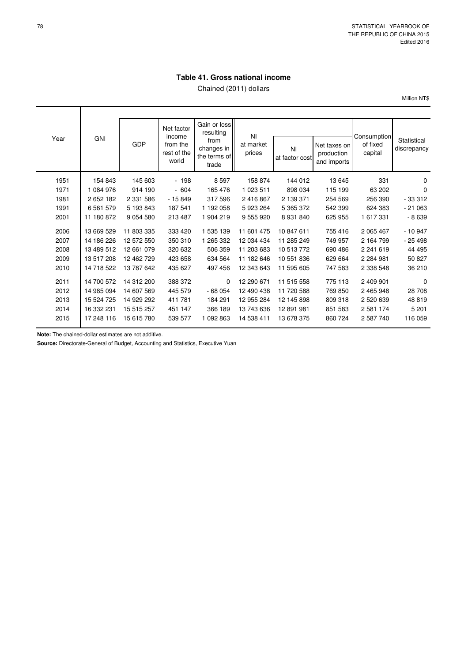#### **Table 41. Gross national income**

Chained (2011) dollars

Million NT\$

|      |             |               | Net factor                                 | Gain or loss<br>resulting                   | N <sub>1</sub>      |                             |                                           |                                    |                            |
|------|-------------|---------------|--------------------------------------------|---------------------------------------------|---------------------|-----------------------------|-------------------------------------------|------------------------------------|----------------------------|
| Year | <b>GNI</b>  | GDP           | income<br>from the<br>rest of the<br>world | from<br>changes in<br>the terms of<br>trade | at market<br>prices | <b>NI</b><br>at factor cost | Net taxes on<br>production<br>and imports | Consumption<br>of fixed<br>capital | Statistical<br>discrepancy |
| 1951 | 154 843     | 145 603       | $-198$                                     | 8597                                        | 158 874             | 144 012                     | 13 645                                    | 331                                | 0                          |
| 1971 | 1 084 976   | 914 190       | $-604$                                     | 165 476                                     | 1 023 511           | 898 034                     | 115 199                                   | 63 202                             | 0                          |
| 1981 | 2 652 182   | 2 3 3 1 5 8 6 | $-15849$                                   | 317 596                                     | 2 416 867           | 2 139 371                   | 254 569                                   | 256 390                            | $-33312$                   |
| 1991 | 6 5 61 5 79 | 5 193 843     | 187 541                                    | 1 192 058                                   | 5 923 264           | 5 365 372                   | 542 399                                   | 624 383                            | $-21063$                   |
| 2001 | 11 180 872  | 9 0 5 4 5 8 0 | 213 487                                    | 1 904 219                                   | 9 555 920           | 8 931 840                   | 625 955                                   | 1 617 331                          | $-8639$                    |
| 2006 | 13 669 529  | 11 803 335    | 333 420                                    | 1 535 139                                   | 11 601 475          | 10 847 611                  | 755 416                                   | 2 065 467                          | $-10947$                   |
| 2007 | 14 186 226  | 12 572 550    | 350 310                                    | 1 265 332                                   | 12 034 434          | 11 285 249                  | 749 957                                   | 2 164 799                          | $-25498$                   |
| 2008 | 13 489 512  | 12 661 079    | 320 632                                    | 506 359                                     | 11 203 683          | 10 513 772                  | 690 486                                   | 2 241 619                          | 44 495                     |
| 2009 | 13 517 208  | 12 462 729    | 423 658                                    | 634 564                                     | 11 182 646          | 10 551 836                  | 629 664                                   | 2 2 8 4 9 8 1                      | 50 827                     |
| 2010 | 14 718 522  | 13 787 642    | 435 627                                    | 497 456                                     | 12 343 643          | 11 595 605                  | 747 583                                   | 2 338 548                          | 36 210                     |
| 2011 | 14 700 572  | 14 312 200    | 388 372                                    | 0                                           | 12 290 671          | 11 515 558                  | 775 113                                   | 2 409 901                          | $\mathbf 0$                |
| 2012 | 14 985 094  | 14 607 569    | 445 579                                    | $-68054$                                    | 12 490 438          | 11 720 588                  | 769 850                                   | 2 465 948                          | 28 708                     |
| 2013 | 15 524 725  | 14 929 292    | 411 781                                    | 184 291                                     | 12 955 284          | 12 145 898                  | 809 318                                   | 2 520 639                          | 48 819                     |
| 2014 | 16 332 231  | 15 515 257    | 451 147                                    | 366 189                                     | 13 743 636          | 12 891 981                  | 851 583                                   | 2 581 174                          | 5 2 0 1                    |
| 2015 | 17 248 116  | 15 615 780    | 539 577                                    | 1 092 863                                   | 14 538 411          | 13 678 375                  | 860 724                                   | 2 587 740                          | 116 059                    |

**Note:** The chained-dollar estimates are not additive.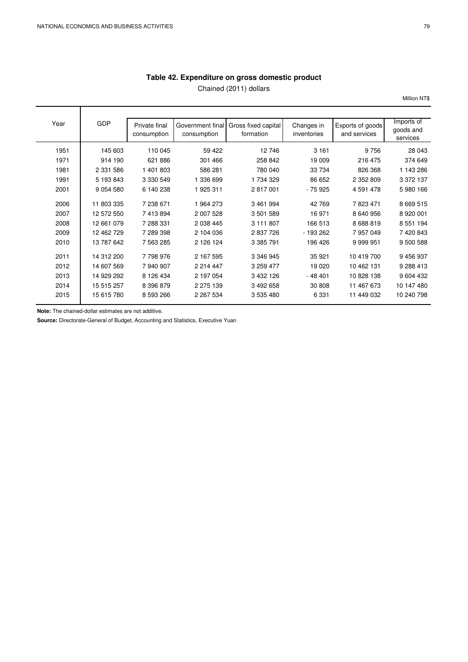Chained (2011) dollars

Million NT\$

| Year | <b>GDP</b>  | Private final<br>consumption | Government final<br>consumption | Gross fixed capital<br>formation | Changes in<br>inventories | Exports of goods<br>and services | Imports of<br>goods and<br>services |
|------|-------------|------------------------------|---------------------------------|----------------------------------|---------------------------|----------------------------------|-------------------------------------|
| 1951 | 145 603     | 110 045                      | 59 422                          | 12746                            | 3 1 6 1                   | 9756                             | 28 043                              |
| 1971 | 914 190     | 621 886                      | 301 466                         | 258 842                          | 19 009                    | 216 475                          | 374 649                             |
| 1981 | 2 331 586   | 1 401 803                    | 586 281                         | 780 040                          | 33 734                    | 826 368                          | 1 143 286                           |
| 1991 | 5 193 843   | 3 330 549                    | 1 336 699                       | 1 734 329                        | 86 652                    | 2 352 809                        | 3 372 137                           |
| 2001 | 9 0 54 5 80 | 6 140 238                    | 1 925 311                       | 2817001                          | $-75925$                  | 4 591 478                        | 5 980 166                           |
| 2006 | 11 803 335  | 7 238 671                    | 1964273                         | 3 461 994                        | 42 769                    | 7823471                          | 8 6 6 9 5 1 5                       |
| 2007 | 12 572 550  | 7413894                      | 2 007 528                       | 3 501 589                        | 16971                     | 8 640 956                        | 8 9 20 001                          |
| 2008 | 12 661 079  | 7 288 331                    | 2 038 445                       | 3 111 807                        | 166 513                   | 8 688 819                        | 8 5 5 1 1 9 4                       |
| 2009 | 12 462 729  | 7 289 398                    | 2 104 036                       | 2 837 726                        | $-193262$                 | 7 957 049                        | 7 420 843                           |
| 2010 | 13 787 642  | 7 563 285                    | 2 126 124                       | 3 385 791                        | 196 426                   | 9 9 9 9 9 5 1                    | 9 500 588                           |
| 2011 | 14 312 200  | 7798976                      | 2 167 595                       | 3 346 945                        | 35 9 21                   | 10 419 700                       | 9 456 937                           |
| 2012 | 14 607 569  | 7 940 907                    | 2 2 1 4 4 4 7                   | 3 259 477                        | 19 0 20                   | 10 462 131                       | 9 288 413                           |
| 2013 | 14 929 292  | 8 126 434                    | 2 197 054                       | 3 432 126                        | $-48401$                  | 10 828 138                       | 9 604 432                           |
| 2014 | 15 515 257  | 8 396 879                    | 2 275 139                       | 3 492 658                        | 30 808                    | 11 467 673                       | 10 147 480                          |
| 2015 | 15 615 780  | 8 593 266                    | 2 267 534                       | 3 535 480                        | 6 3 3 1                   | 11 449 032                       | 10 240 798                          |

**Note:** The chained-dollar estimates are not additive.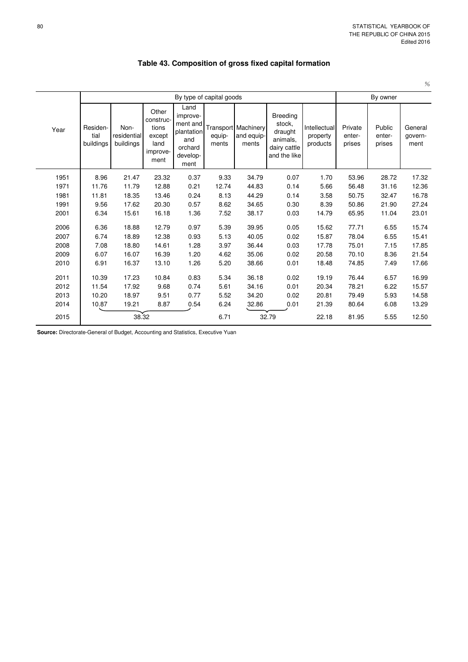### **Table 43. Composition of gross fixed capital formation**

|      |                               |                                  |                                                                   |                                                                                  |                          |                                            |                                                                                  |                                      |                             |                            | $\%$                       |
|------|-------------------------------|----------------------------------|-------------------------------------------------------------------|----------------------------------------------------------------------------------|--------------------------|--------------------------------------------|----------------------------------------------------------------------------------|--------------------------------------|-----------------------------|----------------------------|----------------------------|
|      |                               |                                  |                                                                   |                                                                                  | By type of capital goods |                                            |                                                                                  |                                      |                             | By owner                   |                            |
| Year | Residen-<br>tial<br>buildings | Non-<br>residential<br>buildings | Other<br>construc-<br>tions<br>except<br>land<br>improve-<br>ment | Land<br>improve-<br>ment and<br>plantation<br>and<br>orchard<br>develop-<br>ment | equip-<br>ments          | Transport Machinery<br>and equip-<br>ments | <b>Breeding</b><br>stock,<br>draught<br>animals,<br>dairy cattle<br>and the like | Intellectual<br>property<br>products | Private<br>enter-<br>prises | Public<br>enter-<br>prises | General<br>govern-<br>ment |
| 1951 | 8.96                          | 21.47                            | 23.32                                                             | 0.37                                                                             | 9.33                     | 34.79                                      | 0.07                                                                             | 1.70                                 | 53.96                       | 28.72                      | 17.32                      |
| 1971 | 11.76                         | 11.79                            | 12.88                                                             | 0.21                                                                             | 12.74                    | 44.83                                      | 0.14                                                                             | 5.66                                 | 56.48                       | 31.16                      | 12.36                      |
| 1981 | 11.81                         | 18.35                            | 13.46                                                             | 0.24                                                                             | 8.13                     | 44.29                                      | 0.14                                                                             | 3.58                                 | 50.75                       | 32.47                      | 16.78                      |
| 1991 | 9.56                          | 17.62                            | 20.30                                                             | 0.57                                                                             | 8.62                     | 34.65                                      | 0.30                                                                             | 8.39                                 | 50.86                       | 21.90                      | 27.24                      |
| 2001 | 6.34                          | 15.61                            | 16.18                                                             | 1.36                                                                             | 7.52                     | 38.17                                      | 0.03                                                                             | 14.79                                | 65.95                       | 11.04                      | 23.01                      |
| 2006 | 6.36                          | 18.88                            | 12.79                                                             | 0.97                                                                             | 5.39                     | 39.95                                      | 0.05                                                                             | 15.62                                | 77.71                       | 6.55                       | 15.74                      |
| 2007 | 6.74                          | 18.89                            | 12.38                                                             | 0.93                                                                             | 5.13                     | 40.05                                      | 0.02                                                                             | 15.87                                | 78.04                       | 6.55                       | 15.41                      |
| 2008 | 7.08                          | 18.80                            | 14.61                                                             | 1.28                                                                             | 3.97                     | 36.44                                      | 0.03                                                                             | 17.78                                | 75.01                       | 7.15                       | 17.85                      |
| 2009 | 6.07                          | 16.07                            | 16.39                                                             | 1.20                                                                             | 4.62                     | 35.06                                      | 0.02                                                                             | 20.58                                | 70.10                       | 8.36                       | 21.54                      |
| 2010 | 6.91                          | 16.37                            | 13.10                                                             | 1.26                                                                             | 5.20                     | 38.66                                      | 0.01                                                                             | 18.48                                | 74.85                       | 7.49                       | 17.66                      |
| 2011 | 10.39                         | 17.23                            | 10.84                                                             | 0.83                                                                             | 5.34                     | 36.18                                      | 0.02                                                                             | 19.19                                | 76.44                       | 6.57                       | 16.99                      |
| 2012 | 11.54                         | 17.92                            | 9.68                                                              | 0.74                                                                             | 5.61                     | 34.16                                      | 0.01                                                                             | 20.34                                | 78.21                       | 6.22                       | 15.57                      |
| 2013 | 10.20                         | 18.97                            | 9.51                                                              | 0.77                                                                             | 5.52                     | 34.20                                      | 0.02                                                                             | 20.81                                | 79.49                       | 5.93                       | 14.58                      |
| 2014 | 10.87                         | 19.21                            | 8.87                                                              | 0.54                                                                             | 6.24                     | 32.86                                      | 0.01                                                                             | 21.39                                | 80.64                       | 6.08                       | 13.29                      |
| 2015 |                               | 38.32                            |                                                                   |                                                                                  | 6.71                     |                                            | 32.79                                                                            | 22.18                                | 81.95                       | 5.55                       | 12.50                      |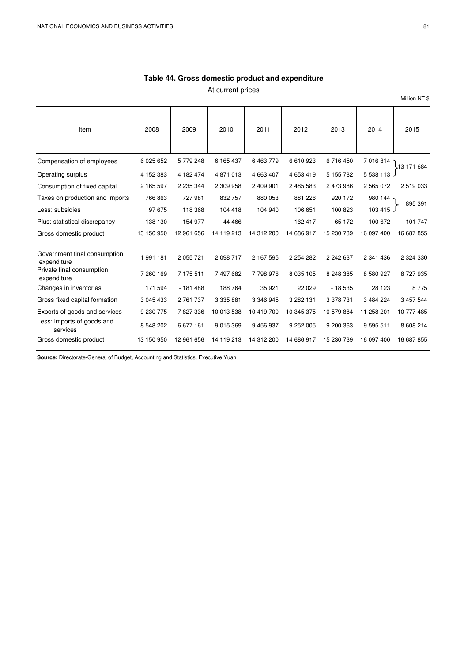#### At current prices

Compensation of employees 6 025 652 5 779 248 6 165 437 6 463 779 6 610 923 6 716 450 Operating surplus 1353 4 152 383 4 182 474 4 871 013 4 663 407 4 653 419 5 155 782 5 538 113 Consumption of fixed capital | 2 165 597 2 235 344 2 309 958 2 409 901 2 485 583 2 473 986 2 565 072 2 519 033 Taxes on production and imports | 766 863 727 981 832 757 880 053 881 226 920 172 980 144 Less: subsidies 103 415 37 675 118 368 104 418 104 940 106 651 100 823 103 415 Plus: statistical discrepancy | 138 130 154 977 44 466 - 162 417 65 172 100 672 101 747 Gross domestic product | 13 150 950 12 961 656 14 119 213 14 312 200 14 686 917 15 230 739 16 097 400 16 687 855 Government final consumption expenditure 2 055 000 1 1 1 1 2 055 721 2 098 717 2 167 595 2 254 282 2 242 637 2 341 436 2 324 330 Private final consumption expenditure 7 175 511 7 260 169 7 175 511 7 497 682 7 798 976 8 035 105 8 248 385 8 580 927 8 727 935 Changes in inventories | 171 594 - 181 488 188 764 35 921 22 029 - 18 535 28 123 8 775 Gross fixed capital formation  $\begin{array}{|l} 3 \ 0.45 \ 433 \ 2 \ 761 \ 737 \ 3 \ 335 \ 881 \ 3 \ 346 \ 945 \ 3 \ 282 \ 131 \ 3 \ 378 \ 731 \ 3 \ 484 \ 224 \ 3 \ 457 \ 544 \end{array}$ 7 016 814 13 171 684 895 391 2008 | 2009 | 2010 | 2011 | 2012 | 2013 | 2014 | 2015 Item 2014

Exports of goods and services 9 230 775 7 827 336 10 013 538 10 419 700 10 345 375 10 579 884 11 258 201 10 777 485

 services 6 677 161 8 548 202 9 015 369 9 456 937 9 252 005 9 200 363 9 595 511 8 608 214 Gross domestic product 13 150 950 12 961 656 14 119 213 14 312 200 14 686 917 15 230 739 16 097 400 16 687 855

**Source:** Directorate-General of Budget, Accounting and Statistics, Executive Yuan

Less: imports of goods and

Million NT \$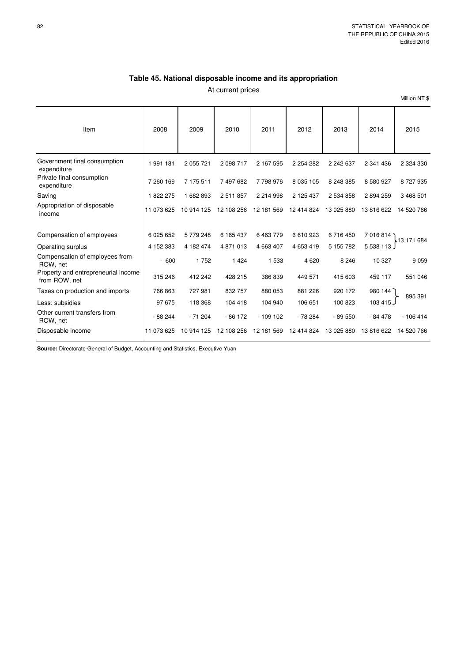#### **Table 45. National disposable income and its appropriation**

At current prices

Million NT \$

| Item                                                 | 2008       | 2009       | 2010          | 2011          | 2012          | 2013       | 2014        | 2015          |
|------------------------------------------------------|------------|------------|---------------|---------------|---------------|------------|-------------|---------------|
| Government final consumption<br>expenditure          | 1991181    | 2 055 721  | 2 0 9 8 7 1 7 | 2 167 595     | 2 2 5 4 2 8 2 | 2 242 637  | 2 341 436   | 2 3 2 4 3 3 0 |
| Private final consumption<br>expenditure             | 7 260 169  | 7 175 511  | 7 497 682     | 7798976       | 8 0 3 5 1 0 5 | 8 248 385  | 8 580 927   | 8727935       |
| Saving                                               | 1822275    | 1 682 893  | 2511857       | 2 2 1 4 9 9 8 | 2 125 437     | 2 534 858  | 2894259     | 3 468 501     |
| Appropriation of disposable<br>income                | 11 073 625 | 10 914 125 | 12 108 256    | 12 181 569    | 12 414 824    | 13 025 880 | 13 816 622  | 14 520 766    |
| Compensation of employees                            | 6 025 652  | 5 779 248  | 6 165 437     | 6 4 63 7 7 9  | 6 610 923     | 6716450    | 7 016 814 7 | -13 171 684   |
| Operating surplus                                    | 4 152 383  | 4 182 474  | 4871013       | 4 663 407     | 4 653 419     | 5 155 782  | 5 538 113   |               |
| Compensation of employees from<br>ROW, net           | $-600$     | 1752       | 1424          | 1 5 3 3       | 4 6 20        | 8 2 4 6    | 10 327      | 9059          |
| Property and entrepreneurial income<br>from ROW, net | 315 246    | 412 242    | 428 215       | 386 839       | 449 571       | 415 603    | 459 117     | 551 046       |
| Taxes on production and imports                      | 766 863    | 727 981    | 832 757       | 880 053       | 881 226       | 920 172    | 980 144     | 895 391       |
| Less: subsidies                                      | 97 675     | 118 368    | 104 418       | 104 940       | 106 651       | 100 823    | $103415 -$  |               |
| Other current transfers from<br>ROW, net             | $-88244$   | $-71204$   | $-86172$      | $-109102$     | $-78284$      | $-89550$   | $-84478$    | $-106414$     |
| Disposable income                                    | 11 073 625 | 10 914 125 | 12 108 256    | 12 181 569    | 12 414 824    | 13 025 880 | 13816622    | 14 520 766    |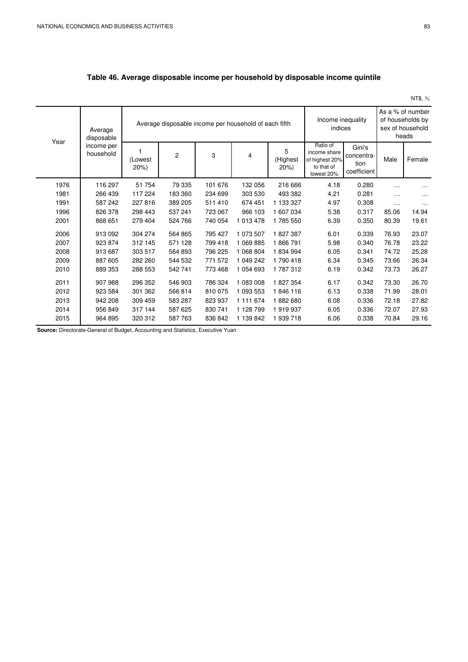#### **Table 46. Average disposable income per household by disposable income quintile**

|      |                         |                |                |         |                                                       |                          |                                                                        |                                             |          | NT\$, %                                                           |
|------|-------------------------|----------------|----------------|---------|-------------------------------------------------------|--------------------------|------------------------------------------------------------------------|---------------------------------------------|----------|-------------------------------------------------------------------|
| Year | Average<br>disposable   |                |                |         | Average disposable income per household of each fifth |                          | Income inequality<br>indices                                           |                                             |          | As a % of number<br>of households by<br>sex of household<br>heads |
|      | income per<br>household | (Lowest<br>20% | $\overline{2}$ | 3       | 4                                                     | 5<br>(Highest<br>$20%$ ) | Ratio of<br>income share<br>of highest 20%<br>to that of<br>lowest 20% | Gini's<br>concentra-<br>tion<br>coefficient | Male     | Female                                                            |
| 1976 | 116 297                 | 51 754         | 79 335         | 101 676 | 132 056                                               | 216 666                  | 4.18                                                                   | 0.280                                       | .        | .                                                                 |
| 1981 | 266 439                 | 117 224        | 183 360        | 234 699 | 303 530                                               | 493 382                  | 4.21                                                                   | 0.281                                       | $\cdots$ | $\cdots$                                                          |
| 1991 | 587 242                 | 227 816        | 389 205        | 511 410 | 674 451                                               | 1 133 327                | 4.97                                                                   | 0.308                                       | $\cdots$ | $\cdots$                                                          |
| 1996 | 826 378                 | 298 443        | 537 241        | 723 067 | 966 103                                               | 1 607 034                | 5.38                                                                   | 0.317                                       | 85.06    | 14.94                                                             |
| 2001 | 868 651                 | 279 404        | 524 766        | 740 054 | 1 013 478                                             | 1785 550                 | 6.39                                                                   | 0.350                                       | 80.39    | 19.61                                                             |
| 2006 | 913 092                 | 304 274        | 564 865        | 795 427 | 1 073 507                                             | 1827387                  | 6.01                                                                   | 0.339                                       | 76.93    | 23.07                                                             |
| 2007 | 923 874                 | 312 145        | 571 128        | 799 418 | 1 069 885                                             | 1866791                  | 5.98                                                                   | 0.340                                       | 76.78    | 23.22                                                             |
| 2008 | 913 687                 | 303 517        | 564 893        | 796 225 | 1 068 804                                             | 1834994                  | 6.05                                                                   | 0.341                                       | 74.72    | 25.28                                                             |
| 2009 | 887 605                 | 282 260        | 544 532        | 771 572 | 1 049 242                                             | 1790418                  | 6.34                                                                   | 0.345                                       | 73.66    | 26.34                                                             |
| 2010 | 889 353                 | 288 553        | 542 741        | 773 468 | 1 054 693                                             | 1 787 312                | 6.19                                                                   | 0.342                                       | 73.73    | 26.27                                                             |
| 2011 | 907 988                 | 296 352        | 546 903        | 786 324 | 1 083 008                                             | 1827354                  | 6.17                                                                   | 0.342                                       | 73.30    | 26.70                                                             |
| 2012 | 923 584                 | 301 362        | 566 814        | 810 075 | 1 093 553                                             | 1846 116                 | 6.13                                                                   | 0.338                                       | 71.99    | 28.01                                                             |
| 2013 | 942 208                 | 309 459        | 583 287        | 823 937 | 1 111 674                                             | 1882680                  | 6.08                                                                   | 0.336                                       | 72.18    | 27.82                                                             |
| 2014 | 956 849                 | 317 144        | 587 625        | 830 741 | 1 128 799                                             | 1919937                  | 6.05                                                                   | 0.336                                       | 72.07    | 27.93                                                             |
| 2015 | 964 895                 | 320 312        | 587 763        | 836 842 | 1 139 842                                             | 1 939 718                | 6.06                                                                   | 0.338                                       | 70.84    | 29.16                                                             |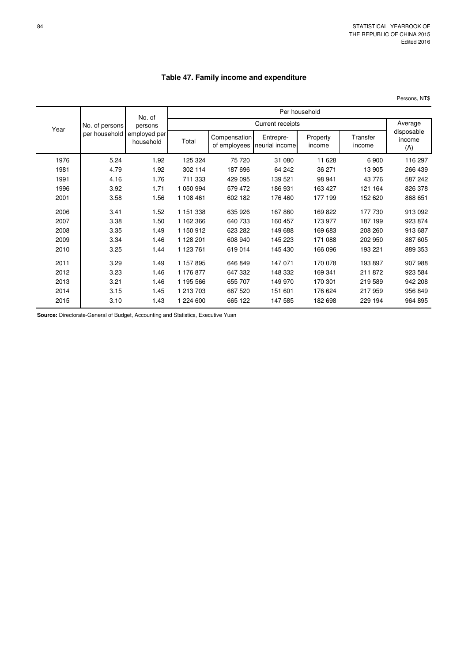#### **Table 47. Family income and expenditure**

Persons, NT\$

|      |                | No. of                    |           |                              |                             | Per household      |                    |                             |
|------|----------------|---------------------------|-----------|------------------------------|-----------------------------|--------------------|--------------------|-----------------------------|
| Year | No. of persons | persons                   |           |                              | Current receipts            |                    |                    | Average                     |
|      | per household  | employed per<br>household | Total     | Compensation<br>of employees | Entrepre-<br>neurial income | Property<br>income | Transfer<br>income | disposable<br>income<br>(A) |
| 1976 | 5.24           | 1.92                      | 125 324   | 75 720                       | 31 080                      | 11 628             | 6900               | 116 297                     |
| 1981 | 4.79           | 1.92                      | 302 114   | 187 696                      | 64 242                      | 36 271             | 13 905             | 266 439                     |
| 1991 | 4.16           | 1.76                      | 711 333   | 429 095                      | 139 521                     | 98 941             | 43 776             | 587 242                     |
| 1996 | 3.92           | 1.71                      | 1 050 994 | 579 472                      | 186 931                     | 163 427            | 121 164            | 826 378                     |
| 2001 | 3.58           | 1.56                      | 1 108 461 | 602 182                      | 176 460                     | 177 199            | 152 620            | 868 651                     |
| 2006 | 3.41           | 1.52                      | 1 151 338 | 635 926                      | 167860                      | 169 822            | 177 730            | 913 092                     |
| 2007 | 3.38           | 1.50                      | 1 162 366 | 640 733                      | 160 457                     | 173 977            | 187 199            | 923 874                     |
| 2008 | 3.35           | 1.49                      | 1 150 912 | 623 282                      | 149 688                     | 169 683            | 208 260            | 913 687                     |
| 2009 | 3.34           | 1.46                      | 1 128 201 | 608 940                      | 145 223                     | 171 088            | 202 950            | 887 605                     |
| 2010 | 3.25           | 1.44                      | 1 123 761 | 619014                       | 145 430                     | 166 096            | 193 221            | 889 353                     |
| 2011 | 3.29           | 1.49                      | 1 157 895 | 646 849                      | 147 071                     | 170 078            | 193897             | 907988                      |
| 2012 | 3.23           | 1.46                      | 1 176 877 | 647 332                      | 148 332                     | 169 341            | 211 872            | 923 584                     |
| 2013 | 3.21           | 1.46                      | 1 195 566 | 655 707                      | 149 970                     | 170 301            | 219 589            | 942 208                     |
| 2014 | 3.15           | 1.45                      | 1 213 703 | 667 520                      | 151 601                     | 176 624            | 217959             | 956 849                     |
| 2015 | 3.10           | 1.43                      | 1 224 600 | 665 122                      | 147 585                     | 182 698            | 229 194            | 964 895                     |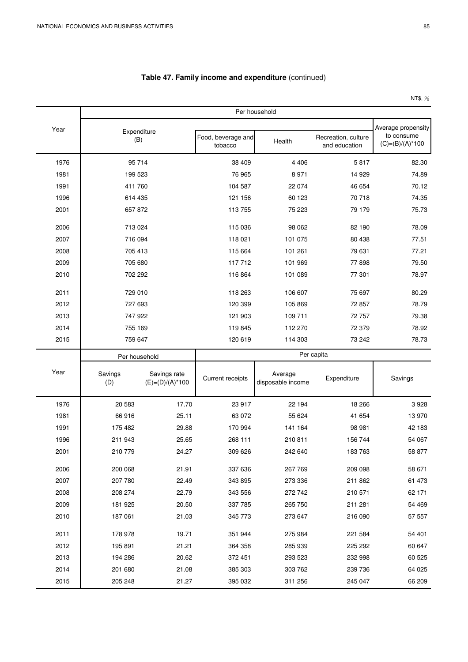#### **Table 47. Family income and expenditure** (continued)

|      |                |                                      |                               | Per household                |                                      |                                                        |
|------|----------------|--------------------------------------|-------------------------------|------------------------------|--------------------------------------|--------------------------------------------------------|
| Year |                | Expenditure<br>(B)                   | Food, beverage and<br>tobacco | Health                       | Recreation, culture<br>and education | Average propensity<br>to consume<br>$(C)=(B)/(A)^*100$ |
| 1976 | 95 714         |                                      | 38 409                        | 4 4 0 6                      | 5817                                 | 82.30                                                  |
| 1981 | 199 523        |                                      | 76 965                        | 8971                         | 14 9 29                              | 74.89                                                  |
| 1991 | 411 760        |                                      | 104 587                       | 22 074                       | 46 654                               | 70.12                                                  |
| 1996 | 614 435        |                                      | 121 156                       | 60 123                       | 70 718                               | 74.35                                                  |
| 2001 | 657 872        |                                      | 113 755                       | 75 223                       | 79 179                               | 75.73                                                  |
| 2006 | 713 024        |                                      | 115 036                       | 98 062                       | 82 190                               | 78.09                                                  |
|      |                |                                      |                               |                              |                                      |                                                        |
| 2007 | 716 094        |                                      | 118 021                       | 101 075                      | 80 438                               | 77.51                                                  |
| 2008 | 705 413        |                                      | 115 664                       | 101 261                      | 79 631                               | 77.21                                                  |
| 2009 | 705 680        |                                      | 117712                        | 101 969                      | 77898                                | 79.50                                                  |
| 2010 | 702 292        |                                      | 116 864                       | 101 089                      | 77 301                               | 78.97                                                  |
| 2011 | 729 010        |                                      | 118 263                       | 106 607                      | 75 697                               | 80.29                                                  |
| 2012 | 727 693        |                                      | 120 399                       | 105 869                      | 72857                                | 78.79                                                  |
| 2013 | 747 922        |                                      | 121 903                       | 109 711                      | 72 757                               | 79.38                                                  |
| 2014 | 755 169        |                                      | 119 845                       | 112 270                      | 72 379                               | 78.92                                                  |
| 2015 | 759 647        |                                      | 120 619                       | 114 303                      | 73 242                               | 78.73                                                  |
|      |                | Per household                        |                               |                              | Per capita                           |                                                        |
| Year | Savings<br>(D) | Savings rate<br>$(E) = (D)/(A)^*100$ | <b>Current receipts</b>       | Average<br>disposable income | Expenditure                          | Savings                                                |
| 1976 | 20 583         | 17.70                                | 23 917                        | 22 194                       | 18 26 6                              | 3928                                                   |
| 1981 | 66 916         | 25.11                                | 63 072                        | 55 624                       | 41 654                               | 13 970                                                 |
| 1991 | 175 482        | 29.88                                | 170 994                       | 141 164                      | 98 981                               | 42 183                                                 |
| 1996 | 211 943        | 25.65                                | 268 111                       | 210 811                      | 156 744                              | 54 067                                                 |
| 2001 | 210 779        | 24.27                                | 309 626                       | 242 640                      | 183 763                              | 58 877                                                 |
| 2006 | 200 068        | 21.91                                | 337 636                       | 267769                       | 209 098                              | 58 671                                                 |
| 2007 | 207 780        | 22.49                                | 343 895                       | 273 336                      | 211 862                              | 61 473                                                 |
| 2008 | 208 274        | 22.79                                | 343 556                       | 272 742                      | 210 571                              | 62 171                                                 |
| 2009 | 181 925        | 20.50                                | 337 785                       | 265 750                      | 211 281                              | 54 469                                                 |
| 2010 | 187 061        | 21.03                                | 345 773                       | 273 647                      | 216 090                              | 57 557                                                 |
| 2011 | 178 978        | 19.71                                | 351 944                       | 275 984                      | 221 584                              | 54 401                                                 |
| 2012 | 195 891        | 21.21                                | 364 358                       | 285 939                      | 225 292                              | 60 647                                                 |
| 2013 | 194 286        | 20.62                                | 372 451                       | 293 523                      | 232 998                              | 60 525                                                 |
| 2014 | 201 680        | 21.08                                | 385 303                       | 303 762                      | 239 736                              | 64 025                                                 |
| 2015 | 205 248        | 21.27                                | 395 032                       | 311 256                      | 245 047                              | 66 209                                                 |

NT\$, %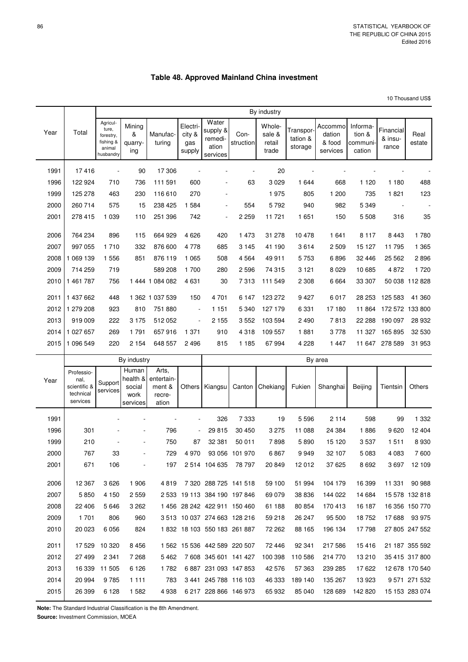#### **Table 48. Approved Mainland China investment**

10 Thousand US\$

|      |                                                             |                                                                    |                                                 |                                                  |                                     |                                                   |                   | By industry                         |                                  |                                         |                                         |                               |                |
|------|-------------------------------------------------------------|--------------------------------------------------------------------|-------------------------------------------------|--------------------------------------------------|-------------------------------------|---------------------------------------------------|-------------------|-------------------------------------|----------------------------------|-----------------------------------------|-----------------------------------------|-------------------------------|----------------|
| Year | Total                                                       | Agricul-<br>ture,<br>forestry,<br>fishing &<br>animal<br>husbandry | Mining<br>&<br>quarry-<br>ing                   | Manufac-<br>turing                               | Electri-<br>city &<br>gas<br>supply | Water<br>supply &<br>remedi-<br>ation<br>services | Con-<br>struction | Whole-<br>sale &<br>retail<br>trade | Transpor-<br>tation &<br>storage | Accommo<br>dation<br>& food<br>services | Informa-<br>tion &<br>communi<br>cation | Financial<br>& insu-<br>rance | Real<br>estate |
| 1991 | 17416                                                       | $\overline{\phantom{a}}$                                           | 90                                              | 17 306                                           |                                     |                                                   |                   | 20                                  |                                  |                                         |                                         |                               |                |
| 1996 | 122 924                                                     | 710                                                                | 736                                             | 111 591                                          | 600                                 |                                                   | 63                | 3 0 2 9                             | 1 644                            | 668                                     | 1 1 2 0                                 | 1 1 8 0                       | 488            |
| 1999 | 125 278                                                     | 463                                                                | 230                                             | 116 610                                          | 270                                 |                                                   |                   | 1975                                | 805                              | 1 200                                   | 735                                     | 1821                          | 123            |
| 2000 | 260 714                                                     | 575                                                                | 15                                              | 238 425                                          | 1584                                |                                                   | 554               | 5792                                | 940                              | 982                                     | 5 3 4 9                                 | $\overline{\phantom{a}}$      |                |
| 2001 | 278 415                                                     | 1 0 3 9                                                            | 110                                             | 251 396                                          | 742                                 | $\overline{a}$                                    | 2 2 5 9           | 11 721                              | 1651                             | 150                                     | 5 5 0 8                                 | 316                           | 35             |
| 2006 | 764 234                                                     | 896                                                                | 115                                             | 664 929                                          | 4626                                | 420                                               | 1 473             | 31 278                              | 10 478                           | 1 641                                   | 8 1 1 7                                 | 8 4 4 3                       | 1780           |
| 2007 | 997 055                                                     | 1710                                                               | 332                                             | 876 600                                          | 4778                                | 685                                               | 3 1 4 5           | 41 190                              | 3614                             | 2 5 0 9                                 | 15 127                                  | 11 795                        | 1 3 6 5        |
| 2008 | 1 069 139                                                   | 1 556                                                              | 851                                             | 876 119                                          | 1 0 6 5                             | 508                                               | 4564              | 49 911                              | 5753                             | 6896                                    | 32 446                                  | 25 5 62                       | 2896           |
| 2009 | 714 259                                                     | 719                                                                |                                                 | 589 208                                          | 1700                                | 280                                               | 2596              | 74 315                              | 3 1 2 1                          | 8 0 2 9                                 | 10 685                                  | 4 8 7 2                       | 1720           |
| 2010 | 1 461 787                                                   | 756                                                                |                                                 | 1 444 1 084 082                                  | 4631                                | 30                                                | 7313              | 111 549                             | 2 3 0 8                          | 6 6 6 4                                 | 33 307                                  |                               | 50 038 112 828 |
| 2011 | 1 437 662                                                   | 448                                                                |                                                 | 1 362 1 037 539                                  | 150                                 | 4 701                                             | 6 1 4 7           | 123 272                             | 9427                             | 6017                                    | 28 253                                  | 125 583                       | 41 360         |
| 2012 | 1 279 208                                                   | 923                                                                | 810                                             | 751 880                                          | $\overline{\phantom{a}}$            | 1 1 5 1                                           | 5 3 4 0           | 127 179                             | 6 3 3 1                          | 17 180                                  | 11 864                                  | 172 572 133 800               |                |
| 2013 | 919 009                                                     | 222                                                                | 3 1 7 5                                         | 512 052                                          | $\blacksquare$                      | 2 1 5 5                                           | 3552              | 103 594                             | 2 4 9 0                          | 7813                                    | 22 288                                  | 190 097                       | 28 932         |
| 2014 | 1 027 657                                                   | 269                                                                | 1791                                            | 657916                                           | 1 3 7 1                             | 910                                               | 4 3 1 8           | 109 557                             | 1881                             | 3778                                    | 11 327                                  | 165 895                       | 32 530         |
| 2015 | 1 096 549                                                   | 220                                                                | 2 1 5 4                                         | 648 557                                          | 2496                                | 815                                               | 1 1 8 5           | 67 994                              | 4 2 2 8                          | 1 4 4 7                                 | 11 647                                  | 278 589                       | 31 953         |
|      |                                                             |                                                                    |                                                 |                                                  |                                     |                                                   |                   |                                     |                                  |                                         |                                         |                               |                |
|      |                                                             |                                                                    | By industry                                     |                                                  |                                     |                                                   |                   |                                     |                                  | By area                                 |                                         |                               |                |
| Year | Professio-<br>nal,<br>scientific &<br>technical<br>services | Support<br>services                                                | Human<br>health &<br>social<br>work<br>services | Arts,<br>entertain-<br>ment &<br>recre-<br>ation | Others                              | Kiangsu                                           | Canton            | Chekiang                            | Fukien                           | Shanghai                                | Beijing                                 | Tientsin                      | Others         |
| 1991 |                                                             |                                                                    |                                                 |                                                  |                                     | 326                                               | 7 3 3 3           | 19                                  | 5 5 9 6                          | 2 1 1 4                                 | 598                                     | 99                            | 1 3 3 2        |
| 1996 | 301                                                         |                                                                    | ÷                                               | 796                                              | $\frac{1}{2}$                       | 29 815                                            | 30 450            | 3 2 7 5                             | 11 088                           | 24 3 84                                 | 1886                                    | 9620                          | 12 4 04        |
| 1999 | 210                                                         |                                                                    |                                                 | 750                                              | 87                                  | 32 381                                            | 50 011            | 7898                                | 5890                             | 15 1 20                                 | 3 5 3 7                                 | 1511                          | 8930           |
| 2000 | 767                                                         | 33                                                                 | $\overline{\phantom{a}}$                        | 729                                              | 4 9 7 0                             |                                                   | 93 056 101 970    | 6867                                | 9949                             | 32 107                                  | 5 0 8 3                                 | 4 0 8 3                       | 7600           |
| 2001 | 671                                                         | 106                                                                |                                                 | 197                                              |                                     | 2 514 104 635                                     | 78 797            | 20 849                              | 12012                            | 37 625                                  | 8692                                    | 3 697                         | 12 109         |
| 2006 | 12 367                                                      | 3626                                                               | 1906                                            | 4819                                             |                                     | 7 320 288 725 141 518                             |                   | 59 100                              | 51 994                           | 104 179                                 | 16 399                                  | 11 331                        | 90 988         |
| 2007 | 5850                                                        | 4 150                                                              | 2 5 5 9                                         |                                                  |                                     | 2 533 19 113 384 190 197 846                      |                   | 69 079                              | 38 836                           | 144 022                                 | 14 684                                  |                               | 15 578 132 818 |
| 2008 | 22 40 6                                                     | 5 6 4 6                                                            | 3 2 6 2                                         |                                                  |                                     | 1 456 28 242 422 911 150 460                      |                   | 61 188                              | 80 854                           | 170 413                                 | 16 187                                  |                               | 16 356 150 770 |
| 2009 | 1 701                                                       | 806                                                                | 960                                             |                                                  |                                     | 3 513 10 037 274 663 128 216                      |                   | 59 218                              | 26 247                           | 95 500                                  | 18752                                   | 17688                         | 93 975         |
| 2010 | 20 023                                                      | 6 0 5 6                                                            | 824                                             |                                                  |                                     | 1832 18 103 550 183 261 887                       |                   | 72 262                              | 88 165                           | 196 134                                 | 17798                                   |                               | 27 805 247 552 |
| 2011 |                                                             | 17 529 10 320                                                      | 8456                                            |                                                  |                                     | 1 562 15 536 442 589 220 507                      |                   | 72 446                              | 92 341                           | 217 586                                 | 15416                                   |                               | 21 187 355 592 |
| 2012 | 27 499                                                      | 2 3 4 1                                                            | 7 268                                           | 5462                                             |                                     | 7 608 345 601 141 427                             |                   | 100 398                             | 110 586                          | 214 770                                 | 13 210                                  |                               | 35 415 317 800 |
| 2013 |                                                             | 16 339 11 505                                                      | 6 1 2 6                                         | 1782                                             |                                     | 6 887 231 093 147 853                             |                   | 42 576                              | 57 363                           | 239 285                                 | 17 622                                  |                               | 12 678 170 540 |
| 2014 | 20 994                                                      | 9785                                                               | 1 1 1 1                                         | 783                                              |                                     | 3 441 245 788 116 103                             |                   | 46 333                              | 189 140                          | 135 267                                 | 13 923                                  |                               | 9 571 271 532  |

**Note:** The Standard Industrial Classification is the 8th Amendment.

**Source:** Investment Commission, MOEA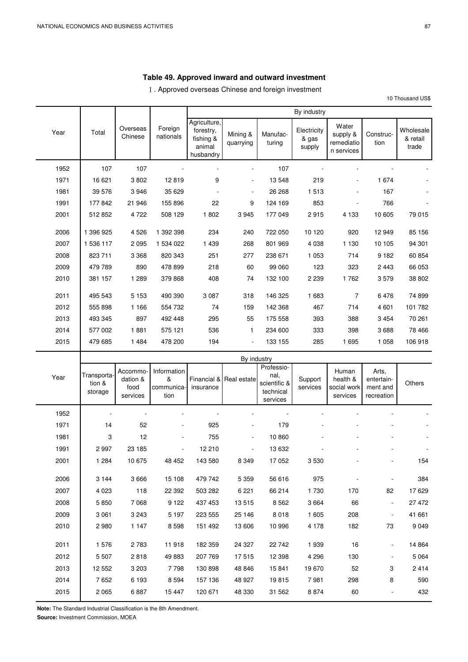#### **Table 49. Approved inward and outward investment**

Ⅰ. Approved overseas Chinese and foreign investment

10 Thousand US\$

|      |           |                     |                      | By industry                                                   |                          |                    |                                |                                               |                   |                                |
|------|-----------|---------------------|----------------------|---------------------------------------------------------------|--------------------------|--------------------|--------------------------------|-----------------------------------------------|-------------------|--------------------------------|
| Year | Total     | Overseas<br>Chinese | Foreign<br>nationals | Agriculture,<br>forestry,<br>fishing &<br>animal<br>husbandry | Mining &<br>quarrying    | Manufac-<br>turing | Electricity<br>& gas<br>supply | Water<br>supply &<br>remediatio<br>n services | Construc-<br>tion | Wholesale<br>& retail<br>trade |
| 1952 | 107       | 107                 |                      |                                                               | $\overline{\phantom{a}}$ | 107                |                                |                                               |                   |                                |
| 1971 | 16 621    | 3802                | 12819                | 9                                                             | ٠                        | 13 548             | 219                            |                                               | 1674              |                                |
| 1981 | 39 576    | 3946                | 35 629               |                                                               |                          | 26 268             | 1513                           |                                               | 167               |                                |
| 1991 | 177 842   | 21 946              | 155 896              | 22                                                            | 9                        | 124 169            | 853                            |                                               | 766               |                                |
| 2001 | 512 852   | 4 7 2 2             | 508 129              | 1802                                                          | 3 9 4 5                  | 177 049            | 2915                           | 4 1 3 3                                       | 10 605            | 79 015                         |
| 2006 | 1 396 925 | 4 5 2 6             | 1 392 398            | 234                                                           | 240                      | 722 050            | 10 120                         | 920                                           | 12 949            | 85 156                         |
| 2007 | 1 536 117 | 2 0 9 5             | 1 534 022            | 1 4 3 9                                                       | 268                      | 801 969            | 4 0 38                         | 1 1 3 0                                       | 10 105            | 94 301                         |
| 2008 | 823 711   | 3 3 6 8             | 820 343              | 251                                                           | 277                      | 238 671            | 1 0 5 3                        | 714                                           | 9 1 8 2           | 60 854                         |
| 2009 | 479 789   | 890                 | 478 899              | 218                                                           | 60                       | 99 060             | 123                            | 323                                           | 2 4 4 3           | 66 053                         |
| 2010 | 381 157   | 1 2 8 9             | 379 868              | 408                                                           | 74                       | 132 100            | 2 2 3 9                        | 1762                                          | 3579              | 38 802                         |
| 2011 | 495 543   | 5 1 5 3             | 490 390              | 3 0 8 7                                                       | 318                      | 146 325            | 1683                           | $\overline{7}$                                | 6476              | 74 899                         |
| 2012 | 555 898   | 1 1 6 6             | 554 732              | 74                                                            | 159                      | 142 368            | 467                            | 714                                           | 4 601             | 101 782                        |
| 2013 | 493 345   | 897                 | 492 448              | 295                                                           | 55                       | 175 558            | 393                            | 388                                           | 3 4 5 4           | 70 261                         |
| 2014 | 577 002   | 1881                | 575 121              | 536                                                           | $\mathbf{1}$             | 234 600            | 333                            | 398                                           | 3688              | 78 466                         |
| 2015 | 479 685   | 1 4 8 4             | 478 200              | 194                                                           | $\overline{\phantom{a}}$ | 133 155            | 285                            | 1 6 9 5                                       | 1 0 5 8           | 106918                         |
|      |           |                     |                      |                                                               |                          |                    |                                |                                               |                   |                                |

|      |                                  |                                          |                                        |           | By industry             |                                                             |                     |                                              |                                               |         |
|------|----------------------------------|------------------------------------------|----------------------------------------|-----------|-------------------------|-------------------------------------------------------------|---------------------|----------------------------------------------|-----------------------------------------------|---------|
| Year | Transporta-<br>tion &<br>storage | Accommo-<br>dation &<br>food<br>services | Information<br>&<br>communica-<br>tion | insurance | Financial & Real estate | Professio-<br>nal,<br>scientific &<br>technical<br>services | Support<br>services | Human<br>health &<br>social work<br>services | Arts.<br>entertain-<br>ment and<br>recreation | Others  |
| 1952 |                                  |                                          |                                        |           |                         |                                                             |                     |                                              |                                               |         |
| 1971 | 14                               | 52                                       |                                        | 925       |                         | 179                                                         |                     |                                              |                                               |         |
| 1981 | 3                                | 12                                       |                                        | 755       | ٠                       | 10860                                                       |                     |                                              |                                               |         |
| 1991 | 2 9 9 7                          | 23 185                                   | $\overline{\phantom{a}}$               | 12 210    | $\overline{a}$          | 13 632                                                      |                     |                                              |                                               |         |
| 2001 | 1 2 8 4                          | 10 675                                   | 48 452                                 | 143 580   | 8 3 4 9                 | 17 052                                                      | 3530                |                                              |                                               | 154     |
| 2006 | 3 1 4 4                          | 3 6 6 6                                  | 15 108                                 | 479 742   | 5 3 5 9                 | 56 616                                                      | 975                 |                                              |                                               | 384     |
| 2007 | 4 0 2 3                          | 118                                      | 22 392                                 | 503 282   | 6 2 2 1                 | 66 214                                                      | 1730                | 170                                          | 82                                            | 17629   |
| 2008 | 5850                             | 7 0 68                                   | 9 1 2 2                                | 437 453   | 13515                   | 8 5 6 2                                                     | 3664                | 66                                           | $\overline{\phantom{a}}$                      | 27 472  |
| 2009 | 3 0 6 1                          | 3 2 4 3                                  | 5 1 9 7                                | 223 555   | 25 146                  | 8 0 1 8                                                     | 1 605               | 208                                          | $\overline{a}$                                | 41 661  |
| 2010 | 2 9 8 0                          | 1 1 4 7                                  | 8598                                   | 151 492   | 13 606                  | 10 996                                                      | 4 1 7 8             | 182                                          | 73                                            | 9 0 4 9 |
| 2011 | 1576                             | 2 7 8 3                                  | 11918                                  | 182 359   | 24 3 27                 | 22 742                                                      | 1939                | 16                                           | $\overline{\phantom{a}}$                      | 14 8 64 |
| 2012 | 5 5 0 7                          | 2818                                     | 49 883                                 | 207 769   | 17515                   | 12 3 98                                                     | 4 2 9 6             | 130                                          | $\overline{\phantom{a}}$                      | 5 0 6 4 |
| 2013 | 12 552                           | 3 2 0 3                                  | 7798                                   | 130 898   | 48 846                  | 15 841                                                      | 19670               | 52                                           | 3                                             | 2414    |
| 2014 | 7652                             | 6 1 9 3                                  | 8594                                   | 157 136   | 48 927                  | 19815                                                       | 7981                | 298                                          | 8                                             | 590     |
| 2015 | 2 0 6 5                          | 6887                                     | 15 4 47                                | 120 671   | 48 330                  | 31 562                                                      | 8874                | 60                                           |                                               | 432     |

**Note:** The Standard Industrial Classification is the 8th Amendment.

**Source:** Investment Commission, MOEA

┱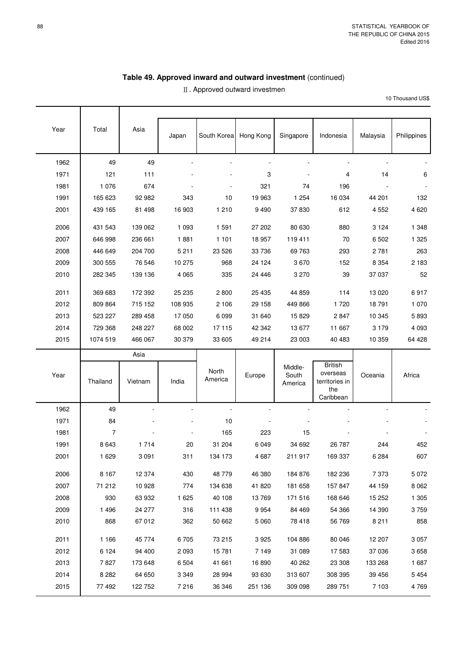### **Table 49. Approved inward and outward investment** (continued)

#### Ⅱ. Approved outward investmen

10 Thousand US\$

| Year | Total          | Asia    | Japan   | South Korea      | Hong Kong | Singapore                   | Indonesia                                                        | Malaysia | Philippines |
|------|----------------|---------|---------|------------------|-----------|-----------------------------|------------------------------------------------------------------|----------|-------------|
| 1962 | 49             | 49      |         |                  |           |                             |                                                                  |          |             |
| 1971 | 121            | 111     |         |                  | 3         |                             | 4                                                                | 14       | 6           |
| 1981 | 1 0 7 6        | 674     |         |                  | 321       | 74                          | 196                                                              |          |             |
| 1991 | 165 623        | 92 982  | 343     | 10               | 19 963    | 1 2 5 4                     | 16 034                                                           | 44 201   | 132         |
| 2001 | 439 165        | 81 498  | 16 903  | 1 2 1 0          | 9 4 9 0   | 37830                       | 612                                                              | 4 5 5 2  | 4 6 20      |
| 2006 | 431 543        | 139 062 | 1 0 9 3 | 1 5 9 1          | 27 202    | 80 630                      | 880                                                              | 3 1 2 4  | 1 3 4 8     |
| 2007 | 646 998        | 236 661 | 1881    | 1 1 0 1          | 18 957    | 119 411                     | 70                                                               | 6 5 0 2  | 1 3 2 5     |
| 2008 | 446 649        | 204 700 | 5 2 1 1 | 23 5 26          | 33 736    | 69 7 63                     | 293                                                              | 2 7 8 1  | 263         |
| 2009 | 300 555        | 76 546  | 10 275  | 968              | 24 124    | 3670                        | 152                                                              | 8 3 5 4  | 2 1 8 3     |
| 2010 | 282 345        | 139 136 | 4 0 6 5 | 335              | 24 4 4 6  | 3 2 7 0                     | 39                                                               | 37 037   | 52          |
| 2011 | 369 683        | 172 392 | 25 235  | 2 8 0 0          | 25 4 35   | 44 859                      | 114                                                              | 13 0 20  | 6917        |
| 2012 | 809 864        | 715 152 | 108 935 | 2 10 6           | 29 158    | 449 866                     | 1720                                                             | 18791    | 1 0 7 0     |
| 2013 | 523 227        | 289 458 | 17 050  | 6 0 9 9          | 31 640    | 15829                       | 2847                                                             | 10 345   | 5893        |
| 2014 | 729 368        | 248 227 | 68 002  | 17 115           | 42 342    | 13 677                      | 11 667                                                           | 3 1 7 9  | 4 0 9 3     |
| 2015 | 1074 519       | 466 067 | 30 379  | 33 605           | 49 214    | 23 003                      | 40 483                                                           | 10 359   | 64 428      |
|      |                |         |         |                  |           |                             |                                                                  |          |             |
|      |                | Asia    |         |                  |           |                             |                                                                  |          |             |
| Year | Thailand       | Vietnam | India   | North<br>America | Europe    | Middle-<br>South<br>America | <b>British</b><br>overseas<br>territories in<br>the<br>Caribbean | Oceania  | Africa      |
| 1962 | 49             |         |         | $\blacksquare$   |           |                             |                                                                  |          |             |
| 1971 | 84             |         |         | $10$             |           |                             |                                                                  |          |             |
| 1981 | $\overline{7}$ |         |         | 165              | 223       | 15                          |                                                                  |          |             |
| 1991 | 8 6 4 3        | 1 7 1 4 | $20\,$  | 31 204           | 6 0 4 9   | 34 692                      | 26 787                                                           | 244      | 452         |
| 2001 | 1629           | 3 0 9 1 | 311     | 134 173          | 4687      | 211 917                     | 169 337                                                          | 6 2 8 4  | 607         |
| 2006 | 8 1 6 7        | 12 374  | 430     | 48 779           | 46 380    | 184 876                     | 182 236                                                          | 7 3 7 3  | 5 0 7 2     |
| 2007 | 71 212         | 10 928  | 774     | 134 638          | 41 820    | 181 658                     | 157847                                                           | 44 159   | 8 0 6 2     |
| 2008 | 930            | 63 932  | 1625    | 40 108           | 13769     | 171 516                     | 168 646                                                          | 15 25 2  | 1 3 0 5     |
| 2009 | 1 4 9 6        | 24 277  | 316     | 111 438          | 9954      | 84 469                      | 54 366                                                           | 14 390   | 3759        |
| 2010 | 868            | 67 012  | 362     | 50 662           | 5 0 6 0   | 78 418                      | 56 769                                                           | 8 2 1 1  | 858         |
| 2011 | 1 1 6 6        | 45 774  | 6705    | 73 215           | 3 9 2 5   | 104 886                     | 80 046                                                           | 12 207   | 3 0 5 7     |
| 2012 | 6 1 2 4        | 94 400  | 2 0 9 3 | 15781            | 7 1 4 9   | 31 089                      | 17583                                                            | 37 036   | 3658        |
| 2013 | 7827           | 173 648 | 6 5 0 4 | 41 661           | 16890     | 40 262                      | 23 308                                                           | 133 268  | 1687        |
| 2014 | 8 2 8 2        | 64 650  | 3 3 4 9 | 28 994           | 93 630    | 313 607                     | 308 395                                                          | 39 45 6  | 5 4 5 4     |

Τ

T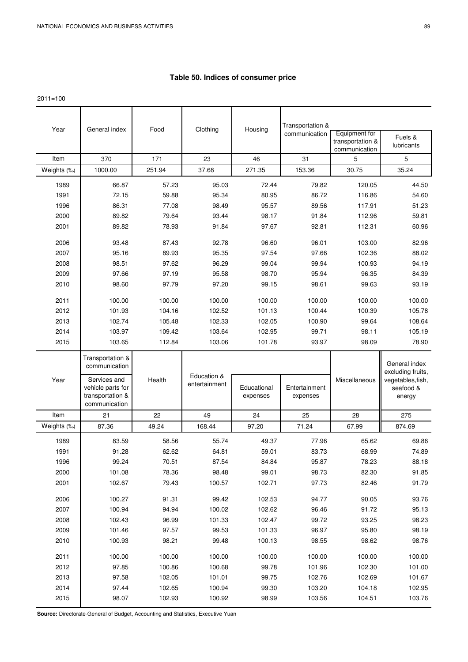#### **Table 50. Indices of consumer price**

2011=100

| Year         | General index                                                          | Food             | Clothing                     | Housing                 | Transportation &<br>communication | Equipment for                     |                                                               |
|--------------|------------------------------------------------------------------------|------------------|------------------------------|-------------------------|-----------------------------------|-----------------------------------|---------------------------------------------------------------|
|              |                                                                        |                  |                              |                         |                                   | transportation &<br>communication | Fuels &<br>lubricants                                         |
| Item         | 370                                                                    | 171              | 23                           | 46                      | 31                                | 5                                 | 5                                                             |
| Weights (‰)  | 1000.00                                                                | 251.94           | 37.68                        | 271.35                  | 153.36                            | 30.75                             | 35.24                                                         |
| 1989         | 66.87                                                                  | 57.23            | 95.03                        | 72.44                   | 79.82                             | 120.05                            | 44.50                                                         |
| 1991         | 72.15                                                                  | 59.88            | 95.34                        | 80.95                   | 86.72                             | 116.86                            | 54.60                                                         |
| 1996         | 86.31                                                                  | 77.08            | 98.49                        | 95.57                   | 89.56                             | 117.91                            | 51.23                                                         |
| 2000         | 89.82                                                                  | 79.64            | 93.44                        | 98.17                   | 91.84                             | 112.96                            | 59.81                                                         |
| 2001         | 89.82                                                                  | 78.93            | 91.84                        | 97.67                   | 92.81                             | 112.31                            | 60.96                                                         |
| 2006         | 93.48                                                                  | 87.43            | 92.78                        | 96.60                   | 96.01                             | 103.00                            | 82.96                                                         |
| 2007         | 95.16                                                                  | 89.93            | 95.35                        | 97.54                   | 97.66                             | 102.36                            | 88.02                                                         |
| 2008         | 98.51                                                                  | 97.62            | 96.29                        | 99.04                   | 99.94                             | 100.93                            | 94.19                                                         |
| 2009         | 97.66                                                                  | 97.19            | 95.58                        | 98.70                   | 95.94                             | 96.35                             | 84.39                                                         |
| 2010         | 98.60                                                                  | 97.79            | 97.20                        | 99.15                   | 98.61                             | 99.63                             | 93.19                                                         |
| 2011         | 100.00                                                                 | 100.00           | 100.00                       | 100.00                  | 100.00                            | 100.00                            | 100.00                                                        |
| 2012         | 101.93                                                                 | 104.16           | 102.52                       | 101.13                  | 100.44                            | 100.39                            | 105.78                                                        |
| 2013         | 102.74                                                                 | 105.48           | 102.33                       | 102.05                  | 100.90                            | 99.64                             | 108.64                                                        |
| 2014         | 103.97                                                                 | 109.42           | 103.64                       | 102.95                  | 99.71                             | 98.11                             | 105.19                                                        |
| 2015         | 103.65                                                                 | 112.84           | 103.06                       | 101.78                  | 93.97                             | 98.09                             | 78.90                                                         |
|              | Transportation &                                                       |                  |                              |                         |                                   |                                   |                                                               |
|              | communication                                                          |                  |                              |                         |                                   |                                   | General index                                                 |
| Year         | Services and<br>vehicle parts for<br>transportation &<br>communication | Health           | Education &<br>entertainment | Educational<br>expenses | Entertainment<br>expenses         | Miscellaneous                     | excluding fruits,<br>vegetables, fish,<br>seafood &<br>energy |
| Item         | 21                                                                     | 22               | 49                           | 24                      | 25                                | 28                                | 275                                                           |
| Weights (‰)  | 87.36                                                                  | 49.24            | 168.44                       | 97.20                   | 71.24                             | 67.99                             | 874.69                                                        |
| 1989         | 83.59                                                                  | 58.56            | 55.74                        | 49.37                   | 77.96                             | 65.62                             | 69.86                                                         |
| 1991         | 91.28                                                                  | 62.62            | 64.81                        | 59.01                   | 83.73                             | 68.99                             | 74.89                                                         |
| 1996         | 99.24                                                                  | 70.51            | 87.54                        | 84.84                   | 95.87                             | 78.23                             | 88.18                                                         |
| 2000         | 101.08                                                                 | 78.36            | 98.48                        | 99.01                   | 98.73                             | 82.30                             | 91.85                                                         |
| 2001         | 102.67                                                                 | 79.43            | 100.57                       | 102.71                  | 97.73                             | 82.46                             | 91.79                                                         |
| 2006         | 100.27                                                                 | 91.31            | 99.42                        | 102.53                  | 94.77                             | 90.05                             | 93.76                                                         |
| 2007         | 100.94                                                                 | 94.94            | 100.02                       | 102.62                  | 96.46                             | 91.72                             | 95.13                                                         |
| 2008         | 102.43                                                                 | 96.99            | 101.33                       | 102.47                  | 99.72                             | 93.25                             | 98.23                                                         |
| 2009         | 101.46                                                                 | 97.57            | 99.53                        | 101.33                  | 96.97                             | 95.80                             | 98.19                                                         |
| 2010         | 100.93                                                                 | 98.21            | 99.48                        | 100.13                  | 98.55                             | 98.62                             | 98.76                                                         |
| 2011         | 100.00                                                                 | 100.00           | 100.00                       | 100.00                  | 100.00                            | 100.00                            | 100.00                                                        |
| 2012         | 97.85                                                                  | 100.86           | 100.68                       | 99.78                   | 101.96                            | 102.30                            | 101.00                                                        |
| 2013         | 97.58                                                                  | 102.05           | 101.01                       | 99.75                   | 102.76                            | 102.69                            | 101.67                                                        |
| 2014<br>2015 | 97.44<br>98.07                                                         | 102.65<br>102.93 | 100.94<br>100.92             | 99.30<br>98.99          | 103.20<br>103.56                  | 104.18<br>104.51                  | 102.95<br>103.76                                              |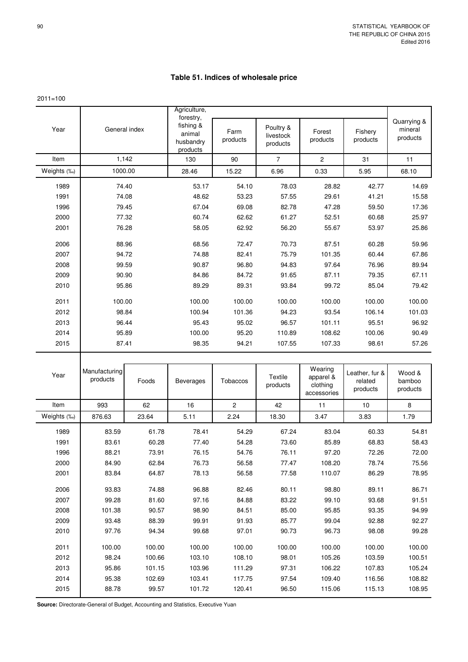#### **Table 51. Indices of wholesale price**

#### 2011=100

| Year        | General index | Agriculture,<br>forestry,<br>fishing &<br>animal<br>husbandry<br>products | Farm<br>products | Poultry &<br>livestock<br>products | Forest<br>products | Fishery<br>products | Quarrying &<br>mineral<br>products |
|-------------|---------------|---------------------------------------------------------------------------|------------------|------------------------------------|--------------------|---------------------|------------------------------------|
| Item        | 1,142         | 130                                                                       | 90               | $\overline{7}$                     | $\overline{2}$     | 31                  | 11                                 |
| Weights (‰) | 1000.00       | 28.46                                                                     | 15.22            | 6.96                               | 0.33               | 5.95                | 68.10                              |
| 1989        | 74.40         | 53.17                                                                     | 54.10            | 78.03                              | 28.82              | 42.77               | 14.69                              |
| 1991        | 74.08         | 48.62                                                                     | 53.23            | 57.55                              | 29.61              | 41.21               | 15.58                              |
| 1996        | 79.45         | 67.04                                                                     | 69.08            | 82.78                              | 47.28              | 59.50               | 17.36                              |
| 2000        | 77.32         | 60.74                                                                     | 62.62            | 61.27                              | 52.51              | 60.68               | 25.97                              |
| 2001        | 76.28         | 58.05                                                                     | 62.92            | 56.20                              | 55.67              | 53.97               | 25.86                              |
| 2006        | 88.96         | 68.56                                                                     | 72.47            | 70.73                              | 87.51              | 60.28               | 59.96                              |
| 2007        | 94.72         | 74.88                                                                     | 82.41            | 75.79                              | 101.35             | 60.44               | 67.86                              |
| 2008        | 99.59         | 90.87                                                                     | 96.80            | 94.83                              | 97.64              | 76.96               | 89.94                              |
| 2009        | 90.90         | 84.86                                                                     | 84.72            | 91.65                              | 87.11              | 79.35               | 67.11                              |
| 2010        | 95.86         | 89.29                                                                     | 89.31            | 93.84                              | 99.72              | 85.04               | 79.42                              |
| 2011        | 100.00        | 100.00                                                                    | 100.00           | 100.00                             | 100.00             | 100.00              | 100.00                             |
| 2012        | 98.84         | 100.94                                                                    | 101.36           | 94.23                              | 93.54              | 106.14              | 101.03                             |
| 2013        | 96.44         | 95.43                                                                     | 95.02            | 96.57                              | 101.11             | 95.51               | 96.92                              |
| 2014        | 95.89         | 100.00                                                                    | 95.20            | 110.89                             | 108.62             | 100.06              | 90.49                              |
| 2015        | 87.41         | 98.35                                                                     | 94.21            | 107.55                             | 107.33             | 98.61               | 57.26                              |
|             |               |                                                                           |                  |                                    |                    |                     |                                    |

| Year        | Manufacturing<br>products | Foods  | <b>Beverages</b> | <b>Tobaccos</b> | <b>Textile</b><br>products | Wearing<br>apparel &<br>clothing<br>accessories | Leather, fur &<br>related<br>products | Wood &<br>bamboo<br>products |
|-------------|---------------------------|--------|------------------|-----------------|----------------------------|-------------------------------------------------|---------------------------------------|------------------------------|
| Item        | 993                       | 62     | 16               | 2               | 42                         | 11                                              | 10                                    | 8                            |
| Weights (%) | 876.63                    | 23.64  | 5.11             | 2.24            | 18.30                      | 3.47                                            | 3.83                                  | 1.79                         |
| 1989        | 83.59                     | 61.78  | 78.41            | 54.29           | 67.24                      | 83.04                                           | 60.33                                 | 54.81                        |
| 1991        | 83.61                     | 60.28  | 77.40            | 54.28           | 73.60                      | 85.89                                           | 68.83                                 | 58.43                        |
| 1996        | 88.21                     | 73.91  | 76.15            | 54.76           | 76.11                      | 97.20                                           | 72.26                                 | 72.00                        |
| 2000        | 84.90                     | 62.84  | 76.73            | 56.58           | 77.47                      | 108.20                                          | 78.74                                 | 75.56                        |
| 2001        | 83.84                     | 64.87  | 78.13            | 56.58           | 77.58                      | 110.07                                          | 86.29                                 | 78.95                        |
| 2006        | 93.83                     | 74.88  | 96.88            | 82.46           | 80.11                      | 98.80                                           | 89.11                                 | 86.71                        |
| 2007        | 99.28                     | 81.60  | 97.16            | 84.88           | 83.22                      | 99.10                                           | 93.68                                 | 91.51                        |
| 2008        | 101.38                    | 90.57  | 98.90            | 84.51           | 85.00                      | 95.85                                           | 93.35                                 | 94.99                        |
| 2009        | 93.48                     | 88.39  | 99.91            | 91.93           | 85.77                      | 99.04                                           | 92.88                                 | 92.27                        |
| 2010        | 97.76                     | 94.34  | 99.68            | 97.01           | 90.73                      | 96.73                                           | 98.08                                 | 99.28                        |
| 2011        | 100.00                    | 100.00 | 100.00           | 100.00          | 100.00                     | 100.00                                          | 100.00                                | 100.00                       |
| 2012        | 98.24                     | 100.66 | 103.10           | 108.10          | 98.01                      | 105.26                                          | 103.59                                | 100.51                       |
| 2013        | 95.86                     | 101.15 | 103.96           | 111.29          | 97.31                      | 106.22                                          | 107.83                                | 105.24                       |
| 2014        | 95.38                     | 102.69 | 103.41           | 117.75          | 97.54                      | 109.40                                          | 116.56                                | 108.82                       |
| 2015        | 88.78                     | 99.57  | 101.72           | 120.41          | 96.50                      | 115.06                                          | 115.13                                | 108.95                       |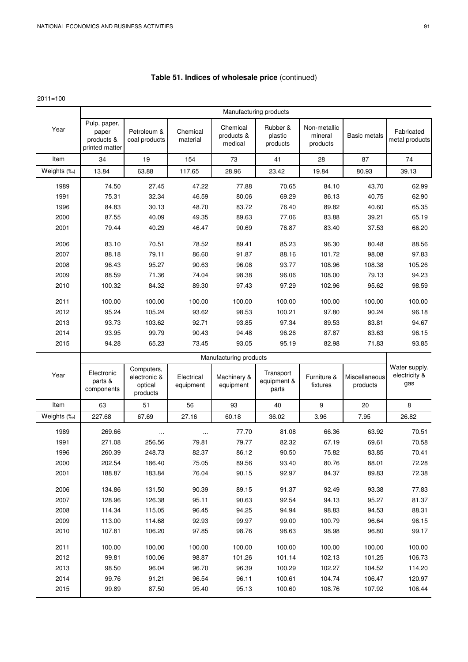#### **Table 51. Indices of wholesale price** (continued)

#### 2011=100

|              |                                                       |                                                   |                         |                                   | Manufacturing products            |                                     |                           |                                       |
|--------------|-------------------------------------------------------|---------------------------------------------------|-------------------------|-----------------------------------|-----------------------------------|-------------------------------------|---------------------------|---------------------------------------|
| Year         | Pulp, paper,<br>paper<br>products &<br>printed matter | Petroleum &<br>coal products                      | Chemical<br>material    | Chemical<br>products &<br>medical | Rubber &<br>plastic<br>products   | Non-metallic<br>mineral<br>products | <b>Basic metals</b>       | Fabricated<br>metal products          |
| Item         | 34                                                    | 19                                                | 154                     | 73                                | 41                                | 28                                  | 87                        | 74                                    |
| Weights (‰)  | 13.84                                                 | 63.88                                             | 117.65                  | 28.96                             | 23.42                             | 19.84                               | 80.93                     | 39.13                                 |
| 1989         | 74.50                                                 | 27.45                                             | 47.22                   | 77.88                             | 70.65                             | 84.10                               | 43.70                     | 62.99                                 |
| 1991         | 75.31                                                 | 32.34                                             | 46.59                   | 80.06                             | 69.29                             | 86.13                               | 40.75                     | 62.90                                 |
| 1996         | 84.83                                                 | 30.13                                             | 48.70                   | 83.72                             | 76.40                             | 89.82                               | 40.60                     | 65.35                                 |
| 2000         | 87.55                                                 | 40.09                                             | 49.35                   | 89.63                             | 77.06                             | 83.88                               | 39.21                     | 65.19                                 |
| 2001         | 79.44                                                 | 40.29                                             | 46.47                   | 90.69                             | 76.87                             | 83.40                               | 37.53                     | 66.20                                 |
| 2006         | 83.10                                                 | 70.51                                             | 78.52                   | 89.41                             | 85.23                             | 96.30                               | 80.48                     | 88.56                                 |
| 2007         | 88.18                                                 | 79.11                                             | 86.60                   | 91.87                             | 88.16                             | 101.72                              | 98.08                     | 97.83                                 |
| 2008         | 96.43                                                 | 95.27                                             | 90.63                   | 96.08                             | 93.77                             | 108.96                              | 108.38                    | 105.26                                |
| 2009         | 88.59                                                 | 71.36                                             | 74.04                   | 98.38                             | 96.06                             | 108.00                              | 79.13                     | 94.23                                 |
| 2010         | 100.32                                                | 84.32                                             | 89.30                   | 97.43                             | 97.29                             | 102.96                              | 95.62                     | 98.59                                 |
| 2011         | 100.00                                                | 100.00                                            | 100.00                  | 100.00                            | 100.00                            | 100.00                              | 100.00                    | 100.00                                |
| 2012         | 95.24                                                 | 105.24                                            | 93.62                   | 98.53                             | 100.21                            | 97.80                               | 90.24                     | 96.18                                 |
| 2013         | 93.73                                                 | 103.62                                            | 92.71                   | 93.85                             | 97.34                             | 89.53                               | 83.81                     | 94.67                                 |
| 2014         | 93.95                                                 | 99.79                                             | 90.43                   | 94.48                             | 96.26                             | 87.87                               | 83.63                     | 96.15                                 |
| 2015         | 94.28                                                 | 65.23                                             | 73.45                   | 93.05                             | 95.19                             | 82.98                               | 71.83                     | 93.85                                 |
|              |                                                       |                                                   |                         |                                   |                                   |                                     |                           |                                       |
|              |                                                       |                                                   |                         | Manufacturing products            |                                   |                                     |                           |                                       |
| Year         | Electronic<br>parts &<br>components                   | Computers,<br>electronic &<br>optical<br>products | Electrical<br>equipment | Machinery &<br>equipment          | Transport<br>equipment &<br>parts | Furniture &<br>fixtures             | Miscellaneous<br>products | Water supply,<br>electricity &<br>gas |
| Item         | 63                                                    | 51                                                | 56                      | 93                                | 40                                | 9                                   | 20                        | 8                                     |
| Weights (%%) | 227.68                                                | 67.69                                             | 27.16                   | 60.18                             | 36.02                             | 3.96                                | 7.95                      | 26.82                                 |
| 1989         | 269.66                                                |                                                   |                         | 77.70                             | 81.08                             | 66.36                               | 63.92                     | 70.51                                 |
| 1991         | 271.08                                                | 256.56                                            | 79.81                   | 79.77                             | 82.32                             | 67.19                               | 69.61                     | 70.58                                 |
| 1996         | 260.39                                                | 248.73                                            | 82.37                   | 86.12                             | 90.50                             | 75.82                               | 83.85                     | 70.41                                 |
| 2000         | 202.54                                                | 186.40                                            | 75.05                   | 89.56                             | 93.40                             | 80.76                               | 88.01                     | 72.28                                 |
| 2001         | 188.87                                                | 183.84                                            | 76.04                   | 90.15                             | 92.97                             | 84.37                               | 89.83                     | 72.38                                 |
| 2006         | 134.86                                                | 131.50                                            | 90.39                   | 89.15                             | 91.37                             | 92.49                               | 93.38                     | 77.83                                 |
| 2007         | 128.96                                                | 126.38                                            | 95.11                   | 90.63                             | 92.54                             | 94.13                               | 95.27                     | 81.37                                 |
| 2008         | 114.34                                                | 115.05                                            | 96.45                   | 94.25                             | 94.94                             | 98.83                               | 94.53                     | 88.31                                 |
| 2009         | 113.00                                                | 114.68                                            | 92.93                   | 99.97                             | 99.00                             | 100.79                              | 96.64                     | 96.15                                 |
| 2010         | 107.81                                                | 106.20                                            | 97.85                   | 98.76                             | 98.63                             | 98.98                               | 96.80                     | 99.17                                 |
| 2011         | 100.00                                                | 100.00                                            | 100.00                  | 100.00                            | 100.00                            | 100.00                              | 100.00                    | 100.00                                |
| 2012         | 99.81                                                 | 100.06                                            | 98.87                   | 101.26                            | 101.14                            | 102.13                              | 101.25                    | 106.73                                |
| 2013         | 98.50                                                 | 96.04                                             | 96.70                   | 96.39                             | 100.29                            | 102.27                              | 104.52                    | 114.20                                |
| 2014         | 99.76                                                 | 91.21                                             | 96.54                   | 96.11                             | 100.61                            | 104.74                              | 106.47                    | 120.97                                |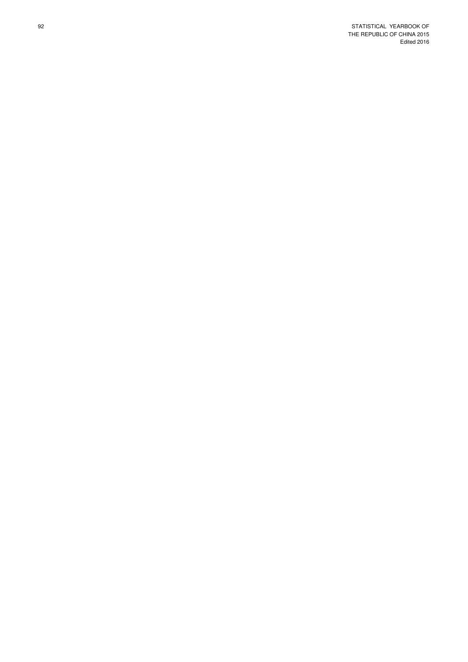92 STATISTICAL YEARBOOK OF THE REPUBLIC OF CHINA 2015 Edited 2016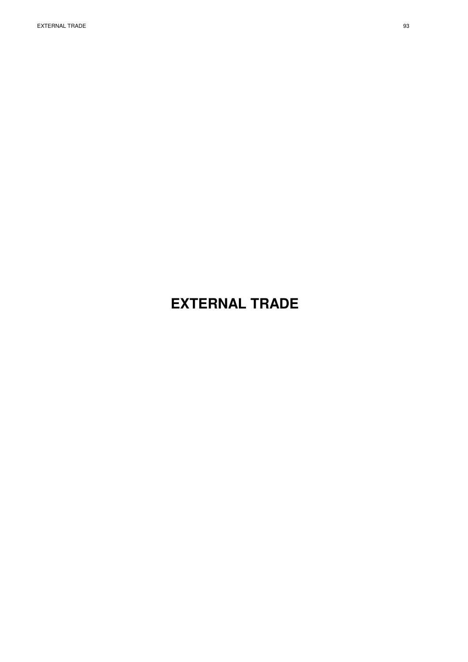## **EXTERNAL TRADE**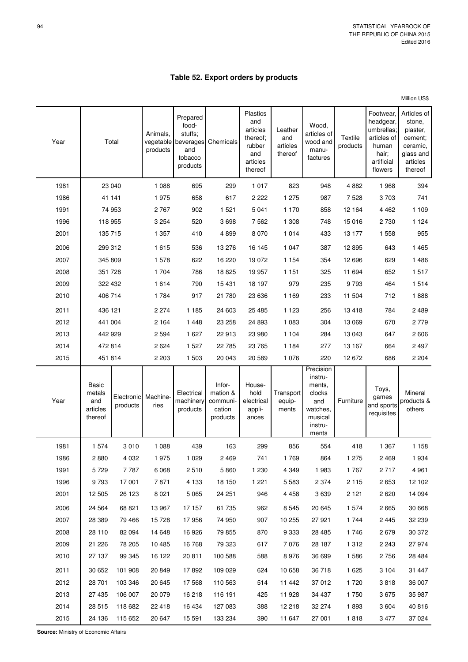#### **Table 52. Export orders by products**

Million US\$

| Year |                                               | Total                           | Animals,<br>products | Prepared<br>food-<br>stuffs;<br>vegetable beverages Chemicals<br>and<br>tobacco<br>products |                                                      | Plastics<br>and<br>articles<br>thereof;<br>rubber<br>and<br>articles<br>thereof | Leather<br>and<br>articles<br>thereof | Wood,<br>articles of<br>wood and<br>manu-<br>factures                                      | Textile<br>products | Footwear,<br>headgear,<br>umbrellas;<br>articles of<br>human<br>hair;<br>artificial<br>flowers | Articles of<br>stone,<br>plaster,<br>cement;<br>ceramic,<br>glass and<br>articles<br>thereof |
|------|-----------------------------------------------|---------------------------------|----------------------|---------------------------------------------------------------------------------------------|------------------------------------------------------|---------------------------------------------------------------------------------|---------------------------------------|--------------------------------------------------------------------------------------------|---------------------|------------------------------------------------------------------------------------------------|----------------------------------------------------------------------------------------------|
| 1981 |                                               | 23 040                          | 1 0 8 8              | 695                                                                                         | 299                                                  | 1 0 1 7                                                                         | 823                                   | 948                                                                                        | 4 8 8 2             | 1968                                                                                           | 394                                                                                          |
| 1986 |                                               | 41 141                          | 1975                 | 658                                                                                         | 617                                                  | 2 2 2 2                                                                         | 1 275                                 | 987                                                                                        | 7 5 28              | 3703                                                                                           | 741                                                                                          |
| 1991 |                                               | 74 953                          | 2 7 6 7              | 902                                                                                         | 1 5 2 1                                              | 5 0 4 1                                                                         | 1 170                                 | 858                                                                                        | 12 164              | 4 4 6 2                                                                                        | 1 1 0 9                                                                                      |
| 1996 | 118 955                                       |                                 | 3 2 5 4              | 520                                                                                         | 3698                                                 | 7 5 6 2                                                                         | 1 308                                 | 748                                                                                        | 15 016              | 2 7 3 0                                                                                        | 1 1 2 4                                                                                      |
| 2001 | 135 715                                       |                                 | 1 3 5 7              | 410                                                                                         | 4899                                                 | 8 0 7 0                                                                         | 1 0 1 4                               | 433                                                                                        | 13 177              | 1 5 5 8                                                                                        | 955                                                                                          |
| 2006 | 299 312                                       |                                 | 1615                 | 536                                                                                         | 13 276                                               | 16 145                                                                          | 1 0 4 7                               | 387                                                                                        | 12 8 95             | 643                                                                                            | 1 4 6 5                                                                                      |
| 2007 | 345 809                                       |                                 | 1578                 | 622                                                                                         | 16 220                                               | 19 0 72                                                                         | 1 1 5 4                               | 354                                                                                        | 12 696              | 629                                                                                            | 1 4 8 6                                                                                      |
| 2008 | 351 728                                       |                                 | 1 704                | 786                                                                                         | 18825                                                | 19 957                                                                          | 1 1 5 1                               | 325                                                                                        | 11 694              | 652                                                                                            | 1517                                                                                         |
| 2009 | 322 432                                       |                                 | 1614                 | 790                                                                                         | 15431                                                | 18 197                                                                          | 979                                   | 235                                                                                        | 9793                | 464                                                                                            | 1514                                                                                         |
| 2010 | 406 714                                       |                                 | 1784                 | 917                                                                                         | 21 780                                               | 23 636                                                                          | 1 1 6 9                               | 233                                                                                        | 11 504              | 712                                                                                            | 1888                                                                                         |
| 2011 | 436 121                                       |                                 | 2 2 7 4              | 1 1 8 5                                                                                     | 24 603                                               | 25 4 85                                                                         | 1 1 2 3                               | 256                                                                                        | 13 4 18             | 784                                                                                            | 2 4 8 9                                                                                      |
| 2012 | 441 004                                       |                                 | 2 1 6 4              | 1448                                                                                        | 23 258                                               | 24 893                                                                          | 1 0 8 3                               | 304                                                                                        | 13 069              | 670                                                                                            | 2779                                                                                         |
| 2013 | 442 929                                       |                                 | 2 5 9 4              | 1 627                                                                                       | 22 913                                               | 23 980                                                                          | 1 1 0 4                               | 284                                                                                        | 13 043              | 647                                                                                            | 2606                                                                                         |
| 2014 | 472 814                                       |                                 | 2 6 2 4              | 1 5 2 7                                                                                     | 22 785                                               | 23 765                                                                          | 1 1 8 4                               | 277                                                                                        | 13 167              | 664                                                                                            | 2497                                                                                         |
| 2015 | 451 814                                       |                                 | 2 2 0 3              | 1 503                                                                                       | 20 043                                               | 20 589                                                                          | 1 0 7 6                               | 220                                                                                        | 12 672              | 686                                                                                            | 2 2 0 4                                                                                      |
|      |                                               |                                 |                      |                                                                                             |                                                      |                                                                                 |                                       |                                                                                            |                     |                                                                                                |                                                                                              |
| Year | Basic<br>metals<br>and<br>articles<br>thereof | Electronic Machine-<br>products | ries                 | Electrical<br>machinery<br>products                                                         | Infor-<br>mation &<br>communi-<br>cation<br>products | House-<br>hold<br>electrical<br>appli-<br>ances                                 | Transport<br>equip-<br>ments          | Precision<br>instru-<br>ments,<br>clocks<br>and<br>watches,<br>musical<br>instru-<br>ments | Furniture           | Toys,<br>games<br>and sports<br>requisites                                                     | Mineral<br>products &<br>others                                                              |
| 1981 | 1 574                                         | 3 0 1 0                         | 1 0 8 8              | 439                                                                                         | 163                                                  | 299                                                                             | 856                                   | 554                                                                                        | 418                 | 1 3 6 7                                                                                        | 1 1 5 8                                                                                      |
| 1986 | 2880                                          | 4 0 3 2                         | 1975                 | 1 0 2 9                                                                                     | 2 4 6 9                                              | 741                                                                             | 1769                                  | 864                                                                                        | 1 275               | 2 4 6 9                                                                                        | 1934                                                                                         |
| 1991 | 5729                                          | 7 7 8 7                         | 6 0 68               | 2510                                                                                        | 5860                                                 | 1 2 3 0                                                                         | 4 3 4 9                               | 1983                                                                                       | 1767                | 2717                                                                                           | 4 9 61                                                                                       |
| 1996 | 9793                                          | 17 001                          | 7871                 | 4 1 3 3                                                                                     | 18 150                                               | 1 2 2 1                                                                         | 5 5 8 3                               | 2 3 7 4                                                                                    | 2 1 1 5             | 2 6 5 3                                                                                        | 12 102                                                                                       |
| 2001 | 12 505                                        | 26 123                          | 8 0 21               | 5 0 6 5                                                                                     | 24 251                                               | 946                                                                             | 4 4 5 8                               | 3639                                                                                       | 2 1 2 1             | 2620                                                                                           | 14 094                                                                                       |
| 2006 | 24 5 64                                       | 68 821                          | 13 967               | 17 157                                                                                      | 61 735                                               | 962                                                                             | 8545                                  | 20 645                                                                                     | 1 574               | 2 6 6 5                                                                                        | 30 668                                                                                       |
| 2007 | 28 389                                        | 79 4 66                         | 15 728               | 17956                                                                                       | 74 950                                               | 907                                                                             | 10 255                                | 27 9 21                                                                                    | 1744                | 2 4 4 5                                                                                        |                                                                                              |
| 2008 | 28 110                                        | 82 094                          | 14 648               | 16 926                                                                                      | 79 855                                               | 870                                                                             | 9 3 3 3                               | 28 4 8 5                                                                                   | 1746                | 2679                                                                                           | 32 239<br>30 372                                                                             |
| 2009 | 21 2 26                                       | 78 205                          | 10 485               | 16 768                                                                                      | 79 323                                               | 617                                                                             | 7076                                  | 28 187                                                                                     | 1 3 1 2             | 2 2 4 3                                                                                        | 27 974                                                                                       |
| 2010 | 27 137                                        | 99 345                          | 16 122               | 20 811                                                                                      | 100 588                                              | 588                                                                             | 8976                                  | 36 699                                                                                     | 1586                | 2 7 5 6                                                                                        | 28 4 84                                                                                      |
| 2011 | 30 652                                        | 101 908                         | 20 849               | 17892                                                                                       | 109 029                                              |                                                                                 | 10 658                                | 36 718                                                                                     | 1625                | 3 1 0 4                                                                                        | 31 447                                                                                       |
| 2012 | 28 701                                        | 103 346                         | 20 645               | 17 5 68                                                                                     | 110 563                                              | 624<br>514                                                                      | 11 442                                | 37012                                                                                      | 1720                | 3818                                                                                           | 36 007                                                                                       |
| 2013 | 27 435                                        | 106 007                         | 20 079               | 16 218                                                                                      | 116 191                                              | 425                                                                             | 11 928                                | 34 437                                                                                     | 1 750               | 3675                                                                                           | 35 987                                                                                       |
| 2014 | 28 515                                        | 118 682                         | 22 418               | 16 434                                                                                      | 127 083                                              | 388                                                                             | 12 218                                | 32 274                                                                                     | 1893                | 3 6 0 4                                                                                        | 40 816                                                                                       |

**Source:** Ministry of Economic Affairs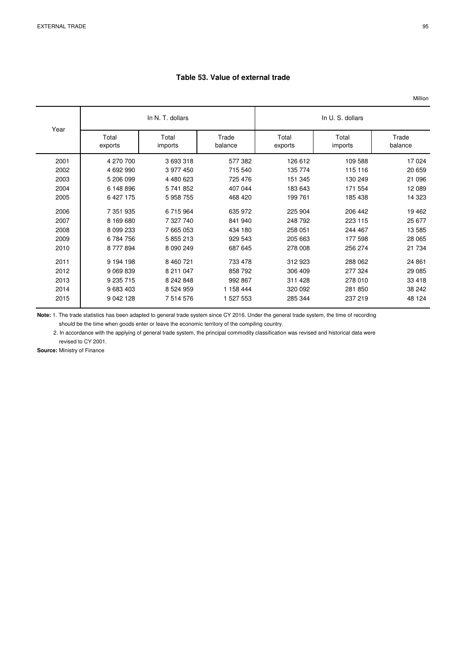#### **Table 53. Value of external trade**

Million

| Year |                  | In N. T. dollars |                  |                  | In U. S. dollars |                  |
|------|------------------|------------------|------------------|------------------|------------------|------------------|
|      | Total<br>exports | Total<br>imports | Trade<br>balance | Total<br>exports | Total<br>imports | Trade<br>balance |
| 2001 | 4 270 700        | 3 693 318        | 577 382          | 126 612          | 109 588          | 17 0 24          |
| 2002 | 4 692 990        | 3 977 450        | 715 540          | 135 774          | 115 116          | 20 659           |
| 2003 | 5 206 099        | 4 480 623        | 725 476          | 151 345          | 130 249          | 21 096           |
| 2004 | 6 148 896        | 5 741 852        | 407 044          | 183 643          | 171 554          | 12 089           |
| 2005 | 6 427 175        | 5 958 755        | 468 420          | 199 761          | 185 438          | 14 323           |
| 2006 | 7 351 935        | 6 715 964        | 635 972          | 225 904          | 206 442          | 19 4 62          |
| 2007 | 8 169 680        | 7 327 740        | 841 940          | 248 792          | 223 115          | 25 677           |
| 2008 | 8 099 233        | 7 665 053        | 434 180          | 258 051          | 244 467          | 13 585           |
| 2009 | 6784756          | 5 855 213        | 929 543          | 205 663          | 177 598          | 28 0 65          |
| 2010 | 8777894          | 8 090 249        | 687 645          | 278 008          | 256 274          | 21 734           |
| 2011 | 9 194 198        | 8 460 721        | 733 478          | 312 923          | 288 062          | 24 861           |
| 2012 | 9 0 69 8 39      | 8 211 047        | 858 792          | 306 409          | 277 324          | 29 0 85          |
| 2013 | 9 235 715        | 8 242 848        | 992 867          | 311 428          | 278 010          | 33 418           |
| 2014 | 9 683 403        | 8 5 24 9 59      | 1 158 444        | 320 092          | 281 850          | 38 242           |
| 2015 | 9 042 128        | 7 514 576        | 1 527 553        | 285 344          | 237 219          | 48 124           |

**Note:** 1. The trade statistics has been adapted to general trade system since CY 2016. Under the general trade system, the time of recording should be the time when goods enter or leave the economic territory of the compiling country.

 2. In accordance with the applying of general trade system, the principal commodity classification was revised and historical data were revised to CY 2001.

**Source:** Ministry of Finance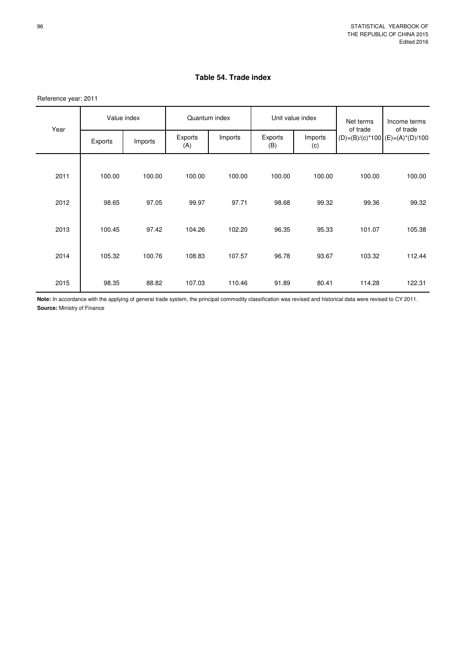#### **Table 54. Trade index**

#### Reference year: 2011

| Year | Value index |         |                | Quantum index |                | Unit value index | Net terms | Income terms                                    |  |
|------|-------------|---------|----------------|---------------|----------------|------------------|-----------|-------------------------------------------------|--|
|      | Exports     | Imports | Exports<br>(A) | Imports       | Exports<br>(B) | Imports<br>(c)   | of trade  | of trade<br>$(D)=(B)/(c)*100$ $(E)=(A)*(D)/100$ |  |
| 2011 | 100.00      | 100.00  | 100.00         | 100.00        | 100.00         | 100.00           | 100.00    | 100.00                                          |  |
| 2012 | 98.65       | 97.05   | 99.97          | 97.71         | 98.68          | 99.32            | 99.36     | 99.32                                           |  |
| 2013 | 100.45      | 97.42   | 104.26         | 102.20        | 96.35          | 95.33            | 101.07    | 105.38                                          |  |
| 2014 | 105.32      | 100.76  | 108.83         | 107.57        | 96.78          | 93.67            | 103.32    | 112.44                                          |  |
| 2015 | 98.35       | 88.82   | 107.03         | 110.46        | 91.89          | 80.41            | 114.28    | 122.31                                          |  |

Note: In accordance with the applying of general trade system, the principal commodity classification was revised and historical data were revised to CY 2011. **Source:** Ministry of Finance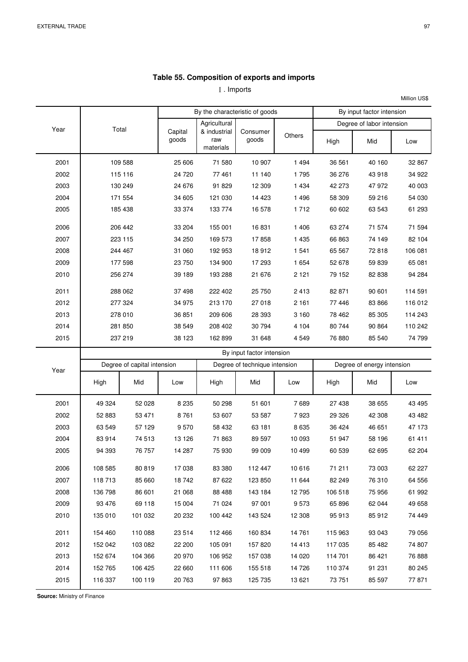### **Table 55. Composition of exports and imports**

#### Ⅰ. Imports

Million US\$

|      |         |                                                                                                           |                  |                                  | By the characteristic of goods |         |                            | By input factor intension |         |  |
|------|---------|-----------------------------------------------------------------------------------------------------------|------------------|----------------------------------|--------------------------------|---------|----------------------------|---------------------------|---------|--|
| Year |         | Total                                                                                                     |                  | Agricultural                     |                                |         |                            | Degree of labor intension |         |  |
|      |         |                                                                                                           | Capital<br>goods | & industrial<br>raw<br>materials | Consumer<br>goods              | Others  | High                       | Mid                       | Low     |  |
| 2001 |         | 109 588                                                                                                   | 25 606           | 71 580                           | 10 907                         | 1 4 9 4 | 36 561                     | 40 160                    | 32 867  |  |
| 2002 |         |                                                                                                           | 24 7 20          | 77 461                           | 11 140                         | 1795    | 36 276                     | 43918                     | 34 922  |  |
| 2003 |         | 115 116<br>130 249<br>24 676<br>171 554<br>185 438<br>206 442<br>223 115<br>244 467<br>177 598<br>256 274 |                  | 91 829                           | 12 309                         | 1 4 3 4 | 42 273                     | 47972                     | 40 003  |  |
| 2004 |         | 34 605                                                                                                    |                  | 121 030                          | 14 4 23                        | 1496    | 58 309                     | 59 216                    | 54 030  |  |
| 2005 |         |                                                                                                           | 33 374           | 133 774                          | 16 578                         | 1712    | 60 602                     | 63 543                    | 61 293  |  |
| 2006 |         |                                                                                                           | 33 204           | 155 001                          | 16831                          | 1406    | 63 274                     | 71 574                    | 71 594  |  |
| 2007 |         |                                                                                                           | 34 250           | 169 573                          | 17858                          | 1 4 3 5 | 66863                      | 74 149                    | 82 104  |  |
| 2008 |         |                                                                                                           | 31 060           | 192 953                          | 18912                          | 1 5 4 1 | 65 567                     | 72818                     | 106 081 |  |
| 2009 |         |                                                                                                           | 23 750           | 134 900                          | 17 293                         | 1 6 5 4 | 52 678                     | 59 839                    | 65 081  |  |
| 2010 |         |                                                                                                           | 39 189           | 193 288                          | 21 676                         | 2 1 2 1 | 79 152                     | 82 838                    | 94 284  |  |
| 2011 |         | 288 062<br>277 324<br>278 010                                                                             |                  | 222 402                          | 25 750                         | 2413    | 82 871                     | 90 601                    | 114 591 |  |
| 2012 |         | 37 498<br>34 975                                                                                          |                  | 213 170                          | 27 018                         | 2 1 6 1 | 77 446                     | 83 866                    | 116 012 |  |
| 2013 |         |                                                                                                           | 36 851           | 209 606                          | 28 393                         | 3 1 6 0 | 78 462                     | 85 305                    | 114 243 |  |
| 2014 |         | 281 850                                                                                                   | 38 549           | 208 402                          | 30 794                         | 4 104   | 80 744                     | 90 864                    | 110 242 |  |
| 2015 |         | 237 219                                                                                                   | 38 123           | 162 899                          | 31 648                         | 4 5 4 9 | 76 880                     | 85 540                    | 74 799  |  |
|      |         |                                                                                                           |                  |                                  | By input factor intension      |         |                            |                           |         |  |
| Year |         | Degree of capital intension                                                                               |                  |                                  | Degree of technique intension  |         | Degree of energy intension |                           |         |  |
|      | High    | Mid                                                                                                       | Low              | High                             | Mid                            | Low     | High                       | Mid                       | Low     |  |
| 2001 | 49 324  | 52 028                                                                                                    | 8 2 3 5          | 50 298                           | 51 601                         | 7689    | 27 438                     | 38 655                    | 43 495  |  |
| 2002 | 52 883  | 53 471                                                                                                    | 8761             | 53 607                           | 53 587                         | 7923    | 29 3 26                    | 42 308                    | 43 482  |  |
| 2003 | 63 549  | 57 129                                                                                                    | 9570             | 58 432                           | 63 181                         | 8 6 3 5 | 36 424                     | 46 651                    | 47 173  |  |
| 2004 | 83 914  | 74 513                                                                                                    | 13 1 26          | 71 863                           | 89 597                         | 10 093  | 51 947                     | 58 196                    | 61411   |  |
| 2005 | 94 393  | 76 757                                                                                                    | 14 287           | 75 930                           | 99 009                         | 10 499  | 60 539                     | 62 695                    | 62 204  |  |
| 2006 | 108 585 | 80 819                                                                                                    | 17 038           | 83 380                           | 112 447                        | 10 616  | 71 211                     | 73 003                    | 62 227  |  |
| 2007 | 118 713 | 85 660                                                                                                    | 18742            | 87 622                           | 123 850                        | 11 644  | 82 249                     | 76 310                    | 64 556  |  |
| 2008 | 136 798 | 86 601                                                                                                    | 21 068           | 88 4 88                          | 143 184                        | 12 795  | 106 518                    | 75 956                    | 61 992  |  |
| 2009 | 93 476  | 69 118                                                                                                    | 15 004           | 71 024                           | 97 001                         | 9573    | 65 896                     | 62 044                    | 49 658  |  |
| 2010 | 135 010 | 101 032                                                                                                   | 20 232           | 100 442                          | 143 524                        | 12 308  | 95 913                     | 85912                     | 74 449  |  |
| 2011 | 154 460 | 110 088                                                                                                   | 23 5 14          | 112 466                          | 160 834                        | 14 761  | 115 963                    | 93 043                    | 79 056  |  |
| 2012 | 152 042 | 103 082                                                                                                   | 22 200           | 105 091                          | 157 820                        | 14 4 13 | 117 035                    | 85 482                    | 74 807  |  |
| 2013 |         |                                                                                                           |                  |                                  |                                |         | 114 701                    | 86 421                    | 76 888  |  |
|      | 152 674 | 104 366                                                                                                   | 20 970           | 106 952                          | 157 038                        | 14 0 20 |                            |                           |         |  |
| 2014 | 152 765 | 106 425                                                                                                   | 22 660           | 111 606                          | 155 518                        | 14 726  | 110 374                    | 91 231                    | 80 245  |  |

**Source:** Ministry of Finance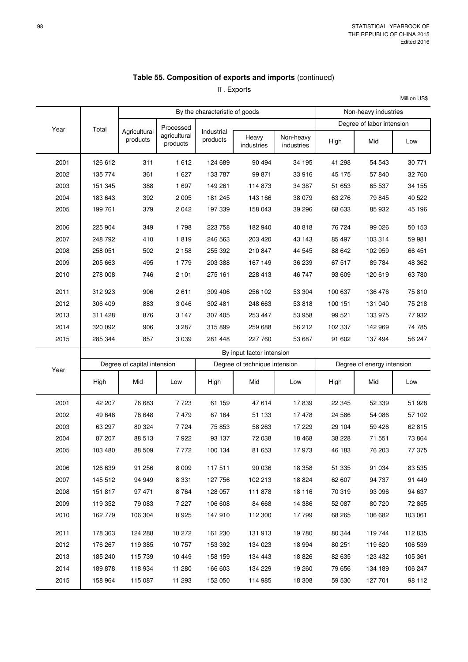#### **Table 55. Composition of exports and imports** (continued)

#### Ⅱ. Exports

Million US\$

|      |         |                             |                          | By the characteristic of goods |                               |                         |                            | Non-heavy industries      |         |
|------|---------|-----------------------------|--------------------------|--------------------------------|-------------------------------|-------------------------|----------------------------|---------------------------|---------|
|      |         |                             | Processed                |                                |                               |                         |                            | Degree of labor intension |         |
| Year | Total   | Agricultural<br>products    | agricultural<br>products | Industrial<br>products         | Heavy<br>industries           | Non-heavy<br>industries | High                       | Mid                       | Low     |
| 2001 | 126 612 | 311                         | 1612                     | 124 689                        | 90 494                        | 34 195                  | 41 298                     | 54 543                    | 30 771  |
| 2002 | 135 774 | 361                         | 1 627                    | 133 787                        | 99 871                        | 33 916                  | 45 175                     | 57 840                    | 32 760  |
| 2003 | 151 345 | 388                         | 1 6 9 7                  | 149 261                        | 114 873                       | 34 387                  | 51 653                     | 65 537                    | 34 155  |
| 2004 | 183 643 | 392                         | 2 0 0 5                  | 181 245                        | 143 166                       | 38 079                  | 63 276                     | 79 845                    | 40 522  |
| 2005 | 199 761 | 379                         | 2 0 4 2                  | 197 339                        | 158 043                       | 39 29 6                 | 68 633                     | 85 932                    | 45 196  |
| 2006 | 225 904 | 349                         | 1798                     | 223 758                        | 182 940                       | 40 818                  | 76 724                     | 99 0 26                   | 50 153  |
| 2007 | 248 792 | 410                         | 1819                     | 246 563                        | 203 420                       | 43 143                  | 85 497                     | 103 314                   | 59 981  |
| 2008 | 258 051 | 502                         | 2 1 5 8                  | 255 392                        | 210 847                       | 44 545                  | 88 642                     | 102 959                   | 66 451  |
| 2009 | 205 663 | 495                         | 1 7 7 9                  | 203 388                        | 167 149                       | 36 239                  | 67 517                     | 89 784                    | 48 362  |
| 2010 | 278 008 | 746                         | 2 1 0 1                  | 275 161                        | 228 413                       | 46 747                  | 93 609                     | 120 619                   | 63 780  |
| 2011 | 312 923 | 906                         | 2611                     | 309 406                        | 256 102                       | 53 304                  | 100 637                    | 136 476                   | 75 810  |
| 2012 | 306 409 | 883                         | 3 0 4 6                  | 302 481                        | 248 663                       | 53 818                  | 100 151                    | 131 040                   | 75 218  |
| 2013 | 311 428 | 876                         | 3 1 4 7                  | 307 405                        | 253 447                       | 53 958                  | 99 521                     | 133 975                   | 77 932  |
| 2014 | 320 092 | 906                         | 3 2 8 7                  | 315 899                        | 259 688                       | 56 212                  | 102 337                    | 142 969                   | 74 785  |
| 2015 | 285 344 | 857                         | 3 0 3 9                  | 281 448                        | 227 760                       | 53 687                  | 91 602                     | 137 494                   | 56 247  |
|      |         |                             |                          |                                | By input factor intension     |                         |                            |                           |         |
| Year |         | Degree of capital intension |                          |                                | Degree of technique intension |                         | Degree of energy intension |                           |         |
|      | High    | Mid                         | Low                      | High                           | Mid                           | Low                     | High                       | Mid                       | Low     |
| 2001 | 42 207  | 76 683                      | 7723                     | 61 159                         | 47614                         | 17839                   | 22 345                     | 52 339                    | 51 928  |
| 2002 | 49 648  | 78 648                      | 7479                     | 67 164                         | 51 133                        | 17 478                  | 24 586                     | 54 086                    | 57 102  |
| 2003 | 63 297  | 80 324                      | 7 7 2 4                  | 75 853                         | 58 263                        | 17 229                  | 29 104                     | 59 426                    | 62 815  |
| 2004 | 87 207  | 88 513                      | 7922                     | 93 137                         | 72 038                        | 18 4 68                 | 38 228                     | 71 551                    | 73 864  |
| 2005 | 103 480 | 88 509                      | 7772                     | 100 134                        | 81 653                        | 17973                   | 46 183                     | 76 203                    | 77 375  |
| 2006 | 126 639 | 91 256                      | 8 0 0 9                  | 117511                         | 90 036                        | 18 358                  | 51 335                     | 91 034                    | 83 535  |
| 2007 | 145 512 | 94 949                      | 8 3 3 1                  | 127 756                        | 102 213                       | 18824                   | 62 607                     | 94 737                    | 91 449  |
| 2008 | 151 817 | 97 471                      | 8764                     | 128 057                        | 111 878                       | 18 116                  | 70 319                     | 93 096                    | 94 637  |
| 2009 | 119 352 | 79 083                      | 7 2 2 7                  | 106 608                        | 84 668                        | 14 386                  | 52 087                     | 80 720                    | 72 855  |
| 2010 | 162779  | 106 304                     | 8925                     | 147 910                        | 112 300                       | 17799                   | 68 265                     | 106 682                   | 103 061 |
| 2011 | 178 363 | 124 288                     | 10 272                   | 161 230                        | 131 913                       | 19780                   | 80 344                     | 119 744                   | 112 835 |
| 2012 | 176 267 | 119 385                     | 10 757                   | 153 392                        | 134 023                       | 18 994                  | 80 251                     | 119 620                   | 106 539 |
| 2013 | 185 240 | 115 739                     | 10 449                   | 158 159                        | 134 443                       | 18826                   | 82 635                     | 123 432                   | 105 361 |
| 2014 | 189878  | 118 934                     | 11 280                   | 166 603                        | 134 229                       | 19 260                  | 79 656                     | 134 189                   | 106 247 |

2015 158 964 115 087 11 293 152 050 114 985 18 308 59 530 127 701 98 112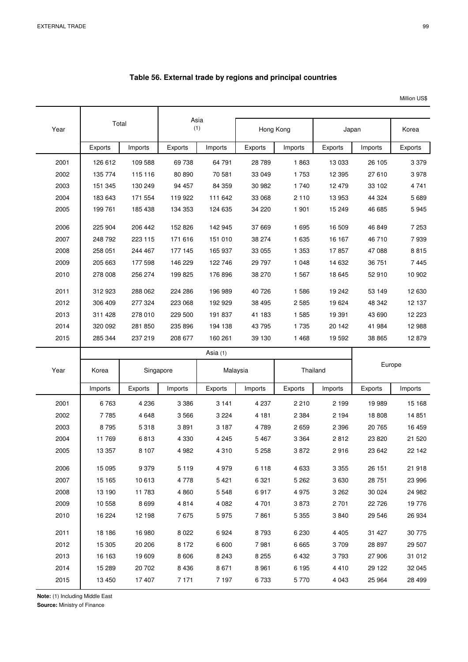#### **Table 56. External trade by regions and principal countries**

Million US\$

| Year | Total   |           | Asia<br>(1) |          | Hong Kong |          | Japan   |         | Korea   |
|------|---------|-----------|-------------|----------|-----------|----------|---------|---------|---------|
|      | Exports | Imports   | Exports     | Imports  | Exports   | Imports  | Exports | Imports | Exports |
| 2001 | 126 612 | 109 588   | 69 738      | 64 791   | 28 789    | 1863     | 13 033  | 26 105  | 3 3 7 9 |
| 2002 | 135 774 | 115 116   | 80 890      | 70 581   | 33 049    | 1753     | 12 3 95 | 27610   | 3978    |
| 2003 | 151 345 | 130 249   | 94 457      | 84 359   | 30 982    | 1740     | 12 479  | 33 102  | 4 741   |
| 2004 | 183 643 | 171 554   | 119 922     | 111 642  | 33 068    | 2 1 1 0  | 13 953  | 44 324  | 5 6 8 9 |
| 2005 | 199 761 | 185 438   | 134 353     | 124 635  | 34 220    | 1 901    | 15 249  | 46 685  | 5945    |
| 2006 | 225 904 | 206 442   | 152 826     | 142 945  | 37 669    | 1 6 9 5  | 16 509  | 46 849  | 7 2 5 3 |
| 2007 | 248 792 | 223 115   | 171 616     | 151 010  | 38 274    | 1 6 3 5  | 16 167  | 46 710  | 7939    |
| 2008 | 258 051 | 244 467   | 177 145     | 165 937  | 33 055    | 1 3 5 3  | 17857   | 47 088  | 8815    |
| 2009 | 205 663 | 177 598   | 146 229     | 122 746  | 29 797    | 1 0 4 8  | 14 632  | 36 751  | 7 4 4 5 |
| 2010 | 278 008 | 256 274   | 199825      | 176 896  | 38 270    | 1 5 6 7  | 18 645  | 52910   | 10 902  |
| 2011 | 312 923 | 288 062   | 224 286     | 196 989  | 40 726    | 1586     | 19 242  | 53 149  | 12 630  |
| 2012 | 306 409 | 277 324   | 223 068     | 192 929  | 38 495    | 2585     | 19624   | 48 342  | 12 137  |
| 2013 | 311 428 | 278 010   | 229 500     | 191 837  | 41 183    | 1585     | 19 391  | 43 690  | 12 2 23 |
| 2014 | 320 092 | 281 850   | 235 896     | 194 138  | 43 795    | 1735     | 20 142  | 41 984  | 12 988  |
| 2015 | 285 344 | 237 219   | 208 677     | 160 261  | 39 130    | 1468     | 19 592  | 38 865  | 12879   |
|      |         |           |             |          |           |          |         |         |         |
|      |         |           |             | Asia (1) |           |          |         |         |         |
| Year | Korea   | Singapore |             | Malaysia |           | Thailand |         | Europe  |         |
|      | Imports | Exports   | Imports     | Exports  | Imports   | Exports  | Imports | Exports | Imports |
| 2001 | 6763    | 4 2 3 6   | 3 3 8 6     | 3 1 4 1  | 4 2 3 7   | 2 2 1 0  | 2 1 9 9 | 19 989  | 15 168  |
| 2002 | 7785    | 4 6 4 8   | 3566        | 3 2 2 4  | 4 1 8 1   | 2 3 8 4  | 2 1 9 4 | 18 808  | 14 851  |
| 2003 | 8795    | 5 3 1 8   | 3891        | 3 1 8 7  | 4789      | 2659     | 2 3 9 6 | 20 765  | 16 459  |
| 2004 | 11 769  | 6813      | 4 3 3 0     | 4 2 4 5  | 5467      | 3 3 6 4  | 2812    | 23 8 20 | 21 5 20 |
| 2005 | 13 357  | 8 1 0 7   | 4 9 8 2     | 4 3 1 0  | 5 2 5 8   | 3872     | 2916    | 23 642  | 22 142  |
| 2006 | 15 0 95 | 9 3 7 9   | 5 1 1 9     | 4979     | 6 1 1 8   | 4 6 3 3  | 3 3 5 5 | 26 151  | 21 918  |
| 2007 | 15 165  | 10 613    | 4778        | 5 4 21   | 6 3 21    | 5 2 6 2  | 3 6 3 0 | 28 751  | 23 996  |
| 2008 | 13 190  | 11 783    | 4 8 6 0     | 5 5 4 8  | 6917      | 4975     | 3 2 6 2 | 30 0 24 | 24 982  |
| 2009 | 10 558  | 8699      | 4814        | 4 0 8 2  | 4 701     | 3873     | 2 701   | 22 7 26 | 19776   |
| 2010 | 16 224  | 12 198    | 7675        | 5975     | 7861      | 5 3 5 5  | 3840    | 29 546  | 26 934  |
| 2011 | 18 18 6 | 16 980    | 8 0 2 2     | 6924     | 8793      | 6 2 3 0  | 4 4 0 5 | 31 427  | 30 775  |
| 2012 | 15 305  | 20 20 6   | 8 1 7 2     | 6 600    | 7981      | 6665     | 3709    | 28 897  | 29 507  |
| 2013 | 16 163  | 19 609    | 8 6 0 6     | 8 2 4 3  | 8 2 5 5   | 6432     | 3793    | 27 906  | 31 012  |
| 2014 | 15 289  | 20 702    | 8 4 3 6     | 8671     | 8961      | 6 1 9 5  | 4 4 1 0 | 29 122  | 32 045  |

**Note:** (1) Including Middle East

**Source:** Ministry of Finance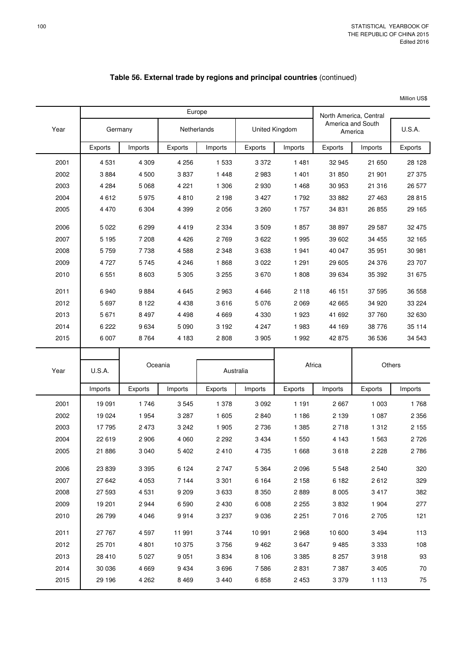#### **Table 56. External trade by regions and principal countries** (continued)

|      |               |         |         |             |           |                |                              |         | Million US\$  |
|------|---------------|---------|---------|-------------|-----------|----------------|------------------------------|---------|---------------|
|      |               |         |         | Europe      |           |                | North America, Central       |         |               |
| Year | Germany       |         |         | Netherlands |           | United Kingdom | America and South<br>America |         | <b>U.S.A.</b> |
|      | Exports       | Imports | Exports | Imports     | Exports   | Imports        | Exports                      | Imports | Exports       |
| 2001 | 4531          | 4 3 0 9 | 4 2 5 6 | 1 5 3 3     | 3 3 7 2   | 1 4 8 1        | 32 945                       | 21 650  | 28 1 28       |
| 2002 | 3884          | 4 500   | 3837    | 1448        | 2983      | 1 4 0 1        | 31 850                       | 21 901  | 27 375        |
| 2003 | 4 2 8 4       | 5 0 68  | 4 2 2 1 | 1 306       | 2930      | 1468           | 30 953                       | 21 316  | 26 577        |
| 2004 | 4612          | 5975    | 4810    | 2 1 9 8     | 3 4 2 7   | 1792           | 33 882                       | 27 463  | 28 815        |
| 2005 | 4 4 7 0       | 6 3 0 4 | 4 3 9 9 | 2056        | 3 2 6 0   | 1757           | 34 831                       | 26 855  | 29 165        |
| 2006 | 5 0 2 2       | 6 2 9 9 | 4 4 1 9 | 2 3 3 4     | 3509      | 1857           | 38 897                       | 29 587  | 32 475        |
| 2007 | 5 1 9 5       | 7 208   | 4 4 2 6 | 2769        | 3 6 2 2   | 1995           | 39 602                       | 34 455  | 32 165        |
| 2008 | 5759          | 7738    | 4588    | 2 3 4 8     | 3638      | 1941           | 40 047                       | 35 951  | 30 981        |
| 2009 | 4 727         | 5745    | 4 2 4 6 | 1868        | 3 0 2 2   | 1 2 9 1        | 29 605                       | 24 376  | 23 707        |
| 2010 | 6551          | 8 6 0 3 | 5 3 0 5 | 3 2 5 5     | 3670      | 1808           | 39 634                       | 35 392  | 31 675        |
| 2011 | 6940          | 9884    | 4645    | 2963        | 4 6 4 6   | 2 1 1 8        | 46 151                       | 37 595  | 36 558        |
| 2012 | 5 6 9 7       | 8 1 2 2 | 4 4 3 8 | 3616        | 5 0 7 6   | 2069           | 42 665                       | 34 920  | 33 2 24       |
| 2013 | 5671          | 8 4 9 7 | 4 4 9 8 | 4669        | 4 3 3 0   | 1923           | 41 692                       | 37 760  | 32 630        |
| 2014 | 6 2 22        | 9634    | 5 0 9 0 | 3 192       | 4 2 4 7   | 1983           | 44 169                       | 38 776  | 35 114        |
| 2015 | 6 0 0 7       | 8764    | 4 1 8 3 | 2 8 0 8     | 3 9 0 5   | 1992           | 42 875                       | 36 536  | 34 543        |
|      |               |         |         |             |           |                |                              |         |               |
| Year | <b>U.S.A.</b> |         | Oceania |             | Australia |                | Africa                       |         | Others        |
|      | Imports       | Exports | Imports | Exports     | Imports   | Exports        | Imports                      | Exports | Imports       |
| 2001 | 19 091        | 1746    | 3545    | 1 378       | 3 0 9 2   | 1 1 9 1        | 2667                         | 1 0 0 3 | 1768          |
| 2002 | 19 0 24       | 1 9 5 4 | 3 2 8 7 | 1 605       | 2840      | 1 1 8 6        | 2 1 3 9                      | 1 0 8 7 | 2 3 5 6       |
| 2003 | 17795         | 2 4 7 3 | 3 2 4 2 | 1 905       | 2 7 3 6   | 1 3 8 5        | 2718                         | 1 3 1 2 | 2 1 5 5       |
| 2004 | 22 619        | 2 9 0 6 | 4 0 6 0 | 2 292       | 3 4 3 4   | 1 550          | 4 1 4 3                      | 1 5 6 3 | 2 7 2 6       |
| 2005 | 21 886        | 3 0 4 0 | 5 4 0 2 | 2410        | 4 7 3 5   | 1668           | 3618                         | 2 2 2 8 | 2786          |
| 2006 | 23 839        | 3 3 9 5 | 6 1 2 4 | 2 7 4 7     | 5 3 6 4   | 2096           | 5 5 4 8                      | 2 5 4 0 | 320           |
| 2007 | 27 642        | 4 0 5 3 | 7 1 4 4 | 3 3 0 1     | 6 1 6 4   | 2 1 5 8        | 6 1 8 2                      | 2612    | 329           |
| 2008 | 27 593        | 4 5 31  | 9 2 0 9 | 3633        | 8 3 5 0   | 2889           | 8 0 0 5                      | 3417    | 382           |
| 2009 | 19 201        | 2944    | 6590    | 2 4 3 0     | 6 0 0 8   | 2 2 5 5        | 3832                         | 1 904   | 277           |
| 2010 | 26 799        | 4 0 4 6 | 9914    | 3 2 3 7     | 9036      | 2 2 5 1        | 7016                         | 2 7 0 5 | 121           |
| 2011 | 27 767        | 4 5 9 7 | 11 991  | 3744        | 10 991    | 2968           | 10 600                       | 3 4 9 4 | 113           |
| 2012 | 25 701        | 4 8 0 1 | 10 375  | 3756        | 9462      | 3647           | 9485                         | 3 3 3 3 | 108           |
| 2013 | 28 410        | 5 0 2 7 | 9 0 5 1 | 3834        | 8 1 0 6   | 3 3 8 5        | 8 2 5 7                      | 3918    | 93            |
| 2014 | 30 036        | 4 6 6 9 | 9434    | 3696        | 7586      | 2831           | 7 3 8 7                      | 3 4 0 5 | 70            |
| 2015 | 29 196        | 4 2 6 2 | 8 4 6 9 | 3 4 4 0     | 6858      | 2 4 5 3        | 3 3 7 9                      | 1 1 1 3 | 75            |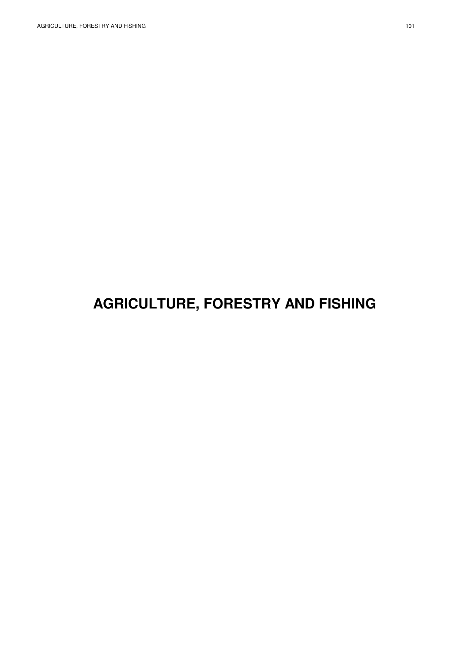# **AGRICULTURE, FORESTRY AND FISHING**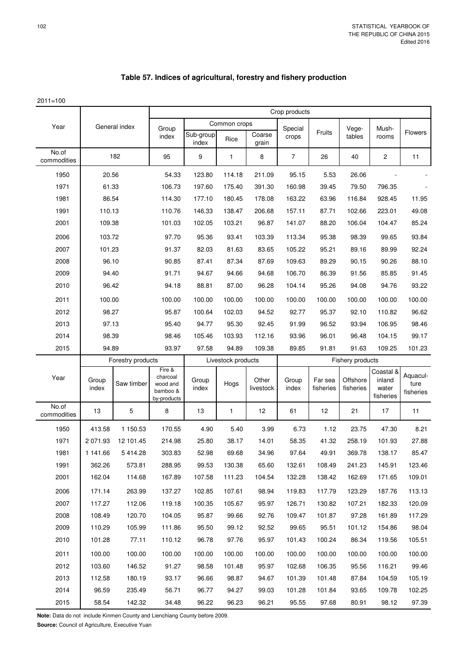#### **Table 57. Indices of agricultural, forestry and fishery production**

#### 2011=100

|                      |                |                   |                                                           |                    |                    |                    | Crop products  |                      |                       |                                           |                               |
|----------------------|----------------|-------------------|-----------------------------------------------------------|--------------------|--------------------|--------------------|----------------|----------------------|-----------------------|-------------------------------------------|-------------------------------|
| Year                 |                | General index     | Group                                                     |                    | Common crops       |                    | Special        |                      | Vege-                 | Mush-                                     |                               |
|                      |                |                   | index                                                     | Sub-group<br>index | Rice               | Coarse<br>grain    | crops          | Fruits               | tables                | rooms                                     | Flowers                       |
| No.of<br>commodities |                | 182               | 95                                                        | 9                  | $\mathbf{1}$       | 8                  | $\overline{7}$ | 26                   | 40                    | 2                                         | 11                            |
| 1950                 | 20.56          |                   | 54.33                                                     | 123.80             | 114.18             | 211.09             | 95.15          | 5.53                 | 26.06                 |                                           |                               |
| 1971                 | 61.33          |                   | 106.73                                                    | 197.60             | 175.40             | 391.30             | 160.98         | 39.45                | 79.50                 | 796.35                                    |                               |
| 1981                 | 86.54          |                   | 114.30                                                    | 177.10             | 180.45             | 178.08             | 163.22         | 63.96                | 116.84                | 928.45                                    | 11.95                         |
| 1991                 | 110.13         |                   | 110.76                                                    | 146.33             | 138.47             | 206.68             | 157.11         | 87.71                | 102.66                | 223.01                                    | 49.08                         |
| 2001                 | 109.38         |                   | 101.03                                                    | 102.05             | 103.21             | 96.87              | 141.07         | 88.20                | 106.04                | 104.47                                    | 85.24                         |
| 2006                 | 103.72         |                   | 97.70                                                     | 95.36              | 93.41              | 103.39             | 113.34         | 95.38                | 98.39                 | 99.65                                     | 93.84                         |
| 2007                 | 101.23         |                   | 91.37                                                     | 82.03              | 81.63              | 83.65              | 105.22         | 95.21                | 89.16                 | 89.99                                     | 92.24                         |
| 2008                 | 96.10          |                   | 90.85                                                     | 87.41              | 87.34              | 87.69              | 109.63         | 89.29                | 90.15                 | 90.26                                     | 88.10                         |
| 2009                 | 94.40          |                   | 91.71                                                     | 94.67              | 94.66              | 94.68              | 106.70         | 86.39                | 91.56                 | 85.85                                     | 91.45                         |
| 2010                 | 96.42          |                   | 94.18                                                     | 88.81              | 87.00              | 96.28              | 104.14         | 95.26                | 94.08                 | 94.76                                     | 93.22                         |
| 2011                 | 100.00         |                   | 100.00                                                    | 100.00             | 100.00             | 100.00             | 100.00         | 100.00               | 100.00                | 100.00                                    | 100.00                        |
| 2012                 | 98.27          |                   | 95.87                                                     | 100.64             | 102.03             | 94.52              | 92.77          | 95.37                | 92.10                 | 110.82                                    | 96.62                         |
| 2013                 | 97.13          |                   | 95.40                                                     | 94.77              | 95.30              | 92.45              | 91.99          | 96.52                | 93.94                 | 106.95                                    | 98.46                         |
| 2014                 | 98.39          |                   | 98.46                                                     | 105.46             | 103.93             | 112.16             | 93.96          | 96.01                | 96.48                 | 104.15                                    | 99.17                         |
| 2015                 | 94.89          |                   | 93.97                                                     | 97.58              | 94.89              | 109.38             | 89.85          | 91.81                | 91.63                 | 109.25                                    | 101.23                        |
|                      |                |                   |                                                           |                    |                    |                    |                | Fishery products     |                       |                                           |                               |
|                      |                | Forestry products |                                                           |                    | Livestock products |                    |                |                      |                       |                                           |                               |
| Year                 | Group<br>index | Saw timber        | Fire &<br>charcoal<br>wood and<br>bamboo &<br>by-products | Group<br>index     | Hogs               | Other<br>livestock | Group<br>index | Far sea<br>fisheries | Offshore<br>fisheries | Coastal &<br>inland<br>water<br>fisheries | Aquacul-<br>ture<br>fisheries |
| No.of<br>commodities | 13             | 5                 | 8                                                         | 13                 | 1                  | 12                 | 61             | 12                   | 21                    | 17                                        | 11                            |
| 1950                 | 413.58         | 1 150.53          | 170.55                                                    | 4.90               | 5.40               | 3.99               | 6.73           | 1.12                 | 23.75                 | 47.30                                     | 8.21                          |
| 1971                 | 2 071.93       | 12 101.45         | 214.98                                                    | 25.80              | 38.17              | 14.01              | 58.35          | 41.32                | 258.19                | 101.93                                    | 27.88                         |
| 1981                 | 1 141.66       | 5 414.28          | 303.83                                                    | 52.98              | 69.68              | 34.96              | 97.64          | 49.91                | 369.78                | 138.17                                    | 85.47                         |
| 1991                 | 362.26         | 573.81            | 288.95                                                    | 99.53              | 130.38             | 65.60              | 132.61         | 108.49               | 241.23                | 145.91                                    | 123.46                        |
| 2001                 | 162.04         | 114.68            | 167.89                                                    | 107.58             | 111.23             | 104.54             | 132.28         | 138.42               | 162.69                | 171.65                                    | 109.01                        |
| 2006                 | 171.14         | 263.99            | 137.27                                                    | 102.85             | 107.61             | 98.94              | 119.83         | 117.79               | 123.29                | 187.76                                    | 113.13                        |
| 2007                 | 117.27         | 112.06            | 119.18                                                    | 100.35             | 105.67             | 95.97              | 126.71         | 130.82               | 107.21                | 182.33                                    | 120.09                        |
| 2008                 | 108.49         | 120.70            | 104.05                                                    | 95.87              | 99.66              | 92.76              | 109.47         | 101.87               | 97.28                 | 161.89                                    | 117.29                        |
| 2009                 | 110.29         | 105.99            | 111.86                                                    | 95.50              | 99.12              | 92.52              | 99.65          | 95.51                | 101.12                | 154.86                                    | 98.04                         |
| 2010                 | 101.28         | 77.11             | 110.12                                                    | 96.78              | 97.76              | 95.97              | 101.43         | 100.24               | 86.34                 | 119.56                                    | 105.51                        |
| 2011                 | 100.00         | 100.00            | 100.00                                                    | 100.00             | 100.00             | 100.00             | 100.00         | 100.00               | 100.00                | 100.00                                    | 100.00                        |
| 2012                 | 103.60         | 146.52            | 91.27                                                     | 98.58              | 101.48             | 95.97              | 102.68         | 106.35               | 95.56                 | 116.21                                    | 99.46                         |
| 2013                 | 112.58         | 180.19            | 93.17                                                     | 96.66              | 98.87              | 94.67              | 101.39         | 101.48               | 87.84                 | 104.59                                    | 105.19                        |
| 2014                 | 96.59          | 235.49            | 56.71                                                     | 96.77              | 94.27              | 99.03              | 101.28         | 101.84               | 93.65                 | 109.78                                    | 102.25                        |

**Note:** Data do not include Kinmen County and Lienchiang County before 2009.

**Source:** Council of Agriculture, Executive Yuan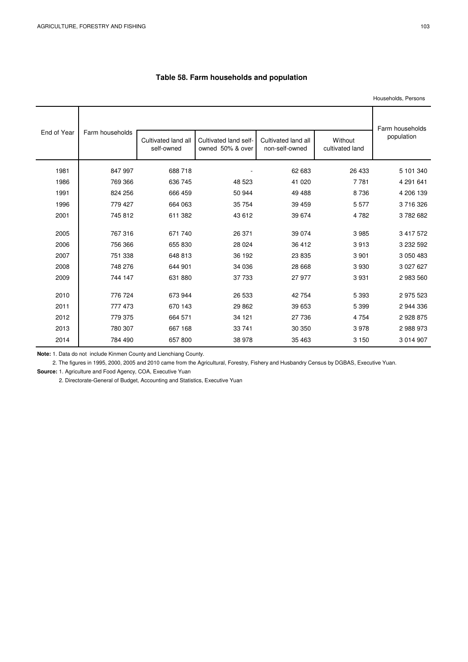|             |                 |                                   |                                           |                                       |                            | Households, Persons           |
|-------------|-----------------|-----------------------------------|-------------------------------------------|---------------------------------------|----------------------------|-------------------------------|
| End of Year | Farm households | Cultivated land all<br>self-owned | Cultivated land self-<br>owned 50% & over | Cultivated land all<br>non-self-owned | Without<br>cultivated land | Farm households<br>population |
| 1981        | 847 997         | 688 718                           |                                           | 62 683                                | 26 433                     | 5 101 340                     |
| 1986        | 769 366         | 636 745                           | 48 523                                    | 41 020                                | 7 7 8 1                    | 4 291 641                     |
| 1991        | 824 256         | 666 459                           | 50 944                                    | 49 488                                | 8736                       | 4 206 139                     |
| 1996        | 779 427         | 664 063                           | 35 7 54                                   | 39 459                                | 5577                       | 3716326                       |
| 2001        | 745 812         | 611 382                           | 43 612                                    | 39 674                                | 4 7 8 2                    | 3782682                       |
| 2005        | 767 316         | 671 740                           | 26 371                                    | 39 0 74                               | 3985                       | 3 417 572                     |
| 2006        | 756 366         | 655 830                           | 28 0 24                                   | 36 412                                | 3913                       | 3 232 592                     |
| 2007        | 751 338         | 648 813                           | 36 192                                    | 23 835                                | 3 9 0 1                    | 3 050 483                     |
| 2008        | 748 276         | 644 901                           | 34 036                                    | 28 6 68                               | 3930                       | 3 027 627                     |
| 2009        | 744 147         | 631 880                           | 37 733                                    | 27 977                                | 3 9 3 1                    | 2 983 560                     |
| 2010        | 776 724         | 673 944                           | 26 533                                    | 42 754                                | 5 3 9 3                    | 2 975 523                     |
| 2011        | 777 473         | 670 143                           | 29 8 62                                   | 39 653                                | 5 3 9 9                    | 2 944 336                     |
| 2012        | 779 375         | 664 571                           | 34 121                                    | 27 736                                | 4 7 5 4                    | 2 928 875                     |
| 2013        | 780 307         | 667 168                           | 33 741                                    | 30 350                                | 3978                       | 2 988 973                     |
| 2014        | 784 490         | 657800                            | 38 978                                    | 35 463                                | 3 1 5 0                    | 3 014 907                     |

## **Table 58. Farm households and population**

**Note:** 1. Data do not include Kinmen County and Lienchiang County.

2. The figures in 1995, 2000, 2005 and 2010 came from the Agricultural, Forestry, Fishery and Husbandry Census by DGBAS, Executive Yuan.

**Source:** 1. Agriculture and Food Agency, COA, Executive Yuan

2. Directorate-General of Budget, Accounting and Statistics, Executive Yuan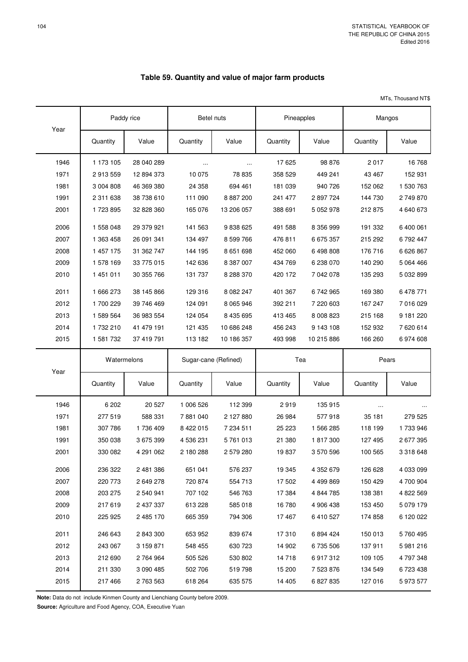## **Table 59. Quantity and value of major farm products**

MTs, Thousand NT\$

| Year |             | Paddy rice |                      | Betel nuts<br>Pineapples<br>Mangos |          |               |               |           |
|------|-------------|------------|----------------------|------------------------------------|----------|---------------|---------------|-----------|
|      | Quantity    | Value      | Quantity             | Value                              | Quantity | Value         | Quantity      | Value     |
| 1946 | 1 173 105   | 28 040 289 | $\ddotsc$            | $\ddotsc$                          | 17 625   | 98 876        | 2017          | 16 768    |
| 1971 | 2913559     | 12 894 373 | 10 075               | 78 835                             | 358 529  | 449 241       | 43 467        | 152 931   |
| 1981 | 3 004 808   | 46 369 380 | 24 358               | 694 461                            | 181 039  | 940 726       | 152 062       | 1 530 763 |
| 1991 | 2 311 638   | 38 738 610 | 111 090              | 8 887 200                          | 241 477  | 2 897 724     | 144 730       | 2 749 870 |
| 2001 | 1 723 895   | 32 828 360 | 165 076              | 13 206 057                         | 388 691  | 5 0 5 2 9 7 8 | 212 875       | 4 640 673 |
| 2006 | 1 558 048   | 29 379 921 | 141 563              | 9 838 625                          | 491 588  | 8 356 999     | 191 332       | 6 400 061 |
| 2007 | 1 363 458   | 26 091 341 | 134 497              | 8 599 766                          | 476 811  | 6 675 357     | 215 292       | 6 792 447 |
| 2008 | 1 457 175   | 31 362 747 | 144 195              | 8 651 698                          | 452 060  | 6498808       | 176 716       | 6 626 867 |
| 2009 | 1 578 169   | 33 775 015 | 142 636              | 8 387 007                          | 434 769  | 6 238 070     | 140 290       | 5 064 466 |
| 2010 | 1 451 011   | 30 355 766 | 131 737              | 8 288 370                          | 420 172  | 7 042 078     | 135 293       | 5 032 899 |
| 2011 | 1 666 273   | 38 145 866 | 129 316              | 8 082 247                          | 401 367  | 6742965       | 169 380       | 6 478 771 |
| 2012 | 1700 229    | 39 746 469 | 124 091              | 8 0 6 5 9 4 6                      | 392 211  | 7 220 603     | 167 247       | 7 016 029 |
| 2013 | 1 589 564   | 36 983 554 | 124 054              | 8 435 695                          | 413 465  | 8 008 823     | 215 168       | 9 181 220 |
| 2014 | 1732 210    | 41 479 191 | 121 435              | 10 686 248                         | 456 243  | 9 143 108     | 152 932       | 7620614   |
| 2015 | 1 581 732   | 37 419 791 | 113 182              | 10 186 357                         | 493 998  | 10 215 886    | 166 260       | 6974608   |
|      |             |            |                      |                                    |          |               |               |           |
|      | Watermelons |            | Sugar-cane (Refined) |                                    |          | Tea           | Pears         |           |
| Year | Quantity    | Value      | Quantity             | Value                              | Quantity | Value         | Quantity      | Value     |
| 1946 | 6 20 2      | 20 527     | 1 006 526            | 112 399                            | 2919     | 135 915       | $\sim$ $\sim$ |           |
| 1971 | 277 519     | 588 331    | 7881040              | 2 127 880                          | 26 984   | 577918        | 35 181        | 279 525   |
| 1981 | 307 786     | 1736 409   | 8 422 015            | 7 234 511                          | 25 223   | 1 566 285     | 118 199       | 1733946   |
| 1991 | 350 038     | 3 675 399  | 4 536 231            | 5761013                            | 21 380   | 1817300       | 127 495       | 2 677 395 |
| 2001 | 330 082     | 4 291 062  | 2 180 288            | 2 579 280                          | 19837    | 3 570 596     | 100 565       | 3 318 648 |
| 2006 | 236 322     | 2 481 386  | 651 041              | 576 237                            | 19 345   | 4 352 679     | 126 628       | 4 033 099 |
| 2007 | 220 773     | 2 649 278  | 720 874              | 554 713                            | 17 502   | 4 499 869     | 150 429       | 4 700 904 |
| 2008 | 203 275     | 2 540 941  | 707 102              | 546 763                            | 17 384   | 4 844 785     | 138 381       | 4 822 569 |
| 2009 | 217 619     | 2 437 337  | 613 228              | 585 018                            | 16 780   | 4 906 438     | 153 450       | 5 079 179 |
| 2010 | 225 925     | 2 485 170  | 665 359              | 794 306                            | 17467    | 6 410 527     | 174 858       | 6 120 022 |
| 2011 | 246 643     | 2 843 300  | 653 952              | 839 674                            | 17310    | 6 894 424     | 150 013       | 5760495   |
| 2012 | 243 067     | 3 159 871  | 548 455              | 630 723                            | 14 902   | 6 735 506     | 137 911       | 5981216   |
| 2013 | 212 690     | 2 764 964  | 505 526              | 530 802                            | 14 718   | 6917312       | 109 105       | 4 797 348 |
| 2014 | 211 330     | 3 090 485  | 502 706              | 519 798                            | 15 200   | 7 523 876     | 134 549       | 6 723 438 |

**Note:** Data do not include Kinmen County and Lienchiang County before 2009.

**Source:** Agriculture and Food Agency, COA, Executive Yuan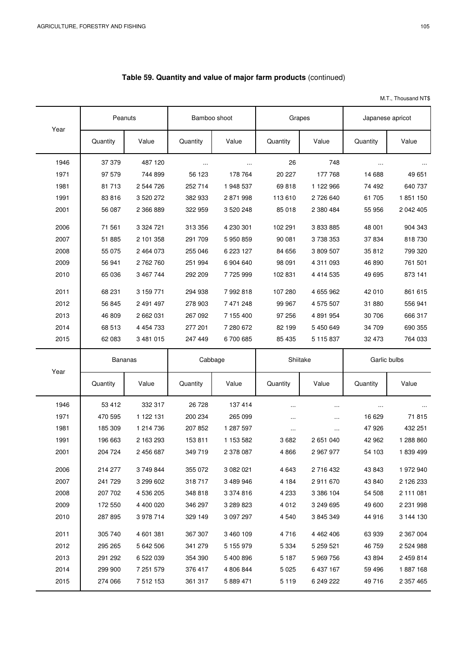## **Table 59. Quantity and value of major farm products** (continued)

M.T., Thousand NT\$

| Year | Peanuts  |               | Bamboo shoot |           | Grapes   |               |              | Japanese apricot |
|------|----------|---------------|--------------|-----------|----------|---------------|--------------|------------------|
|      | Quantity | Value         | Quantity     | Value     | Quantity | Value         | Quantity     | Value            |
| 1946 | 37 379   | 487 120       | $\sim$       | $\ddotsc$ | 26       | 748           | $\cdots$     |                  |
| 1971 | 97 579   | 744 899       | 56 123       | 178 764   | 20 227   | 177 768       | 14 688       | 49 651           |
| 1981 | 81 713   | 2 544 726     | 252 714      | 1 948 537 | 69818    | 1 122 966     | 74 492       | 640 737          |
| 1991 | 83 816   | 3 520 272     | 382 933      | 2 871 998 | 113 610  | 2 726 640     | 61 705       | 1851150          |
| 2001 | 56 087   | 2 366 889     | 322 959      | 3 520 248 | 85 018   | 2 380 484     | 55 956       | 2 042 405        |
| 2006 | 71 561   | 3 3 2 4 7 2 1 | 313 356      | 4 230 301 | 102 291  | 3 833 885     | 48 001       | 904 343          |
| 2007 | 51 885   | 2 101 358     | 291 709      | 5 950 859 | 90 081   | 3738353       | 37 834       | 818 730          |
| 2008 | 55 075   | 2 464 073     | 255 046      | 6 223 127 | 84 656   | 3 809 507     | 35 812       | 799 320          |
| 2009 | 56 941   | 2 762 760     | 251 994      | 6 904 640 | 98 091   | 4 311 093     | 46 890       | 761 501          |
| 2010 | 65 036   | 3 467 744     | 292 209      | 7 725 999 | 102 831  | 4 4 1 4 5 3 5 | 49 695       | 873 141          |
| 2011 | 68 231   | 3 159 771     | 294 938      | 7 992 818 | 107 280  | 4 655 962     | 42 010       | 861 615          |
| 2012 | 56 845   | 2 491 497     | 278 903      | 7 471 248 | 99 967   | 4 575 507     | 31 880       | 556 941          |
| 2013 | 46 809   | 2 662 031     | 267 092      | 7 155 400 | 97 256   | 4 891 954     | 30 706       | 666 317          |
| 2014 | 68 513   | 4 4 5 4 7 3 3 | 277 201      | 7 280 672 | 82 199   | 5 450 649     | 34 709       | 690 355          |
| 2015 | 62 083   | 3 481 015     | 247 449      | 6700685   | 85 435   | 5 115 837     | 32 473       | 764 033          |
|      |          |               |              |           |          |               |              |                  |
|      | Bananas  |               | Cabbage      |           |          | Shiitake      | Garlic bulbs |                  |
| Year | Quantity | Value         | Quantity     | Value     | Quantity | Value         | Quantity     | Value            |
| 1946 | 53 412   | 332 317       | 26 7 28      | 137 414   | $\cdots$ |               | $\cdots$     |                  |
| 1971 | 470 595  | 1 122 131     | 200 234      | 265 099   |          |               | 16 629       | 71815            |
| 1981 | 185 309  | 1 214 736     | 207 852      | 1 287 597 | $\cdots$ |               | 47 926       | 432 251          |
| 1991 | 196 663  | 2 163 293     | 153 811      | 1 153 582 | 3 682    | 2 651 040     | 42 962       | 1 288 860        |
| 2001 | 204 724  | 2 456 687     | 349 719      | 2 378 087 | 4866     | 2 967 977     | 54 103       | 1839499          |
| 2006 | 214 277  | 3749844       | 355 072      | 3 082 021 | 4 6 4 3  | 2 716 432     | 43 843       | 1 972 940        |
| 2007 | 241 729  | 3 299 602     | 318717       | 3 489 946 | 4 1 8 4  | 2911670       | 43 840       | 2 126 233        |
| 2008 | 207 702  | 4 536 205     | 348 818      | 3 374 816 | 4 2 3 3  | 3 386 104     | 54 508       | 2 111 081        |
| 2009 | 172 550  | 4 400 020     | 346 297      | 3 289 823 | 4 0 1 2  | 3 249 695     | 49 600       | 2 2 3 1 9 9 8    |
| 2010 | 287 895  | 3978714       | 329 149      | 3 097 297 | 4 5 4 0  | 3 845 349     | 44 916       | 3 144 130        |
| 2011 | 305 740  | 4 601 381     | 367 307      | 3 460 109 | 4716     | 4 462 406     | 63 939       | 2 367 004        |
| 2012 | 295 265  | 5 642 506     | 341 279      | 5 155 979 | 5 3 3 4  | 5 259 521     | 46 759       | 2 5 24 9 88      |
| 2013 | 291 292  | 6 522 039     | 354 390      | 5 400 896 | 5 1 8 7  | 5 969 756     | 43 894       | 2 459 814        |
| 2014 | 299 900  | 7 251 579     | 376 417      | 4 806 844 | 5 0 2 5  | 6 437 167     | 59 496       | 1887168          |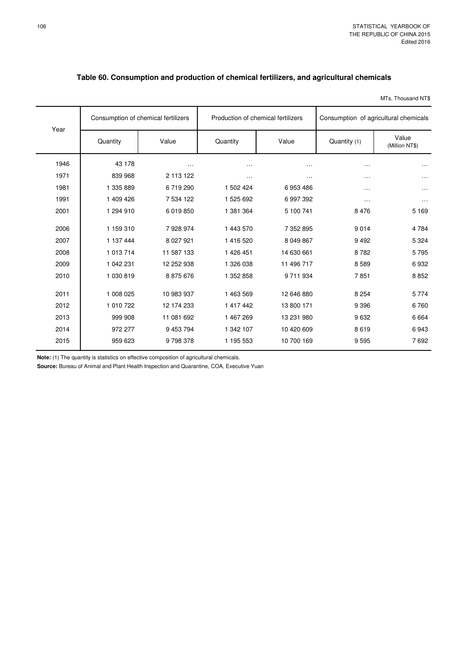## **Table 60. Consumption and production of chemical fertilizers, and agricultural chemicals**

| MTs, Thousand NT\$ |  |
|--------------------|--|
|                    |  |

| Year | Consumption of chemical fertilizers |             |           | Production of chemical fertilizers | Consumption of agricultural chemicals |                         |
|------|-------------------------------------|-------------|-----------|------------------------------------|---------------------------------------|-------------------------|
|      | Quantity                            | Value       | Quantity  | Value                              | Quantity (1)                          | Value<br>(Million NT\$) |
| 1946 | 43 178                              | $\cdots$    | $\cdots$  | $\cdots$                           | $\cdots$                              | $\cdots$                |
| 1971 | 839 968                             | 2 113 122   | $\cdots$  | $\cdots$                           | $\ddotsc$                             | $\cdots$                |
| 1981 | 1 335 889                           | 6719290     | 1 502 424 | 6953486                            | $\cdots$                              | $\cdots$                |
| 1991 | 1 409 426                           | 7 534 122   | 1 525 692 | 6 997 392                          | $\cdots$                              | $\cdots$                |
| 2001 | 1 294 910                           | 6 019 850   | 1 381 364 | 5 100 741                          | 8476                                  | 5 1 6 9                 |
| 2006 | 1 159 310                           | 7928974     | 1 443 570 | 7 352 895                          | 9014                                  | 4 7 8 4                 |
| 2007 | 1 137 444                           | 8 0 27 9 21 | 1 416 520 | 8 049 867                          | 9 4 9 2                               | 5 3 2 4                 |
| 2008 | 1 013 714                           | 11 587 133  | 1 426 451 | 14 630 661                         | 8782                                  | 5795                    |
| 2009 | 1 042 231                           | 12 252 938  | 1 326 038 | 11 496 717                         | 8589                                  | 6932                    |
| 2010 | 1 030 819                           | 8 875 676   | 1 352 858 | 9 711 934                          | 7851                                  | 8852                    |
| 2011 | 1 008 025                           | 10 983 937  | 1 463 569 | 12 646 880                         | 8 2 5 4                               | 5 7 7 4                 |
| 2012 | 1 010 722                           | 12 174 233  | 1 417 442 | 13 800 171                         | 9 3 9 6                               | 6760                    |
| 2013 | 999 908                             | 11 081 692  | 1 467 269 | 13 231 980                         | 9632                                  | 6 6 6 4                 |
| 2014 | 972 277                             | 9 453 794   | 1 342 107 | 10 420 609                         | 8619                                  | 6943                    |
| 2015 | 959 623                             | 9798378     | 1 195 553 | 10 700 169                         | 9595                                  | 7692                    |

**Note:** (1) The quantity is statistics on effective composition of agricultural chemicals.

**Source:** Bureau of Animal and Plant Health Inspection and Quarantine, COA, Executive Yuan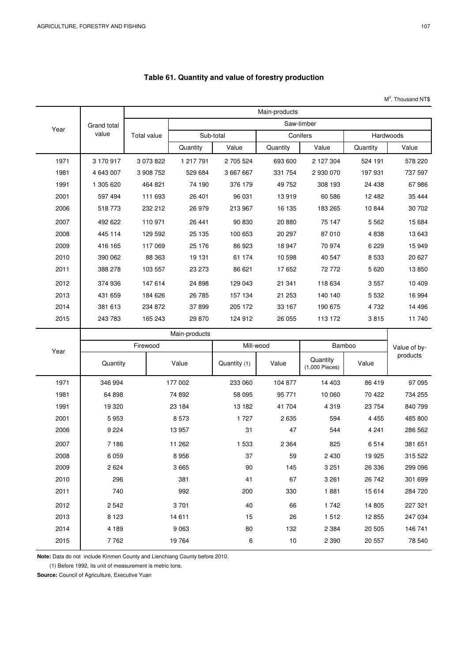## **Table 61. Quantity and value of forestry production**

M<sup>3</sup>, Thousand NT\$

|      |             |                    |               |              | Main-products |                            |          |              |
|------|-------------|--------------------|---------------|--------------|---------------|----------------------------|----------|--------------|
| Year | Grand total |                    |               |              |               | Saw-timber                 |          |              |
|      | value       | <b>Total value</b> |               | Sub-total    |               | Conifers                   |          | Hardwoods    |
|      |             |                    | Quantity      | Value        | Quantity      | Value                      | Quantity | Value        |
| 1971 | 3 170 917   | 3 073 822          | 1 217 791     | 2 705 524    | 693 600       | 2 127 304                  | 524 191  | 578 220      |
| 1981 | 4 643 007   | 3 908 752          | 529 684       | 3 667 667    | 331 754       | 2 930 070                  | 197 931  | 737 597      |
| 1991 | 1 305 620   | 464 821            | 74 190        | 376 179      | 49 752        | 308 193                    | 24 438   | 67 986       |
| 2001 | 597 494     | 111 693            | 26 401        | 96 031       | 13919         | 60 586                     | 12 4 8 2 | 35 4 44      |
| 2006 | 518773      | 232 212            | 26 979        | 213 967      | 16 135        | 183 265                    | 10844    | 30 702       |
| 2007 | 492 622     | 110 971            | 26 441        | 90 830       | 20 880        | 75 147                     | 5 5 6 2  | 15 684       |
| 2008 | 445 114     | 129 592            | 25 135        | 100 653      | 20 297        | 87010                      | 4838     | 13 643       |
| 2009 | 416 165     | 117069             | 25 176        | 86 923       | 18 947        | 70 974                     | 6 2 2 9  | 15 949       |
| 2010 | 390 062     | 88 363             | 19 131        | 61 174       | 10 598        | 40 547                     | 8 5 3 3  | 20 627       |
| 2011 | 388 278     | 103 557            | 23 273        | 86 621       | 17652         | 72772                      | 5 6 20   | 13850        |
| 2012 | 374 936     | 147 614            | 24 898        | 129 043      | 21 341        | 118 634                    | 3557     | 10 409       |
| 2013 | 431 659     | 184 626            | 26 785        | 157 134      | 21 253        | 140 140                    | 5 5 3 2  | 16 994       |
| 2014 | 381 613     | 234 872            | 37899         | 205 172      | 33 167        | 190 675                    | 4 7 3 2  | 14 4 96      |
| 2015 | 243 783     | 165 243            | 29 870        | 124 912      | 26 055        | 113 172                    | 3815     | 11 740       |
|      |             |                    | Main-products |              |               |                            |          |              |
| Year |             | Firewood           |               | Mill-wood    |               |                            | Bamboo   | Value of by- |
|      | Quantity    |                    | Value         | Quantity (1) | Value         | Quantity<br>(1,000 Pieces) | Value    | products     |

|      |         |         |         |         | $(1,000$ Pieces) |         |         |
|------|---------|---------|---------|---------|------------------|---------|---------|
| 1971 | 346 994 | 177 002 | 233 060 | 104 877 | 14 403           | 86 419  | 97 095  |
| 1981 | 64 898  | 74 892  | 58 095  | 95 771  | 10 060           | 70 422  | 734 255 |
| 1991 | 19 3 20 | 23 184  | 13 182  | 41 704  | 4 3 1 9          | 23 754  | 840 799 |
| 2001 | 5953    | 8 5 7 3 | 1 7 2 7 | 2635    | 594              | 4 4 5 5 | 485 800 |
| 2006 | 9 2 2 4 | 13 957  | 31      | 47      | 544              | 4 2 4 1 | 286 562 |
| 2007 | 7 1 8 6 | 11 262  | 1 5 3 3 | 2 3 6 4 | 825              | 6514    | 381 651 |
| 2008 | 6 0 5 9 | 8956    | 37      | 59      | 2 4 3 0          | 19 925  | 315 522 |
| 2009 | 2624    | 3665    | 90      | 145     | 3 2 5 1          | 26 336  | 299 096 |
| 2010 | 296     | 381     | 41      | 67      | 3 2 6 1          | 26 742  | 301 699 |
| 2011 | 740     | 992     | 200     | 330     | 1881             | 15 614  | 284 720 |
| 2012 | 2 5 4 2 | 3 7 0 1 | 40      | 66      | 1742             | 14 805  | 227 321 |
| 2013 | 8 1 2 3 | 14 611  | 15      | 26      | 1512             | 12855   | 247 034 |
| 2014 | 4 1 8 9 | 9 0 63  | 80      | 132     | 2 3 8 4          | 20 505  | 146 741 |
| 2015 | 7762    | 19764   | 6       | 10      | 2 3 9 0          | 20 557  | 78 540  |
|      |         |         |         |         |                  |         |         |

**Note:** Data do not include Kinmen County and Lienchiang County before 2010.

(1) Before 1992, its unit of measurement is metric tons.

**Source:** Council of Agriculture, Executive Yuan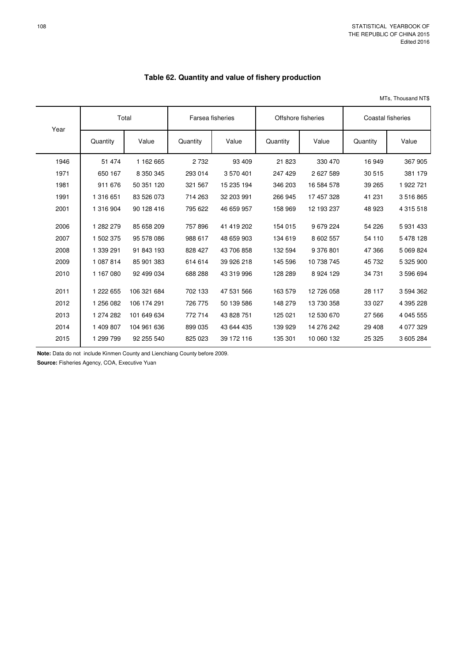## **Table 62. Quantity and value of fishery production**

MTs, Thousand NT\$

| Year | Total     |             |          | Farsea fisheries |          | Offshore fisheries |          | Coastal fisheries |
|------|-----------|-------------|----------|------------------|----------|--------------------|----------|-------------------|
|      | Quantity  | Value       | Quantity | Value            | Quantity | Value              | Quantity | Value             |
| 1946 | 51 474    | 1 162 665   | 2 7 3 2  | 93 409           | 21 8 23  | 330 470            | 16 949   | 367 905           |
| 1971 | 650 167   | 8 350 345   | 293 014  | 3 570 401        | 247 429  | 2 627 589          | 30 515   | 381 179           |
| 1981 | 911 676   | 50 351 120  | 321 567  | 15 235 194       | 346 203  | 16 584 578         | 39 265   | 1 922 721         |
| 1991 | 1 316 651 | 83 526 073  | 714 263  | 32 203 991       | 266 945  | 17 457 328         | 41 231   | 3516865           |
| 2001 | 1 316 904 | 90 128 416  | 795 622  | 46 659 957       | 158 969  | 12 193 237         | 48 923   | 4 315 518         |
| 2006 | 1 282 279 | 85 658 209  | 757896   | 41 419 202       | 154 015  | 9 679 224          | 54 226   | 5 931 433         |
| 2007 | 1 502 375 | 95 578 086  | 988 617  | 48 659 903       | 134 619  | 8 602 557          | 54 110   | 5 478 128         |
| 2008 | 1 339 291 | 91 843 193  | 828 427  | 43 706 858       | 132 594  | 9 376 801          | 47 366   | 5 069 824         |
| 2009 | 1 087 814 | 85 901 383  | 614 614  | 39 926 218       | 145 596  | 10 738 745         | 45 732   | 5 325 900         |
| 2010 | 1 167 080 | 92 499 034  | 688 288  | 43 319 996       | 128 289  | 8 9 24 1 29        | 34 731   | 3 596 694         |
| 2011 | 1 222 655 | 106 321 684 | 702 133  | 47 531 566       | 163 579  | 12 726 058         | 28 117   | 3 594 362         |
| 2012 | 1 256 082 | 106 174 291 | 726 775  | 50 139 586       | 148 279  | 13 730 358         | 33 0 27  | 4 395 228         |
| 2013 | 1 274 282 | 101 649 634 | 772 714  | 43 828 751       | 125 021  | 12 530 670         | 27 566   | 4 045 555         |
| 2014 | 1 409 807 | 104 961 636 | 899 035  | 43 644 435       | 139 929  | 14 276 242         | 29 408   | 4 077 329         |
| 2015 | 1 299 799 | 92 255 540  | 825 023  | 39 172 116       | 135 301  | 10 060 132         | 25 3 25  | 3 605 284         |

**Note:** Data do not include Kinmen County and Lienchiang County before 2009.

**Source:** Fisheries Agency, COA, Executive Yuan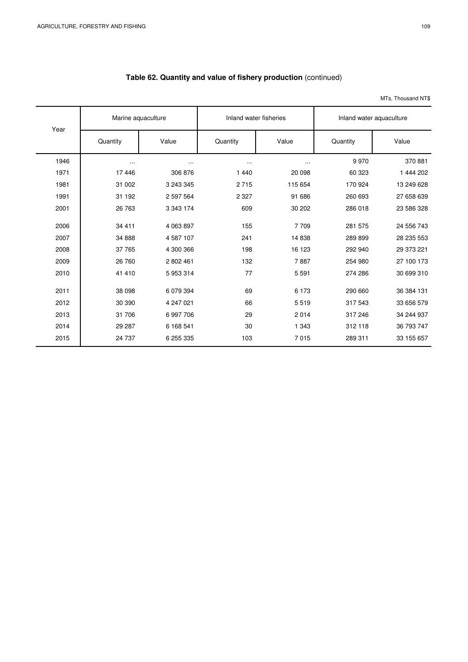# **Table 62. Quantity and value of fishery production** (continued)

MTs, Thousand NT\$

| Year | Marine aquaculture |               | Inland water fisheries |          |          | Inland water aquaculture |  |  |
|------|--------------------|---------------|------------------------|----------|----------|--------------------------|--|--|
|      | Quantity           | Value         | Quantity               | Value    | Quantity | Value                    |  |  |
| 1946 | $\sim$ $\sim$      | $\cdots$      | $\cdots$               | $\cdots$ | 9970     | 370 881                  |  |  |
| 1971 | 17446              | 306 876       | 1 4 4 0                | 20 098   | 60 323   | 1 444 202                |  |  |
| 1981 | 31 002             | 3 243 345     | 2715                   | 115 654  | 170 924  | 13 249 628               |  |  |
| 1991 | 31 192             | 2 597 564     | 2 3 2 7                | 91 686   | 260 693  | 27 658 639               |  |  |
| 2001 | 26 763             | 3 3 4 3 1 7 4 | 609                    | 30 202   | 286 018  | 23 586 328               |  |  |
| 2006 | 34 411             | 4 063 897     | 155                    | 7709     | 281 575  | 24 556 743               |  |  |
| 2007 | 34 888             | 4587107       | 241                    | 14 838   | 289 899  | 28 235 553               |  |  |
| 2008 | 37 765             | 4 300 366     | 198                    | 16 123   | 292 940  | 29 373 221               |  |  |
| 2009 | 26 760             | 2 802 461     | 132                    | 7887     | 254 980  | 27 100 173               |  |  |
| 2010 | 41 410             | 5 953 314     | 77                     | 5 5 9 1  | 274 286  | 30 699 310               |  |  |
| 2011 | 38 098             | 6 079 394     | 69                     | 6 173    | 290 660  | 36 384 131               |  |  |
| 2012 | 30 390             | 4 247 021     | 66                     | 5519     | 317 543  | 33 656 579               |  |  |
| 2013 | 31 706             | 6997706       | 29                     | 2014     | 317 246  | 34 244 937               |  |  |
| 2014 | 29 287             | 6 168 541     | 30                     | 1 3 4 3  | 312 118  | 36 793 747               |  |  |
| 2015 | 24 737             | 6 255 335     | 103                    | 7015     | 289 311  | 33 155 657               |  |  |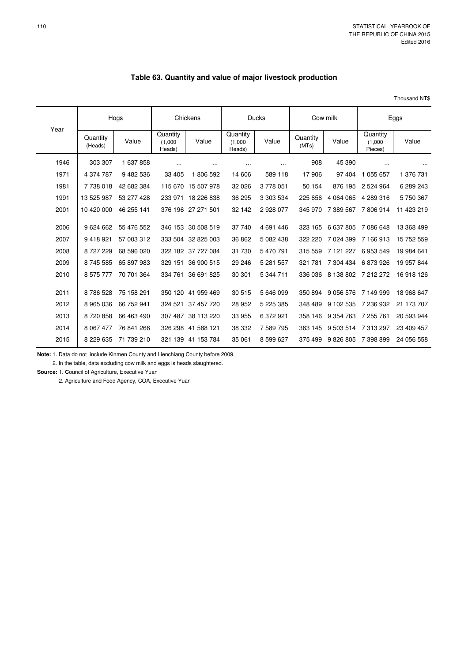## **Table 63. Quantity and value of major livestock production**

Thousand NT\$

| Year | Hogs                |            | Chickens                      |                    |                               | <b>Ducks</b> | Cow milk          |               | Eggs                           |            |  |
|------|---------------------|------------|-------------------------------|--------------------|-------------------------------|--------------|-------------------|---------------|--------------------------------|------------|--|
|      | Quantity<br>(Heads) | Value      | Quantity<br>(1,000)<br>Heads) | Value              | Quantity<br>(1,000)<br>Heads) | Value        | Quantity<br>(MTs) | Value         | Quantity<br>(1,000)<br>Pieces) | Value      |  |
| 1946 | 303 307             | 1 637 858  |                               |                    |                               | $\cdots$     | 908               | 45 390        |                                | .          |  |
| 1971 | 4 374 787           | 9482536    | 33 405                        | 1806 592           | 14 606                        | 589 118      | 17 906            | 97 404        | 1 055 657                      | 1 376 731  |  |
| 1981 | 7 738 018           | 42 682 384 | 115 670                       | 15 507 978         | 32 0 26                       | 3778051      | 50 154            | 876 195       | 2 524 964                      | 6 289 243  |  |
| 1991 | 13 525 987          | 53 277 428 | 233 971                       | 18 226 838         | 36 295                        | 3 303 534    | 225 656           | 4 0 64 0 65   | 4 289 316                      | 5750367    |  |
| 2001 | 10 420 000          | 46 255 141 |                               | 376 196 27 271 501 | 32 142                        | 2928077      | 345 970           | 7 389 567     | 7806914                        | 11 423 219 |  |
| 2006 | 9 624 662           | 55 476 552 |                               | 346 153 30 508 519 | 37 740                        | 4 691 446    | 323 165           | 6 637 805     | 7 086 648                      | 13 368 499 |  |
| 2007 | 9 418 9 21          | 57 003 312 | 333 504                       | 32 825 003         | 36 862                        | 5 082 438    | 322 220           | 7 024 399     | 7 166 913                      | 15 752 559 |  |
| 2008 | 8727229             | 68 596 020 | 322 182                       | 37 727 084         | 31 730                        | 5 470 791    | 315 559           | 7 121 227     | 6 953 549                      | 19 984 641 |  |
| 2009 | 8 745 585           | 65 897 983 | 329 151                       | 36 900 515         | 29 246                        | 5 281 557    | 321 781           | 7 304 434     | 6873926                        | 19 957 844 |  |
| 2010 | 8 575 777           | 70 701 364 | 334 761                       | 36 691 825         | 30 301                        | 5 344 711    | 336 036           | 8 138 802     | 7 212 272                      | 16 918 126 |  |
| 2011 | 8 786 528           | 75 158 291 | 350 120                       | 41 959 469         | 30 515                        | 5 646 099    | 350 894           | 9 0 5 6 5 7 6 | 7 149 999                      | 18 968 647 |  |
| 2012 | 8 965 036           | 66 752 941 | 324 521                       | 37 457 720         | 28 952                        | 5 225 385    | 348 489           | 9 102 535     | 7 236 932                      | 21 173 707 |  |
| 2013 | 8720858             | 66 463 490 | 307 487                       | 38 113 220         | 33 955                        | 6 372 921    | 358 146           | 9 354 763     | 7 255 761                      | 20 593 944 |  |
| 2014 | 8 0 6 7 4 7 7       | 76 841 266 | 326 298                       | 41 588 121         | 38 332                        | 7 589 795    | 363 145           | 9 503 514     | 7 313 297                      | 23 409 457 |  |
| 2015 | 8 229 635           | 71 739 210 | 321 139                       | 41 153 784         | 35 061                        | 8 599 627    | 375 499           | 9 826 805     | 7 398 899                      | 24 056 558 |  |

**Note:** 1. Data do not include Kinmen County and Lienchiang County before 2009.

2. In the table, data excluding cow milk and eggs is heads slaughtered.

**Source:** 1. **C**ouncil of Agriculture, Executive Yuan

2. Agriculture and Food Agency, COA, Executive Yuan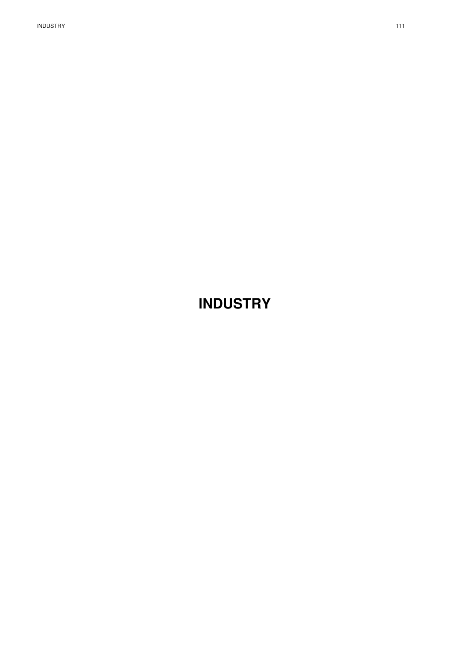# **INDUSTRY**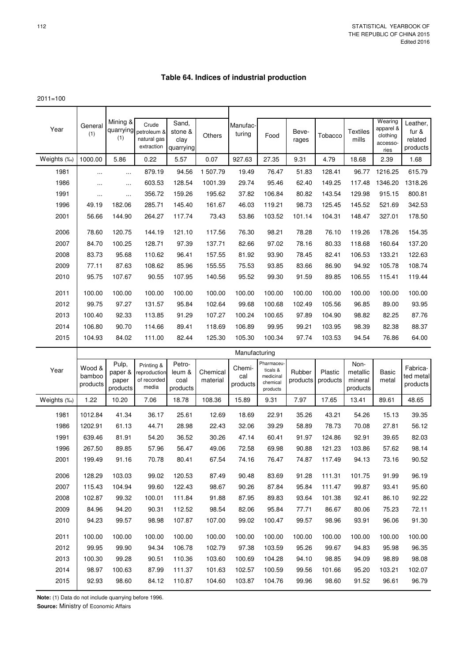## **Table 64. Indices of industrial production**

#### 2011=100

| Year        | General<br>(1)               | Mining &<br>quarrying<br>(1)          | Crude<br>petroleum &<br>natural gas<br>extraction  | Sand,<br>stone &<br>clay<br>quarrying | Others               | Manufac-<br>turing        | Food                                                        | Beve-<br>rages     | Tobacco             | <b>Textiles</b><br>mills                | Wearing<br>apparel &<br>clothing<br>accesso-<br>ries | Leather,<br>fur &<br>related<br>products |
|-------------|------------------------------|---------------------------------------|----------------------------------------------------|---------------------------------------|----------------------|---------------------------|-------------------------------------------------------------|--------------------|---------------------|-----------------------------------------|------------------------------------------------------|------------------------------------------|
| Weights (%) | 1000.00                      | 5.86                                  | 0.22                                               | 5.57                                  | 0.07                 | 927.63                    | 27.35                                                       | 9.31               | 4.79                | 18.68                                   | 2.39                                                 | 1.68                                     |
| 1981        | $\ldots$                     | $\cdots$                              | 879.19                                             | 94.56                                 | 1 507.79             | 19.49                     | 76.47                                                       | 51.83              | 128.41              | 96.77                                   | 1216.25                                              | 615.79                                   |
| 1986        | $\cdots$                     | $\ddotsc$                             | 603.53                                             | 128.54                                | 1001.39              | 29.74                     | 95.46                                                       | 62.40              | 149.25              | 117.48                                  | 1346.20                                              | 1318.26                                  |
| 1991        | $\cdots$                     | $\ddotsc$                             | 356.72                                             | 159.26                                | 195.62               | 37.82                     | 106.84                                                      | 80.82              | 143.54              | 129.98                                  | 915.15                                               | 800.81                                   |
| 1996        | 49.19                        | 182.06                                | 285.71                                             | 145.40                                | 161.67               | 46.03                     | 119.21                                                      | 98.73              | 125.45              | 145.52                                  | 521.69                                               | 342.53                                   |
| 2001        | 56.66                        | 144.90                                | 264.27                                             | 117.74                                | 73.43                | 53.86                     | 103.52                                                      | 101.14             | 104.31              | 148.47                                  | 327.01                                               | 178.50                                   |
| 2006        | 78.60                        | 120.75                                | 144.19                                             | 121.10                                | 117.56               | 76.30                     | 98.21                                                       | 78.28              | 76.10               | 119.26                                  | 178.26                                               | 154.35                                   |
| 2007        | 84.70                        | 100.25                                | 128.71                                             | 97.39                                 | 137.71               | 82.66                     | 97.02                                                       | 78.16              | 80.33               | 118.68                                  | 160.64                                               | 137.20                                   |
| 2008        | 83.73                        | 95.68                                 | 110.62                                             | 96.41                                 | 157.55               | 81.92                     | 93.90                                                       | 78.45              | 82.41               | 106.53                                  | 133.21                                               | 122.63                                   |
| 2009        | 77.11                        | 87.63                                 | 108.62                                             | 85.96                                 | 155.55               | 75.53                     | 93.85                                                       | 83.66              | 86.90               | 94.92                                   | 105.78                                               | 108.74                                   |
| 2010        | 95.75                        | 107.67                                | 90.55                                              | 107.95                                | 140.56               | 95.52                     | 99.30                                                       | 91.59              | 89.85               | 106.55                                  | 115.41                                               | 119.44                                   |
| 2011        | 100.00                       | 100.00                                | 100.00                                             | 100.00                                | 100.00               | 100.00                    | 100.00                                                      | 100.00             | 100.00              | 100.00                                  | 100.00                                               | 100.00                                   |
| 2012        | 99.75                        | 97.27                                 | 131.57                                             | 95.84                                 | 102.64               | 99.68                     | 100.68                                                      | 102.49             | 105.56              | 96.85                                   | 89.00                                                | 93.95                                    |
| 2013        | 100.40                       | 92.33                                 | 113.85                                             | 91.29                                 | 107.27               | 100.24                    | 100.65                                                      | 97.89              | 104.90              | 98.82                                   | 82.25                                                | 87.76                                    |
| 2014        | 106.80                       | 90.70                                 | 114.66                                             | 89.41                                 | 118.69               | 106.89                    | 99.95                                                       | 99.21              | 103.95              | 98.39                                   | 82.38                                                | 88.37                                    |
| 2015        | 104.93                       | 84.02                                 | 111.00                                             | 82.44                                 | 125.30               | 105.30                    | 100.34                                                      | 97.74              | 103.53              | 94.54                                   | 76.86                                                | 64.00                                    |
|             |                              |                                       |                                                    |                                       |                      |                           |                                                             |                    |                     |                                         |                                                      |                                          |
|             |                              |                                       |                                                    |                                       |                      | Manufacturing             |                                                             |                    |                     |                                         |                                                      |                                          |
| Year        | Wood &<br>bamboo<br>products | Pulp,<br>paper &<br>paper<br>products | Printing &<br>reproduction<br>of recorded<br>media | Petro-<br>leum &<br>coal<br>products  | Chemical<br>material | Chemi-<br>cal<br>products | Pharmaceu-<br>ticals &<br>medicinal<br>chemical<br>products | Rubber<br>products | Plastic<br>products | Non-<br>metallic<br>mineral<br>products | Basic<br>metal                                       | Fabrica-<br>ted metal<br>products        |
| Weights (%) | 1.22                         | 10.20                                 | 7.06                                               | 18.78                                 | 108.36               | 15.89                     | 9.31                                                        | 7.97               | 17.65               | 13.41                                   | 89.61                                                | 48.65                                    |
| 1981        | 1012.84                      | 41.34                                 | 36.17                                              | 25.61                                 | 12.69                | 18.69                     | 22.91                                                       | 35.26              | 43.21               | 54.26                                   | 15.13                                                | 39.35                                    |
| 1986        | 1202.91                      | 61.13                                 | 44.71                                              | 28.98                                 | 22.43                | 32.06                     | 39.29                                                       | 58.89              | 78.73               | 70.08                                   | 27.81                                                | 56.12                                    |
| 1991        | 639.46                       | 81.91                                 | 54.20                                              | 36.52                                 | 30.26                | 47.14                     | 60.41                                                       | 91.97              | 124.86              | 92.91                                   | 39.65                                                | 82.03                                    |
| 1996        | 267.50                       | 89.85                                 | 57.96                                              | 56.47                                 | 49.06                | 72.58                     | 69.98                                                       | 90.88              | 121.23              | 103.86                                  | 57.62                                                | 98.14                                    |
| 2001        | 199.49                       | 91.16                                 | 70.78                                              | 80.41                                 | 67.54                | 74.16                     | 76.47                                                       | 74.87              | 117.49              | 94.13                                   | 73.16                                                | 90.52                                    |
| 2006        | 128.29                       | 103.03                                | 99.02                                              | 120.53                                | 87.49                | 90.48                     | 83.69                                                       | 91.28              | 111.31              | 101.75                                  | 91.99                                                | 96.19                                    |
| 2007        | 115.43                       | 104.94                                | 99.60                                              | 122.43                                | 98.67                | 90.26                     | 87.84                                                       | 95.84              | 111.47              | 99.87                                   | 93.41                                                | 95.60                                    |
| 2008        | 102.87                       | 99.32                                 | 100.01                                             | 111.84                                | 91.88                | 87.95                     | 89.83                                                       | 93.64              | 101.38              | 92.41                                   | 86.10                                                | 92.22                                    |
| 2009        | 84.96                        | 94.20                                 | 90.31                                              | 112.52                                | 98.54                | 82.06                     | 95.84                                                       | 77.71              | 86.67               | 80.06                                   | 75.23                                                | 72.11                                    |
| 2010        | 94.23                        | 99.57                                 | 98.98                                              | 107.87                                | 107.00               | 99.02                     | 100.47                                                      | 99.57              | 98.96               | 93.91                                   | 96.06                                                | 91.30                                    |
| 2011        | 100.00                       | 100.00                                | 100.00                                             | 100.00                                | 100.00               | 100.00                    | 100.00                                                      | 100.00             | 100.00              | 100.00                                  | 100.00                                               | 100.00                                   |
| 2012        | 99.95                        | 99.90                                 | 94.34                                              | 106.78                                | 102.79               | 97.38                     | 103.59                                                      | 95.26              | 99.67               | 94.83                                   | 95.98                                                | 96.35                                    |
| 2013        | 100.30                       | 99.28                                 | 90.51                                              | 110.36                                | 103.60               | 100.69                    | 104.28                                                      | 94.10              | 98.85               | 94.09                                   | 98.89                                                | 98.08                                    |

2015 92.93 98.60 84.12 110.87 104.60 103.87 104.76 99.96 98.60 91.52 96.61 96.79

**Note:** (1) Data do not include quarrying before 1996.

**Source:** Ministry of Economic Affairs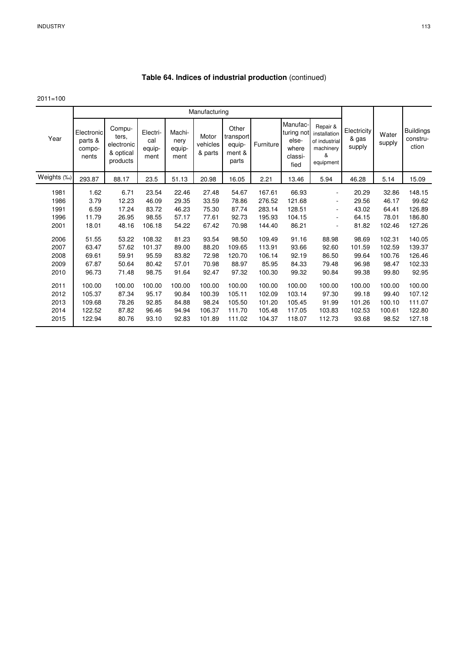## **Table 64. Indices of industrial production** (continued)

#### 2011=100

|                                                                              |                                                                                     |                                                                                       |                                                                                           |                                                                                        | Manufacturing                                                                          |                                                                                          |                                                                                                 |                                                                                           |                                                                                                                  |                                                                                         |                                                                                            |                                                                                                |
|------------------------------------------------------------------------------|-------------------------------------------------------------------------------------|---------------------------------------------------------------------------------------|-------------------------------------------------------------------------------------------|----------------------------------------------------------------------------------------|----------------------------------------------------------------------------------------|------------------------------------------------------------------------------------------|-------------------------------------------------------------------------------------------------|-------------------------------------------------------------------------------------------|------------------------------------------------------------------------------------------------------------------|-----------------------------------------------------------------------------------------|--------------------------------------------------------------------------------------------|------------------------------------------------------------------------------------------------|
| Year                                                                         | Electronic<br>parts &<br>compo-<br>nents                                            | Compu-<br>ters.<br>electronic<br>& optical<br>products                                | Electri-<br>cal<br>equip-<br>ment                                                         | Machi-<br>nery<br>equip-<br>ment                                                       | Motor<br>vehicles<br>& parts                                                           | Other<br>transport<br>equip-<br>ment &<br>parts                                          | Furniture                                                                                       | Manufac-<br>turing not<br>else-<br>where<br>classi-<br>fied                               | Repair &<br>installation<br>of industrial<br>machinery<br>&<br>equipment                                         | <b>Electricity</b><br>& gas<br>supply                                                   | Water<br>supply                                                                            | <b>Buildings</b><br>constru-<br>ction                                                          |
| Weights (%o)                                                                 | 293.87                                                                              | 88.17                                                                                 | 23.5                                                                                      | 51.13                                                                                  | 20.98                                                                                  | 16.05                                                                                    | 2.21                                                                                            | 13.46                                                                                     | 5.94                                                                                                             | 46.28                                                                                   | 5.14                                                                                       | 15.09                                                                                          |
| 1981<br>1986<br>1991<br>1996<br>2001<br>2006<br>2007<br>2008<br>2009<br>2010 | 1.62<br>3.79<br>6.59<br>11.79<br>18.01<br>51.55<br>63.47<br>69.61<br>67.87<br>96.73 | 6.71<br>12.23<br>17.24<br>26.95<br>48.16<br>53.22<br>57.62<br>59.91<br>50.64<br>71.48 | 23.54<br>46.09<br>83.72<br>98.55<br>106.18<br>108.32<br>101.37<br>95.59<br>80.42<br>98.75 | 22.46<br>29.35<br>46.23<br>57.17<br>54.22<br>81.23<br>89.00<br>83.82<br>57.01<br>91.64 | 27.48<br>33.59<br>75.30<br>77.61<br>67.42<br>93.54<br>88.20<br>72.98<br>70.98<br>92.47 | 54.67<br>78.86<br>87.74<br>92.73<br>70.98<br>98.50<br>109.65<br>120.70<br>88.97<br>97.32 | 167.61<br>276.52<br>283.14<br>195.93<br>144.40<br>109.49<br>113.91<br>106.14<br>85.95<br>100.30 | 66.93<br>121.68<br>128.51<br>104.15<br>86.21<br>91.16<br>93.66<br>92.19<br>84.33<br>99.32 | ٠<br>$\overline{\phantom{a}}$<br>$\sim$<br>$\overline{\phantom{a}}$<br>88.98<br>92.60<br>86.50<br>79.48<br>90.84 | 20.29<br>29.56<br>43.02<br>64.15<br>81.82<br>98.69<br>101.59<br>99.64<br>96.98<br>99.38 | 32.86<br>46.17<br>64.41<br>78.01<br>102.46<br>102.31<br>102.59<br>100.76<br>98.47<br>99.80 | 148.15<br>99.62<br>126.89<br>186.80<br>127.26<br>140.05<br>139.37<br>126.46<br>102.33<br>92.95 |
| 2011<br>2012<br>2013<br>2014<br>2015                                         | 100.00<br>105.37<br>109.68<br>122.52<br>122.94                                      | 100.00<br>87.34<br>78.26<br>87.82<br>80.76                                            | 100.00<br>95.17<br>92.85<br>96.46<br>93.10                                                | 100.00<br>90.84<br>84.88<br>94.94<br>92.83                                             | 100.00<br>100.39<br>98.24<br>106.37<br>101.89                                          | 100.00<br>105.11<br>105.50<br>111.70<br>111.02                                           | 100.00<br>102.09<br>101.20<br>105.48<br>104.37                                                  | 100.00<br>103.14<br>105.45<br>117.05<br>118.07                                            | 100.00<br>97.30<br>91.99<br>103.83<br>112.73                                                                     | 100.00<br>99.18<br>101.26<br>102.53<br>93.68                                            | 100.00<br>99.40<br>100.10<br>100.61<br>98.52                                               | 100.00<br>107.12<br>111.07<br>122.80<br>127.18                                                 |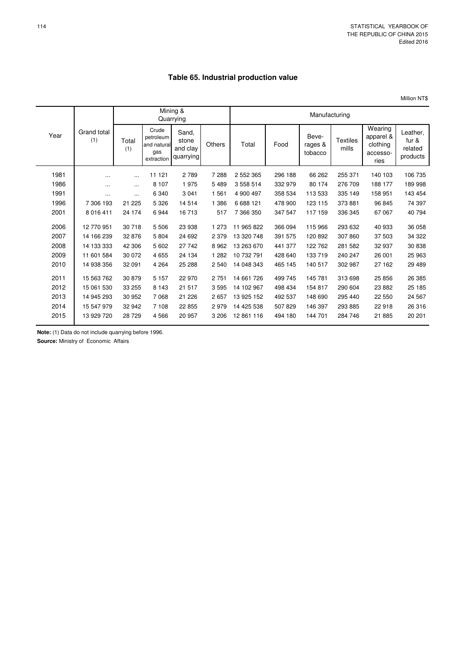## **Table 65. Industrial production value**

Million NT\$

|      |                    |              |                                                        | Mining &<br>Quarrying                   |         |            |         | Manufacturing               |                          |                                                      |                                          |
|------|--------------------|--------------|--------------------------------------------------------|-----------------------------------------|---------|------------|---------|-----------------------------|--------------------------|------------------------------------------------------|------------------------------------------|
| Year | Grand total<br>(1) | Total<br>(1) | Crude<br>petroleum<br>and natural<br>gas<br>extraction | Sand,<br>stone<br>and clay<br>quarrying | Others  | Total      | Food    | Beve-<br>rages &<br>tobacco | <b>Textiles</b><br>mills | Wearing<br>apparel &<br>clothing<br>accesso-<br>ries | Leather,<br>fur &<br>related<br>products |
| 1981 |                    |              | 11 121                                                 | 2789                                    | 7 2 8 8 | 2 552 365  | 296 188 | 66 262                      | 255 371                  | 140 103                                              | 106 735                                  |
| 1986 | $\cdots$           | $\cdots$     | 8 1 0 7                                                | 1975                                    | 5 4 8 9 | 3 558 514  | 332 979 | 80 174                      | 276 709                  | 188 177                                              | 189 998                                  |
| 1991 |                    |              | 6 3 4 0                                                | 3 0 4 1                                 | 1 5 6 1 | 4 900 497  | 358 534 | 113 533                     | 335 149                  | 158 951                                              | 143 454                                  |
| 1996 | 7 306 193          | 21 2 2 5     | 5 3 2 6                                                | 14514                                   | 1 3 8 6 | 6 688 121  | 478 900 | 123 115                     | 373 881                  | 96 845                                               | 74 397                                   |
| 2001 | 8 0 1 6 4 1 1      | 24 174       | 6944                                                   | 16713                                   | 517     | 7 366 350  | 347 547 | 117 159                     | 336 345                  | 67 067                                               | 40 794                                   |
| 2006 | 12 770 951         | 30 718       | 5 5 0 6                                                | 23 938                                  | 1 273   | 11 965 822 | 366 094 | 115 966                     | 293 632                  | 40 933                                               | 36 058                                   |
| 2007 | 14 166 239         | 32 876       | 5804                                                   | 24 692                                  | 2 3 7 9 | 13 320 748 | 391 575 | 120 892                     | 307 860                  | 37 503                                               | 34 322                                   |
| 2008 | 14 133 333         | 42 306       | 5 6 0 2                                                | 27 742                                  | 8962    | 13 263 670 | 441 377 | 122 762                     | 281 582                  | 32 937                                               | 30 838                                   |
| 2009 | 11 601 584         | 30 0 72      | 4 6 5 5                                                | 24 134                                  | 1 2 8 2 | 10 732 791 | 428 640 | 133 719                     | 240 247                  | 26 001                                               | 25 963                                   |
| 2010 | 14 938 356         | 32 091       | 4 2 6 4                                                | 25 288                                  | 2 5 4 0 | 14 048 343 | 465 145 | 140 517                     | 302 987                  | 27 162                                               | 29 4 89                                  |
| 2011 | 15 563 762         | 30 879       | 5 1 5 7                                                | 22 970                                  | 2 7 5 1 | 14 661 726 | 499 745 | 145 781                     | 313 698                  | 25 856                                               | 26 385                                   |
| 2012 | 15 061 530         | 33 255       | 8 1 4 3                                                | 21 517                                  | 3595    | 14 102 967 | 498 434 | 154 817                     | 290 604                  | 23 882                                               | 25 185                                   |
| 2013 | 14 945 293         | 30 952       | 7 0 68                                                 | 21 2 26                                 | 2657    | 13 925 152 | 492 537 | 148 690                     | 295 440                  | 22 550                                               | 24 567                                   |
| 2014 | 15 547 979         | 32 942       | 7 108                                                  | 22 855                                  | 2979    | 14 425 538 | 507829  | 146 397                     | 293 885                  | 22 918                                               | 26 316                                   |
| 2015 | 13 929 720         | 28 729       | 4566                                                   | 20 957                                  | 3 2 0 6 | 12 861 116 | 494 180 | 144 701                     | 284 746                  | 21 885                                               | 20 201                                   |

**Note:** (1) Data do not include quarrying before 1996.

**Source:** Ministry of Economic Affairs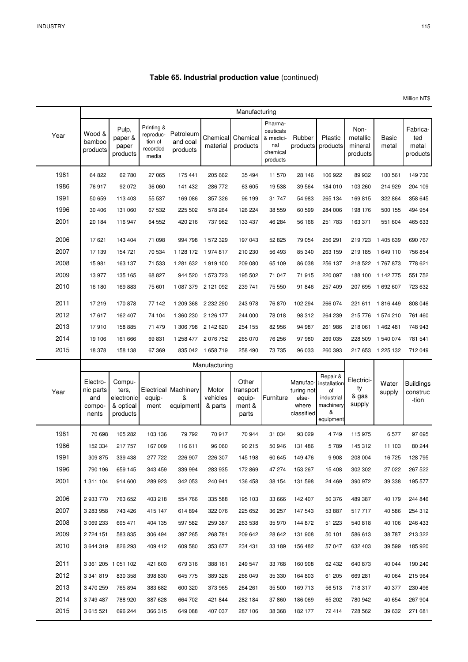## **Table 65. Industrial production value** (continued)

Million NT\$

|      |                                                 |                                                        |                                                         |                                        |                              | Manufacturing                                   |                                                                  |                                                        |                                                                             |                                         |                       |                                       |
|------|-------------------------------------------------|--------------------------------------------------------|---------------------------------------------------------|----------------------------------------|------------------------------|-------------------------------------------------|------------------------------------------------------------------|--------------------------------------------------------|-----------------------------------------------------------------------------|-----------------------------------------|-----------------------|---------------------------------------|
| Year | Wood &<br>bamboo<br>products                    | Pulp,<br>paper &<br>paper<br>products                  | Printing &<br>reproduc-<br>tion of<br>recorded<br>media | Petroleum<br>and coal<br>products      | material                     | Chemical Chemical<br>products                   | Pharma-<br>ceuticals<br>& medici-<br>nal<br>chemical<br>products | Rubber<br>products                                     | Plastic<br>products                                                         | Non-<br>metallic<br>mineral<br>products | <b>Basic</b><br>metal | Fabrica-<br>ted<br>metal<br>products  |
| 1981 | 64 822                                          | 62780                                                  | 27 065                                                  | 175 441                                | 205 662                      | 35 4 94                                         | 11 570                                                           | 28 146                                                 | 106 922                                                                     | 89 932                                  | 100 561               | 149 730                               |
| 1986 | 76917                                           | 92 072                                                 | 36 060                                                  | 141 432                                | 286 772                      | 63 605                                          | 19538                                                            | 39 564                                                 | 184 010                                                                     | 103 260                                 | 214 929               | 204 109                               |
| 1991 | 50 659                                          | 113 403                                                | 55 537                                                  | 169 086                                | 357 326                      | 96 199                                          | 31 747                                                           | 54 983                                                 | 265 134                                                                     | 169815                                  | 322 864               | 358 645                               |
| 1996 | 30 406                                          | 131 060                                                | 67 532                                                  | 225 502                                | 578 264                      | 126 224                                         | 38 559                                                           | 60 599                                                 | 284 006                                                                     | 198 176                                 | 500 155               | 494 954                               |
| 2001 | 20 184                                          | 116 947                                                | 64 552                                                  | 420 216                                | 737 962                      | 133 437                                         | 46 284                                                           | 56 166                                                 | 251 783                                                                     | 163 371                                 | 551 604               | 465 633                               |
| 2006 | 17 621                                          | 143 404                                                | 71 098                                                  | 994 798                                | 1 572 329                    | 197 043                                         | 52 825                                                           | 79 054                                                 | 256 291                                                                     | 219 723                                 | 1 405 639             | 690 767                               |
| 2007 | 17 139                                          | 154 721                                                | 70 534                                                  | 1 128 172 1 974 817                    |                              | 210 230                                         | 56 493                                                           | 85 340                                                 | 263 159                                                                     | 219 185                                 | 1649 110              | 756 854                               |
| 2008 | 15 981                                          | 163 137                                                | 71 533                                                  | 1 281 632 1 919 100                    |                              | 209 080                                         | 65 109                                                           | 86 038                                                 | 256 137                                                                     | 218 522                                 | 1767873               | 778 621                               |
| 2009 | 13 977                                          | 135 165                                                | 68 827                                                  | 944 520                                | 1 573 723                    | 195 502                                         | 71 047                                                           | 71915                                                  | 220 097                                                                     | 188 100                                 | 1 142 775             | 551 752                               |
| 2010 | 16 180                                          | 169883                                                 | 75 601                                                  | 1 087 379                              | 2 121 092                    | 239 741                                         | 75 550                                                           | 91 846                                                 | 257 409                                                                     | 207 695                                 | 1692607               | 723 632                               |
| 2011 | 17 219                                          | 170 878                                                | 77 142                                                  | 1 209 368                              | 2 232 290                    | 243 978                                         | 76 870                                                           | 102 294                                                | 266 074                                                                     |                                         | 221 611 1 816 449     | 808 046                               |
| 2012 | 17617                                           | 162 407                                                | 74 104                                                  | 1 360 230                              | 2 126 177                    | 244 000                                         | 78 018                                                           | 98 312                                                 | 264 239                                                                     | 215 776                                 | 1 574 210             | 761 460                               |
| 2013 | 17910                                           | 158 885                                                | 71 479                                                  | 1 306 798                              | 2 142 620                    | 254 155                                         | 82 956                                                           | 94 987                                                 | 261 986                                                                     | 218 061                                 | 1462481               | 748 943                               |
| 2014 | 19 106                                          | 161 666                                                | 69831                                                   | 1 258 477 2 076 752                    |                              | 265 070                                         | 76 256                                                           | 97 980                                                 | 269 035                                                                     | 228 509                                 | 1 540 074             | 781 541                               |
| 2015 | 18 378                                          | 158 138                                                | 67 369                                                  |                                        | 835 042 1 658 719            | 258 490                                         | 73 735                                                           | 96 033                                                 | 260 393                                                                     | 217 653                                 | 1 225 132             | 712 049                               |
|      |                                                 |                                                        |                                                         |                                        |                              |                                                 |                                                                  |                                                        |                                                                             |                                         |                       |                                       |
|      |                                                 |                                                        |                                                         |                                        | Manufacturing                |                                                 |                                                                  |                                                        |                                                                             |                                         |                       |                                       |
| Year | Electro-<br>nic parts<br>and<br>compo-<br>nents | Compu-<br>ters,<br>electronic<br>& optical<br>products | equip-<br>ment                                          | Electrical Machinery<br>&<br>equipment | Motor<br>vehicles<br>& parts | Other<br>transport<br>equip-<br>ment &<br>parts | Furniture                                                        | Manufac-<br>turing not<br>else-<br>where<br>classified | Repair &<br>installation<br>οf<br>industrial<br>machinery<br>&<br>equipment | Electrici-<br>ty<br>& gas<br>supply     | Water<br>supply       | <b>Buildings</b><br>construc<br>-tion |
| 1981 | 70 698                                          | 105 282                                                | 103 136                                                 | 79 792                                 | 70917                        | 70 944                                          | 31 034                                                           | 93 0 29                                                | 4749                                                                        | 115 975                                 | 6577                  | 97 695                                |
| 1986 | 152 334                                         | 217 757                                                | 167 009                                                 | 116 611                                | 96 060                       | 90 215                                          | 50 946                                                           | 131 486                                                | 5789                                                                        | 145 312                                 | 11 103                | 80 244                                |
| 1991 | 309 875                                         | 339 438                                                | 277 722                                                 | 226 907                                | 226 307                      | 145 198                                         | 60 645                                                           | 149 476                                                | 9908                                                                        | 208 004                                 | 16725                 | 128 795                               |
| 1996 | 790 196                                         | 659 145                                                | 343 459                                                 | 339 994                                | 283 935                      | 172 869                                         | 47 274                                                           | 153 267                                                | 15408                                                                       | 302 302                                 | 27 022                | 267 522                               |
| 2001 | 1 311 104                                       | 914 600                                                | 289 923                                                 | 342 053                                | 240 941                      | 136 458                                         | 38 154                                                           | 131 598                                                | 24 469                                                                      | 390 972                                 | 39 338                | 195 577                               |
| 2006 | 2 933 770                                       | 763 652                                                | 403 218                                                 | 554 766                                | 335 588                      | 195 103                                         | 33 666                                                           | 142 407                                                | 50 376                                                                      | 489 387                                 | 40 179                | 244 846                               |
| 2007 | 3 283 958                                       | 743 426                                                | 415 147                                                 | 614 894                                | 322 076                      | 225 652                                         | 36 257                                                           | 147 543                                                | 53 887                                                                      | 517717                                  | 40 586                | 254 312                               |
| 2008 | 3 069 233                                       | 695 471                                                | 404 135                                                 | 597 582                                | 259 387                      | 263 538                                         | 35 970                                                           | 144 872                                                | 51 223                                                                      | 540 818                                 | 40 106                | 246 433                               |
| 2009 | 2 7 2 4 1 5 1                                   | 583 835                                                | 306 494                                                 | 397 265                                | 268 781                      | 209 642                                         | 28 642                                                           | 131 908                                                | 50 101                                                                      | 586 613                                 | 38787                 | 213 322                               |
| 2010 | 3644319                                         | 826 293                                                | 409 412                                                 | 609 580                                | 353 677                      | 234 431                                         | 33 189                                                           | 156 482                                                | 57 047                                                                      | 632 403                                 | 39 599                | 185 920                               |
| 2011 |                                                 | 3 361 205 1 051 102                                    | 421 603                                                 | 679 316                                | 388 161                      | 249 547                                         | 33 768                                                           | 160 908                                                | 62 432                                                                      | 640 873                                 | 40 044                | 190 240                               |
| 2012 | 3 341 819                                       | 830 358                                                | 398 830                                                 | 645 775                                | 389 326                      | 266 049                                         | 35 330                                                           | 164 803                                                | 61 205                                                                      | 669 281                                 | 40 064                | 215 964                               |
| 2013 | 3 470 259                                       | 765 894                                                | 383 682                                                 | 600 320                                | 373 965                      | 264 261                                         | 35 500                                                           | 169 713                                                | 56 513                                                                      | 718 317                                 | 40 377                | 230 496                               |
| 2014 | 3749487                                         | 788 920                                                | 387 628                                                 | 664 702                                | 421 844                      | 282 184                                         | 37860                                                            | 186 069                                                | 65 202                                                                      | 780 942                                 | 40 654                | 267 904                               |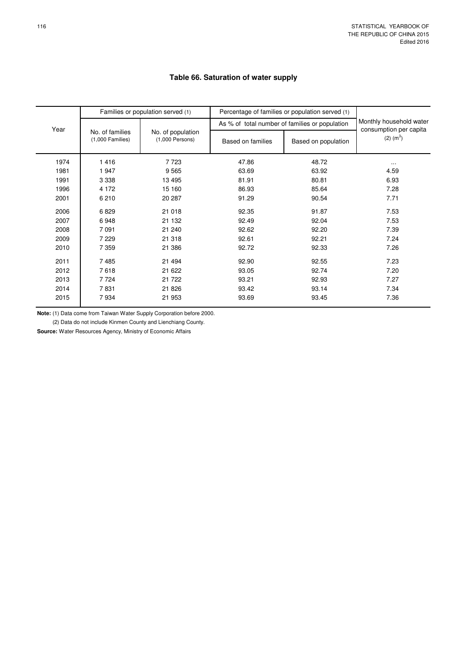## **Table 66. Saturation of water supply**

|      | Families or population served (1)     |                                        |                   |                                                 |                                                   |
|------|---------------------------------------|----------------------------------------|-------------------|-------------------------------------------------|---------------------------------------------------|
|      |                                       |                                        |                   | Percentage of families or population served (1) |                                                   |
| Year |                                       |                                        |                   | As % of total number of families or population  | Monthly household water<br>consumption per capita |
|      | No. of families<br>$(1,000$ Families) | No. of population<br>$(1,000$ Persons) | Based on families | Based on population                             | $(2)$ $(m3)$                                      |
| 1974 | 1416                                  | 7723                                   | 47.86             | 48.72                                           | $\sim$ $\sim$                                     |
| 1981 | 1947                                  | 9565                                   | 63.69             | 63.92                                           | 4.59                                              |
| 1991 | 3 3 3 8                               | 13 4 95                                | 81.91             | 80.81                                           | 6.93                                              |
| 1996 | 4 1 7 2                               | 15 160                                 | 86.93             | 85.64                                           | 7.28                                              |
| 2001 | 6210                                  | 20 287                                 | 91.29             | 90.54                                           | 7.71                                              |
| 2006 | 6829                                  | 21 018                                 | 92.35             | 91.87                                           | 7.53                                              |
| 2007 | 6948                                  | 21 132                                 | 92.49             | 92.04                                           | 7.53                                              |
| 2008 | 7091                                  | 21 240                                 | 92.62             | 92.20                                           | 7.39                                              |
| 2009 | 7 2 2 9                               | 21 318                                 | 92.61             | 92.21                                           | 7.24                                              |
| 2010 | 7 3 5 9                               | 21 386                                 | 92.72             | 92.33                                           | 7.26                                              |
| 2011 | 7485                                  | 21 4 94                                | 92.90             | 92.55                                           | 7.23                                              |
| 2012 | 7618                                  | 21 622                                 | 93.05             | 92.74                                           | 7.20                                              |
| 2013 | 7 7 2 4                               | 21 7 22                                | 93.21             | 92.93                                           | 7.27                                              |
| 2014 | 7831                                  | 21 8 26                                | 93.42             | 93.14                                           | 7.34                                              |
| 2015 | 7934                                  | 21 953                                 | 93.69             | 93.45                                           | 7.36                                              |
|      |                                       |                                        |                   |                                                 |                                                   |

**Note:** (1) Data come from Taiwan Water Supply Corporation before 2000.

(2) Data do not include Kinmen County and Lienchiang County.

**Source:** Water Resources Agency, Ministry of Economic Affairs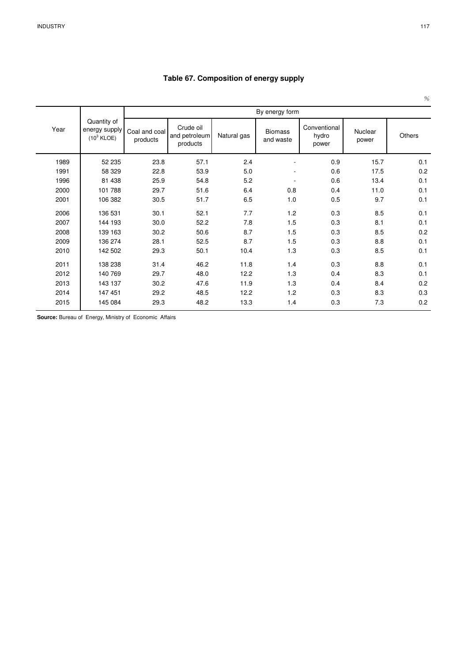|      |                                               |                           |                                        |             |                             |                                |                  | %      |
|------|-----------------------------------------------|---------------------------|----------------------------------------|-------------|-----------------------------|--------------------------------|------------------|--------|
|      |                                               |                           |                                        |             | By energy form              |                                |                  |        |
| Year | Quantity of<br>energy supply<br>$(10^3$ KLOE) | Coal and coal<br>products | Crude oil<br>and petroleum<br>products | Natural gas | <b>Biomass</b><br>and waste | Conventional<br>hydro<br>power | Nuclear<br>power | Others |
| 1989 | 52 235                                        | 23.8                      | 57.1                                   | 2.4         |                             | 0.9                            | 15.7             | 0.1    |
| 1991 | 58 329                                        | 22.8                      | 53.9                                   | 5.0         | ٠                           | 0.6                            | 17.5             | 0.2    |
| 1996 | 81 438                                        | 25.9                      | 54.8                                   | 5.2         |                             | 0.6                            | 13.4             | 0.1    |
| 2000 | 101 788                                       | 29.7                      | 51.6                                   | 6.4         | 0.8                         | 0.4                            | 11.0             | 0.1    |
| 2001 | 106 382                                       | 30.5                      | 51.7                                   | 6.5         | 1.0                         | 0.5                            | 9.7              | 0.1    |
| 2006 | 136 531                                       | 30.1                      | 52.1                                   | 7.7         | 1.2                         | 0.3                            | 8.5              | 0.1    |
| 2007 | 144 193                                       | 30.0                      | 52.2                                   | 7.8         | 1.5                         | 0.3                            | 8.1              | 0.1    |
| 2008 | 139 163                                       | 30.2                      | 50.6                                   | 8.7         | 1.5                         | 0.3                            | 8.5              | 0.2    |
| 2009 | 136 274                                       | 28.1                      | 52.5                                   | 8.7         | 1.5                         | 0.3                            | 8.8              | 0.1    |
| 2010 | 142 502                                       | 29.3                      | 50.1                                   | 10.4        | 1.3                         | 0.3                            | 8.5              | 0.1    |
| 2011 | 138 238                                       | 31.4                      | 46.2                                   | 11.8        | 1.4                         | 0.3                            | 8.8              | 0.1    |
| 2012 | 140 769                                       | 29.7                      | 48.0                                   | 12.2        | 1.3                         | 0.4                            | 8.3              | 0.1    |
| 2013 | 143 137                                       | 30.2                      | 47.6                                   | 11.9        | 1.3                         | 0.4                            | 8.4              | 0.2    |
| 2014 | 147 451                                       | 29.2                      | 48.5                                   | 12.2        | 1.2                         | 0.3                            | 8.3              | 0.3    |
| 2015 | 145 084                                       | 29.3                      | 48.2                                   | 13.3        | 1.4                         | 0.3                            | 7.3              | 0.2    |

# **Table 67. Composition of energy supply**

%

**Source:** Bureau of Energy, Ministry of Economic Affairs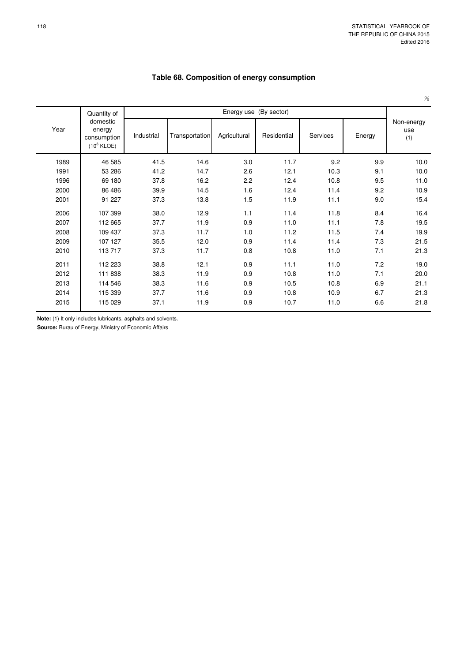|      |                                                    |            |                |              |             |          |        | $\%$                     |
|------|----------------------------------------------------|------------|----------------|--------------|-------------|----------|--------|--------------------------|
|      | Quantity of                                        |            |                |              |             |          |        |                          |
| Year | domestic<br>energy<br>consumption<br>$(10^3$ KLOE) | Industrial | Transportation | Agricultural | Residential | Services | Energy | Non-energy<br>use<br>(1) |
| 1989 | 46 585                                             | 41.5       | 14.6           | 3.0          | 11.7        | 9.2      | 9.9    | 10.0                     |
| 1991 | 53 286                                             | 41.2       | 14.7           | 2.6          | 12.1        | 10.3     | 9.1    | 10.0                     |
| 1996 | 69 180                                             | 37.8       | 16.2           | 2.2          | 12.4        | 10.8     | 9.5    | 11.0                     |
| 2000 | 86 486                                             | 39.9       | 14.5           | 1.6          | 12.4        | 11.4     | 9.2    | 10.9                     |
| 2001 | 91 227                                             | 37.3       | 13.8           | 1.5          | 11.9        | 11.1     | 9.0    | 15.4                     |
| 2006 | 107 399                                            | 38.0       | 12.9           | 1.1          | 11.4        | 11.8     | 8.4    | 16.4                     |
| 2007 | 112 665                                            | 37.7       | 11.9           | 0.9          | 11.0        | 11.1     | 7.8    | 19.5                     |
| 2008 | 109 437                                            | 37.3       | 11.7           | 1.0          | 11.2        | 11.5     | 7.4    | 19.9                     |
| 2009 | 107 127                                            | 35.5       | 12.0           | 0.9          | 11.4        | 11.4     | 7.3    | 21.5                     |
| 2010 | 113717                                             | 37.3       | 11.7           | 0.8          | 10.8        | 11.0     | 7.1    | 21.3                     |
| 2011 | 112 223                                            | 38.8       | 12.1           | 0.9          | 11.1        | 11.0     | 7.2    | 19.0                     |
| 2012 | 111 838                                            | 38.3       | 11.9           | 0.9          | 10.8        | 11.0     | 7.1    | 20.0                     |
| 2013 | 114 546                                            | 38.3       | 11.6           | 0.9          | 10.5        | 10.8     | 6.9    | 21.1                     |
| 2014 | 115 339                                            | 37.7       | 11.6           | 0.9          | 10.8        | 10.9     | 6.7    | 21.3                     |
| 2015 | 115 029                                            | 37.1       | 11.9           | 0.9          | 10.7        | 11.0     | 6.6    | 21.8                     |

## **Table 68. Composition of energy consumption**

**Note:** (1) It only includes lubricants, asphalts and solvents.

**Source:** Burau of Energy, Ministry of Economic Affairs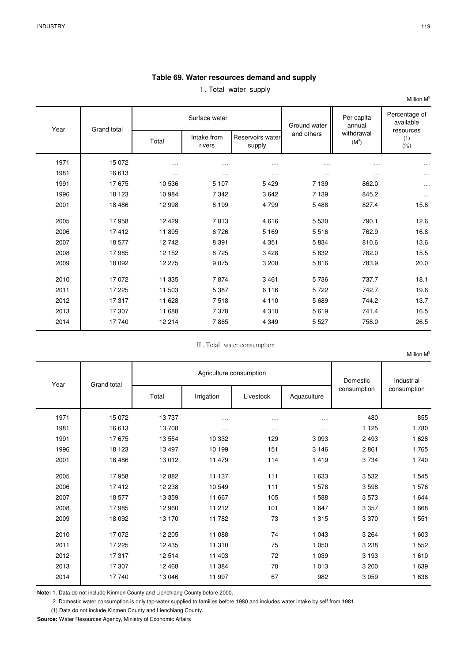## **Table 69. Water resources demand and supply**

## Ⅰ. Total water supply

|      |             |          |                       |                            |              |                       | Million $M^3$              |
|------|-------------|----------|-----------------------|----------------------------|--------------|-----------------------|----------------------------|
|      |             |          | Surface water         |                            | Ground water | Per capita<br>annual  | Percentage of<br>available |
| Year | Grand total | Total    | Intake from<br>rivers | Reservoirs water<br>supply | and others   | withdrawal<br>$(M^3)$ | resources<br>(1)<br>(%)    |
| 1971 | 15 072      | $\cdots$ | .                     | $\cdots$                   | .            | $\cdots$              | $\cdots$                   |
| 1981 | 16 613      | $\cdots$ | $\cdots$              | $\cdots$                   | $\cdots$     | $\cdots$              | $\cdots$                   |
| 1991 | 17675       | 10 536   | 5 107                 | 5 4 2 9                    | 7 1 3 9      | 862.0                 | $\cdots$                   |
| 1996 | 18 123      | 10 984   | 7 3 4 2               | 3642                       | 7 1 3 9      | 845.2                 | $\cdots$                   |
| 2001 | 18 4 86     | 12 998   | 8 1 9 9               | 4799                       | 5 4 8 8      | 827.4                 | 15.8                       |
| 2005 | 17958       | 12 4 29  | 7813                  | 4616                       | 5 5 3 0      | 790.1                 | 12.6                       |
| 2006 | 17412       | 11 895   | 6726                  | 5 1 6 9                    | 5516         | 762.9                 | 16.8                       |
| 2007 | 18 577      | 12742    | 8 3 9 1               | 4 3 5 1                    | 5834         | 810.6                 | 13.6                       |
| 2008 | 17985       | 12 152   | 8725                  | 3 4 2 8                    | 5832         | 782.0                 | 15.5                       |
| 2009 | 18 092      | 12 275   | 9 0 7 5               | 3 200                      | 5816         | 783.9                 | 20.0                       |
| 2010 | 17 072      | 11 335   | 7874                  | 3 4 6 1                    | 5736         | 737.7                 | 18.1                       |
| 2011 | 17 225      | 11 503   | 5 3 8 7               | 6 1 1 6                    | 5722         | 742.7                 | 19.6                       |
| 2012 | 17317       | 11 628   | 7518                  | 4 1 1 0                    | 5 6 8 9      | 744.2                 | 13.7                       |
| 2013 | 17 307      | 11 688   | 7 3 7 8               | 4 3 1 0                    | 5619         | 741.4                 | 16.5                       |
| 2014 | 17740       | 12 214   | 7865                  | 4 3 4 9                    | 5 5 27       | 758.0                 | 26.5                       |

#### Ⅱ. Total water consumption

Million M<sup>3</sup>

| Year | Grand total |         | Agriculture consumption | Domestic  | Industrial  |             |             |
|------|-------------|---------|-------------------------|-----------|-------------|-------------|-------------|
|      |             | Total   | Irrigation              | Livestock | Aquaculture | consumption | consumption |
| 1971 | 15 072      | 13737   | $\cdots$                | .         | $\cdots$    | 480         | 855         |
| 1981 | 16 613      | 13708   | $\cdots$                | $\cdots$  | $\cdots$    | 1 1 2 5     | 1780        |
| 1991 | 17675       | 13 554  | 10 332                  | 129       | 3 0 9 3     | 2 4 9 3     | 1628        |
| 1996 | 18 123      | 13 497  | 10 199                  | 151       | 3 1 4 6     | 2861        | 1765        |
| 2001 | 18 4 86     | 13 012  | 11 479                  | 114       | 1419        | 3734        | 1740        |
| 2005 | 17958       | 12 8 82 | 11 137                  | 111       | 1 633       | 3532        | 1545        |
| 2006 | 17412       | 12 238  | 10 549                  | 111       | 1578        | 3598        | 1576        |
| 2007 | 18 577      | 13 359  | 11 667                  | 105       | 1588        | 3573        | 1644        |
| 2008 | 17985       | 12 960  | 11 212                  | 101       | 1 647       | 3 3 5 7     | 1668        |
| 2009 | 18 092      | 13 170  | 11 782                  | 73        | 1 3 1 5     | 3 3 7 0     | 1 5 5 1     |
| 2010 | 17 072      | 12 205  | 11 088                  | 74        | 1 0 4 3     | 3 2 6 4     | 1 603       |
| 2011 | 17 225      | 12 4 35 | 11 310                  | 75        | 1 0 5 0     | 3 2 3 8     | 1 5 5 2     |
| 2012 | 17317       | 12514   | 11 403                  | 72        | 1 0 3 9     | 3 1 9 3     | 1610        |
| 2013 | 17 307      | 12 4 68 | 11 384                  | 70        | 1 0 1 3     | 3 200       | 1639        |
| 2014 | 17740       | 13 046  | 11 997                  | 67        | 982         | 3 0 5 9     | 1636        |

**Note:** 1. Data do not include Kinmen County and Lienchiang County before 2000.

2. Domestic water consumption is only tap-water supplied to families before 1980 and includes water intake by self from 1981.

(1) Data do not include Kinmen County and Lienchiang County.

**Source:** Water Resources Agency, Ministry of Economic Affairs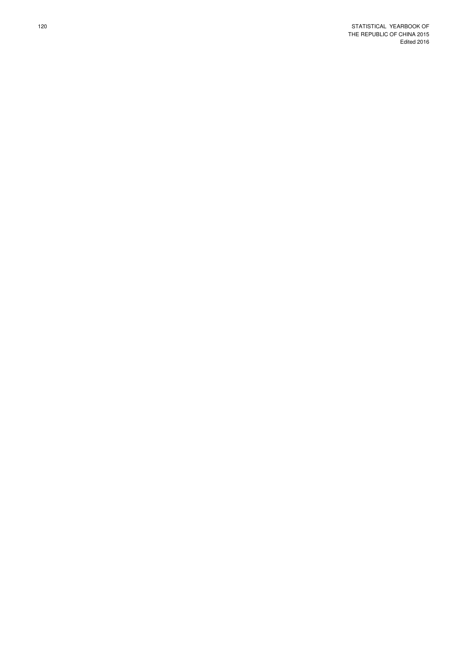120 STATISTICAL YEARBOOK OF THE REPUBLIC OF CHINA 2015 Edited 2016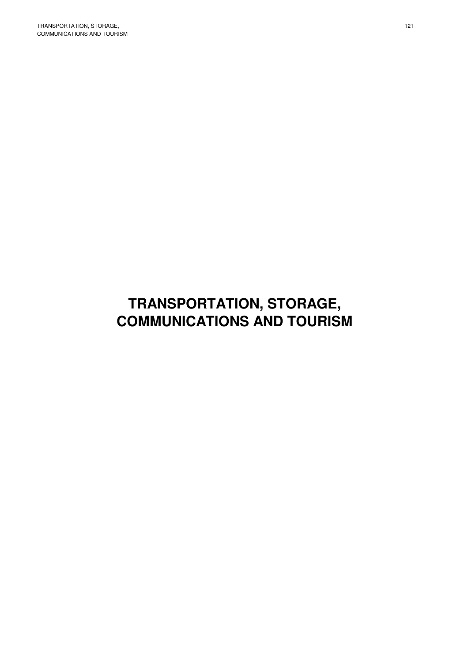# **TRANSPORTATION, STORAGE, COMMUNICATIONS AND TOURISM**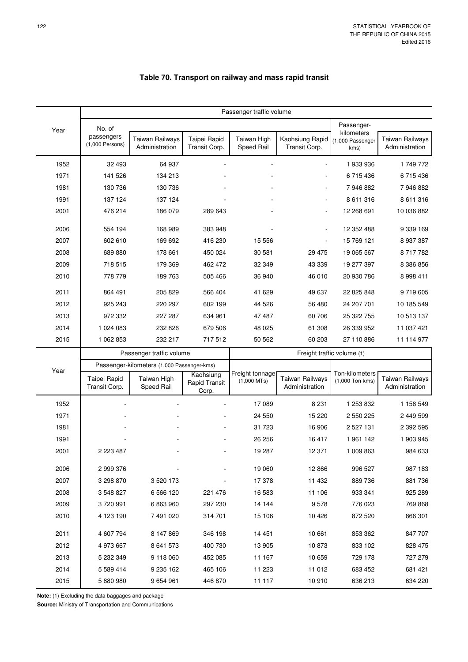| Table 70. Transport on railway and mass rapid transit |
|-------------------------------------------------------|
|                                                       |

|      |                                 |                                            |                                     | Passenger traffic volume         |                                   |                                         |                                   |
|------|---------------------------------|--------------------------------------------|-------------------------------------|----------------------------------|-----------------------------------|-----------------------------------------|-----------------------------------|
| Year | No. of                          |                                            |                                     |                                  |                                   | Passenger-                              |                                   |
|      | passengers<br>$(1,000$ Persons) | Taiwan Railways<br>Administration          | Taipei Rapid<br>Transit Corp.       | Taiwan High<br>Speed Rail        | Kaohsiung Rapid<br>Transit Corp.  | kilometers<br>(1,000 Passenger-<br>kms) | Taiwan Railways<br>Administration |
| 1952 | 32 493                          | 64 937                                     |                                     |                                  |                                   | 1933936                                 | 1749772                           |
| 1971 | 141 526                         | 134 213                                    |                                     |                                  |                                   | 6715436                                 | 6715436                           |
| 1981 | 130 736                         | 130 736                                    |                                     |                                  |                                   | 7 946 882                               | 7946882                           |
| 1991 | 137 124                         | 137 124                                    |                                     |                                  |                                   | 8 611 316                               | 8 611 316                         |
| 2001 | 476 214                         | 186 079                                    | 289 643                             |                                  |                                   | 12 268 691                              | 10 036 882                        |
| 2006 | 554 194                         | 168 989                                    | 383 948                             |                                  |                                   | 12 352 488                              | 9 339 169                         |
| 2007 | 602 610                         | 169 692                                    | 416 230                             | 15 556                           | ÷,                                | 15 769 121                              | 8 937 387                         |
| 2008 | 689 880                         | 178 661                                    | 450 024                             | 30 581                           | 29 475                            | 19 065 567                              | 8717782                           |
| 2009 | 718 515                         | 179 369                                    | 462 472                             | 32 349                           | 43 339                            | 19 277 397                              | 8 386 856                         |
| 2010 | 778 779                         | 189 763                                    | 505 466                             | 36 940                           | 46 010                            | 20 930 786                              | 8 9 9 4 1 1                       |
| 2011 | 864 491                         | 205 829                                    | 566 404                             | 41 629                           | 49 637                            | 22 825 848                              | 9719605                           |
| 2012 | 925 243                         | 220 297                                    | 602 199                             | 44 526                           | 56 480                            | 24 207 701                              | 10 185 549                        |
| 2013 | 972 332                         | 227 287                                    | 634 961                             | 47 487                           | 60 706                            | 25 322 755                              | 10 513 137                        |
| 2014 | 1 024 083                       | 232 826                                    | 679 506                             | 48 0 25                          | 61 308                            | 26 339 952                              | 11 037 421                        |
| 2015 | 1 062 853                       | 232 217                                    | 717 512                             | 50 562                           | 60 203                            | 27 110 886                              | 11 114 977                        |
|      |                                 |                                            |                                     |                                  |                                   |                                         |                                   |
|      |                                 | Passenger traffic volume                   |                                     |                                  |                                   | Freight traffic volume (1)              |                                   |
|      |                                 | Passenger-kilometers (1,000 Passenger-kms) |                                     |                                  |                                   |                                         |                                   |
| Year | Taipei Rapid<br>Transit Corp.   | Taiwan High<br>Speed Rail                  | Kaohsiung<br>Rapid Transit<br>Corp. | Freight tonnage<br>$(1,000$ MTs) | Taiwan Railways<br>Administration | Ton-kilometers<br>(1,000 Ton-kms)       | Taiwan Railways<br>Administration |
| 1952 |                                 |                                            |                                     | 17 089                           | 8 2 3 1                           | 1 253 832                               | 1 158 549                         |
| 1971 |                                 |                                            |                                     | 24 550                           | 15 2 20                           | 2 550 225                               | 2 449 599                         |
| 1981 |                                 |                                            |                                     | 31 723                           | 16 906                            | 2 5 2 7 1 3 1                           | 2 392 595                         |
| 1991 |                                 |                                            |                                     | 26 256                           | 16 417                            | 1961142                                 | 1 903 945                         |
| 2001 | 2 2 2 3 4 8 7                   |                                            |                                     | 19 287                           | 12 371                            | 1 009 863                               | 984 633                           |
| 2006 | 2 999 376                       |                                            |                                     | 19 060                           | 12 8 66                           | 996 527                                 | 987 183                           |
| 2007 | 3 298 870                       | 3 520 173                                  |                                     | 17 378                           | 11 432                            | 889 736                                 | 881 736                           |
| 2008 | 3 548 827                       | 6 5 6 1 2 0                                | 221 476                             | 16 583                           | 11 106                            | 933 341                                 | 925 289                           |
| 2009 | 3720991                         | 6863960                                    | 297 230                             | 14 144                           | 9578                              | 776 023                                 | 769 868                           |
| 2010 | 4 123 190                       | 7 491 020                                  | 314 701                             | 15 106                           | 10 4 26                           | 872 520                                 | 866 301                           |
| 2011 | 4 607 794                       | 8 147 869                                  | 346 198                             | 14 451                           | 10 661                            | 853 362                                 | 847 707                           |
| 2012 | 4 973 667                       | 8 641 573                                  | 400 730                             | 13 905                           | 10873                             | 833 102                                 | 828 475                           |
| 2013 | 5 232 349                       | 9 118 060                                  | 452 085                             | 11 167                           | 10 659                            | 729 178                                 | 727 279                           |
| 2014 | 5 589 414                       | 9 235 162                                  | 465 106                             | 11 223                           | 11 012                            | 683 452                                 | 681 421                           |

**Note:** (1) Excluding the data baggages and package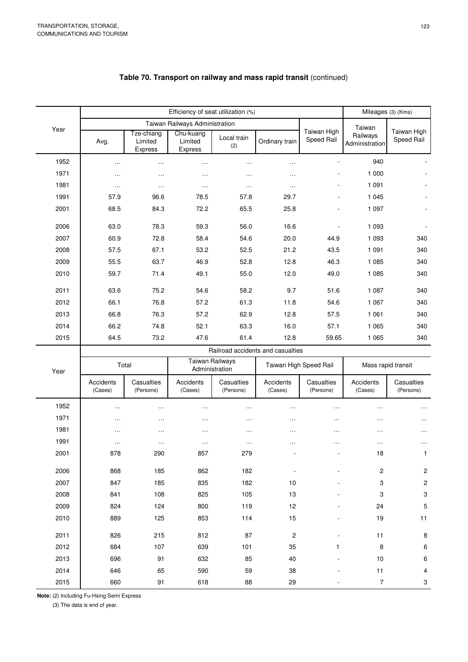|      |          |                                         |                                 | Efficiency of seat utilization (%) |                                   |                                  |                            | Mileages (3) (Kms)        |
|------|----------|-----------------------------------------|---------------------------------|------------------------------------|-----------------------------------|----------------------------------|----------------------------|---------------------------|
| Year |          |                                         | Taiwan Railways Administration  |                                    |                                   |                                  | Taiwan                     |                           |
|      | Avg.     | Tze-chiang<br>Limited<br><b>Express</b> | Chu-kuang<br>Limited<br>Express | Local train<br>(2)                 | Ordinary train                    | Taiwan High<br><b>Speed Rail</b> | Railways<br>Administration | Taiwan High<br>Speed Rail |
| 1952 | $\cdots$ | $\cdots$                                | .                               | $\ddotsc$                          | .                                 |                                  | 940                        |                           |
| 1971 | $\cdots$ | $\cdots$                                | $\cdots$                        | $\cdots$                           | $\cdots$                          | ۰                                | 1 000                      |                           |
| 1981 | $\cdots$ | $\cdots$                                | $\cdots$                        | $\cdots$                           | $\cdots$                          | $\overline{\phantom{a}}$         | 1 0 9 1                    |                           |
| 1991 | 57.9     | 96.6                                    | 78.5                            | 57.8                               | 29.7                              | $\overline{\phantom{a}}$         | 1 0 4 5                    |                           |
| 2001 | 68.5     | 84.3                                    | 72.2                            | 65.5                               | 25.8                              |                                  | 1 0 9 7                    |                           |
| 2006 | 63.0     | 78.3                                    | 59.3                            | 56.0                               | 16.6                              |                                  | 1 0 9 3                    |                           |
| 2007 | 60.9     | 72.8                                    | 58.4                            | 54.6                               | 20.0                              | 44.9                             | 1 0 9 3                    | 340                       |
| 2008 | 57.5     | 67.1                                    | 53.2                            | 52.5                               | 21.2                              | 43.5                             | 1 0 9 1                    | 340                       |
| 2009 | 55.5     | 63.7                                    | 46.9                            | 52.8                               | 12.8                              | 46.3                             | 1 0 8 5                    | 340                       |
| 2010 | 59.7     | 71.4                                    | 49.1                            | 55.0                               | 12.0                              | 49.0                             | 1 0 8 5                    | 340                       |
| 2011 | 63.6     | 75.2                                    | 54.6                            | 58.2                               | 9.7                               | 51.6                             | 1 0 8 7                    | 340                       |
| 2012 | 66.1     | 76.8                                    | 57.2                            | 61.3                               | 11.8                              | 54.6                             | 1 0 6 7                    | 340                       |
| 2013 | 66.8     | 76.3                                    | 57.2                            | 62.9                               | 12.8                              | 57.5                             | 1 0 6 1                    | 340                       |
| 2014 | 66.2     | 74.8                                    | 52.1                            | 63.3                               | 16.0                              | 57.1                             | 1 0 6 5                    | 340                       |
| 2015 | 64.5     | 73.2                                    | 47.6                            | 61.4                               | 12.8                              | 59.65                            | 1 0 6 5                    | 340                       |
|      |          |                                         |                                 |                                    | Railroad accidents and casualties |                                  |                            |                           |

## **Table 70. Transport on railway and mass rapid transit** (continued)

| Year | Total                |                         | Taiwan Railways<br>Administration |                         |                      | Taiwan High Speed Rail  | Mass rapid transit   |                         |  |
|------|----------------------|-------------------------|-----------------------------------|-------------------------|----------------------|-------------------------|----------------------|-------------------------|--|
|      | Accidents<br>(Cases) | Casualties<br>(Persons) | Accidents<br>(Cases)              | Casualties<br>(Persons) | Accidents<br>(Cases) | Casualties<br>(Persons) | Accidents<br>(Cases) | Casualties<br>(Persons) |  |
| 1952 | $\cdots$             | $\cdots$                | $\cdots$                          | $\cdots$                | .                    | $\cdots$                |                      | $\cdots$                |  |
| 1971 | $\cdots$             | $\cdots$                | $\cdots$                          | $\cdots$                | $\cdots$             | $\cdots$                | $\cdots$             | $\cdots$                |  |
| 1981 | $\cdots$             | $\cdots$                | $\cdots$                          | $\cdots$                | $\cdots$             | $\cdots$                | $\cdots$             | $\cdots$                |  |
| 1991 | $\cdots$             | $\cdots$                | $\cdots$                          | $\cdots$                | $\cdots$             | $\cdots$                | $\cdots$             | $\cdots$                |  |
| 2001 | 878                  | 290                     | 857                               | 279                     |                      | ۰                       | 18                   | 1                       |  |
| 2006 | 868                  | 185                     | 862                               | 182                     |                      | ۰                       | $\overline{c}$       | $\overline{c}$          |  |
| 2007 | 847                  | 185                     | 835                               | 182                     | 10                   | ٠                       | 3                    | $\sqrt{2}$              |  |
| 2008 | 841                  | 108                     | 825                               | 105                     | 13                   | ٠                       | 3                    | 3                       |  |
| 2009 | 824                  | 124                     | 800                               | 119                     | 12                   | ٠                       | 24                   | 5                       |  |
| 2010 | 889                  | 125                     | 853                               | 114                     | 15                   | ۰                       | 19                   | 11                      |  |
| 2011 | 826                  | 215                     | 812                               | 87                      | 2                    |                         | 11                   | $\,8\,$                 |  |
| 2012 | 684                  | 107                     | 639                               | 101                     | 35                   | 1                       | 8                    | 6                       |  |
| 2013 | 696                  | 91                      | 632                               | 85                      | 40                   | ÷,                      | 10                   | 6                       |  |
| 2014 | 646                  | 65                      | 590                               | 59                      | 38                   | ۰                       | 11                   | 4                       |  |
| 2015 | 660                  | 91                      | 618                               | 88                      | 29                   |                         | $\overline{7}$       | 3                       |  |

**Note:** (2) Including Fu-Hsing Semi Express

(3) The data is end of year.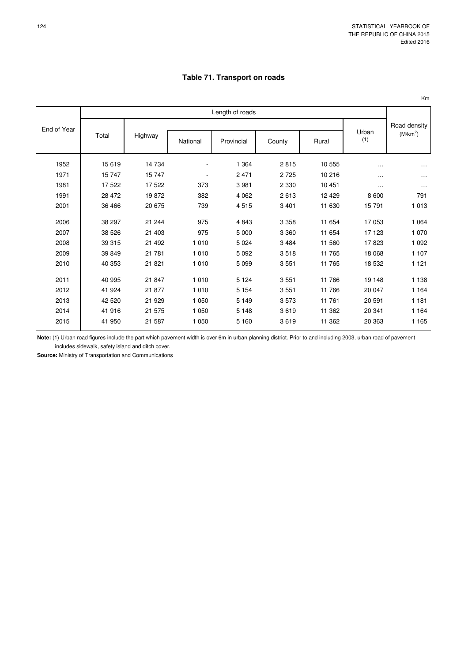## **Table 71. Transport on roads**

|             |         |         |                |                 |         |         |              | Km                   |
|-------------|---------|---------|----------------|-----------------|---------|---------|--------------|----------------------|
|             |         |         |                | Length of roads |         |         |              |                      |
| End of Year |         |         |                |                 |         |         |              | Road density         |
|             | Total   | Highway | National       | Provincial      | County  | Rural   | Urban<br>(1) | (M/km <sup>2</sup> ) |
| 1952        | 15 619  | 14 734  | $\overline{a}$ | 1 3 6 4         | 2815    | 10 555  |              | $\cdots$             |
| 1971        | 15747   | 15747   |                | 2 4 7 1         | 2725    | 10 216  | $\cdots$     | $\cdots$             |
| 1981        | 17 522  | 17 522  | 373            | 3 9 8 1         | 2 3 3 0 | 10 451  | $\cdots$     | $\cdots$             |
| 1991        | 28 472  | 19872   | 382            | 4 0 6 2         | 2613    | 12 4 29 | 8 600        | 791                  |
| 2001        | 36 466  | 20 675  | 739            | 4515            | 3 4 0 1 | 11 630  | 15 791       | 1 0 1 3              |
| 2006        | 38 297  | 21 244  | 975            | 4843            | 3 3 5 8 | 11 654  | 17 053       | 1 0 6 4              |
| 2007        | 38 5 26 | 21 403  | 975            | 5 0 0 0         | 3 3 6 0 | 11 654  | 17 123       | 1 0 7 0              |
| 2008        | 39 315  | 21 492  | 1 0 1 0        | 5 0 24          | 3 4 8 4 | 11 560  | 17823        | 1 0 9 2              |
| 2009        | 39 849  | 21 781  | 1 0 1 0        | 5 0 9 2         | 3518    | 11 765  | 18 068       | 1 1 0 7              |
| 2010        | 40 353  | 21 821  | 1 0 1 0        | 5 0 9 9         | 3 5 5 1 | 11 765  | 18 532       | 1 1 2 1              |
| 2011        | 40 995  | 21 847  | 1 0 1 0        | 5 1 2 4         | 3 5 5 1 | 11766   | 19 148       | 1 1 3 8              |
| 2012        | 41 924  | 21 877  | 1 0 1 0        | 5 1 5 4         | 3 5 5 1 | 11766   | 20 047       | 1 1 6 4              |
| 2013        | 42 5 20 | 21 929  | 1 0 5 0        | 5 1 4 9         | 3573    | 11 761  | 20 591       | 1 1 8 1              |
| 2014        | 41 916  | 21 575  | 1 0 5 0        | 5 1 4 8         | 3619    | 11 362  | 20 341       | 1 1 6 4              |
| 2015        | 41 950  | 21 587  | 1 0 5 0        | 5 1 6 0         | 3619    | 11 362  | 20 363       | 1 1 6 5              |

**Note:** (1) Urban road figures include the part which pavement width is over 6m in urban planning district. Prior to and including 2003, urban road of pavement includes sidewalk, safety island and ditch cover.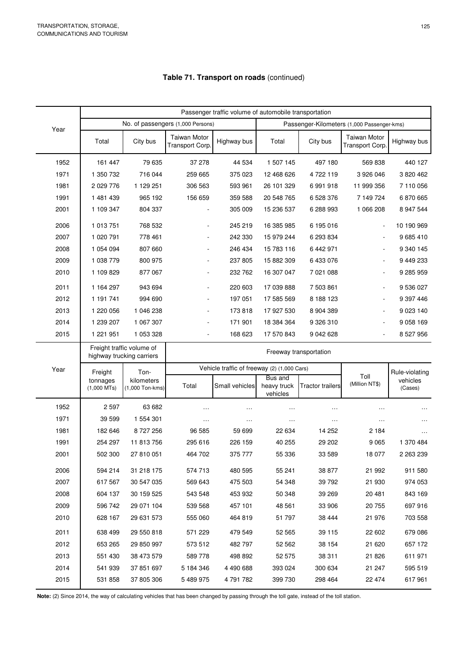|      | Passenger traffic volume of automobile transportation |                                                        |                                        |                                             |                                    |                         |                                            |                     |  |  |
|------|-------------------------------------------------------|--------------------------------------------------------|----------------------------------------|---------------------------------------------|------------------------------------|-------------------------|--------------------------------------------|---------------------|--|--|
| Year |                                                       |                                                        | No. of passengers (1,000 Persons)      |                                             |                                    |                         | Passenger-Kilometers (1,000 Passenger-kms) |                     |  |  |
|      | Total                                                 | City bus                                               | <b>Taiwan Motor</b><br>Transport Corp. | Highway bus                                 | Total                              | City bus                | <b>Taiwan Motor</b><br>Transport Corp.     | Highway bus         |  |  |
| 1952 | 161 447                                               | 79 635                                                 | 37 278                                 | 44 534                                      | 1 507 145                          | 497 180                 | 569 838                                    | 440 127             |  |  |
| 1971 | 1 350 732                                             | 716 044                                                | 259 665                                | 375 023                                     | 12 468 626                         | 4722119                 | 3 926 046                                  | 3 820 462           |  |  |
| 1981 | 2 0 29 7 7 6                                          | 1 129 251                                              | 306 563                                | 593 961                                     | 26 101 329                         | 6991918                 | 11 999 356                                 | 7 110 056           |  |  |
| 1991 | 1 481 439                                             | 965 192                                                | 156 659                                | 359 588                                     | 20 548 765                         | 6 528 376               | 7 149 724                                  | 6 870 665           |  |  |
| 2001 | 1 109 347                                             | 804 337                                                |                                        | 305 009                                     | 15 236 537                         | 6 288 993               | 1 066 208                                  | 8 947 544           |  |  |
| 2006 | 1 013 751                                             | 768 532                                                |                                        | 245 219                                     | 16 385 985                         | 6 195 016               |                                            | 10 190 969          |  |  |
| 2007 | 1 020 791                                             | 778 461                                                |                                        | 242 330                                     | 15 979 244                         | 6 293 834               | $\overline{a}$                             | 9 685 410           |  |  |
| 2008 | 1 054 094                                             | 807 660                                                |                                        | 246 434                                     | 15 783 116                         | 6 442 971               |                                            | 9 340 145           |  |  |
| 2009 | 1 038 779                                             | 800 975                                                |                                        | 237 805                                     | 15 882 309                         | 6 433 076               |                                            | 9 449 233           |  |  |
| 2010 | 1 109 829                                             | 877 067                                                | ÷,                                     | 232 762                                     | 16 307 047                         | 7 021 088               |                                            | 9 285 959           |  |  |
| 2011 | 1 164 297                                             | 943 694                                                | $\overline{\phantom{a}}$               | 220 603                                     | 17 039 888                         | 7 503 861               | $\overline{a}$                             | 9 536 027           |  |  |
| 2012 | 1 191 741                                             | 994 690                                                |                                        | 197 051                                     | 17 585 569                         | 8 188 123               | ÷,                                         | 9 397 446           |  |  |
| 2013 | 1 220 056                                             | 1 046 238                                              | $\overline{\phantom{a}}$               | 173818                                      | 17 927 530                         | 8 904 389               | ÷,                                         | 9 0 23 140          |  |  |
| 2014 | 1 239 207                                             | 1 067 307                                              |                                        | 171 901                                     | 18 384 364                         | 9 326 310               |                                            | 9 0 58 1 69         |  |  |
| 2015 | 1 221 951                                             | 1 053 328                                              |                                        | 168 623                                     | 17 570 843                         | 9 042 628               |                                            | 8 527 956           |  |  |
|      |                                                       | Freight traffic volume of<br>highway trucking carriers |                                        |                                             |                                    | Freeway transportation  |                                            |                     |  |  |
| Year | Freight                                               | Ton-                                                   |                                        | Vehicle traffic of freeway (2) (1,000 Cars) |                                    |                         |                                            | Rule-violating      |  |  |
|      | tonnages<br>$(1,000$ MTs)                             | kilometers<br>(1,000 Ton-kms)                          | Total                                  | Small vehicles                              | Bus and<br>heavy truck<br>vehicles | <b>Tractor trailers</b> | Toll<br>(Million NT\$)                     | vehicles<br>(Cases) |  |  |
| 1952 | 2 5 9 7                                               | 63 682                                                 | .                                      | .                                           | $\cdots$                           | $\cdots$                | .                                          | .                   |  |  |
| 1971 | 39 599                                                | 1 554 301                                              | .                                      | $\cdots$                                    | $\cdots$                           | .                       | $\ddotsc$                                  | $\cdots$            |  |  |
| 1981 | 182 646                                               | 8727256                                                | 96 585                                 | 59 699                                      | 22 634                             | 14 252                  | 2 1 8 4                                    | $\cdots$            |  |  |
| 1991 | 254 297                                               | 11 813 756                                             | 295 616                                | 226 159                                     | 40 255                             | 29 202                  | 9065                                       | 1 370 484           |  |  |
| 2001 | 502 300                                               | 27 810 051                                             | 464 702                                | 375 777                                     | 55 336                             | 33 589                  | 18 077                                     | 2 263 239           |  |  |
| 2006 | 594 214                                               | 31 218 175                                             | 574 713                                | 480 595                                     | 55 241                             | 38 877                  | 21 992                                     | 911 580             |  |  |
| 2007 | 617 567                                               | 30 547 035                                             | 569 643                                | 475 503                                     | 54 348                             | 39 7 9 2                | 21 930                                     | 974 053             |  |  |
| 2008 | 604 137                                               | 30 159 525                                             | 543 548                                | 453 932                                     | 50 348                             | 39 269                  | 20 481                                     | 843 169             |  |  |
| 2009 | 596 742                                               | 29 071 104                                             | 539 568                                | 457 101                                     | 48 561                             | 33 906                  | 20 755                                     | 697 916             |  |  |
| 2010 | 628 167                                               | 29 631 573                                             | 555 060                                | 464 819                                     | 51 797                             | 38 444                  | 21 976                                     | 703 558             |  |  |
| 2011 |                                                       |                                                        |                                        |                                             |                                    |                         |                                            |                     |  |  |
|      | 638 499                                               | 29 550 818                                             | 571 229                                | 479 549                                     | 52 565                             | 39 115                  | 22 602                                     | 679 086             |  |  |
| 2012 | 653 265                                               | 29 850 997                                             | 573 512                                | 482797                                      | 52 562                             | 38 154                  | 21 620                                     | 657 172             |  |  |
| 2013 | 551 430                                               | 38 473 579                                             | 589 778                                | 498 892                                     | 52 575                             | 38 311                  | 21 8 26                                    | 611 971             |  |  |
| 2014 | 541 939                                               | 37 851 697                                             | 5 184 346                              | 4 490 688                                   | 393 024                            | 300 634                 | 21 247                                     | 595 519             |  |  |

## **Table 71. Transport on roads** (continued)

**Note:** (2) Since 2014, the way of calculating vehicles that has been changed by passing through the toll gate, instead of the toll station.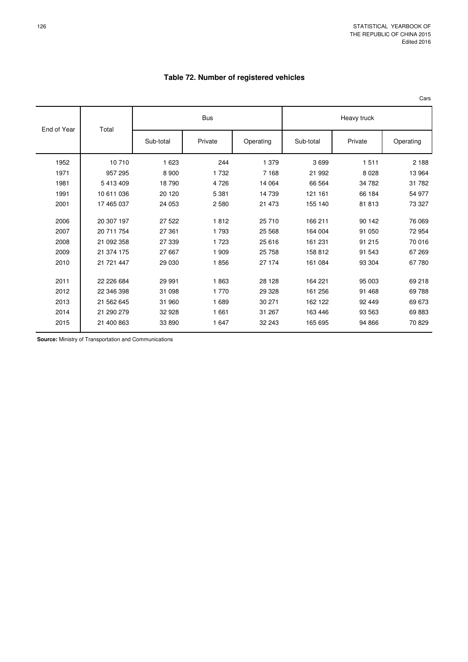## **Table 72. Number of registered vehicles**

Cars

| End of Year  | Total                    |                  | <b>Bus</b>    |                   | Heavy truck        |                  |                  |  |
|--------------|--------------------------|------------------|---------------|-------------------|--------------------|------------------|------------------|--|
|              |                          | Sub-total        | Private       | Operating         | Sub-total          | Private          | Operating        |  |
| 1952         | 10710                    | 1 623            | 244           | 1 379             | 3699               | 1511             | 2 1 8 8          |  |
| 1971         | 957 295                  | 8 9 0 0          | 1 7 3 2       | 7 1 6 8           | 21 992             | 8 0 28           | 13 964           |  |
| 1981         | 5413409                  | 18790            | 4726          | 14 0 64           | 66 564             | 34 782           | 31 782           |  |
| 1991         | 10 611 036               | 20 120           | 5 3 8 1       | 14 739            | 121 161            | 66 184           | 54 977           |  |
| 2001         | 17 465 037               | 24 053           | 2 5 8 0       | 21 473            | 155 140            | 81813            | 73 327           |  |
| 2006         | 20 307 197               | 27 522           | 1812          | 25 710            | 166 211            | 90 142           | 76 069           |  |
| 2007         | 20 711 754               | 27 361           | 1793          | 25 5 68           | 164 004            | 91 050           | 72 954           |  |
| 2008<br>2009 | 21 092 358<br>21 374 175 | 27 339<br>27 667 | 1723<br>1 909 | 25 616<br>25 7 58 | 161 231<br>158 812 | 91 215<br>91 543 | 70 016<br>67 269 |  |
| 2010         | 21 721 447               | 29 030           | 1856          | 27 174            | 161 084            | 93 304           | 67 780           |  |
| 2011         | 22 226 684               | 29 991           | 1863          | 28 1 28           | 164 221            | 95 003           | 69 218           |  |
| 2012         | 22 346 398               | 31 098           | 1 7 7 0       | 29 3 28           | 161 256            | 91 4 68          | 69 788           |  |
| 2013         | 21 562 645               | 31 960           | 1689          | 30 271            | 162 122            | 92 449           | 69 673           |  |
| 2014         | 21 290 279               | 32 9 28          | 1 661         | 31 267            | 163 446            | 93 563           | 69 883           |  |
| 2015         | 21 400 863               | 33 890           | 1647          | 32 243            | 165 695            | 94 866           | 70 829           |  |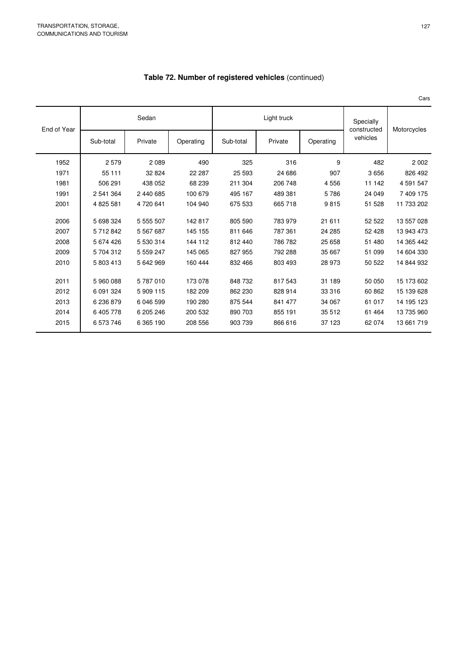| End of Year |           | Sedan         |           |           | Light truck | Specially<br>constructed | Motorcycles |            |
|-------------|-----------|---------------|-----------|-----------|-------------|--------------------------|-------------|------------|
|             | Sub-total | Private       | Operating | Sub-total | Private     | Operating                | vehicles    |            |
| 1952        | 2579      | 2089          | 490       | 325       | 316         | 9                        | 482         | 2 0 0 2    |
| 1971        | 55 111    | 32 824        | 22 287    | 25 5 93   | 24 686      | 907                      | 3656        | 826 492    |
| 1981        | 506 291   | 438 052       | 68 239    | 211 304   | 206 748     | 4556                     | 11 142      | 4 591 547  |
| 1991        | 2 541 364 | 2 440 685     | 100 679   | 495 167   | 489 381     | 5786                     | 24 049      | 7 409 175  |
| 2001        | 4 825 581 | 4720641       | 104 940   | 675 533   | 665 718     | 9815                     | 51 528      | 11 733 202 |
| 2006        | 5 698 324 | 5 555 507     | 142 817   | 805 590   | 783 979     | 21 611                   | 52 522      | 13 557 028 |
| 2007        | 5712842   | 5 567 687     | 145 155   | 811 646   | 787 361     | 24 285                   | 52 428      | 13 943 473 |
| 2008        | 5 674 426 | 5 530 314     | 144 112   | 812 440   | 786 782     | 25 658                   | 51 480      | 14 365 442 |
| 2009        | 5 704 312 | 5 5 5 9 2 4 7 | 145 065   | 827 955   | 792 288     | 35 667                   | 51 099      | 14 604 330 |
| 2010        | 5 803 413 | 5 642 969     | 160 444   | 832 466   | 803 493     | 28 973                   | 50 522      | 14 844 932 |
| 2011        | 5 960 088 | 5787010       | 173 078   | 848 732   | 817 543     | 31 189                   | 50 050      | 15 173 602 |
| 2012        | 6 091 324 | 5909115       | 182 209   | 862 230   | 828 914     | 33 316                   | 60 862      | 15 139 628 |
| 2013        | 6 236 879 | 6 046 599     | 190 280   | 875 544   | 841 477     | 34 067                   | 61 017      | 14 195 123 |
| 2014        | 6 405 778 | 6 205 246     | 200 532   | 890 703   | 855 191     | 35 512                   | 61 4 64     | 13 735 960 |
| 2015        | 6 573 746 | 6 365 190     | 208 556   | 903 739   | 866 616     | 37 123                   | 62 074      | 13 661 719 |
|             |           |               |           |           |             |                          |             |            |

## **Table 72. Number of registered vehicles** (continued)

Cars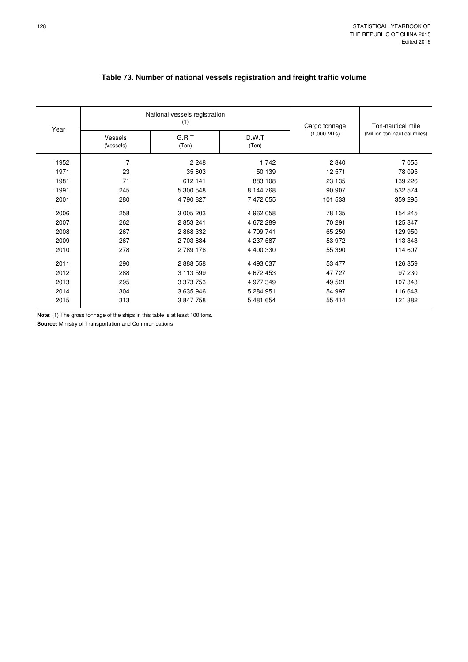| Year |                      | National vessels registration<br>(1) | Cargo tonnage  | Ton-nautical mile |                              |
|------|----------------------|--------------------------------------|----------------|-------------------|------------------------------|
|      | Vessels<br>(Vessels) | G.R.T<br>(Ton)                       | D.W.T<br>(Ton) | $(1,000$ MTs)     | (Million ton-nautical miles) |
| 1952 | $\overline{7}$       | 2 2 4 8                              | 1742           | 2 8 4 0           | 7 0 5 5                      |
| 1971 | 23                   | 35 803                               | 50 139         | 12 571            | 78 095                       |
| 1981 | 71                   | 612 141                              | 883 108        | 23 135            | 139 226                      |
| 1991 | 245                  | 5 300 548                            | 8 144 768      | 90 907            | 532 574                      |
| 2001 | 280                  | 4790827                              | 7 472 055      | 101 533           | 359 295                      |
| 2006 | 258                  | 3 005 203                            | 4 962 058      | 78 135            | 154 245                      |
| 2007 | 262                  | 2 853 241                            | 4 672 289      | 70 291            | 125 847                      |
| 2008 | 267                  | 2 868 332                            | 4709741        | 65 250            | 129 950                      |
| 2009 | 267                  | 2 703 834                            | 4 237 587      | 53 972            | 113 343                      |
| 2010 | 278                  | 2789176                              | 4 400 330      | 55 390            | 114 607                      |
| 2011 | 290                  | 2 888 558                            | 4 493 037      | 53 477            | 126 859                      |
| 2012 | 288                  | 3 113 599                            | 4 672 453      | 47 727            | 97 230                       |
| 2013 | 295                  | 3 373 753                            | 4 977 349      | 49 5 21           | 107 343                      |
| 2014 | 304                  | 3 635 946                            | 5 284 951      | 54 997            | 116 643                      |
| 2015 | 313                  | 3847758                              | 5 481 654      | 55 414            | 121 382                      |

## **Table 73. Number of national vessels registration and freight traffic volume**

**Note**: (1) The gross tonnage of the ships in this table is at least 100 tons.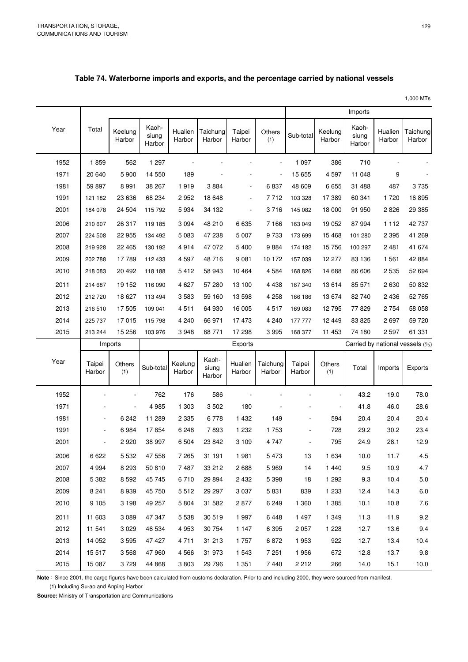## **Table 74. Waterborne imports and exports, and the percentage carried by national vessels**

1,000 MTs

|      |                  |                          |                          |                   |                          |                          |                          |                  |                          | Imports                  |                   |                                 |
|------|------------------|--------------------------|--------------------------|-------------------|--------------------------|--------------------------|--------------------------|------------------|--------------------------|--------------------------|-------------------|---------------------------------|
| Year | Total            | Keelung<br>Harbor        | Kaoh-<br>siung<br>Harbor | Hualien<br>Harbor | Taichung<br>Harbor       | Taipei<br>Harbor         | Others<br>(1)            | Sub-total        | Keelung<br>Harbor        | Kaoh-<br>siung<br>Harbor | Hualien<br>Harbor | Taichung<br>Harbor              |
| 1952 | 1859             | 562                      | 1 2 9 7                  |                   |                          |                          | $\overline{\phantom{a}}$ | 1 0 9 7          | 386                      | 710                      |                   |                                 |
| 1971 | 20 640           | 5 900                    | 14 550                   | 189               |                          |                          | $\overline{\phantom{a}}$ | 15 655           | 4597                     | 11 048                   | 9                 |                                 |
| 1981 | 59 897           | 8991                     | 38 267                   | 1919              | 3884                     |                          | 6837                     | 48 609           | 6655                     | 31 488                   | 487               | 3735                            |
| 1991 | 121 182          | 23 636                   | 68 234                   | 2 9 5 2           | 18 648                   | $\overline{\phantom{a}}$ | 7712                     | 103 328          | 17 389                   | 60 341                   | 1720              | 16895                           |
| 2001 | 184 078          | 24 504                   | 115 792                  | 5934              | 34 132                   | ٠                        | 3716                     | 145 082          | 18 000                   | 91 950                   | 2826              | 29 3 85                         |
| 2006 | 210 607          | 26 317                   | 119 185                  | 3 0 9 4           | 48 210                   | 6635                     | 7 1 6 6                  | 163 049          | 19 052                   | 87 994                   | 1 1 1 2           | 42 737                          |
| 2007 | 224 508          | 22 955                   | 134 492                  | 5 0 8 3           | 47 238                   | 5 0 0 7                  | 9733                     | 173 699          | 15 4 68                  | 101 280                  | 2 3 9 5           | 41 269                          |
| 2008 | 219 928          | 22 4 65                  | 130 192                  | 4914              | 47 072                   | 5 4 0 0                  | 9884                     | 174 182          | 15 756                   | 100 297                  | 2 4 8 1           | 41 674                          |
| 2009 | 202 788          | 17789                    | 112 433                  | 4 5 9 7           | 48716                    | 9 0 8 1                  | 10 172                   | 157 039          | 12 277                   | 83 136                   | 1 5 6 1           | 42 8 84                         |
| 2010 | 218 083          | 20 492                   | 118 188                  | 5412              | 58 943                   | 10 4 64                  | 4 5 8 4                  | 168 826          | 14 688                   | 86 606                   | 2 5 3 5           | 52 694                          |
| 2011 | 214 687          | 19 152                   | 116 090                  | 4 6 27            | 57 280                   | 13 100                   | 4 4 3 8                  | 167 340          | 13 614                   | 85 571                   | 2630              | 50 832                          |
| 2012 | 212 720          | 18 627                   | 113 494                  | 3 5 8 3           | 59 160                   | 13 598                   | 4 2 5 8                  | 166 186          | 13 674                   | 82 740                   | 2 4 3 6           | 52 765                          |
| 2013 | 216 510          | 17 505                   | 109 041                  | 4511              | 64 930                   | 16 005                   | 4517                     | 169 083          | 12795                    | 77829                    | 2 7 5 4           | 58 058                          |
| 2014 | 225 737          | 17015                    | 115 798                  | 4 2 4 0           | 66 971                   | 17 473                   | 4 2 4 0                  | 177 777          | 12 449                   | 83 825                   | 2697              | 59 720                          |
| 2015 | 213 244          | 15 25 6                  | 103 976                  | 3948              | 68 771                   | 17 298                   | 3 9 9 5                  | 168 377          | 11 453                   | 74 180                   | 2597              | 61 331                          |
|      |                  |                          |                          |                   |                          |                          |                          |                  |                          |                          |                   |                                 |
|      |                  | Imports                  |                          |                   |                          | Exports                  |                          |                  |                          |                          |                   | Carried by national vessels (%) |
| Year | Taipei<br>Harbor | Others<br>(1)            | Sub-total                | Keelung<br>Harbor | Kaoh-<br>siung<br>Harbor | Hualien<br>Harbor        | Taichung<br>Harbor       | Taipei<br>Harbor | Others<br>(1)            | Total                    | Imports           | Exports                         |
| 1952 |                  | $\overline{\phantom{a}}$ | 762                      | 176               | 586                      |                          |                          |                  | ÷,                       | 43.2                     | 19.0              | 78.0                            |
| 1971 |                  | $\overline{a}$           | 4 9 8 5                  | 1 3 0 3           | 3 5 0 2                  | 180                      |                          |                  | $\overline{\phantom{a}}$ | 41.8                     | 46.0              | 28.6                            |
| 1981 |                  | 6 2 4 2                  | 11 289                   | 2 3 3 5           | 6778                     | 1 4 3 2                  | 149                      |                  | 594                      | 20.4                     | 20.4              | 20.4                            |
| 1991 | ÷,               | 6984                     | 17854                    | 6 2 4 8           | 7893                     | 1 2 3 2                  | 1 7 5 3                  | ÷,               | 728                      | 29.2                     | 30.2              | 23.4                            |
| 2001 |                  | 2920                     | 38 997                   | 6 5 0 4           | 23 842                   | 3 1 0 9                  | 4 7 4 7                  |                  | 795                      | 24.9                     | 28.1              | 12.9                            |
| 2006 | 6 6 22           | 5 5 3 2                  | 47 558                   | 7 2 6 5           | 31 191                   | 1981                     | 5 4 7 3                  | 13               | 1 6 3 4                  | 10.0                     | 11.7              | 4.5                             |
| 2007 | 4 9 9 4          | 8 2 9 3                  | 50 810                   | 7487              | 33 212                   | 2688                     | 5969                     | 14               | 1440                     | 9.5                      | 10.9              | 4.7                             |
| 2008 | 5 3 8 2          | 8592                     | 45 745                   | 6710              | 29 8 94                  | 2 4 3 2                  | 5 3 9 8                  | 18               | 1 2 9 2                  | 9.3                      | 10.4              | $5.0\,$                         |
| 2009 | 8 2 4 1          | 8939                     | 45 750                   | 5512              | 29 29 7                  | 3 0 3 7                  | 5831                     | 839              | 1 2 3 3                  | 12.4                     | 14.3              | $6.0\,$                         |
| 2010 | 9 1 0 5          | 3 1 9 8                  | 49 257                   | 5 8 0 4           | 31 582                   | 2877                     | 6 2 4 9                  | 1 3 6 0          | 1 3 8 5                  | 10.1                     | 10.8              | $7.6\,$                         |
| 2011 | 11 603           | 3 0 8 9                  | 47 347                   | 5 5 3 8           | 30 519                   | 1997                     | 6448                     | 1 4 9 7          | 1 3 4 9                  | 11.3                     | 11.9              | 9.2                             |
| 2012 | 11 541           | 3 0 2 9                  | 46 534                   | 4 9 5 3           | 30 754                   | 1 1 4 7                  | 6 3 9 5                  | 2 0 5 7          | 1 2 2 8                  | 12.7                     | 13.6              | 9.4                             |
| 2013 | 14 0 52          | 3595                     | 47 427                   | 4 7 1 1           | 31 213                   | 1757                     | 6872                     | 1953             | 922                      | 12.7                     | 13.4              | 10.4                            |
| 2014 | 15517            | 3568                     | 47 960                   | 4566              | 31 973                   | 1 5 4 3                  | 7 2 5 1                  | 1956             | 672                      | 12.8                     | 13.7              | 9.8                             |

Note : Since 2001, the cargo figures have been calculated from customs declaration. Prior to and including 2000, they were sourced from manifest.

(1) Including Su-ao and Anping Harbor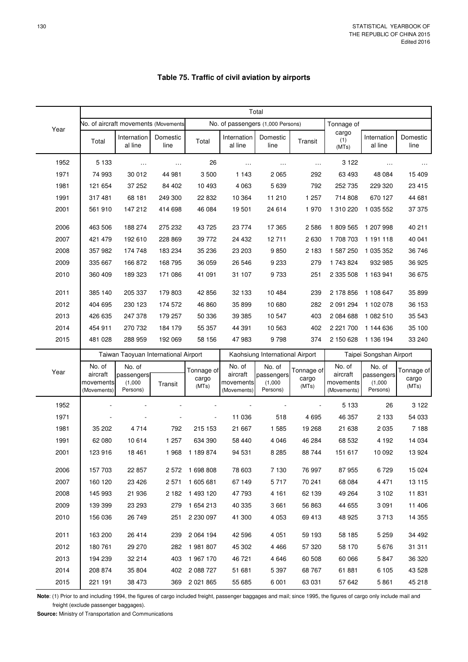|      |                                                |                                             |                  |                              |                                                | Total                                       |                              |                                                |                                             |                              |
|------|------------------------------------------------|---------------------------------------------|------------------|------------------------------|------------------------------------------------|---------------------------------------------|------------------------------|------------------------------------------------|---------------------------------------------|------------------------------|
| Year |                                                | No. of aircraft movements (Movements        |                  |                              | No. of passengers (1,000 Persons)              |                                             |                              | Tonnage of                                     |                                             |                              |
|      | Total                                          | Internation<br>al line                      | Domestic<br>line | Total                        | Internation<br>al line                         | Domestic<br>line                            | Transit                      | cargo<br>(1)<br>(MTs)                          | Internation<br>al line                      | Domestic<br>line             |
| 1952 | 5 1 3 3                                        | $\sim$ $\sim$                               | $\ddotsc$        | 26                           | $\cdots$                                       | $\ldots$                                    | $\sim$ .                     | 3 1 2 2                                        | $\ldots$                                    | $\cdots$                     |
| 1971 | 74 993                                         | 30 012                                      | 44 981           | 3500                         | 1 1 4 3                                        | 2 0 6 5                                     | 292                          | 63 493                                         | 48 0 84                                     | 15 409                       |
| 1981 | 121 654                                        | 37 252                                      | 84 402           | 10 493                       | 4 0 6 3                                        | 5 6 3 9                                     | 792                          | 252 735                                        | 229 320                                     | 23 4 15                      |
| 1991 | 317481                                         | 68 181                                      | 249 300          | 22 832                       | 10 364                                         | 11 210                                      | 1 2 5 7                      | 714 808                                        | 670 127                                     | 44 681                       |
| 2001 | 561 910                                        | 147 212                                     | 414 698          | 46 084                       | 19 501                                         | 24 614                                      | 1970                         | 1 310 220                                      | 1 035 552                                   | 37 375                       |
| 2006 | 463 506                                        | 188 274                                     | 275 232          | 43 725                       | 23 774                                         | 17 365                                      | 2586                         | 1809 565                                       | 1 207 998                                   | 40 211                       |
| 2007 | 421 479                                        | 192 610                                     | 228 869          | 39 772                       | 24 432                                         | 12711                                       | 2630                         | 1708703                                        | 1 191 118                                   | 40 041                       |
| 2008 | 357 982                                        | 174 748                                     | 183 234          | 35 236                       | 23 203                                         | 9850                                        | 2 1 8 3                      | 1 587 250                                      | 1 035 352                                   | 36 746                       |
| 2009 | 335 667                                        | 166 872                                     | 168795           | 36 059                       | 26 546                                         | 9 2 3 3                                     | 279                          | 1 743 824                                      | 932 985                                     | 36 925                       |
| 2010 | 360 409                                        | 189 323                                     | 171 086          | 41 091                       | 31 107                                         | 9 7 3 3                                     | 251                          | 2 335 508                                      | 1 163 941                                   | 36 675                       |
| 2011 | 385 140                                        | 205 337                                     | 179 803          | 42 856                       | 32 133                                         | 10 4 84                                     | 239                          | 2 178 856                                      | 1 108 647                                   | 35 899                       |
| 2012 | 404 695                                        | 230 123                                     | 174 572          | 46 860                       | 35 899                                         | 10 680                                      | 282                          | 2 091 294                                      | 1 102 078                                   | 36 153                       |
| 2013 | 426 635                                        | 247 378                                     | 179 257          | 50 336                       | 39 385                                         | 10 547                                      | 403                          | 2 084 688                                      | 1 082 510                                   | 35 543                       |
| 2014 | 454 911                                        | 270 732                                     | 184 179          | 55 357                       | 44 391                                         | 10 563                                      | 402                          | 2 2 2 1 7 0 0                                  | 1 144 636                                   | 35 100                       |
| 2015 | 481 028                                        | 288 959                                     | 192 069          | 58 156                       | 47 983                                         | 9798                                        | 374                          | 2 150 628                                      | 1 136 194                                   | 33 240                       |
|      |                                                | Taiwan Taoyuan International Airport        |                  |                              | Kaohsiung International Airport                |                                             |                              | Taipei Songshan Airport                        |                                             |                              |
| Year | No. of<br>aircraft<br>movements<br>(Movements) | No. of<br>passengers<br>(1,000)<br>Persons) | Transit          | Tonnage of<br>cargo<br>(MTs) | No. of<br>aircraft<br>movements<br>(Movements) | No. of<br>passengers<br>(1,000)<br>Persons) | Tonnage of<br>cargo<br>(MTs) | No. of<br>aircraft<br>movements<br>(Movements) | No. of<br>passengers<br>(1,000)<br>Persons) | Tonnage of<br>cargo<br>(MTs) |
| 1952 |                                                |                                             |                  |                              |                                                |                                             |                              | 5 1 3 3                                        | 26                                          | 3 1 2 2                      |
| 1971 |                                                |                                             |                  |                              | 11 036                                         | 518                                         | 4695                         | 46 357                                         | 2 1 3 3                                     | 54 033                       |
| 1981 | 35 202                                         | 4 7 1 4                                     | 792              | 215 153                      | 21 667                                         | 1 5 8 5                                     | 19 268                       | 21 638                                         | 2 0 3 5                                     | 7 1 8 8                      |
| 1991 | 62 080                                         | 10 614                                      | 1 2 5 7          | 634 390                      | 58 440                                         | 4 0 4 6                                     | 46 284                       | 68 532                                         | 4 1 9 2                                     | 14 034                       |
| 2001 | 123 916                                        | 18 4 61                                     | 1968             | 1 189 874                    | 94 531                                         | 8 2 8 5                                     | 88744                        | 151 617                                        | 10 092                                      | 13 9 24                      |
| 2006 | 157 703                                        | 22 857                                      | 2 5 7 2          | 1 698 808                    | 78 603                                         | 7 1 3 0                                     | 76 997                       | 87 955                                         | 6729                                        | 15 0 24                      |
| 2007 | 160 120                                        | 23 4 26                                     | 2 5 7 1          | 1 605 681                    | 67 149                                         | 5717                                        | 70 241                       | 68 084                                         | 4 4 7 1                                     | 13 115                       |
| 2008 | 145 993                                        | 21 936                                      | 2 1 8 2          | 1 493 120                    | 47 793                                         | 4 1 6 1                                     | 62 139                       | 49 264                                         | 3 1 0 2                                     | 11831                        |
| 2009 | 139 399                                        | 23 293                                      | 279              | 1 654 213                    | 40 335                                         | 3661                                        | 56 863                       | 44 655                                         | 3 0 9 1                                     | 11 406                       |
| 2010 | 156 036                                        | 26 749                                      | 251              | 2 230 097                    | 41 300                                         | 4 0 5 3                                     | 69 413                       | 48 925                                         | 3713                                        | 14 355                       |

### **Table 75. Traffic of civil aviation by airports**

**Note**: (1) Prior to and including 1994, the figures of cargo included freight, passenger baggages and mail; since 1995, the figures of cargo only include mail and freight (exclude passenger baggages).

2011 163 200 26 414 239 2 064 194 42 596 4 051 59 193 58 185 5 259 34 492 2012 180 761 29 270 282 1 981 807 45 302 4 466 57 320 58 170 5 676 31 311 2013 194 239 32 214 403 1 967 170 46 721 4 646 60 508 60 066 5 847 36 320 2014 208 874 35 804 402 2 088 727 51 681 5 397 68 767 61 881 6 105 43 528 2015 221 191 38 473 369 2 021 865 55 685 6 001 63 031 57 642 5 861 45 218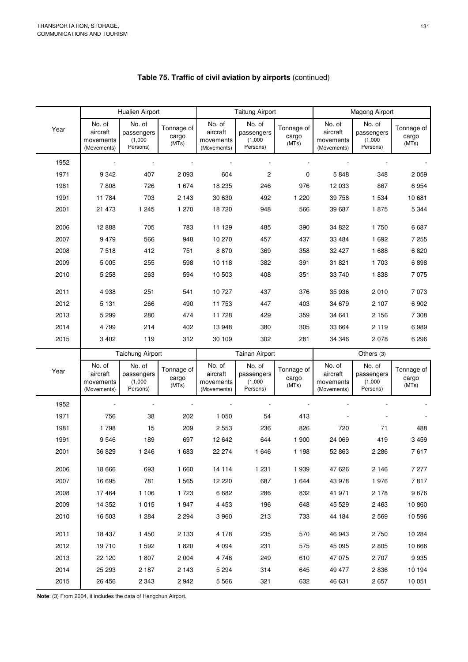|      |                                                | Hualien Airport                             |                              |                                                | <b>Taitung Airport</b>                      |                              |                                                | <b>Magong Airport</b>                       |                              |
|------|------------------------------------------------|---------------------------------------------|------------------------------|------------------------------------------------|---------------------------------------------|------------------------------|------------------------------------------------|---------------------------------------------|------------------------------|
| Year | No. of<br>aircraft<br>movements<br>(Movements) | No. of<br>passengers<br>(1,000)<br>Persons) | Tonnage of<br>cargo<br>(MTs) | No. of<br>aircraft<br>movements<br>(Movements) | No. of<br>passengers<br>(1,000)<br>Persons) | Tonnage of<br>cargo<br>(MTs) | No. of<br>aircraft<br>movements<br>(Movements) | No. of<br>passengers<br>(1,000)<br>Persons) | Tonnage of<br>cargo<br>(MTs) |
| 1952 |                                                |                                             |                              |                                                |                                             |                              |                                                |                                             |                              |
| 1971 | 9 3 4 2                                        | 407                                         | 2 0 9 3                      | 604                                            | $\overline{\mathbf{c}}$                     | $\mathbf 0$                  | 5848                                           | 348                                         | 2 0 5 9                      |
| 1981 | 7808                                           | 726                                         | 1 674                        | 18 235                                         | 246                                         | 976                          | 12 033                                         | 867                                         | 6954                         |
| 1991 | 11 784                                         | 703                                         | 2 1 4 3                      | 30 630                                         | 492                                         | 1 2 2 0                      | 39 758                                         | 1 5 3 4                                     | 10 681                       |
| 2001 | 21 473                                         | 1 2 4 5                                     | 1 2 7 0                      | 18720                                          | 948                                         | 566                          | 39 687                                         | 1875                                        | 5 3 4 4                      |
| 2006 | 12 8 88                                        | 705                                         | 783                          | 11 129                                         | 485                                         | 390                          | 34 822                                         | 1750                                        | 6 6 8 7                      |
| 2007 | 9479                                           | 566                                         | 948                          | 10 270                                         | 457                                         | 437                          | 33 4 84                                        | 1692                                        | 7 2 5 5                      |
| 2008 | 7518                                           | 412                                         | 751                          | 8870                                           | 369                                         | 358                          | 32 427                                         | 1688                                        | 6820                         |
| 2009 | 5 0 0 5                                        | 255                                         | 598                          | 10 118                                         | 382                                         | 391                          | 31 821                                         | 1703                                        | 6898                         |
| 2010 | 5 2 5 8                                        | 263                                         | 594                          | 10 503                                         | 408                                         | 351                          | 33 740                                         | 1838                                        | 7 0 7 5                      |
| 2011 | 4938                                           | 251                                         | 541                          | 10727                                          | 437                                         | 376                          | 35 936                                         | 2010                                        | 7 0 7 3                      |
| 2012 | 5 1 3 1                                        | 266                                         | 490                          | 11 753                                         | 447                                         | 403                          | 34 679                                         | 2 1 0 7                                     | 6 9 0 2                      |
| 2013 | 5 2 9 9                                        | 280                                         | 474                          | 11 728                                         | 429                                         | 359                          | 34 641                                         | 2 1 5 6                                     | 7 3 0 8                      |
| 2014 | 4799                                           | 214                                         | 402                          | 13 948                                         | 380                                         | 305                          | 33 664                                         | 2 1 1 9                                     | 6989                         |
| 2015 | 3 4 0 2                                        | 119                                         | 312                          | 30 109                                         | 302                                         | 281                          | 34 346                                         | 2078                                        | 6 2 9 6                      |
|      |                                                | <b>Taichung Airport</b>                     |                              |                                                | <b>Tainan Airport</b>                       |                              |                                                | Others (3)                                  |                              |
| Year | No. of<br>aircraft<br>movements<br>(Movements) | No. of<br>passengers<br>(1,000)<br>Persons) | Tonnage of<br>cargo<br>(MTs) | No. of<br>aircraft<br>movements<br>(Movements) | No. of<br>passengers<br>(1,000)<br>Persons) | Tonnage of<br>cargo<br>(MTs) | No. of<br>aircraft<br>movements<br>(Movements) | No. of<br>passengers<br>(1,000)<br>Persons) | Tonnage of<br>cargo<br>(MTs) |
| 1952 |                                                |                                             |                              |                                                |                                             |                              |                                                |                                             |                              |
| 1971 | 756                                            | 38                                          | 202                          | 1 0 5 0                                        | 54                                          | 413                          |                                                |                                             |                              |
| 1981 | 1798                                           | 15                                          | 209                          | 2 5 5 3                                        | 236                                         | 826                          | 720                                            | 71                                          | 488                          |
| 1991 | 9546                                           | 189                                         | 697                          | 12 642                                         | 644                                         | 1 900                        | 24 069                                         | 419                                         | 3 4 5 9                      |
| 2001 | 36 829                                         | 1 246                                       | 1683                         | 22 274                                         | 1646                                        | 1 1 9 8                      | 52 863                                         | 2 2 8 6                                     | 7617                         |
| 2006 | 18 6 66                                        | 693                                         | 1660                         | 14 114                                         | 1 2 3 1                                     | 1939                         | 47 626                                         | 2 1 4 6                                     | 7 277                        |
| 2007 | 16 695                                         | 781                                         | 1565                         | 12 2 20                                        | 687                                         | 1644                         | 43 978                                         | 1976                                        | 7817                         |
| 2008 | 17464                                          | 1 1 0 6                                     | 1723                         | 6682                                           | 286                                         | 832                          | 41 971                                         | 2 1 7 8                                     | 9676                         |
| 2009 | 14 3 5 2                                       | 1 0 1 5                                     | 1947                         | 4 4 5 3                                        | 196                                         | 648                          | 45 529                                         | 2 4 6 3                                     | 10 860                       |
| 2010 | 16 503                                         | 1 2 8 4                                     | 2 2 9 4                      | 3 9 6 0                                        | 213                                         | 733                          | 44 184                                         | 2 5 6 9                                     | 10 596                       |
| 2011 | 18 437                                         | 1 4 5 0                                     | 2 1 3 3                      | 4 1 7 8                                        | 235                                         | 570                          | 46 943                                         | 2750                                        | 10 284                       |
| 2012 | 19710                                          | 1 5 9 2                                     | 1820                         | 4 0 9 4                                        | 231                                         | 575                          | 45 095                                         | 2805                                        | 10 666                       |
| 2013 | 22 1 20                                        | 1807                                        | 2 0 0 4                      | 4746                                           | 249                                         | 610                          | 47 075                                         | 2707                                        | 9935                         |
| 2014 | 25 293                                         | 2 187                                       | 2 1 4 3                      | 5 2 9 4                                        | 314                                         | 645                          | 49 477                                         | 2836                                        | 10 194                       |

2015 26 456 2 343 2 942 5 566 321 632 46 631 2 657 10 051

## **Table 75. Traffic of civil aviation by airports** (continued)

**Note**: (3) From 2004, it includes the data of Hengchun Airport.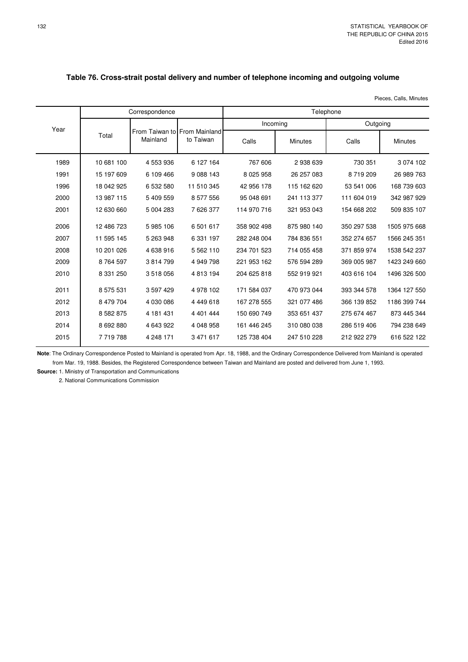#### **Table 76. Cross-strait postal delivery and number of telephone incoming and outgoing volume**

| Pieces, Calls, Minutes |  |  |  |
|------------------------|--|--|--|
|------------------------|--|--|--|

|      |               | Correspondence                           |               | Telephone   |                |             |              |  |  |
|------|---------------|------------------------------------------|---------------|-------------|----------------|-------------|--------------|--|--|
| Year |               |                                          |               |             | Incoming       | Outgoing    |              |  |  |
|      | Total         | From Taiwan to From Mainland<br>Mainland | to Taiwan     | Calls       | <b>Minutes</b> | Calls       | Minutes      |  |  |
| 1989 | 10 681 100    | 4 553 936                                | 6 127 164     | 767 606     | 2 938 639      | 730 351     | 3 074 102    |  |  |
| 1991 | 15 197 609    | 6 109 466                                | 9 0 8 1 4 3   | 8 0 25 9 58 | 26 257 083     | 8719209     | 26 989 763   |  |  |
| 1996 | 18 042 925    | 6 532 580                                | 11 510 345    | 42 956 178  | 115 162 620    | 53 541 006  | 168 739 603  |  |  |
| 2000 | 13 987 115    | 5 409 559                                | 8 577 556     | 95 048 691  | 241 113 377    | 111 604 019 | 342 987 929  |  |  |
| 2001 | 12 630 660    | 5 004 283                                | 7 626 377     | 114 970 716 | 321 953 043    | 154 668 202 | 509 835 107  |  |  |
| 2006 | 12 486 723    | 5985106                                  | 6 501 617     | 358 902 498 | 875 980 140    | 350 297 538 | 1505 975 668 |  |  |
| 2007 | 11 595 145    | 5 263 948                                | 6 331 197     | 282 248 004 | 784 836 551    | 352 274 657 | 1566 245 351 |  |  |
| 2008 | 10 201 026    | 4 638 916                                | 5 5 6 2 1 1 0 | 234 701 523 | 714 055 458    | 371 859 974 | 1538 542 237 |  |  |
| 2009 | 8764597       | 3 814 799                                | 4 949 798     | 221 953 162 | 576 594 289    | 369 005 987 | 1423 249 660 |  |  |
| 2010 | 8 331 250     | 3518056                                  | 4 813 194     | 204 625 818 | 552 919 921    | 403 616 104 | 1496 326 500 |  |  |
| 2011 | 8 575 531     | 3 597 429                                | 4 978 102     | 171 584 037 | 470 973 044    | 393 344 578 | 1364 127 550 |  |  |
| 2012 | 8 479 704     | 4 030 086                                | 4 449 618     | 167 278 555 | 321 077 486    | 366 139 852 | 1186 399 744 |  |  |
| 2013 | 8 5 8 2 8 7 5 | 4 181 431                                | 4 401 444     | 150 690 749 | 353 651 437    | 275 674 467 | 873 445 344  |  |  |
| 2014 | 8 692 880     | 4 643 922                                | 4 048 958     | 161 446 245 | 310 080 038    | 286 519 406 | 794 238 649  |  |  |
| 2015 | 7719788       | 4 248 171                                | 3 471 617     | 125 738 404 | 247 510 228    | 212 922 279 | 616 522 122  |  |  |

**Note**: The Ordinary Correspondence Posted to Mainland is operated from Apr. 18, 1988, and the Ordinary Correspondence Delivered from Mainland is operated from Mar. 19, 1988. Besides, the Registered Correspondence between Taiwan and Mainland are posted and delivered from June 1, 1993.

**Source:** 1. Ministry of Transportation and Communications

2. National Communications Commission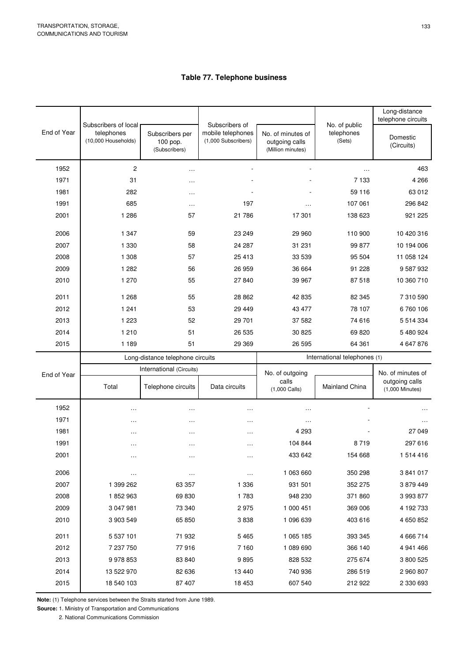## **Table 77. Telephone business**

|             |                                                           |                                              |                                                            |                                                          |                                       | Long-distance<br>telephone circuits |
|-------------|-----------------------------------------------------------|----------------------------------------------|------------------------------------------------------------|----------------------------------------------------------|---------------------------------------|-------------------------------------|
| End of Year | Subscribers of local<br>telephones<br>(10,000 Households) | Subscribers per<br>100 pop.<br>(Subscribers) | Subscribers of<br>mobile telephones<br>(1,000 Subscribers) | No. of minutes of<br>outgoing calls<br>(Million minutes) | No. of public<br>telephones<br>(Sets) | Domestic<br>(Circuits)              |
| 1952        | $\overline{c}$                                            | $\cdot$                                      |                                                            |                                                          | $\ddotsc$                             | 463                                 |
| 1971        | 31                                                        | $\cdots$                                     |                                                            |                                                          | 7 1 3 3                               | 4 2 6 6                             |
| 1981        | 282                                                       | $\cdots$                                     |                                                            |                                                          | 59 116                                | 63 012                              |
| 1991        | 685                                                       | $\cdots$                                     | 197                                                        | $\cdots$                                                 | 107 061                               | 296 842                             |
| 2001        | 1 2 8 6                                                   | 57                                           | 21 786                                                     | 17 301                                                   | 138 623                               | 921 225                             |
| 2006        | 1 3 4 7                                                   | 59                                           | 23 249                                                     | 29 960                                                   | 110 900                               | 10 420 316                          |
| 2007        | 1 3 3 0                                                   | 58                                           | 24 287                                                     | 31 231                                                   | 99 877                                | 10 194 006                          |
| 2008        | 1 308                                                     | 57                                           | 25 413                                                     | 33 539                                                   | 95 504                                | 11 058 124                          |
| 2009        | 1 2 8 2                                                   | 56                                           | 26 959                                                     | 36 664                                                   | 91 228                                | 9 587 932                           |
| 2010        | 1 270                                                     | 55                                           | 27 840                                                     | 39 967                                                   | 87 518                                | 10 360 710                          |
| 2011        | 1 2 6 8                                                   | 55                                           | 28 862                                                     | 42 835                                                   | 82 345                                | 7 310 590                           |
| 2012        | 1 2 4 1                                                   | 53                                           | 29 4 4 9                                                   | 43 477                                                   | 78 107                                | 6760106                             |
| 2013        | 1 2 2 3                                                   | 52                                           | 29 701                                                     | 37 582                                                   | 74 616                                | 5 514 334                           |
| 2014        | 1 2 1 0                                                   | 51                                           | 26 535                                                     | 30 825                                                   | 69 820                                | 5 480 924                           |
| 2015        | 1 1 8 9                                                   | 51                                           | 29 369                                                     | 26 595                                                   | 64 361                                | 4 647 876                           |
|             |                                                           |                                              |                                                            |                                                          |                                       |                                     |
|             |                                                           | Long-distance telephone circuits             |                                                            |                                                          | International telephones (1)          |                                     |
|             |                                                           | International (Circuits)                     |                                                            |                                                          |                                       | No. of minutes of                   |
| End of Year | Total                                                     | Telephone circuits                           | Data circuits                                              | No. of outgoing<br>calls<br>(1,000 Calls)                | Mainland China                        | outgoing calls<br>$(1,000$ Minutes) |
| 1952        | $\cdots$                                                  | $\cdots$                                     | .                                                          |                                                          |                                       |                                     |
| 1971        | $\cdots$                                                  | $\cdots$                                     | .                                                          | $\ddotsc$                                                |                                       | $\cdots$                            |
| 1981        | $\cdots$                                                  | $\cdots$                                     | .                                                          | 4 2 9 3                                                  |                                       | 27 049                              |
| 1991        | $\cdots$                                                  | $\cdots$                                     | .                                                          | 104 844                                                  | 8719                                  | 297 616                             |
| 2001        | $\sim$ $\sim$ $\sim$                                      | $\cdots$                                     |                                                            | 433 642                                                  | 154 668                               | 1514416                             |
| 2006        | $\ldots$                                                  | $\cdots$                                     | $\cdots$                                                   | 1 063 660                                                | 350 298                               | 3841017                             |
| 2007        | 1 399 262                                                 | 63 357                                       | 1 3 3 6                                                    | 931 501                                                  | 352 275                               | 3 879 449                           |
| 2008        | 1852963                                                   | 69 830                                       | 1783                                                       | 948 230                                                  | 371 860                               | 3 993 877                           |
| 2009        | 3 047 981                                                 | 73 340                                       | 2975                                                       | 1 000 451                                                | 369 006                               | 4 192 733                           |
| 2010        | 3 903 549                                                 | 65 850                                       | 3838                                                       | 1 096 639                                                | 403 616                               | 4 650 852                           |
| 2011        | 5 537 101                                                 | 71 932                                       | 5 4 6 5                                                    | 1 065 185                                                | 393 345                               | 4 666 714                           |
| 2012        | 7 237 750                                                 | 77916                                        | 7 1 6 0                                                    | 1 089 690                                                | 366 140                               | 4 941 466                           |
| 2013        | 9978853                                                   | 83 840                                       | 9895                                                       | 828 532                                                  | 275 674                               | 3 800 525                           |
| 2014        | 13 522 970                                                | 82 636                                       | 13 440                                                     | 740 936                                                  | 286 519                               | 2 960 807                           |

**Note:** (1) Telephone services between the Straits started from June 1989.

**Source:** 1. Ministry of Transportation and Communications

2. National Communications Commission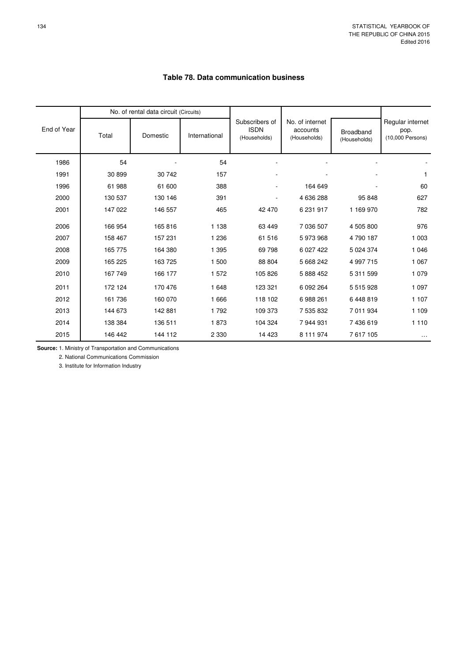|             |         | No. of rental data circuit (Circuits) |               |                                               |                                             |                                  |                                              |
|-------------|---------|---------------------------------------|---------------|-----------------------------------------------|---------------------------------------------|----------------------------------|----------------------------------------------|
| End of Year | Total   | Domestic                              | International | Subscribers of<br><b>ISDN</b><br>(Households) | No. of internet<br>accounts<br>(Households) | <b>Broadband</b><br>(Households) | Regular internet<br>pop.<br>(10,000 Persons) |
| 1986        | 54      |                                       | 54            |                                               |                                             |                                  |                                              |
| 1991        | 30 899  | 30 742                                | 157           |                                               |                                             |                                  | 1                                            |
| 1996        | 61 988  | 61 600                                | 388           |                                               | 164 649                                     |                                  | 60                                           |
| 2000        | 130 537 | 130 146                               | 391           | ٠                                             | 4 636 288                                   | 95 848                           | 627                                          |
| 2001        | 147 022 | 146 557                               | 465           | 42 470                                        | 6 231 917                                   | 1 169 970                        | 782                                          |
| 2006        | 166 954 | 165816                                | 1 1 3 8       | 63 449                                        | 7 036 507                                   | 4 505 800                        | 976                                          |
| 2007        | 158 467 | 157 231                               | 1 2 3 6       | 61 516                                        | 5973968                                     | 4790187                          | 1 0 0 3                                      |
| 2008        | 165 775 | 164 380                               | 1 3 9 5       | 69 798                                        | 6 027 422                                   | 5 024 374                        | 1 0 4 6                                      |
| 2009        | 165 225 | 163725                                | 1500          | 88 804                                        | 5 668 242                                   | 4 997 715                        | 1 0 6 7                                      |
| 2010        | 167749  | 166 177                               | 1572          | 105 826                                       | 5 888 452                                   | 5 311 599                        | 1 0 7 9                                      |
| 2011        | 172 124 | 170 476                               | 1648          | 123 321                                       | 6 092 264                                   | 5 515 928                        | 1 0 9 7                                      |
| 2012        | 161 736 | 160 070                               | 1666          | 118 102                                       | 6 988 261                                   | 6448819                          | 1 1 0 7                                      |
| 2013        | 144 673 | 142 881                               | 1792          | 109 373                                       | 7 535 832                                   | 7 011 934                        | 1 1 0 9                                      |
| 2014        | 138 384 | 136 511                               | 1873          | 104 324                                       | 7 944 931                                   | 7 436 619                        | 1 1 1 0                                      |
| 2015        | 146 442 | 144 112                               | 2 3 3 0       | 14 4 23                                       | 8 111 974                                   | 7617105                          | $\cdots$                                     |

#### **Table 78. Data communication business**

**Source:** 1. Ministry of Transportation and Communications

2. National Communications Commission

3. Institute for Information Industry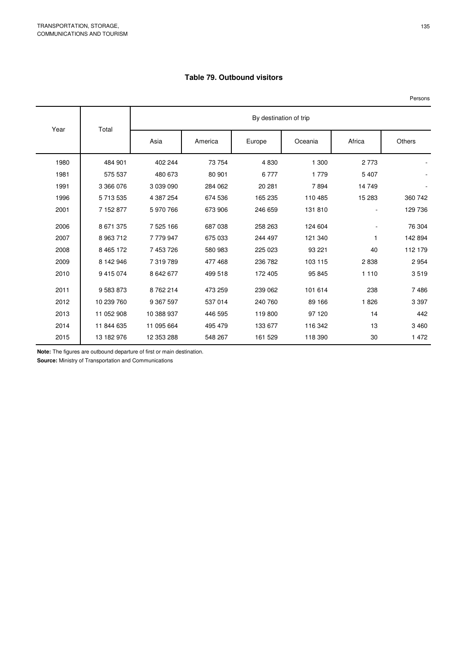#### **Table 79. Outbound visitors**

Persons

| Year |               | By destination of trip |         |         |         |         |         |  |  |
|------|---------------|------------------------|---------|---------|---------|---------|---------|--|--|
|      | Total         | Asia                   | America | Europe  | Oceania | Africa  | Others  |  |  |
| 1980 | 484 901       | 402 244                | 73 754  | 4830    | 1 300   | 2 7 7 3 |         |  |  |
| 1981 | 575 537       | 480 673                | 80 901  | 6777    | 1779    | 5 4 0 7 |         |  |  |
| 1991 | 3 366 076     | 3 039 090              | 284 062 | 20 281  | 7894    | 14 749  |         |  |  |
| 1996 | 5 713 535     | 4 387 254              | 674 536 | 165 235 | 110 485 | 15 283  | 360 742 |  |  |
| 2001 | 7 152 877     | 5 970 766              | 673 906 | 246 659 | 131 810 | $\sim$  | 129 736 |  |  |
| 2006 | 8 671 375     | 7 525 166              | 687 038 | 258 263 | 124 604 |         | 76 304  |  |  |
| 2007 | 8 963 712     | 7779947                | 675 033 | 244 497 | 121 340 | 1       | 142 894 |  |  |
| 2008 | 8 4 6 5 1 7 2 | 7 453 726              | 580 983 | 225 023 | 93 221  | 40      | 112 179 |  |  |
| 2009 | 8 142 946     | 7 319 789              | 477 468 | 236 782 | 103 115 | 2838    | 2954    |  |  |
| 2010 | 9 415 074     | 8 642 677              | 499 518 | 172 405 | 95 845  | 1 1 1 0 | 3519    |  |  |
| 2011 | 9 583 873     | 8762214                | 473 259 | 239 062 | 101 614 | 238     | 7486    |  |  |
| 2012 | 10 239 760    | 9 367 597              | 537 014 | 240 760 | 89 166  | 1826    | 3 3 9 7 |  |  |
| 2013 | 11 052 908    | 10 388 937             | 446 595 | 119 800 | 97 120  | 14      | 442     |  |  |
| 2014 | 11 844 635    | 11 095 664             | 495 479 | 133 677 | 116 342 | 13      | 3 4 6 0 |  |  |
| 2015 | 13 182 976    | 12 353 288             | 548 267 | 161 529 | 118 390 | 30      | 1 472   |  |  |

**Note:** The figures are outbound departure of first or main destination.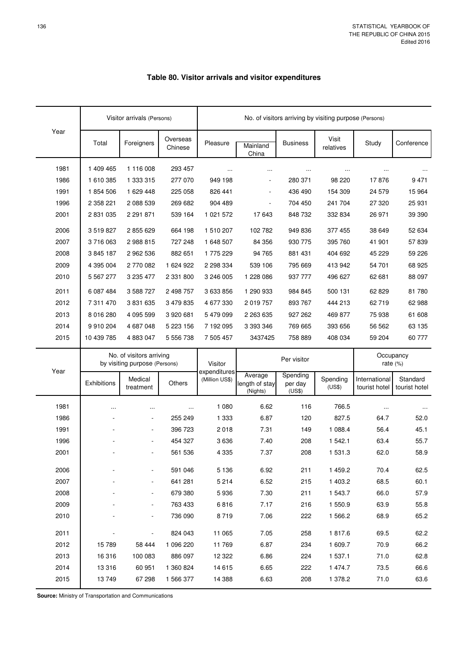## **Table 80. Visitor arrivals and visitor expenditures**

| Year | Visitor arrivals (Persons)                                |                          |                     | No. of visitors arriving by visiting purpose (Persons) |                                       |                               |                    |                                |                           |  |
|------|-----------------------------------------------------------|--------------------------|---------------------|--------------------------------------------------------|---------------------------------------|-------------------------------|--------------------|--------------------------------|---------------------------|--|
|      | Total                                                     | Foreigners               | Overseas<br>Chinese | Pleasure                                               | Mainland<br>China                     | <b>Business</b>               | Visit<br>relatives | Study                          | Conference                |  |
| 1981 | 1 409 465                                                 | 1 116 008                | 293 457             | $\cdots$                                               | $\ddotsc$                             | $\cdots$                      |                    |                                | $\cdots$                  |  |
| 1986 | 1 610 385                                                 | 1 333 315                | 277 070             | 949 198                                                | $\overline{\phantom{a}}$              | 280 371                       | 98 220             | 17876                          | 9 4 7 1                   |  |
| 1991 | 1854 506                                                  | 1 629 448                | 225 058             | 826 441                                                | $\overline{\phantom{a}}$              | 436 490                       | 154 309            | 24 579                         | 15 964                    |  |
| 1996 | 2 358 221                                                 | 2 088 539                | 269 682             | 904 489                                                | $\qquad \qquad \blacksquare$          | 704 450                       | 241 704            | 27 320                         | 25 931                    |  |
| 2001 | 2 831 035                                                 | 2 2 9 1 8 7 1            | 539 164             | 1 021 572                                              | 17 643                                | 848 732                       | 332 834            | 26 971                         | 39 390                    |  |
| 2006 | 3 519 827                                                 | 2 855 629                | 664 198             | 1510207                                                | 102 782                               | 949 836                       | 377 455            | 38 649                         | 52 634                    |  |
| 2007 | 3716063                                                   | 2 988 815                | 727 248             | 1 648 507                                              | 84 356                                | 930 775                       | 395 760            | 41 901                         | 57839                     |  |
| 2008 | 3845187                                                   | 2 962 536                | 882 651             | 1 775 229                                              | 94 765                                | 881 431                       | 404 692            | 45 229                         | 59 226                    |  |
| 2009 | 4 395 004                                                 | 2 770 082                | 1 624 922           | 2 298 334                                              | 539 106                               | 795 669                       | 413 942            | 54 701                         | 68 925                    |  |
| 2010 | 5 5 6 7 2 7 7                                             | 3 235 477                | 2 331 800           | 3 246 005                                              | 1 228 086                             | 937 777                       | 496 627            | 62 681                         | 88 097                    |  |
| 2011 | 6 087 484                                                 | 3 588 727                | 2 498 757           | 3 633 856                                              | 1 290 933                             | 984 845                       | 500 131            | 62 829                         | 81 780                    |  |
| 2012 | 7 311 470                                                 | 3831635                  | 3 479 835           | 4 677 330                                              | 2 019 757                             | 893 767                       | 444 213            | 62 719                         | 62 988                    |  |
| 2013 | 8 016 280                                                 | 4 095 599                | 3 920 681           | 5 479 099                                              | 2 2 6 3 6 3 5                         | 927 262                       | 469 877            | 75 938                         | 61 608                    |  |
| 2014 | 9910204                                                   | 4 687 048                | 5 2 2 3 1 5 6       | 7 192 095                                              | 3 393 346                             | 769 665                       | 393 656            | 56 562                         | 63 135                    |  |
| 2015 | 10 439 785                                                | 4 883 047                | 5 556 738           | 7 505 457                                              | 3437425                               | 758 889                       | 408 034            | 59 204                         | 60 777                    |  |
|      | No. of visitors arriving<br>by visiting purpose (Persons) |                          |                     | Occupancy<br>Per visitor<br>rate $(\%)$                |                                       |                               |                    |                                |                           |  |
|      |                                                           |                          |                     | Visitor                                                |                                       |                               |                    |                                |                           |  |
| Year | Exhibitions                                               | Medical<br>treatment     | Others              | expenditures<br>(Million US\$)                         | Average<br>length of stay<br>(Nights) | Spending<br>per day<br>(US\$) | Spending<br>(US\$) | International<br>tourist hotel | Standard<br>tourist hotel |  |
| 1981 |                                                           | $\ddotsc$                | $\ldots$            | 1 0 8 0                                                | 6.62                                  | 116                           | 766.5              | $\cdots$                       | $\cdots$                  |  |
| 1986 |                                                           | $\overline{\phantom{a}}$ | 255 249             | 1 3 3 3                                                | 6.87                                  | 120                           | 827.5              | 64.7                           | 52.0                      |  |
| 1991 |                                                           | $\overline{\phantom{a}}$ | 396 723             | 2018                                                   | 7.31                                  | 149                           | 1 088.4            | 56.4                           | 45.1                      |  |
| 1996 |                                                           |                          | 454 327             | 3636                                                   | 7.40                                  | 208                           | 1 542.1            | 63.4                           | 55.7                      |  |
| 2001 |                                                           |                          | 561 536             | 4 3 3 5                                                | 7.37                                  | 208                           | 1 531.3            | 62.0                           | 58.9                      |  |
| 2006 |                                                           |                          | 591 046             | 5 1 3 6                                                | 6.92                                  | 211                           | 1 459.2            | 70.4                           | 62.5                      |  |
| 2007 |                                                           | $\blacksquare$           | 641 281             | 5 2 1 4                                                | 6.52                                  | 215                           | 1 403.2            | 68.5                           | 60.1                      |  |
| 2008 |                                                           | $\blacksquare$           | 679 380             | 5936                                                   | 7.30                                  | 211                           | 1 543.7            | 66.0                           | 57.9                      |  |
| 2009 |                                                           | ۰                        | 763 433             | 6816                                                   | 7.17                                  | 216                           | 1 550.9            | 63.9                           | 55.8                      |  |
| 2010 |                                                           | $\blacksquare$           | 736 090             | 8719                                                   | 7.06                                  | 222                           | 1 566.2            | 68.9                           | 65.2                      |  |
| 2011 |                                                           | $\overline{\phantom{a}}$ | 824 043             | 11 065                                                 | 7.05                                  | 258                           | 1817.6             | 69.5                           | 62.2                      |  |
| 2012 | 15 789                                                    | 58 444                   | 1 096 220           | 11769                                                  | 6.87                                  | 234                           | 1 609.7            | 70.9                           | 66.2                      |  |
| 2013 | 16 316                                                    | 100 083                  | 886 097             | 12 3 22                                                | 6.86                                  | 224                           | 1 537.1            | 71.0                           | 62.8                      |  |
| 2014 | 13 316                                                    | 60 951                   | 1 360 824           | 14 615                                                 | 6.65                                  | 222                           | 1 474.7            | 73.5                           | 66.6                      |  |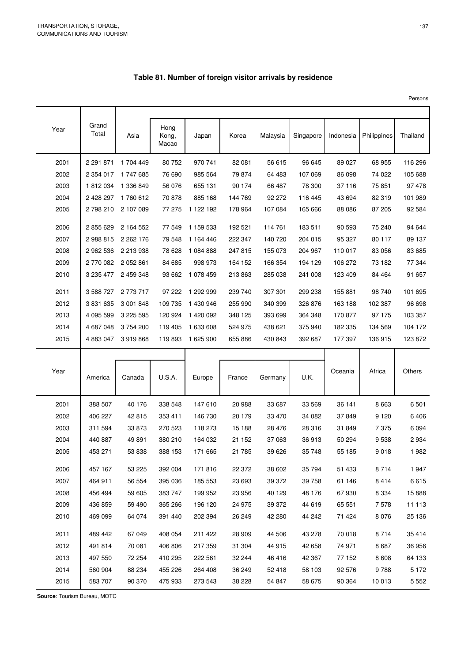## **Table 81. Number of foreign visitor arrivals by residence**

| Year | Grand<br>Total | Asia          | Hong<br>Kong,<br>Macao | Japan     | Korea   | Malaysia | Singapore | Indonesia | Philippines | Thailand |
|------|----------------|---------------|------------------------|-----------|---------|----------|-----------|-----------|-------------|----------|
| 2001 | 2 2 9 1 8 7 1  | 1 704 449     | 80 752                 | 970 741   | 82 081  | 56 615   | 96 645    | 89 027    | 68 955      | 116 296  |
| 2002 | 2 3 5 4 0 1 7  | 1747685       | 76 690                 | 985 564   | 79 874  | 64 483   | 107 069   | 86 098    | 74 022      | 105 688  |
| 2003 | 1812034        | 1 336 849     | 56 076                 | 655 131   | 90 174  | 66 487   | 78 300    | 37 116    | 75 851      | 97 478   |
| 2004 | 2 428 297      | 1760 612      | 70 878                 | 885 168   | 144 769 | 92 272   | 116 445   | 43 694    | 82 319      | 101 989  |
| 2005 | 2798210        | 2 107 089     | 77 275                 | 1 122 192 | 178 964 | 107 084  | 165 666   | 88 086    | 87 205      | 92 584   |
| 2006 | 2 855 629      | 2 164 552     | 77 549                 | 1 159 533 | 192 521 | 114 761  | 183 511   | 90 593    | 75 240      | 94 644   |
| 2007 | 2 988 815      | 2 2 6 2 1 7 6 | 79 548                 | 1 164 446 | 222 347 | 140 720  | 204 015   | 95 327    | 80 117      | 89 137   |
| 2008 | 2 962 536      | 2 213 938     | 78 628                 | 1 084 888 | 247 815 | 155 073  | 204 967   | 110 017   | 83 056      | 83 685   |
| 2009 | 2 770 082      | 2 0 5 2 8 6 1 | 84 685                 | 998 973   | 164 152 | 166 354  | 194 129   | 106 272   | 73 182      | 77 344   |
| 2010 | 3 2 3 4 4 7 7  | 2 459 348     | 93 662                 | 1 078 459 | 213 863 | 285 038  | 241 008   | 123 409   | 84 464      | 91 657   |
| 2011 | 3 588 727      | 2 773 717     | 97 222                 | 1 292 999 | 239 740 | 307 301  | 299 238   | 155 881   | 98 740      | 101 695  |
| 2012 | 3 831 635      | 3 001 848     | 109 735                | 1 430 946 | 255 990 | 340 399  | 326 876   | 163 188   | 102 387     | 96 698   |
| 2013 | 4 095 599      | 3 2 2 5 5 9 5 | 120 924                | 1 420 092 | 348 125 | 393 699  | 364 348   | 170 877   | 97 175      | 103 357  |
| 2014 | 4 687 048      | 3754200       | 119 405                | 1 633 608 | 524 975 | 438 621  | 375 940   | 182 335   | 134 569     | 104 172  |
| 2015 | 4 883 047      | 3919868       | 119893                 | 1 625 900 | 655 886 | 430 843  | 392 687   | 177 397   | 136 915     | 123 872  |
|      |                |               |                        |           |         |          |           |           |             |          |
| Year | America        | Canada        | U.S.A.                 | Europe    | France  | Germany  | U.K.      | Oceania   | Africa      | Others   |
| 2001 | 388 507        | 40 176        | 338 548                | 147 610   | 20 988  | 33 687   | 33 569    | 36 141    | 8 6 6 3     | 6 5 0 1  |
| 2002 | 406 227        | 42 815        | 353 411                | 146 730   | 20 179  | 33 470   | 34 082    | 37849     | 9 1 2 0     | 6406     |
| 2003 | 311 594        | 33 873        | 270 523                | 118 273   | 15 188  | 28 476   | 28 316    | 31 849    | 7 3 7 5     | 6 0 9 4  |
| 2004 | 440 887        | 49 891        | 380 210                | 164 032   | 21 152  | 37 063   | 36913     | 50 294    | 9538        | 2934     |
| 2005 | 453 271        | 53 838        | 388 153                | 171 665   | 21 785  | 39 626   | 35 748    | 55 185    | 9018        | 1982     |
| 2006 | 457 167        | 53 225        | 392 004                | 171 816   | 22 372  | 38 602   | 35 794    | 51 433    | 8714        | 1947     |
| 2007 | 464 911        | 56 554        | 395 036                | 185 553   | 23 693  | 39 372   | 39 758    | 61 146    | 8414        | 6615     |
| 2008 | 456 494        | 59 605        | 383 747                | 199 952   | 23 956  | 40 129   | 48 176    | 67930     | 8 3 3 4     | 15 8 88  |
| 2009 | 436 859        | 59 490        | 365 266                | 196 120   | 24 975  | 39 372   | 44 619    | 65 551    | 7578        | 11 113   |
| 2010 | 469 099        | 64 074        | 391 440                | 202 394   | 26 249  | 42 280   | 44 242    | 71 424    | 8 0 7 6     | 25 136   |
| 2011 | 489 442        | 67 049        | 408 054                | 211 422   | 28 909  | 44 506   | 43 278    | 70 018    | 8714        | 35 414   |
| 2012 | 491 814        | 70 081        | 406 806                | 217 359   | 31 304  | 44 915   | 42 658    | 74 971    | 8687        | 36 956   |
| 2013 | 497 550        | 72 254        | 410 295                | 222 561   | 32 244  | 46 416   | 42 367    | 77 152    | 8 6 0 8     | 64 133   |
| 2014 | 560 904        | 88 234        | 455 226                | 264 408   | 36 249  | 52 418   | 58 103    | 92 576    | 9788        | 5 1 7 2  |
|      |                |               |                        |           |         |          |           |           |             |          |

**Source**: Tourism Bureau, MOTC

Persons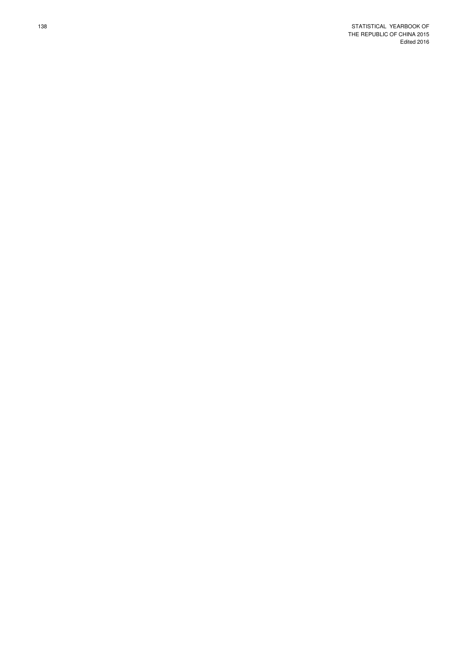138 STATISTICAL YEARBOOK OF THE REPUBLIC OF CHINA 2015 Edited 2016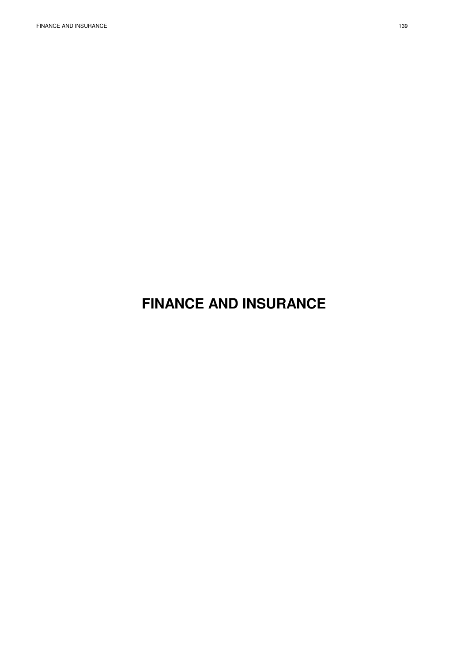# **FINANCE AND INSURANCE**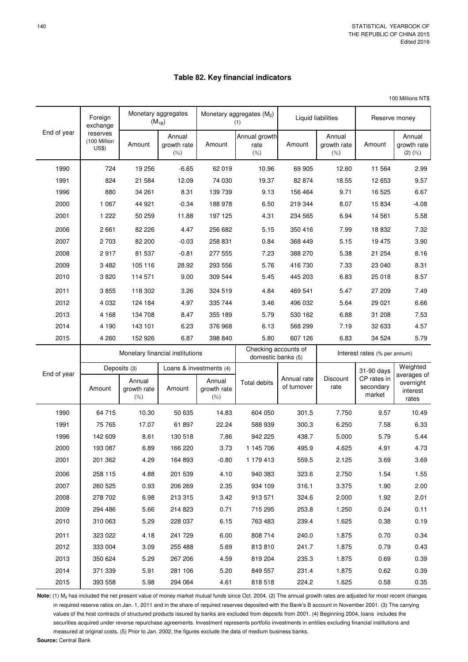# **Table 82. Key financial indicators**

100 Millions NT\$

|             | Foreign<br>exchange                      | Monetary aggregates             | $(M_{1B})$                   |                              | Monetary aggregates (M <sub>2</sub> )<br>(1) |                            | Liquid liabilities           | Reserve money                      |                                               |
|-------------|------------------------------------------|---------------------------------|------------------------------|------------------------------|----------------------------------------------|----------------------------|------------------------------|------------------------------------|-----------------------------------------------|
| End of year | reserves<br>(100 Million<br><b>US\$)</b> | Amount                          | Annual<br>growth rate<br>(%) | Amount                       | Annual growth<br>rate<br>(%)                 | Amount                     | Annual<br>growth rate<br>(%) | Amount                             | Annual<br>growth rate<br>$(2)$ $(%$           |
| 1990        | 724                                      | 19 256                          | $-6.65$                      | 62 019                       | 10.96                                        | 69 905                     | 12.60                        | 11 564                             | 2.99                                          |
| 1991        | 824                                      | 21 584                          | 12.09                        | 74 030                       | 19.37                                        | 82 874                     | 18.55                        | 12 653                             | 9.57                                          |
| 1996        | 880                                      | 34 261                          | 8.31                         | 139 739                      | 9.13                                         | 156 464                    | 9.71                         | 16 525                             | 6.67                                          |
| 2000        | 1 0 6 7                                  | 44 921                          | $-0.34$                      | 188 978                      | 6.50                                         | 219 344                    | 8.07                         | 15 834                             | $-4.08$                                       |
| 2001        | 1 2 2 2                                  | 50 259                          | 11.88                        | 197 125                      | 4.31                                         | 234 565                    | 6.94                         | 14 5 61                            | 5.58                                          |
| 2006        | 2 6 6 1                                  | 82 226                          | 4.47                         | 256 682                      | 5.15                                         | 350 416                    | 7.99                         | 18 832                             | 7.32                                          |
| 2007        | 2 7 0 3                                  | 82 200                          | $-0.03$                      | 258 831                      | 0.84                                         | 368 449                    | 5.15                         | 19 475                             | 3.90                                          |
| 2008        | 2917                                     | 81 537                          | $-0.81$                      | 277 555                      | 7.23                                         | 388 270                    | 5.38                         | 21 254                             | 8.16                                          |
| 2009        | 3 4 8 2                                  | 105 116                         | 28.92                        | 293 556                      | 5.76                                         | 416 730                    | 7.33                         | 23 040                             | 8.31                                          |
| 2010        | 3820                                     | 114 571                         | 9.00                         | 309 544                      | 5.45                                         | 445 203                    | 6.83                         | 25 018                             | 8.57                                          |
| 2011        | 3855                                     | 118 302                         | 3.26                         | 324 519                      | 4.84                                         | 469 541                    | 5.47                         | 27 209                             | 7.49                                          |
| 2012        | 4 0 3 2                                  | 124 184                         | 4.97                         | 335 744                      | 3.46                                         | 496 032                    | 5.64                         | 29 0 21                            | 6.66                                          |
| 2013        | 4 1 6 8                                  | 134 708                         | 8.47                         | 355 189                      | 5.79                                         | 530 162                    | 6.88                         | 31 208                             | 7.53                                          |
| 2014        | 4 1 9 0                                  | 143 101                         | 6.23                         | 376 968                      | 6.13                                         | 568 299                    | 7.19                         | 32 633                             | 4.57                                          |
| 2015        | 4 2 6 0                                  | 152 926                         | 6.87                         | 398 840                      | 5.80                                         | 607 126                    | 6.83                         | 34 5 24                            | 5.79                                          |
|             |                                          | Monetary financial institutions |                              |                              |                                              |                            |                              |                                    |                                               |
|             |                                          |                                 |                              |                              | Checking accounts of<br>domestic banks (5)   |                            |                              | Interest rates (% per annum)       |                                               |
|             |                                          | Deposits (3)                    |                              | Loans & investments (4)      |                                              |                            |                              | 31-90 days                         | Weighted                                      |
| End of year | Amount                                   | Annual<br>growth rate<br>(%)    | Amount                       | Annual<br>growth rate<br>(%) | <b>Total debits</b>                          | Annual rate<br>of turnover | Discount<br>rate             | CP rates in<br>secondary<br>market | averages of<br>overnight<br>interest<br>rates |
| 1990        | 64 715                                   | 10.30                           | 50 635                       | 14.83                        | 604 050                                      | 301.5                      | 7.750                        | 9.57                               | 10.49                                         |
| 1991        | 75 765                                   | 17.07                           | 61897                        | 22.24                        | 588 939                                      | 300.3                      | 6.250                        | 7.58                               | 6.33                                          |
| 1996        | 142 609                                  | 8.61                            | 130 518                      | 7.86                         | 942 225                                      | 438.7                      | 5.000                        | 5.79                               | 5.44                                          |
| 2000        | 193 087                                  | 6.89                            | 166 220                      | 3.73                         | 1 145 706                                    | 495.9                      | 4.625                        | 4.91                               | 4.73                                          |
| 2001        | 201 362                                  | 4.29                            | 164 893                      | $-0.80$                      | 1 179 413                                    | 559.5                      | 2.125                        | 3.69                               | 3.69                                          |
| 2006        | 258 115                                  | 4.88                            | 201 539                      | 4.10                         | 940 383                                      | 323.6                      | 2.750                        | 1.54                               | 1.55                                          |
| 2007        | 260 525                                  | 0.93                            | 206 269                      | 2.35                         | 934 109                                      | 316.1                      | 3.375                        | 1.90                               | 2.00                                          |
| 2008        | 278 702                                  | 6.98                            | 213 315                      | 3.42                         | 913 571                                      | 324.6                      | 2.000                        | 1.92                               | 2.01                                          |
| 2009        | 294 486                                  | 5.66                            | 214 823                      | 0.71                         | 715 295                                      | 253.8                      | 1.250                        | 0.24                               | 0.11                                          |
| 2010        | 310 063                                  | 5.29                            | 228 037                      | 6.15                         | 763 483                                      | 239.4                      | 1.625                        | 0.38                               | 0.19                                          |
| 2011        | 323 022                                  | 4.18                            | 241 729                      | 6.00                         | 808 714                                      | 240.0                      | 1.875                        | 0.70                               | 0.34                                          |
| 2012        | 333 004                                  | 3.09                            | 255 488                      | 5.69                         | 813810                                       | 241.7                      | 1.875                        | 0.79                               | 0.43                                          |
| 2013        | 350 624                                  | 5.29                            | 267 206                      | 4.59                         | 819 204                                      | 235.3                      | 1.875                        | 0.69                               | 0.39                                          |

Note: (1) M<sub>2</sub> has included the net present value of money market mutual funds since Oct. 2004. (2) The annual growth rates are adjusted for most recent changes in required reserve ratios on Jan. 1, 2011 and in the share of required reserves deposited with the Bank's B account in November 2001. (3) The carrying values of the host contracts of structured products issured by banks are excluded from deposits from 2001. (4) Beginning 2004, loans includes the securities acquired under reverse repurchase agreements. Investment represents portfolio investments in entities excluding financial institutions and measured at original costs. (5) Prior to Jan. 2002, the figures exclude the data of medium business banks.

2015 393 558 5.98 294 064 4.61 818 518 224.2 1.625 0.58 0.35

**Source:** Central Bank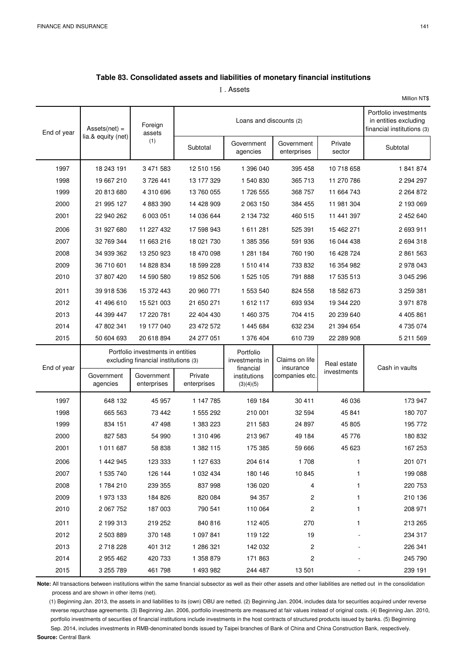### **Table 83. Consolidated assets and liabilities of monetary financial institutions**

Ⅰ. Assets

Million NT\$

| End of year | $Assets(net) =$        | Foreign<br>assets                                                         |                        | Loans and discounts (2)                  |                             |                   |                |  |
|-------------|------------------------|---------------------------------------------------------------------------|------------------------|------------------------------------------|-----------------------------|-------------------|----------------|--|
|             | lia.& equity (net)     | (1)                                                                       | Subtotal               | Government<br>agencies                   | Government<br>enterprises   | Private<br>sector | Subtotal       |  |
| 1997        | 18 243 191             | 3 471 583                                                                 | 12 510 156             | 1 396 040                                | 395 458                     | 10 718 658        | 1841874        |  |
| 1998        | 19 667 210             | 3726441                                                                   | 13 177 329             | 1 540 830                                | 365 713                     | 11 270 786        | 2 294 297      |  |
| 1999        | 20 813 680             | 4 310 696                                                                 | 13 760 055             | 1726 555                                 | 368 757                     | 11 664 743        | 2 2 64 8 72    |  |
| 2000        | 21 995 127             | 4 883 390                                                                 | 14 428 909             | 2 063 150                                | 384 455                     | 11 981 304        | 2 193 069      |  |
| 2001        | 22 940 262             | 6 003 051                                                                 | 14 036 644             | 2 134 732                                | 460 515                     | 11 441 397        | 2 452 640      |  |
| 2006        | 31 927 680             | 11 227 432                                                                | 17 598 943             | 1611281                                  | 525 391                     | 15 462 271        | 2 693 911      |  |
| 2007        | 32 769 344             | 11 663 216                                                                | 18 021 730             | 1 385 356                                | 591 936                     | 16 044 438        | 2 694 318      |  |
| 2008        | 34 939 362             | 13 250 923                                                                | 18 470 098             | 1 281 184                                | 760 190                     | 16 428 724        | 2 861 563      |  |
| 2009        | 36 710 601             | 14 828 834                                                                | 18 599 228             | 1510414                                  | 733 832                     | 16 354 982        | 2 978 043      |  |
| 2010        | 37 807 420             | 14 590 580                                                                | 19 852 506             | 1 525 105                                | 791 888                     | 17 535 513        | 3 045 296      |  |
| 2011        | 39 918 536             | 15 372 443                                                                | 20 960 771             | 1 553 540                                | 824 558                     | 18 582 673        | 3 259 381      |  |
| 2012        | 41 496 610             | 15 521 003                                                                | 21 650 271             | 1612117                                  | 693 934                     | 19 344 220        | 3 971 878      |  |
| 2013        | 44 399 447             | 17 220 781                                                                | 22 404 430             | 1 460 375                                | 704 415                     | 20 239 640        | 4 4 0 5 8 6 1  |  |
| 2014        | 47 802 341             | 19 177 040                                                                | 23 472 572             | 1 445 684                                | 632 234                     | 21 394 654        | 4735074        |  |
| 2015        | 50 604 693             | 20 618 894                                                                | 24 277 051             | 1 376 404                                | 610739                      | 22 289 908        | 5 211 569      |  |
| End of year |                        | Portfolio investments in entities<br>excluding financial institutions (3) |                        | Portfolio<br>investments in<br>financial | Claims on life<br>insurance | Real estate       | Cash in vaults |  |
|             | Government<br>agencies | Government<br>enterprises                                                 | Private<br>enterprises | institutions<br>(3)(4)(5)                | companies etc.              | investments       |                |  |
| 1997        | 648 132                | 45 957                                                                    | 1 147 785              | 169 184                                  | 30 411                      | 46 036            | 173 947        |  |
| 1998        | 665 563                | 73 442                                                                    | 1 555 292              | 210 001                                  | 32 594                      | 45 841            | 180 707        |  |
| 1999        | 834 151                | 47 498                                                                    | 1 383 223              | 211 583                                  | 24 897                      | 45 805            | 195 772        |  |
| 2000        | 827 583                | 54 990                                                                    | 1 310 496              | 213 967                                  | 49 184                      | 45 776            | 180 832        |  |
| 2001        | 1 011 687              | 58 838                                                                    | 1 382 115              | 175 385                                  | 59 666                      | 45 623            | 167 253        |  |
| 2006        | 1 442 945              | 123 333                                                                   | 1 127 633              | 204 614                                  | 1708                        | 1                 | 201 071        |  |
| 2007        | 1 535 740              | 126 144                                                                   | 1 032 434              | 180 146                                  | 10845                       | 1                 | 199 088        |  |
| 2008        | 1784 210               | 239 355                                                                   | 837 998                | 136 020                                  | 4                           | 1                 | 220 753        |  |
| 2009        | 1973 133               | 184 826                                                                   | 820 084                | 94 357                                   | 2                           | 1                 | 210 136        |  |
| 2010        | 2 067 752              | 187 003                                                                   | 790 541                | 110 064                                  | 2                           | 1                 | 208 971        |  |
| 2011        | 2 199 313              | 219 252                                                                   | 840 816                | 112 405                                  | 270                         | 1                 | 213 265        |  |
| 2012        | 2 503 889              | 370 148                                                                   | 1 097 841              | 119 122                                  | 19                          |                   | 234 317        |  |
| 2013        | 2 718 228              | 401 312                                                                   | 1 286 321              | 142 032                                  | 2                           |                   | 226 341        |  |
| 2014        | 2 955 462              | 420 733                                                                   | 1 358 879              |                                          |                             |                   | 245 790        |  |
|             |                        |                                                                           |                        | 171 863                                  | 2                           |                   |                |  |

Note: All transactions between institutions within the same financial subsector as well as their other assets and other liabilities are netted out in the consolidation process and are shown in other items (net).

 (1) Beginning Jan. 2013, the assets in and liabilities to its (own) OBU are netted. (2) Beginning Jan. 2004, includes data for securities acquired under reverse reverse repurchase agreements. (3) Beginning Jan. 2006, portfolio investments are measured at fair values instead of original costs. (4) Beginning Jan. 2010, portfolio investments of securities of financial institutions include investments in the host contracts of structured products issued by banks. (5) Beginning Sep. 2014, includes investments in RMB-denominated bonds issued by Taipei branches of Bank of China and China Construction Bank, respectively.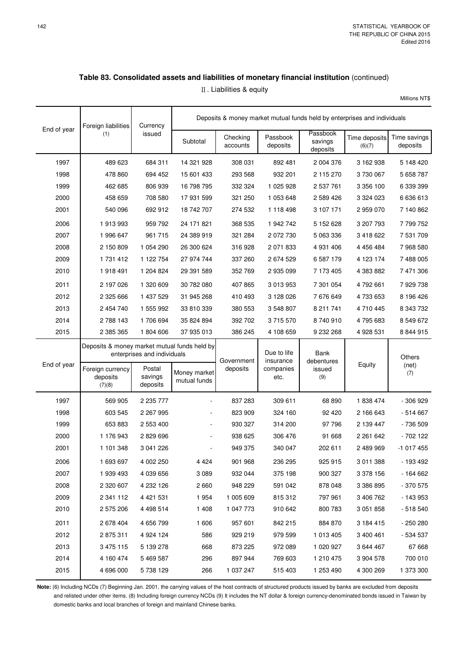# **Table 83. Consolidated assets and liabilities of monetary financial institution** (continued)

Ⅱ. Liabilities & equity

Millions NT\$

|             | Foreign liabilities                    | Currency                                                                    | Deposits & money market mutual funds held by enterprises and individuals |                        |                                |                                 |                         |                          |  |  |
|-------------|----------------------------------------|-----------------------------------------------------------------------------|--------------------------------------------------------------------------|------------------------|--------------------------------|---------------------------------|-------------------------|--------------------------|--|--|
| End of year | (1)                                    | issued                                                                      | Subtotal                                                                 | Checking<br>accounts   | Passbook<br>deposits           | Passbook<br>savings<br>deposits | Time deposits<br>(6)(7) | Time savings<br>deposits |  |  |
| 1997        | 489 623                                | 684 311                                                                     | 14 321 928                                                               | 308 031                | 892 481                        | 2 004 376                       | 3 162 938               | 5 148 420                |  |  |
| 1998        | 478 860                                | 694 452                                                                     | 15 601 433                                                               | 293 568                | 932 201                        | 2 115 270                       | 3730067                 | 5 658 787                |  |  |
| 1999        | 462 685                                | 806 939                                                                     | 16 798 795                                                               | 332 324                | 1 025 928                      | 2 537 761                       | 3 356 100               | 6 339 399                |  |  |
| 2000        | 458 659                                | 708 580                                                                     | 17 931 599                                                               | 321 250                | 1 053 648                      | 2 589 426                       | 3 3 2 4 0 2 3           | 6 636 613                |  |  |
| 2001        | 540 096                                | 692 912                                                                     | 18 742 707                                                               | 274 532                | 1 118 498                      | 3 107 171                       | 2 959 070               | 7 140 862                |  |  |
| 2006        | 1913993                                | 959 792                                                                     | 24 171 821                                                               | 368 535                | 1 942 742                      | 5 152 628                       | 3 207 793               | 7 799 752                |  |  |
| 2007        | 1996 647                               | 961 715                                                                     | 24 389 919                                                               | 321 284                | 2 072 730                      | 5 063 336                       | 3 418 622               | 7 531 709                |  |  |
| 2008        | 2 150 809                              | 1 054 290                                                                   | 26 300 624                                                               | 316 928                | 2 071 833                      | 4 931 406                       | 4 456 484               | 7 968 580                |  |  |
| 2009        | 1 731 412                              | 1 122 754                                                                   | 27 974 744                                                               | 337 260                | 2 674 529                      | 6 587 179                       | 4 123 174               | 7 488 005                |  |  |
| 2010        | 1918491                                | 1 204 824                                                                   | 29 391 589                                                               | 352 769                | 2 935 099                      | 7 173 405                       | 4 383 882               | 7 471 306                |  |  |
| 2011        | 2 197 026                              | 1 320 609                                                                   | 30 782 080                                                               | 407 865                | 3 013 953                      | 7 301 054                       | 4792661                 | 7 929 738                |  |  |
| 2012        | 2 325 666                              | 1 437 529                                                                   | 31 945 268                                                               | 410 493                | 3 128 026                      | 7676649                         | 4 733 653               | 8 196 426                |  |  |
| 2013        | 2 454 740                              | 1 555 992                                                                   | 33 810 339                                                               | 380 553                | 3 548 807                      | 8 211 741                       | 4 710 445               | 8 343 732                |  |  |
| 2014        | 2 788 143                              | 1706 694                                                                    | 35 824 894                                                               | 392 702                | 3715570                        | 8740910                         | 4795683                 | 8 549 672                |  |  |
| 2015        | 2 385 365                              | 1 804 606                                                                   | 37 935 013                                                               | 386 245                | 4 108 659                      | 9 232 268                       | 4 928 531               | 8 844 915                |  |  |
|             |                                        | Deposits & money market mutual funds held by<br>enterprises and individuals |                                                                          |                        |                                |                                 |                         |                          |  |  |
|             |                                        |                                                                             |                                                                          |                        | Due to life                    | Bank                            |                         | <b>Others</b>            |  |  |
| End of year | Foreign currency<br>deposits<br>(7)(8) | Postal<br>savings<br>deposits                                               | Money market<br>mutual funds                                             | Government<br>deposits | insurance<br>companies<br>etc. | debentures<br>issued<br>(9)     | Equity                  | (net)<br>(7)             |  |  |
| 1997        | 569 905                                | 2 2 3 777                                                                   |                                                                          | 837 283                | 309 611                        | 68 890                          | 1838474                 | - 306 929                |  |  |
| 1998        | 603 545                                | 2 2 6 7 9 9 5                                                               | ٠                                                                        | 823 909                | 324 160                        | 92 4 20                         | 2 166 643               | $-514667$                |  |  |
| 1999        | 653 883                                | 2 553 400                                                                   | ÷,                                                                       | 930 327                | 314 200                        | 97 796                          | 2 139 447               | - 736 509                |  |  |
| 2000        | 1 176 943                              | 2 829 696                                                                   | ÷,                                                                       | 938 625                | 306 476                        | 91 668                          | 2 2 6 1 6 4 2           | $-702122$                |  |  |
| 2001        | 1 101 348                              | 3 041 226                                                                   |                                                                          | 949 375                | 340 047                        | 202 611                         | 2 489 969               | $-1017455$               |  |  |
| 2006        | 1 693 697                              | 4 002 250                                                                   | 4 4 2 4                                                                  | 901 968                | 236 295                        | 925 915                         | 3 011 388               | - 193 492                |  |  |
| 2007        | 1939493                                | 4 039 656                                                                   | 3 0 8 9                                                                  | 932 044                | 375 198                        | 900 327                         | 3 378 156               | - 164 662                |  |  |
| 2008        | 2 320 607                              | 4 232 126                                                                   | 2660                                                                     | 948 229                | 591 042                        | 878 048                         | 3 386 895               | - 370 575                |  |  |
| 2009        | 2 341 112                              | 4 4 21 5 31                                                                 | 1954                                                                     | 1 005 609              | 815 312                        | 797 961                         | 3 406 762               | $-143953$                |  |  |
| 2010        | 2 575 206                              | 4 4 9 5 1 4                                                                 | 1 4 0 8                                                                  | 1 047 773              | 910 642                        | 800 783                         | 3 0 51 8 58             | $-518540$                |  |  |
| 2011        | 2 678 404                              | 4 656 799                                                                   | 1 606                                                                    | 957 601                | 842 215                        | 884 870                         | 3 184 415               | $-250280$                |  |  |
| 2012        | 2875311                                | 4 9 24 1 24                                                                 | 586                                                                      | 929 219                | 979 599                        | 1 013 405                       | 3 400 461               | - 534 537                |  |  |
| 2013        | 3 475 115                              | 5 139 278                                                                   | 668                                                                      | 873 225                | 972 089                        | 1 020 927                       | 3 644 467               | 67 668                   |  |  |
| 2014        | 4 160 474                              | 5 469 587                                                                   | 296                                                                      | 897 944                | 769 603                        | 1 210 475                       | 3 904 578               | 700 010                  |  |  |

**Note:** (6) Including NCDs (7) Beginning Jan. 2001, the carrying values of the host contracts of structured products issued by banks are excluded from deposits and relisted under other items. (8) Including foreign currency NCDs (9) It includes the NT dollar & foreign currency-denominated bonds issued in Taiwan by domestic banks and local branches of foreign and mainland Chinese banks.

٦

Τ

Τ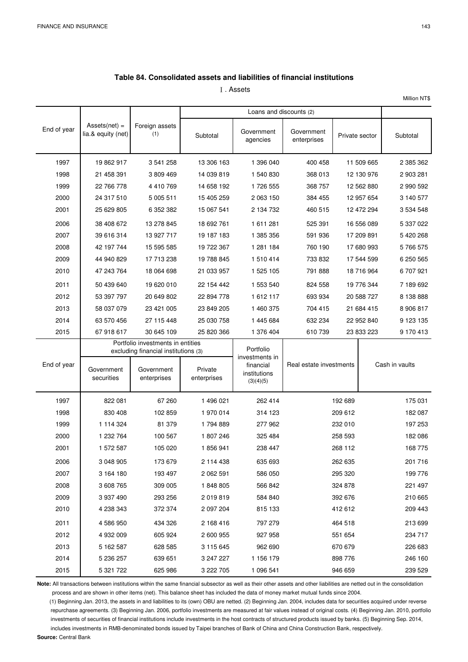### **Table 84. Consolidated assets and liabilities of financial institutions**

Ⅰ. Assets

Note: All transactions between institutions within the same financial subsector as well as their other assets and other liabilities are netted out in the consolidation process and are shown in other items (net). This balance sheet has included the data of money market mutual funds since 2004.

 (1) Beginning Jan. 2013, the assets in and liabilities to its (own) OBU are netted. (2) Beginning Jan. 2004, includes data for securities acquired under reverse repurchase agreements. (3) Beginning Jan. 2006, portfolio investments are measured at fair values instead of original costs. (4) Beginning Jan. 2010, portfolio investments of securities of financial institutions include investments in the host contracts of structured products issued by banks. (5) Beginning Sep. 2014, includes investments in RMB-denominated bonds issued by Taipei branches of Bank of China and China Construction Bank, respectively.

**Source:** Central Bank

Million NT\$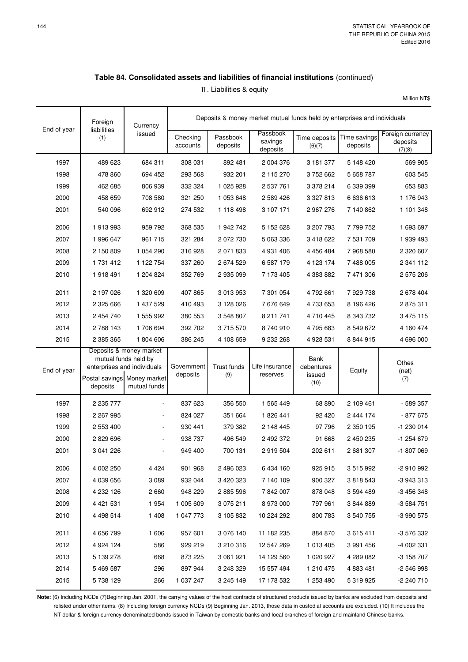# **Table 84. Consolidated assets and liabilities of financial institutions** (continued)

Ⅱ. Liabilities & equity

Million NT\$

| Deposits & money market mutual funds held by enterprises and individuals<br>Foreign<br>Currency |                    |                                                                                |                      |                      |                                 |                         |                          |                                        |
|-------------------------------------------------------------------------------------------------|--------------------|--------------------------------------------------------------------------------|----------------------|----------------------|---------------------------------|-------------------------|--------------------------|----------------------------------------|
| End of year                                                                                     | liabilities<br>(1) | issued                                                                         | Checking<br>accounts | Passbook<br>deposits | Passbook<br>savings<br>deposits | Time deposits<br>(6)(7) | Time savings<br>deposits | Foreign currency<br>deposits<br>(7)(8) |
| 1997                                                                                            | 489 623            | 684 311                                                                        | 308 031              | 892 481              | 2 004 376                       | 3 181 377               | 5 148 420                | 569 905                                |
| 1998                                                                                            | 478 860            | 694 452                                                                        | 293 568              | 932 201              | 2 115 270                       | 3752662                 | 5 658 787                | 603 545                                |
| 1999                                                                                            | 462 685            | 806 939                                                                        | 332 324              | 1 025 928            | 2 537 761                       | 3 378 214               | 6 339 399                | 653 883                                |
| 2000                                                                                            | 458 659            | 708 580                                                                        | 321 250              | 1 053 648            | 2 589 426                       | 3 3 2 7 8 1 3           | 6 636 613                | 1 176 943                              |
| 2001                                                                                            | 540 096            | 692 912                                                                        | 274 532              | 1 118 498            | 3 107 171                       | 2 967 276               | 7 140 862                | 1 101 348                              |
| 2006                                                                                            | 1913993            | 959 792                                                                        | 368 535              | 1 942 742            | 5 152 628                       | 3 207 793               | 7 799 752                | 1 693 697                              |
| 2007                                                                                            | 1996 647           | 961 715                                                                        | 321 284              | 2 072 730            | 5 063 336                       | 3 418 622               | 7 531 709                | 1 939 493                              |
| 2008                                                                                            | 2 150 809          | 1 054 290                                                                      | 316 928              | 2 071 833            | 4 931 406                       | 4 4 5 6 4 8 4           | 7 968 580                | 2 320 607                              |
| 2009                                                                                            | 1 731 412          | 1 122 754                                                                      | 337 260              | 2 674 529            | 6 587 179                       | 4 123 174               | 7 488 005                | 2 341 112                              |
| 2010                                                                                            | 1918491            | 1 204 824                                                                      | 352 769              | 2935099              | 7 173 405                       | 4 383 882               | 7 471 306                | 2 575 206                              |
| 2011                                                                                            | 2 197 026          | 1 320 609                                                                      | 407 865              | 3 013 953            | 7 301 054                       | 4792661                 | 7 929 738                | 2 678 404                              |
| 2012                                                                                            | 2 325 666          | 1 437 529                                                                      | 410 493              | 3 128 026            | 7676649                         | 4 733 653               | 8 196 426                | 2875311                                |
| 2013                                                                                            | 2 454 740          | 1 555 992                                                                      | 380 553              | 3548807              | 8 211 741                       | 4 710 445               | 8 343 732                | 3 475 115                              |
| 2014                                                                                            | 2 788 143          | 1706 694                                                                       | 392 702              | 3715570              | 8740910                         | 4795683                 | 8 549 672                | 4 160 474                              |
| 2015                                                                                            | 2 385 365          | 1804606                                                                        | 386 245              | 4 108 659            | 9 232 268                       | 4 928 531               | 8 844 915                | 4 696 000                              |
|                                                                                                 |                    |                                                                                |                      |                      |                                 |                         |                          |                                        |
| End of year                                                                                     |                    | Deposits & money market<br>mutual funds held by<br>enterprises and individuals | Government           | Trust funds          | Life insurance                  | Bank<br>debentures      | Equity                   | Othes<br>(net)                         |
|                                                                                                 | deposits           | Postal savings Money market<br>mutual funds                                    | deposits             | (9)                  | reserves                        | issued<br>(10)          |                          | (7)                                    |
| 1997                                                                                            | 2 2 3 7 7 7 7      | $\overline{\phantom{a}}$                                                       | 837 623              | 356 550              | 1 565 449                       | 68 890                  | 2 109 461                | - 589 357                              |
| 1998                                                                                            | 2 267 995          | ÷,                                                                             | 824 027              | 351 664              | 1826441                         | 92 4 20                 | 2 444 174                | $-877675$                              |
| 1999                                                                                            | 2 553 400          | $\overline{a}$                                                                 | 930 441              | 379 382              | 2 148 445                       | 97 796                  | 2 350 195                | -1 230 014                             |
| 2000                                                                                            | 2 829 696          | ÷,                                                                             | 938 737              | 496 549              | 2 492 372                       | 91 668                  | 2 450 235                | -1 254 679                             |
| 2001                                                                                            | 3 041 226          |                                                                                | 949 400              | 700 131              | 2 919 504                       | 202 611                 | 2 681 307                | -1 807 069                             |
| 2006                                                                                            | 4 002 250          | 4 4 2 4                                                                        | 901 968              | 2 496 023            | 6 434 160                       | 925 915                 | 3 515 992                | -2 910 992                             |
| 2007                                                                                            | 4 039 656          | 3 0 8 9                                                                        | 932 044              | 3 420 323            | 7 140 109                       | 900 327                 | 3 818 543                | -3 943 313                             |
| 2008                                                                                            | 4 232 126          | 2 660                                                                          | 948 229              | 2 885 596            | 7842007                         | 878 048                 | 3 594 489                | -3 456 348                             |
| 2009                                                                                            | 4 4 21 5 31        | 1954                                                                           | 1 005 609            | 3 075 211            | 8 973 000                       | 797 961                 | 3844889                  | -3 584 751                             |
| 2010                                                                                            | 4 498 514          | 1 4 0 8                                                                        | 1 047 773            | 3 105 832            | 10 224 292                      | 800 783                 | 3 540 755                | -3 990 575                             |
| 2011                                                                                            | 4 656 799          | 1 606                                                                          | 957 601              | 3 0 76 140           | 11 182 235                      | 884 870                 | 3 615 411                | -3 576 332                             |
| 2012                                                                                            | 4 9 24 1 24        | 586                                                                            | 929 219              | 3 210 316            | 12 547 269                      | 1 013 405               | 3 991 456                | -4 002 331                             |
| 2013                                                                                            | 5 139 278          | 668                                                                            | 873 225              | 3 061 921            | 14 129 560                      | 1 020 927               | 4 289 082                | -3 158 707                             |
| 2014                                                                                            | 5 469 587          | 296                                                                            | 897 944              | 3 248 329            | 15 557 494                      | 1 210 475               | 4 883 481                | -2 546 998                             |

**Note:** (6) Including NCDs (7)Beginning Jan. 2001, the carrying values of the host contracts of structured products issued by banks are excluded from deposits and relisted under other items. (8) Including foreign currency NCDs (9) Beginning Jan. 2013, those data in custodial accounts are excluded. (10) It includes the NT dollar & foreign currency-denominated bonds issued in Taiwan by domestic banks and local branches of foreign and mainland Chinese banks.

٦

T

٦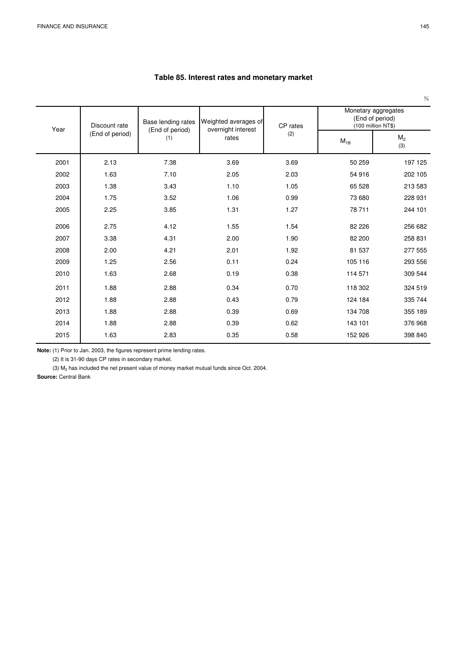|      |                 |                                       |                                            |          |                                                              | $\%$                  |  |
|------|-----------------|---------------------------------------|--------------------------------------------|----------|--------------------------------------------------------------|-----------------------|--|
| Year | Discount rate   | Base lending rates<br>(End of period) | Weighted averages of<br>overnight interest | CP rates | Monetary aggregates<br>(End of period)<br>(100 million NT\$) |                       |  |
|      | (End of period) | (1)                                   | rates                                      | (2)      | $M_{1B}$                                                     | M <sub>2</sub><br>(3) |  |
| 2001 | 2.13            | 7.38                                  | 3.69                                       | 3.69     | 50 259                                                       | 197 125               |  |
| 2002 | 1.63            | 7.10                                  | 2.05                                       | 2.03     | 54 916                                                       | 202 105               |  |
| 2003 | 1.38            | 3.43                                  | 1.10                                       | 1.05     | 65 528                                                       | 213 583               |  |
| 2004 | 1.75            | 3.52                                  | 1.06                                       | 0.99     | 73 680                                                       | 228 931               |  |
| 2005 | 2.25            | 3.85                                  | 1.31                                       | 1.27     | 78 711                                                       | 244 101               |  |
| 2006 | 2.75            | 4.12                                  | 1.55                                       | 1.54     | 82 2 2 6                                                     | 256 682               |  |
| 2007 | 3.38            | 4.31                                  | 2.00                                       | 1.90     | 82 200                                                       | 258 831               |  |
| 2008 | 2.00            | 4.21                                  | 2.01                                       | 1.92     | 81 537                                                       | 277 555               |  |
| 2009 | 1.25            | 2.56                                  | 0.11                                       | 0.24     | 105 116                                                      | 293 556               |  |
| 2010 | 1.63            | 2.68                                  | 0.19                                       | 0.38     | 114 571                                                      | 309 544               |  |
| 2011 | 1.88            | 2.88                                  | 0.34                                       | 0.70     | 118 302                                                      | 324 519               |  |
| 2012 | 1.88            | 2.88                                  | 0.43                                       | 0.79     | 124 184                                                      | 335 744               |  |
| 2013 | 1.88            | 2.88                                  | 0.39                                       | 0.69     | 134 708                                                      | 355 189               |  |
| 2014 | 1.88            | 2.88                                  | 0.39                                       | 0.62     | 143 101                                                      | 376 968               |  |
| 2015 | 1.63            | 2.83                                  | 0.35                                       | 0.58     | 152 926                                                      | 398 840               |  |

# **Table 85. Interest rates and monetary market**

%

**Note:** (1) Prior to Jan. 2003, the figures represent prime lending rates.

(2) It is 31-90 days CP rates in secondary market.

 $(3)$   $M<sub>2</sub>$  has included the net present value of money market mutual funds since Oct. 2004.

**Source:** Central Bank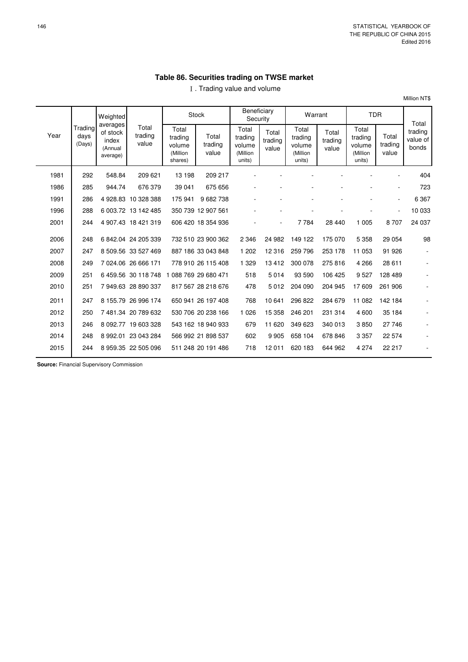# **Table 86. Securities trading on TWSE market**

|      | Weighted                  |                                          | averages                  |                                                   | <b>Stock</b>              | Beneficiary<br>Security                          |                           | Warrant                                          |                           | <b>TDR</b>                                       |                           | Total                        |
|------|---------------------------|------------------------------------------|---------------------------|---------------------------------------------------|---------------------------|--------------------------------------------------|---------------------------|--------------------------------------------------|---------------------------|--------------------------------------------------|---------------------------|------------------------------|
| Year | Trading<br>days<br>(Days) | of stock<br>index<br>(Annual<br>average) | Total<br>trading<br>value | Total<br>trading<br>volume<br>(Million<br>shares) | Total<br>trading<br>value | Total<br>trading<br>volume<br>(Million<br>units) | Total<br>trading<br>value | Total<br>trading<br>volume<br>(Million<br>units) | Total<br>trading<br>value | Total<br>trading<br>volume<br>(Million<br>units) | Total<br>trading<br>value | trading<br>value of<br>bonds |
| 1981 | 292                       | 548.84                                   | 209 621                   | 13 198                                            | 209 217                   |                                                  |                           |                                                  |                           |                                                  |                           | 404                          |
| 1986 | 285                       | 944.74                                   | 676 379                   | 39 041                                            | 675 656                   |                                                  |                           |                                                  |                           |                                                  |                           | 723                          |
| 1991 | 286                       |                                          | 4 928.83 10 328 388       | 175 941                                           | 9 682 738                 |                                                  |                           |                                                  |                           |                                                  | $\overline{a}$            | 6 3 6 7                      |
| 1996 | 288                       |                                          | 6 003.72 13 142 485       |                                                   | 350 739 12 907 561        |                                                  |                           |                                                  |                           |                                                  |                           | 10 033                       |
| 2001 | 244                       |                                          | 4 907.43 18 421 319       |                                                   | 606 420 18 354 936        |                                                  |                           | 7 7 8 4                                          | 28 440                    | 1 0 0 5                                          | 8707                      | 24 037                       |
| 2006 | 248                       |                                          | 6 842.04 24 205 339       |                                                   | 732 510 23 900 362        | 2 3 4 6                                          | 24 982                    | 149 122                                          | 175 070                   | 5 3 5 8                                          | 29 0 54                   | 98                           |
| 2007 | 247                       |                                          | 8 509.56 33 527 469       |                                                   | 887 186 33 043 848        | 1 202                                            | 12 3 16                   | 259 796                                          | 253 178                   | 11 053                                           | 91 926                    |                              |
| 2008 | 249                       |                                          | 7 024.06 26 666 171       |                                                   | 778 910 26 115 408        | 1 3 2 9                                          | 13 4 12                   | 300 078                                          | 275 816                   | 4 2 6 6                                          | 28 611                    |                              |
| 2009 | 251                       |                                          | 6 459.56 30 118 748       |                                                   | 088 769 29 680 471        | 518                                              | 5014                      | 93 590                                           | 106 425                   | 9527                                             | 128 489                   |                              |
| 2010 | 251                       |                                          | 7 949.63 28 890 337       |                                                   | 817 567 28 218 676        | 478                                              | 5012                      | 204 090                                          | 204 945                   | 17 609                                           | 261 906                   |                              |
| 2011 | 247                       |                                          | 8 155.79 26 996 174       |                                                   | 650 941 26 197 408        | 768                                              | 10 641                    | 296 822                                          | 284 679                   | 11 082                                           | 142 184                   |                              |
| 2012 | 250                       |                                          | 7 481.34 20 789 632       |                                                   | 530 706 20 238 166        | 1 0 2 6                                          | 15 358                    | 246 201                                          | 231 314                   | 4 600                                            | 35 184                    |                              |
| 2013 | 246                       |                                          | 8 092.77 19 603 328       |                                                   | 543 162 18 940 933        | 679                                              | 11 620                    | 349 623                                          | 340 013                   | 3850                                             | 27 746                    |                              |
| 2014 | 248                       |                                          | 8 992.01 23 043 284       |                                                   | 566 992 21 898 537        | 602                                              | 9 9 0 5                   | 658 104                                          | 678 846                   | 3 3 5 7                                          | 22 574                    |                              |
| 2015 | 244                       |                                          | 8 959.35 22 505 096       |                                                   | 511 248 20 191 486        | 718                                              | 12 011                    | 620 183                                          | 644 962                   | 4 2 7 4                                          | 22 217                    |                              |

Ⅰ. Trading value and volume

Million NT\$

**Source:** Financial Supervisory Commission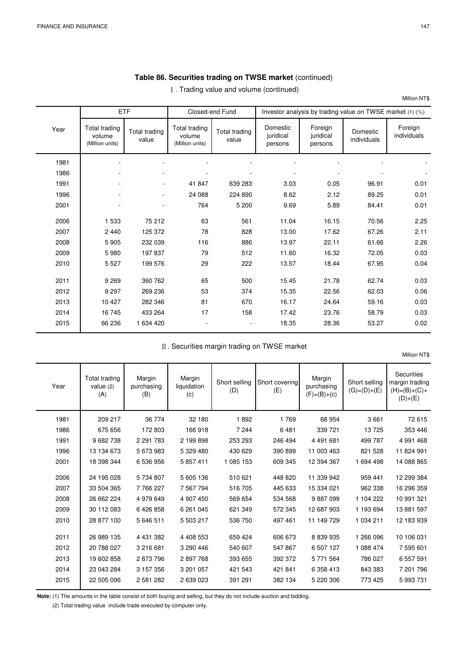# **Table 86. Securities trading on TWSE market** (continued)

| <b>ETF</b> |                                            |                          |                                            | Closed-end Fund        | Investor analysis by trading value on TWSE market (1) (%) |                                 |                         |                        |
|------------|--------------------------------------------|--------------------------|--------------------------------------------|------------------------|-----------------------------------------------------------|---------------------------------|-------------------------|------------------------|
| Year       | Total trading<br>volume<br>(Million units) | Total trading<br>value   | Total trading<br>volume<br>(Million units) | Total trading<br>value | Domestic<br>juridical<br>persons                          | Foreign<br>juridical<br>persons | Domestic<br>individuals | Foreign<br>individuals |
| 1981       |                                            |                          |                                            |                        |                                                           |                                 |                         |                        |
| 1986       |                                            |                          |                                            |                        |                                                           |                                 |                         |                        |
| 1991       |                                            | $\overline{\phantom{a}}$ | 41 847                                     | 639 283                | 3.03                                                      | 0.05                            | 96.91                   | 0.01                   |
| 1996       |                                            | ۰                        | 24 088                                     | 224 890                | 8.62                                                      | 2.12                            | 89.25                   | 0.01                   |
| 2001       |                                            | ۰                        | 764                                        | 5 200                  | 9.69                                                      | 5.89                            | 84.41                   | 0.01                   |
| 2006       | 1 5 3 3                                    | 75 212                   | 63                                         | 561                    | 11.04                                                     | 16.15                           | 70.56                   | 2.25                   |
| 2007       | 2 4 4 0                                    | 125 372                  | 78                                         | 828                    | 13.00                                                     | 17.62                           | 67.26                   | 2.11                   |
| 2008       | 5 9 0 5                                    | 232 039                  | 116                                        | 886                    | 13.97                                                     | 22.11                           | 61.66                   | 2.26                   |
| 2009       | 5980                                       | 197 837                  | 79                                         | 512                    | 11.60                                                     | 16.32                           | 72.05                   | 0.03                   |
| 2010       | 5 5 2 7                                    | 199 576                  | 29                                         | 222                    | 13.57                                                     | 18.44                           | 67.95                   | 0.04                   |
| 2011       | 9 2 6 9                                    | 360 762                  | 65                                         | 500                    | 15.45                                                     | 21.78                           | 62.74                   | 0.03                   |
| 2012       | 9 2 9 7                                    | 269 236                  | 53                                         | 374                    | 15.35                                                     | 22.56                           | 62.03                   | 0.06                   |
| 2013       | 10 427                                     | 282 346                  | 81                                         | 670                    | 16.17                                                     | 24.64                           | 59.16                   | 0.03                   |
| 2014       | 16745                                      | 433 264                  | 17                                         | 158                    | 17.42                                                     | 23.76                           | 58.79                   | 0.03                   |
| 2015       | 66 236                                     | 1 634 420                |                                            |                        | 18.35                                                     | 28.36                           | 53.27                   | 0.02                   |

Ⅰ. Trading value and volume (continued)

Million NT\$

Ⅱ. Securities margin trading on TWSE market

Million NT\$

| Year | Total trading<br>value $(2)$<br>(A) | Margin<br>purchasing<br>(B) | Margin<br>liquidation<br>(c) | Short selling<br>(D) | Short covering<br>(E) | Margin<br>purchasing<br>$(F)=(B)+(c)$ | Short selling<br>$(G)=(D)+(E)$ | <b>Securities</b><br>margin trading<br>$(H)=(B)+(C)+$<br>$(D)+(E)$ |
|------|-------------------------------------|-----------------------------|------------------------------|----------------------|-----------------------|---------------------------------------|--------------------------------|--------------------------------------------------------------------|
| 1981 | 209 217                             | 36 774                      | 32 180                       | 1892                 | 1769                  | 68 954                                | 3661                           | 72 615                                                             |
| 1986 | 675 656                             | 172 803                     | 166 918                      | 7 244                | 6481                  | 339 721                               | 13725                          | 353 446                                                            |
| 1991 | 9 682 738                           | 2 2 9 1 7 8 3               | 2 199 898                    | 253 293              | 246 494               | 4 491 681                             | 499 787                        | 4 991 468                                                          |
| 1996 | 13 134 673                          | 5 673 983                   | 5 329 480                    | 430 629              | 390 899               | 11 003 463                            | 821 528                        | 11 824 991                                                         |
| 2001 | 18 398 344                          | 6 536 956                   | 5 857 411                    | 1 085 153            | 609 345               | 12 394 367                            | 1 694 498                      | 14 088 865                                                         |
| 2006 | 24 195 028                          | 5 734 807                   | 5 605 136                    | 510 621              | 448 820               | 11 339 942                            | 959 441                        | 12 299 384                                                         |
| 2007 | 33 504 365                          | 7 766 227                   | 7 567 794                    | 516 705              | 445 633               | 15 334 021                            | 962 338                        | 16 296 359                                                         |
| 2008 | 26 662 224                          | 4 979 649                   | 4 907 450                    | 569 654              | 534 568               | 9887099                               | 1 104 222                      | 10 991 321                                                         |
| 2009 | 30 112 083                          | 6426858                     | 6 261 045                    | 621 349              | 572 345               | 12 687 903                            | 1 193 694                      | 13 881 597                                                         |
| 2010 | 28 877 100                          | 5 646 511                   | 5 503 217                    | 536 750              | 497 461               | 11 149 729                            | 1 0 34 2 11                    | 12 183 939                                                         |
| 2011 | 26 989 135                          | 4 4 3 1 3 8 2               | 4 4 0 5 5 5 3                | 659 424              | 606 673               | 8 839 935                             | 1 266 096                      | 10 106 031                                                         |
| 2012 | 20 788 027                          | 3 216 681                   | 3 290 446                    | 540 607              | 547 867               | 6 507 127                             | 1 088 474                      | 7 595 601                                                          |
| 2013 | 19 602 858                          | 2873796                     | 2897768                      | 393 655              | 392 372               | 5 771 564                             | 786 027                        | 6 557 591                                                          |
| 2014 | 23 043 284                          | 3 157 356                   | 3 201 057                    | 421 543              | 421 841               | 6 358 413                             | 843 383                        | 7 201 796                                                          |
| 2015 | 22 505 096                          | 2 581 282                   | 2 639 023                    | 391 291              | 382 134               | 5 220 306                             | 773 425                        | 5 993 731                                                          |
|      |                                     |                             |                              |                      |                       |                                       |                                |                                                                    |

**Note:** (1) The amounts in the table consist of both buying and selling, but they do not include auction and bidding.

(2) Total trading value include trade executed by computer only.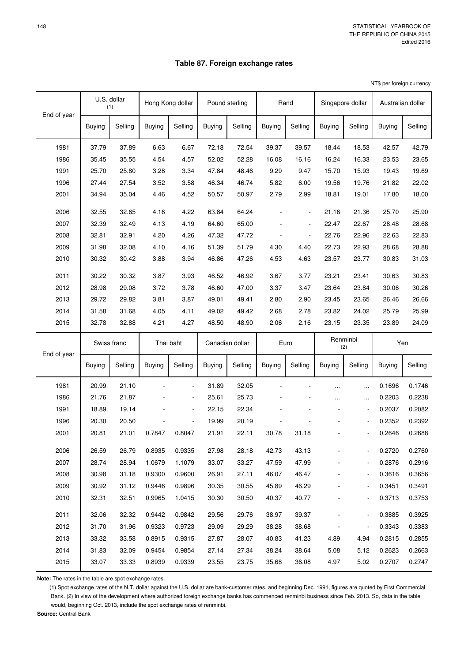### **Table 87. Foreign exchange rates**

NT\$ per foreign currency

| End of year | U.S. dollar<br>(1) |         | Hong Kong dollar |                          |                 | Pound sterling |               | Rand    |                 | Singapore dollar         |               | Australian dollar |
|-------------|--------------------|---------|------------------|--------------------------|-----------------|----------------|---------------|---------|-----------------|--------------------------|---------------|-------------------|
|             | <b>Buying</b>      | Selling | <b>Buying</b>    | Selling                  | <b>Buying</b>   | Selling        | <b>Buying</b> | Selling | <b>Buying</b>   | Selling                  | <b>Buying</b> | Selling           |
| 1981        | 37.79              | 37.89   | 6.63             | 6.67                     | 72.18           | 72.54          | 39.37         | 39.57   | 18.44           | 18.53                    | 42.57         | 42.79             |
| 1986        | 35.45              | 35.55   | 4.54             | 4.57                     | 52.02           | 52.28          | 16.08         | 16.16   | 16.24           | 16.33                    | 23.53         | 23.65             |
| 1991        | 25.70              | 25.80   | 3.28             | 3.34                     | 47.84           | 48.46          | 9.29          | 9.47    | 15.70           | 15.93                    | 19.43         | 19.69             |
| 1996        | 27.44              | 27.54   | 3.52             | 3.58                     | 46.34           | 46.74          | 5.82          | 6.00    | 19.56           | 19.76                    | 21.82         | 22.02             |
| 2001        | 34.94              | 35.04   | 4.46             | 4.52                     | 50.57           | 50.97          | 2.79          | 2.99    | 18.81           | 19.01                    | 17.80         | 18.00             |
| 2006        | 32.55              | 32.65   | 4.16             | 4.22                     | 63.84           | 64.24          |               | ÷,      | 21.16           | 21.36                    | 25.70         | 25.90             |
| 2007        | 32.39              | 32.49   | 4.13             | 4.19                     | 64.60           | 65.00          |               | ÷,      | 22.47           | 22.67                    | 28.48         | 28.68             |
| 2008        | 32.81              | 32.91   | 4.20             | 4.26                     | 47.32           | 47.72          |               | ÷,      | 22.76           | 22.96                    | 22.63         | 22.83             |
| 2009        | 31.98              | 32.08   | 4.10             | 4.16                     | 51.39           | 51.79          | 4.30          | 4.40    | 22.73           | 22.93                    | 28.68         | 28.88             |
| 2010        | 30.32              | 30.42   | 3.88             | 3.94                     | 46.86           | 47.26          | 4.53          | 4.63    | 23.57           | 23.77                    | 30.83         | 31.03             |
| 2011        | 30.22              | 30.32   | 3.87             | 3.93                     | 46.52           | 46.92          | 3.67          | 3.77    | 23.21           | 23.41                    | 30.63         | 30.83             |
| 2012        | 28.98              | 29.08   | 3.72             | 3.78                     | 46.60           | 47.00          | 3.37          | 3.47    | 23.64           | 23.84                    | 30.06         | 30.26             |
| 2013        | 29.72              | 29.82   | 3.81             | 3.87                     | 49.01           | 49.41          | 2.80          | 2.90    | 23.45           | 23.65                    | 26.46         | 26.66             |
| 2014        | 31.58              | 31.68   | 4.05             | 4.11                     | 49.02           | 49.42          | 2.68          | 2.78    | 23.82           | 24.02                    | 25.79         | 25.99             |
| 2015        | 32.78              | 32.88   | 4.21             | 4.27                     | 48.50           | 48.90          | 2.06          | 2.16    | 23.15           | 23.35                    | 23.89         | 24.09             |
|             |                    |         |                  |                          |                 |                |               |         |                 |                          |               |                   |
|             | Swiss franc        |         |                  | Thai baht                | Canadian dollar |                |               | Euro    | Renminbi<br>(2) |                          | Yen           |                   |
| End of year | Buying             | Selling | <b>Buying</b>    | Selling                  | <b>Buying</b>   | Selling        | <b>Buying</b> | Selling | <b>Buying</b>   | Selling                  | Buying        | Selling           |
| 1981        | 20.99              | 21.10   |                  | $\overline{\phantom{a}}$ | 31.89           | 32.05          |               |         | $\cdot$         | $\ddotsc$                | 0.1696        | 0.1746            |
| 1986        | 21.76              | 21.87   |                  | $\overline{\phantom{a}}$ | 25.61           | 25.73          |               |         | $\ddotsc$       |                          | 0.2203        | 0.2238            |
| 1991        | 18.89              | 19.14   |                  | $\overline{\phantom{a}}$ | 22.15           | 22.34          |               |         |                 | $\overline{\phantom{a}}$ | 0.2037        | 0.2082            |
| 1996        | 20.30              | 20.50   |                  | $\overline{a}$           | 19.99           | 20.19          |               |         |                 | $\overline{\phantom{a}}$ | 0.2352        | 0.2392            |
| 2001        | 20.81              | 21.01   | 0.7847           | 0.8047                   | 21.91           | 22.11          | 30.78         | 31.18   |                 |                          | 0.2646        | 0.2688            |
| 2006        | 26.59              | 26.79   | 0.8935           | 0.9335                   | 27.98           | 28.18          | 42.73         | 43.13   |                 | $\overline{\phantom{a}}$ | 0.2720        | 0.2760            |
| 2007        | 28.74              | 28.94   | 1.0679           | 1.1079                   | 33.07           | 33.27          | 47.59         | 47.99   |                 | $\overline{\phantom{a}}$ | 0.2876        | 0.2916            |
| 2008        | 30.98              | 31.18   | 0.9300           | 0.9600                   | 26.91           | 27.11          | 46.07         | 46.47   |                 | $\overline{\phantom{a}}$ | 0.3616        | 0.3656            |
| 2009        | 30.92              | 31.12   | 0.9446           | 0.9896                   | 30.35           | 30.55          | 45.89         | 46.29   |                 | $\overline{\phantom{a}}$ | 0.3451        | 0.3491            |
| 2010        | 32.31              | 32.51   | 0.9965           | 1.0415                   | 30.30           | 30.50          | 40.37         | 40.77   |                 | $\blacksquare$           | 0.3713        | 0.3753            |
| 2011        | 32.06              | 32.32   | 0.9442           | 0.9842                   | 29.56           | 29.76          | 38.97         | 39.37   |                 | $\overline{\phantom{a}}$ | 0.3885        | 0.3925            |
| 2012        | 31.70              | 31.96   | 0.9323           | 0.9723                   | 29.09           | 29.29          | 38.28         | 38.68   | ÷               | $\overline{\phantom{a}}$ | 0.3343        | 0.3383            |
| 2013        | 33.32              | 33.58   | 0.8915           | 0.9315                   | 27.87           | 28.07          | 40.83         | 41.23   | 4.89            | 4.94                     | 0.2815        | 0.2855            |
| 2014        | 31.83              | 32.09   | 0.9454           | 0.9854                   | 27.14           | 27.34          | 38.24         | 38.64   | 5.08            | 5.12                     | 0.2623        | 0.2663            |

**Note:** The rates in the table are spot exchange rates.

 (1) Spot exchange rates of the N.T. dollar against the U.S. dollar are bank-customer rates, and beginning Dec. 1991, figures are quoted by First Commercial Bank. (2) In view of the development where authorized foreign exchange banks has commenced renminbi business since Feb. 2013. So, data in the table would, beginning Oct. 2013, include the spot exchange rates of renminbi.

**Source:** Central Bank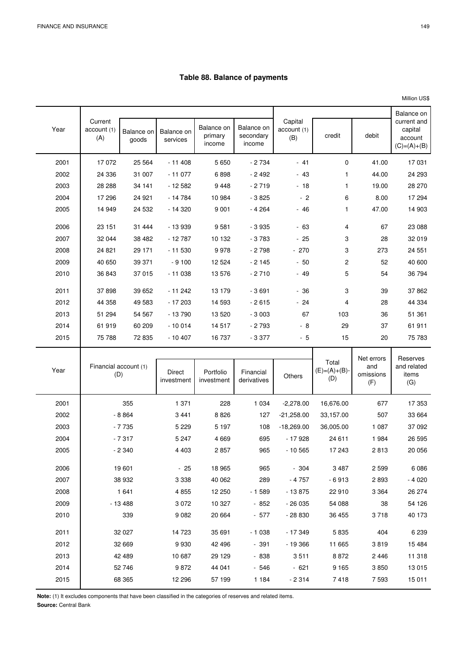|      |                               |                     |                        |                                 |                                   |                               |                                 |                                       | Million US\$                                                     |
|------|-------------------------------|---------------------|------------------------|---------------------------------|-----------------------------------|-------------------------------|---------------------------------|---------------------------------------|------------------------------------------------------------------|
| Year | Current<br>account (1)<br>(A) | Balance on<br>goods | Balance on<br>services | Balance on<br>primary<br>income | Balance on<br>secondary<br>income | Capital<br>account (1)<br>(B) | credit                          | debit                                 | Balance on<br>current and<br>capital<br>account<br>$(C)=(A)+(B)$ |
| 2001 | 17 072                        | 25 5 64             | $-11408$               | 5 6 5 0                         | $-2734$                           | $-41$                         | $\mathbf 0$                     | 41.00                                 | 17 031                                                           |
| 2002 | 24 336                        | 31 007              | $-11077$               | 6898                            | $-2492$                           | $-43$                         | $\mathbf{1}$                    | 44.00                                 | 24 293                                                           |
| 2003 | 28 288                        | 34 141              | $-12582$               | 9448                            | $-2719$                           | $-18$                         | 1                               | 19.00                                 | 28 270                                                           |
| 2004 | 17 296                        | 24 9 21             | $-14784$               | 10 984                          | $-3825$                           | $-2$                          | 6                               | 8.00                                  | 17 294                                                           |
| 2005 | 14 949                        | 24 532              | $-14320$               | 9 0 0 1                         | $-4264$                           | $-46$                         | $\mathbf{1}$                    | 47.00                                 | 14 903                                                           |
| 2006 | 23 151                        | 31 444              | $-13939$               | 9581                            | $-3935$                           | $-63$                         | 4                               | 67                                    | 23 088                                                           |
| 2007 | 32 044                        | 38 4 82             | - 12 787               | 10 132                          | $-3783$                           | $-25$                         | 3                               | 28                                    | 32 019                                                           |
| 2008 | 24 821                        | 29 171              | $-11530$               | 9978                            | $-2798$                           | $-270$                        | 3                               | 273                                   | 24 551                                                           |
| 2009 | 40 650                        | 39 371              | $-9100$                | 12 5 24                         | $-2145$                           | $-50$                         | $\overline{c}$                  | 52                                    | 40 600                                                           |
| 2010 | 36 843                        | 37 015              | $-11038$               | 13 576                          | $-2710$                           | $-49$                         | 5                               | 54                                    | 36 794                                                           |
| 2011 | 37898                         | 39 652              | $-11242$               | 13 179                          | $-3691$                           | $-36$                         | 3                               | 39                                    | 37862                                                            |
| 2012 | 44 358                        | 49 583              | $-17203$               | 14 593                          | $-2615$                           | $-24$                         | 4                               | 28                                    | 44 334                                                           |
| 2013 | 51 294                        | 54 567              | $-13790$               | 13 5 20                         | $-3003$                           | 67                            | 103                             | 36                                    | 51 361                                                           |
| 2014 | 61 919                        | 60 209              | $-10014$               | 14 517                          | $-2793$                           | - 8                           | 29                              | 37                                    | 61 911                                                           |
| 2015 | 75 788                        | 72 835              | $-10407$               | 16 737                          | $-3377$                           | $-5$                          | 15                              | 20                                    | 75 783                                                           |
| Year | Financial account (1)<br>(D)  |                     | Direct<br>investment   | Portfolio<br>investment         | Financial<br>derivatives          | Others                        | Total<br>$(E)=(A)+(B)$ -<br>(D) | Net errors<br>and<br>omissions<br>(F) | Reserves<br>and related<br>items<br>(G)                          |
| 2001 |                               | 355                 | 1 3 7 1                | 228                             | 1 0 3 4                           | $-2,278.00$                   | 16,676.00                       | 677                                   | 17 353                                                           |
| 2002 |                               | $-8864$             | 3 4 4 1                | 8826                            | 127                               | $-21,258.00$                  | 33,157.00                       | 507                                   | 33 664                                                           |
| 2003 |                               | - 7 7 3 5           | 5 2 2 9                | 5 1 9 7                         | 108                               | $-18,269.00$                  | 36,005.00                       | 1 0 8 7                               | 37 092                                                           |
| 2004 |                               | $-7317$             | 5 2 4 7                | 4 6 6 9                         | 695                               | $-17928$                      | 24 611                          | 1984                                  | 26 595                                                           |
| 2005 |                               | $-2340$             | 4 4 0 3                | 2857                            | 965                               | $-10565$                      | 17 243                          | 2813                                  | 20 056                                                           |
| 2006 |                               | 19 601              | $-25$                  | 18 965                          | 965                               | $-304$                        | 3 4 8 7                         | 2599                                  | 6086                                                             |
| 2007 |                               | 38 932              | 3 3 3 8                | 40 062                          | 289                               | - 4 757                       | $-6913$                         | 2893                                  | - 4020                                                           |
| 2008 |                               | 1 641               | 4855                   | 12 250                          | $-1589$                           | - 13 875                      | 22 910                          | 3 3 6 4                               | 26 274                                                           |

2009 10 327 3 072 - 852 - 26 035 54 088 38 54 126 2010 | 339 9 082 20 664 - 577 - 28 830 36 455 3 718 40 173

2011 35 691 14 723 - 1 038 - 17 349 5 835 404 6 239 2012 42 496 9 930 - 391 - 19 366 11 665 3 819 15 484 2013 | 42 489 10 687 29 129 838 3 511 8 872 2 446 11 318 2014 44 041 9 872 - 546 - 621 9 165 3 850 13 015 2015 | 68 365 12 296 57 199 1 184 - 2 314 7 418 7 593 15 011

**Note:** (1) It excludes components that have been classified in the categories of reserves and related items. **Source:** Central Bank

68 365

 - 13 488 339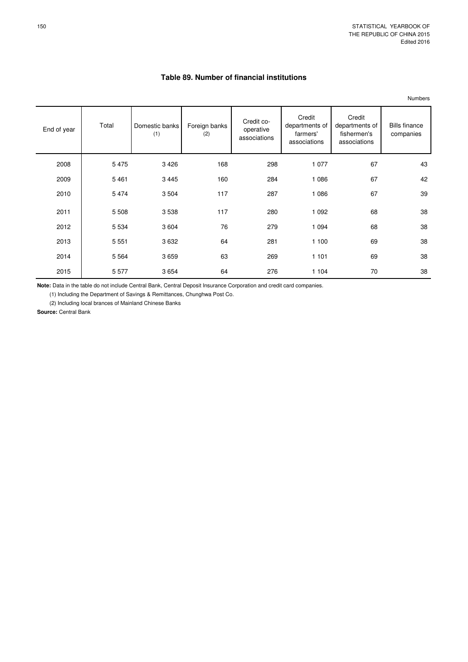### **Table 89. Number of financial institutions**

|             |         |                       |                      |                                         |                                                      |                                                         | Numbers                           |
|-------------|---------|-----------------------|----------------------|-----------------------------------------|------------------------------------------------------|---------------------------------------------------------|-----------------------------------|
| End of year | Total   | Domestic banks<br>(1) | Foreign banks<br>(2) | Credit co-<br>operative<br>associations | Credit<br>departments of<br>farmers'<br>associations | Credit<br>departments of<br>fishermen's<br>associations | <b>Bills finance</b><br>companies |
| 2008        | 5 4 7 5 | 3 4 2 6               | 168                  | 298                                     | 1 0 7 7                                              | 67                                                      | 43                                |
| 2009        | 5 4 6 1 | 3 4 4 5               | 160                  | 284                                     | 1 0 8 6                                              | 67                                                      | 42                                |
| 2010        | 5474    | 3 5 0 4               | 117                  | 287                                     | 1 0 8 6                                              | 67                                                      | 39                                |
| 2011        | 5 5 0 8 | 3 5 3 8               | 117                  | 280                                     | 1 0 9 2                                              | 68                                                      | 38                                |
| 2012        | 5 5 3 4 | 3604                  | 76                   | 279                                     | 1 0 9 4                                              | 68                                                      | 38                                |
| 2013        | 5 5 5 1 | 3632                  | 64                   | 281                                     | 1 100                                                | 69                                                      | 38                                |
| 2014        | 5 5 6 4 | 3659                  | 63                   | 269                                     | 1 1 0 1                                              | 69                                                      | 38                                |
| 2015        | 5 5 7 7 | 3654                  | 64                   | 276                                     | 1 1 0 4                                              | 70                                                      | 38                                |

**Note:** Data in the table do not include Central Bank, Central Deposit Insurance Corporation and credit card companies.

(1) Including the Department of Savings & Remittances, Chunghwa Post Co.

(2) Including local brances of Mainland Chinese Banks

**Source:** Central Bank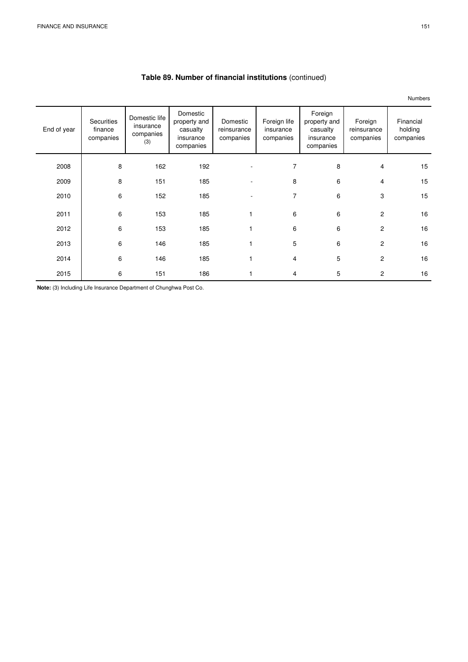|             |                                    |                                                |                                                                |                                      |                                        |                                                               |                                     | Numbers                           |
|-------------|------------------------------------|------------------------------------------------|----------------------------------------------------------------|--------------------------------------|----------------------------------------|---------------------------------------------------------------|-------------------------------------|-----------------------------------|
| End of year | Securities<br>finance<br>companies | Domestic life<br>insurance<br>companies<br>(3) | Domestic<br>property and<br>casualty<br>insurance<br>companies | Domestic<br>reinsurance<br>companies | Foreign life<br>insurance<br>companies | Foreign<br>property and<br>casualty<br>insurance<br>companies | Foreign<br>reinsurance<br>companies | Financial<br>holding<br>companies |
| 2008        | 8                                  | 162                                            | 192                                                            |                                      | 7                                      | 8                                                             | 4                                   | 15                                |
| 2009        | 8                                  | 151                                            | 185                                                            |                                      | 8                                      | 6                                                             | 4                                   | 15                                |
| 2010        | 6                                  | 152                                            | 185                                                            |                                      | $\overline{7}$                         | 6                                                             | 3                                   | 15                                |
| 2011        | 6                                  | 153                                            | 185                                                            | 1                                    | 6                                      | 6                                                             | 2                                   | 16                                |
| 2012        | 6                                  | 153                                            | 185                                                            |                                      | 6                                      | 6                                                             | 2                                   | 16                                |
| 2013        | 6                                  | 146                                            | 185                                                            |                                      | 5                                      | 6                                                             | 2                                   | 16                                |
| 2014        | 6                                  | 146                                            | 185                                                            |                                      | 4                                      | 5                                                             | 2                                   | 16                                |
| 2015        | 6                                  | 151                                            | 186                                                            |                                      | 4                                      | 5                                                             | 2                                   | 16                                |

**Table 89. Number of financial institutions** (continued)

**Note:** (3) Including Life Insurance Department of Chunghwa Post Co.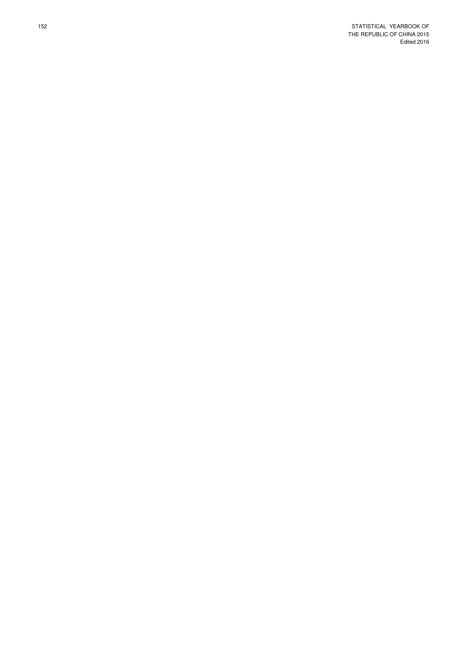152 STATISTICAL YEARBOOK OF THE REPUBLIC OF CHINA 2015 Edited 2016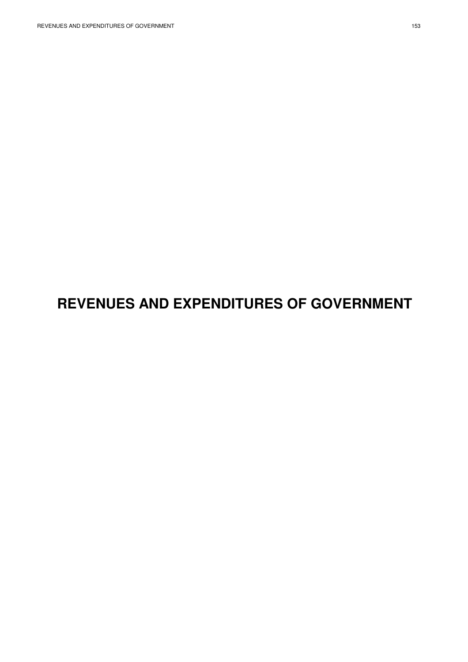# **REVENUES AND EXPENDITURES OF GOVERNMENT**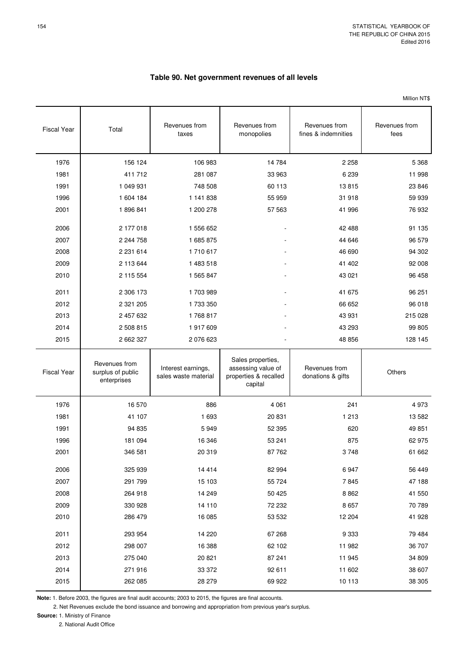# **Table 90. Net government revenues of all levels**

| <b>Fiscal Year</b> | Total                                             | Revenues from<br>taxes                     | Revenues from<br>monopolies                                                 | Revenues from<br>fines & indemnities | Revenues from<br>fees |  |
|--------------------|---------------------------------------------------|--------------------------------------------|-----------------------------------------------------------------------------|--------------------------------------|-----------------------|--|
| 1976               | 156 124                                           | 106 983                                    | 14 784                                                                      | 2 2 5 8                              | 5 3 6 8               |  |
| 1981               | 411 712                                           | 281 087                                    | 33 963                                                                      | 6 2 3 9                              | 11 998                |  |
| 1991               | 1 049 931                                         | 748 508                                    | 60 113                                                                      | 13815                                | 23 846                |  |
| 1996               | 1 604 184                                         | 1 141 838                                  | 55 959                                                                      | 31 918                               | 59 939                |  |
| 2001               | 1896841                                           | 1 200 278                                  | 57 563                                                                      | 41 996                               | 76 932                |  |
| 2006               | 2 177 018                                         | 1 556 652                                  |                                                                             | 42 488                               | 91 135                |  |
| 2007               | 2 244 758                                         | 1 685 875                                  |                                                                             | 44 646                               | 96 579                |  |
| 2008               | 2 2 3 1 6 1 4                                     | 1710617                                    |                                                                             | 46 690                               | 94 302                |  |
| 2009               | 2 113 644                                         | 1 483 518                                  |                                                                             | 41 402                               | 92 008                |  |
| 2010               | 2 115 554                                         | 1 565 847                                  |                                                                             | 43 021                               | 96 458                |  |
| 2011               | 2 306 173                                         | 1703989                                    |                                                                             | 41 675                               | 96 251                |  |
| 2012               | 2 3 2 1 2 0 5                                     | 1 733 350                                  |                                                                             | 66 652                               | 96 018                |  |
| 2013               | 2 457 632                                         | 1768817                                    |                                                                             | 43 931                               | 215 028               |  |
| 2014               | 2 508 815                                         | 1917609                                    |                                                                             | 43 293                               | 99 805                |  |
| 2015               | 2 662 327                                         | 2 076 623                                  |                                                                             | 48 856                               | 128 145               |  |
|                    |                                                   |                                            |                                                                             |                                      |                       |  |
| <b>Fiscal Year</b> | Revenues from<br>surplus of public<br>enterprises | Interest earnings,<br>sales waste material | Sales properties,<br>assessing value of<br>properties & recalled<br>capital | Revenues from<br>donations & gifts   | Others                |  |
| 1976               | 16 570                                            | 886                                        | 4 0 6 1                                                                     | 241                                  | 4973                  |  |
| 1981               | 41 107                                            | 1 6 9 3                                    | 20 831                                                                      | 1 2 1 3                              | 13 5 82               |  |
| 1991               | 94 835                                            | 5949                                       | 52 395                                                                      | 620                                  | 49 851                |  |
| 1996               | 181 094                                           | 16 346                                     | 53 241                                                                      | 875                                  | 62 975                |  |
| 2001               | 346 581                                           | 20 319                                     | 87 762                                                                      | 3748                                 | 61 662                |  |
| 2006               | 325 939                                           | 14 4 14                                    | 82 994                                                                      | 6947                                 | 56 449                |  |
| 2007               | 291 799                                           | 15 103                                     | 55 724                                                                      | 7845                                 | 47 188                |  |
| 2008               | 264 918                                           | 14 249                                     | 50 425                                                                      | 8862                                 | 41 550                |  |
| 2009               | 330 928                                           | 14 110                                     | 72 232                                                                      | 8657                                 | 70 789                |  |
| 2010               | 286 479                                           | 16 085                                     | 53 532                                                                      | 12 204                               | 41 928                |  |
| 2011               | 293 954                                           | 14 2 20                                    | 67 268                                                                      | 9 3 3 3                              | 79 4 84               |  |
| 2012               | 298 007                                           | 16 388                                     | 62 102                                                                      | 11 982                               | 36 707                |  |
| 2013               | 275 040                                           | 20 821                                     | 87 241                                                                      | 11 945                               | 34 809                |  |
| 2014               | 271 916                                           | 33 372                                     | 92 611                                                                      | 11 602                               | 38 607                |  |

Million NT\$

**Note:** 1. Before 2003, the figures are final audit accounts; 2003 to 2015, the figures are final accounts.

2. Net Revenues exclude the bond issuance and borrowing and appropriation from previous year's surplus.

**Source:** 1. Ministry of Finance

2. National Audit Office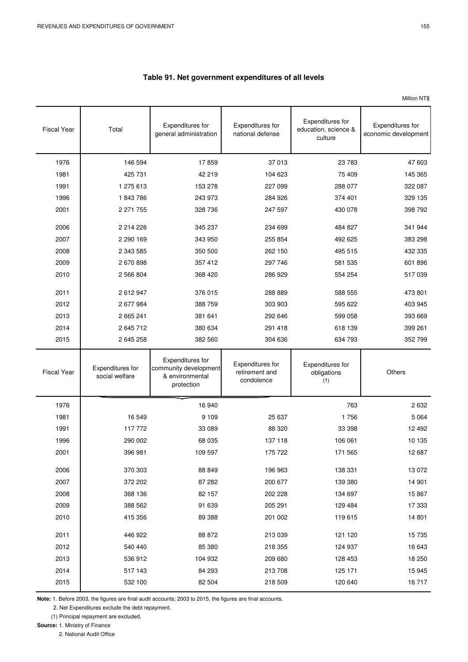# **Table 91. Net government expenditures of all levels**

| <b>Fiscal Year</b> | Total                              | Expenditures for<br>general administration                                 | Expenditures for<br>national defense             | Expenditures for<br>education, science &<br>culture | Expenditures for<br>economic development |  |
|--------------------|------------------------------------|----------------------------------------------------------------------------|--------------------------------------------------|-----------------------------------------------------|------------------------------------------|--|
| 1976               | 146 594                            | 17859                                                                      | 37 013                                           | 23 783                                              | 47 603                                   |  |
| 1981               | 425 731                            | 42 219                                                                     | 104 623                                          | 75 409                                              | 145 365                                  |  |
| 1991               | 1 275 613                          | 153 278                                                                    | 227 099                                          | 288 077                                             | 322 087                                  |  |
| 1996               | 1843786                            | 243 973                                                                    | 284 926                                          | 374 401                                             | 329 135                                  |  |
| 2001               | 2 271 755                          | 328 736                                                                    | 247 597                                          | 430 078                                             | 398 792                                  |  |
| 2006               | 2 214 226                          | 345 237                                                                    | 234 699                                          | 484 827                                             | 341 944                                  |  |
| 2007               | 2 290 169                          | 343 950                                                                    | 255 854                                          | 492 625                                             | 383 298                                  |  |
| 2008               | 2 343 585                          | 350 500                                                                    | 262 150                                          | 495 515                                             | 432 335                                  |  |
| 2009               | 2 670 898                          | 357 412                                                                    | 297 746                                          | 581 535                                             | 601 896                                  |  |
| 2010               | 2 566 804                          | 368 420                                                                    | 286 929                                          | 554 254                                             | 517 039                                  |  |
| 2011               | 2 612 947                          | 376 015                                                                    | 288 889                                          | 588 555                                             | 473 801                                  |  |
| 2012               | 2 677 984                          | 388 759                                                                    | 303 903                                          | 595 622                                             | 403 945                                  |  |
| 2013               | 2 665 241                          | 381 641                                                                    | 292 646                                          | 599 058                                             | 393 669                                  |  |
| 2014               | 2 645 712                          | 380 634                                                                    | 291 418                                          | 618 139                                             | 399 261                                  |  |
| 2015               | 2 645 258                          | 382 560                                                                    | 304 636                                          | 634 793                                             | 352 799                                  |  |
|                    |                                    |                                                                            |                                                  |                                                     |                                          |  |
| <b>Fiscal Year</b> | Expenditures for<br>social welfare | Expenditures for<br>community development<br>& environmental<br>protection | Expenditures for<br>retirement and<br>condolence | Expenditures for<br>obligations<br>(1)              | Others                                   |  |
| 1976               |                                    | 16 940                                                                     |                                                  | 763                                                 | 2 6 3 2                                  |  |
| 1981               | 16 549                             | 9 1 0 9                                                                    | 25 637                                           | 1756                                                | 5 0 64                                   |  |
| 1991               | 117 772                            | 33 089                                                                     | 88 320                                           | 33 398                                              | 12 492                                   |  |
| 1996               | 290 002                            | 68 035                                                                     | 137 118                                          | 106 061                                             | 10 135                                   |  |
| 2001               | 396 981                            | 109 597                                                                    | 175 722                                          | 171 565                                             | 12 687                                   |  |
| 2006               | 370 303                            | 88 849                                                                     | 196 963                                          | 138 331                                             | 13 072                                   |  |
| 2007               | 372 202                            | 87 282                                                                     | 200 677                                          | 139 380                                             | 14 901                                   |  |
| 2008               | 368 136                            | 82 157                                                                     | 202 228                                          | 134 697                                             | 15 867                                   |  |
| 2009               | 388 562                            | 91 639                                                                     | 205 291                                          | 129 484                                             | 17 333                                   |  |
| 2010               | 415 356                            | 89 388                                                                     | 201 002                                          | 119 615                                             | 14 801                                   |  |
| 2011               | 446 922                            | 88 872                                                                     | 213 039                                          | 121 120                                             | 15 7 35                                  |  |
| 2012               | 540 440                            | 85 380                                                                     | 218 355                                          | 124 937                                             | 16 643                                   |  |
| 2013               | 536 912                            | 104 932                                                                    | 209 680                                          | 128 453                                             | 18 250                                   |  |
| 2014               | 517 143                            | 84 293                                                                     | 213 708                                          | 125 171                                             | 15 945                                   |  |

Million NT\$

**Note:** 1. Before 2003, the figures are final audit accounts; 2003 to 2015, the figures are final accounts.

2. Net Expenditures exclude the debt repayment.

(1) Principal repayment are excluded.

**Source:** 1. Ministry of Finance

2. National Audit Office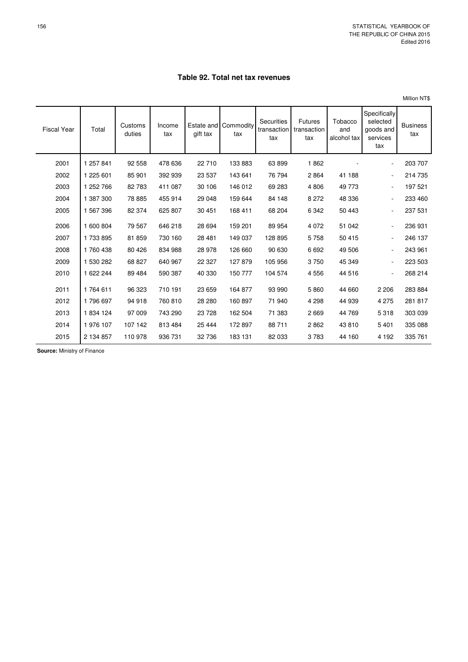### **Table 92. Total net tax revenues**

Million NT\$

| <b>Fiscal Year</b> | Total     | Customs<br>duties | Income<br>tax | gift tax | Estate and Commodity<br>tax | Securities<br>transaction<br>tax | <b>Futures</b><br>transaction<br>tax | Tobacco<br>and<br>alcohol tax | Specifically<br>selected<br>goods and<br>services<br>tax | <b>Business</b><br>tax |
|--------------------|-----------|-------------------|---------------|----------|-----------------------------|----------------------------------|--------------------------------------|-------------------------------|----------------------------------------------------------|------------------------|
| 2001               | 1 257 841 | 92 558            | 478 636       | 22 710   | 133 883                     | 63899                            | 1862                                 |                               | ٠                                                        | 203 707                |
| 2002               | 1 225 601 | 85 901            | 392 939       | 23 537   | 143 641                     | 76 794                           | 2864                                 | 41 188                        | $\overline{\phantom{a}}$                                 | 214 735                |
| 2003               | 1 252 766 | 82 783            | 411 087       | 30 106   | 146 012                     | 69 283                           | 4806                                 | 49 773                        | $\overline{\phantom{a}}$                                 | 197 521                |
| 2004               | 1 387 300 | 78 885            | 455 914       | 29 048   | 159 644                     | 84 148                           | 8 2 7 2                              | 48 336                        | $\overline{\phantom{a}}$                                 | 233 460                |
| 2005               | 1 567 396 | 82 374            | 625 807       | 30 451   | 168 411                     | 68 204                           | 6 3 4 2                              | 50 443                        | $\overline{a}$                                           | 237 531                |
| 2006               | 1 600 804 | 79 567            | 646 218       | 28 694   | 159 201                     | 89 954                           | 4 0 7 2                              | 51 042                        | $\overline{\phantom{a}}$                                 | 236 931                |
| 2007               | 1 733 895 | 81 859            | 730 160       | 28 481   | 149 037                     | 128 895                          | 5758                                 | 50 415                        | $\overline{\phantom{a}}$                                 | 246 137                |
| 2008               | 1760438   | 80 4 26           | 834 988       | 28 978   | 126 660                     | 90 630                           | 6692                                 | 49 506                        | $\overline{\phantom{a}}$                                 | 243 961                |
| 2009               | 1 530 282 | 68 827            | 640 967       | 22 3 27  | 127 879                     | 105 956                          | 3750                                 | 45 349                        | $\overline{\phantom{a}}$                                 | 223 503                |
| 2010               | 1 622 244 | 89 4 84           | 590 387       | 40 330   | 150 777                     | 104 574                          | 4556                                 | 44 516                        |                                                          | 268 214                |
| 2011               | 1764 611  | 96 323            | 710 191       | 23 659   | 164 877                     | 93 990                           | 5860                                 | 44 660                        | 2 2 0 6                                                  | 283 884                |
| 2012               | 1796 697  | 94 918            | 760 810       | 28 280   | 160 897                     | 71 940                           | 4 2 9 8                              | 44 939                        | 4 2 7 5                                                  | 281 817                |
| 2013               | 1 834 124 | 97 009            | 743 290       | 23 728   | 162 504                     | 71 383                           | 2669                                 | 44 769                        | 5318                                                     | 303 039                |
| 2014               | 1976 107  | 107 142           | 813 484       | 25 4 44  | 172 897                     | 88 711                           | 2862                                 | 43810                         | 5 4 0 1                                                  | 335 088                |
| 2015               | 2 134 857 | 110 978           | 936 731       | 32 736   | 183 131                     | 82 033                           | 3783                                 | 44 160                        | 4 1 9 2                                                  | 335 761                |

**Source:** Ministry of Finance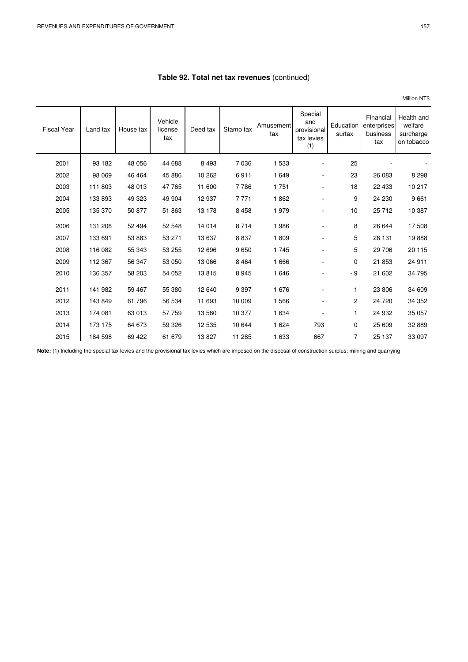| ٦<br>۰. |  |
|---------|--|

2001 93 182 48 056 44 688 8 493 7 036 1 533 - 25 - - 2002 98 069 46 464 45 886 10 262 6 911 1 649 - 23 26 083 8 298 2003 111 803 48 013 47 765 11 600 7 786 1 751 - 18 22 433 10 217 2004 133 893 49 323 49 904 12 937 7 771 1 862 - 9 24 230 9 661 2005 135 370 50 877 51 863 13 178 8 458 1 979 - 10 25 712 10 387 2006 131 208 52 494 52 548 14 014 8 714 1 986 - 8 26 644 17 508 2007 133 691 53 883 53 271 13 637 8 837 1 809 - 5 28 131 19 888 2008 116 082 55 343 53 255 12 696 9 650 1 745 - 5 29 706 20 115 2009 112 367 56 347 53 050 13 066 8 464 1 666 - 0 21 853 24 911 2010 136 357 58 203 54 052 13 815 8 945 1 646 - - 9 21 602 34 795 2011 141 982 59 467 55 380 12 640 9 397 1 676 - 1 23 806 34 609 2012 143 849 61 796 56 534 11 693 10 009 1 566 - 2 24 720 34 352 2013 174 081 63 013 57 759 13 560 10 377 1 634 - 1 24 932 35 057 2014 173 175 64 673 59 326 12 535 10 644 1 624 793 0 25 609 32 889 2015 184 598 69 422 61 679 13 827 11 285 1 633 667 7 25 137 33 097 Education Deed tax Stamp tax  $\begin{bmatrix} \text{Amusement} \\ \text{tax} \end{bmatrix}$   $\begin{bmatrix} \text{and} \\ \text{prouisions} \\ \text{surtax} \end{bmatrix}$  Surtax tax Special and provisional tax levies (1) Health and welfare surcharge on tobacco Financial enterprises business tax Fiscal Year | Land tax | House tax Vehicle license tax

Note: (1) Including the special tax levies and the provisional tax levies which are imposed on the disposal of construction surplus, mining and quarrying

#### **Table 92. Total net tax revenues** (continued)

Million NT\$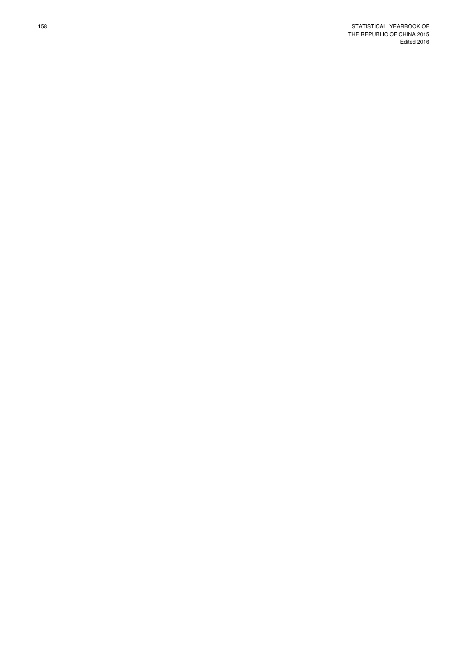158 STATISTICAL YEARBOOK OF THE REPUBLIC OF CHINA 2015 Edited 2016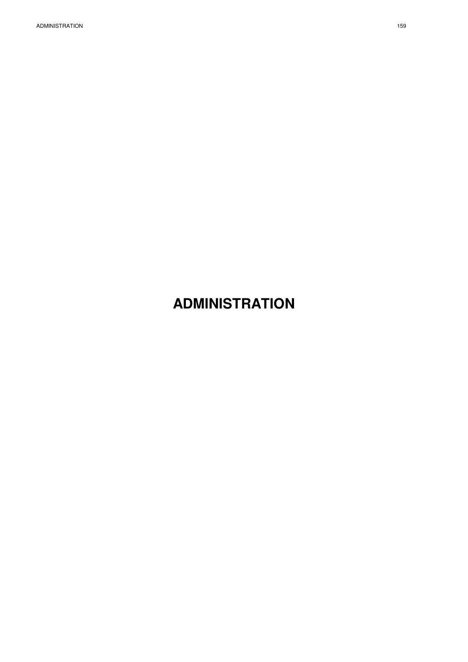# **ADMINISTRATION**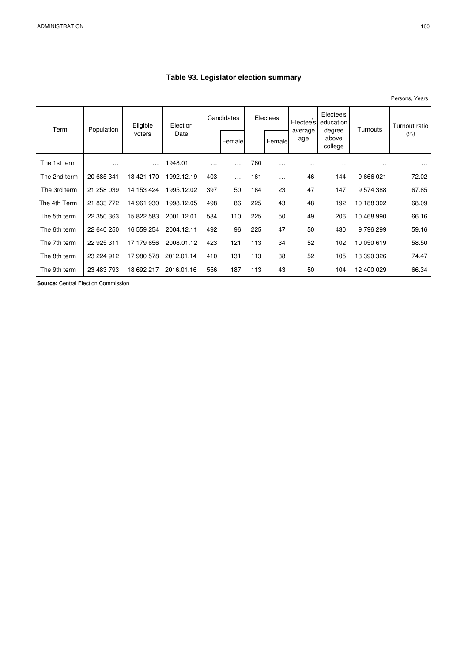Persons, Years

### **Table 93. Legislator election summary**

The 1st term | … … … 1948.01 … … 760 … … … … … … … The 2nd term 20 685 341 13 421 170 1992.12.19 403 … 161 … 46 144 9 666 021 72.02 The 3rd term | 21 258 039 14 153 424 1995.12.02 397 50 164 23 47 147 9 574 388 67.65 The 4th Term 21 833 772 14 961 930 1998.12.05 498 86 225 43 48 192 10 188 302 68.09 The 5th term 22 350 363 15 822 583 2001.12.01 584 110 225 50 49 206 10 468 990 66.16 The 6th term 22 640 250 16 559 254 2004.12.11 492 96 225 47 50 430 9 796 299 59.16 The 7th term 22 925 311 17 179 656 2008.01.12 423 121 113 34 52 102 10 050 619 58.50 The 8th term 23 224 912 17 980 578 2012.01.14 410 131 113 38 52 105 13 390 326 74.47 The 9th term 23 483 793 18 692 217 2016.01.16 556 187 113 43 50 104 12 400 029 66.34 Turnout ratio (%) Electee' s average age Electee' s education degree above college Term Population Eligible Election **Eligible** Election **Turnouts** Requested Burnouts voters Election Date Candidates | Electees Female Female

**Source:** Central Election Commission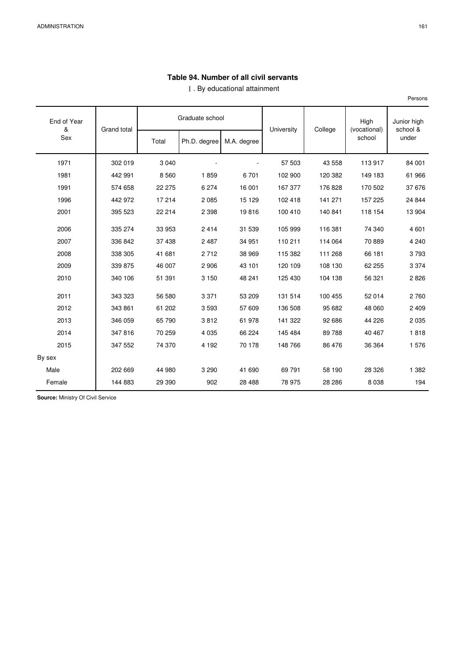# **Table 94. Number of all civil servants**

Ⅰ. By educational attainment

| End of Year<br>& | Grand total | Graduate school |              |             |            |         | High<br>(vocational) | Junior high<br>school & |
|------------------|-------------|-----------------|--------------|-------------|------------|---------|----------------------|-------------------------|
| Sex              |             | Total           | Ph.D. degree | M.A. degree | University | College | school               | under                   |
| 1971             | 302 019     | 3 0 4 0         |              |             | 57 503     | 43 558  | 113 917              | 84 001                  |
| 1981             | 442 991     | 8 5 6 0         | 1859         | 6701        | 102 900    | 120 382 | 149 183              | 61 966                  |
| 1991             | 574 658     | 22 275          | 6 2 7 4      | 16 001      | 167 377    | 176 828 | 170 502              | 37 676                  |
| 1996             | 442 972     | 17 214          | 2 0 8 5      | 15 129      | 102 418    | 141 271 | 157 225              | 24 844                  |
| 2001             | 395 523     | 22 214          | 2 3 9 8      | 19816       | 100 410    | 140 841 | 118 154              | 13 904                  |
| 2006             | 335 274     | 33 953          | 2414         | 31 539      | 105 999    | 116 381 | 74 340               | 4 601                   |
| 2007             | 336 842     | 37 438          | 2 4 8 7      | 34 951      | 110 211    | 114 064 | 70 889               | 4 2 4 0                 |
| 2008             | 338 305     | 41 681          | 2712         | 38 969      | 115 382    | 111 268 | 66 181               | 3793                    |
| 2009             | 339 875     | 46 007          | 2 9 0 6      | 43 101      | 120 109    | 108 130 | 62 255               | 3 3 7 4                 |
| 2010             | 340 106     | 51 391          | 3 1 5 0      | 48 241      | 125 430    | 104 138 | 56 321               | 2826                    |
| 2011             | 343 323     | 56 580          | 3 3 7 1      | 53 209      | 131 514    | 100 455 | 52 014               | 2 7 6 0                 |
| 2012             | 343 861     | 61 202          | 3593         | 57 609      | 136 508    | 95 682  | 48 060               | 2 4 0 9                 |
| 2013             | 346 059     | 65 790          | 3812         | 61 978      | 141 322    | 92 686  | 44 226               | 2 0 3 5                 |
| 2014             | 347816      | 70 259          | 4 0 3 5      | 66 224      | 145 484    | 89 788  | 40 467               | 1818                    |
| 2015             | 347 552     | 74 370          | 4 1 9 2      | 70 178      | 148 766    | 86 476  | 36 364               | 1 576                   |
| By sex           |             |                 |              |             |            |         |                      |                         |
| Male             | 202 669     | 44 980          | 3 2 9 0      | 41 690      | 69 791     | 58 190  | 28 3 26              | 1 3 8 2                 |
| Female           | 144 883     | 29 390          | 902          | 28 4 88     | 78 975     | 28 28 6 | 8 0 3 8              | 194                     |

**Source:** Ministry Of Civil Service

Persons